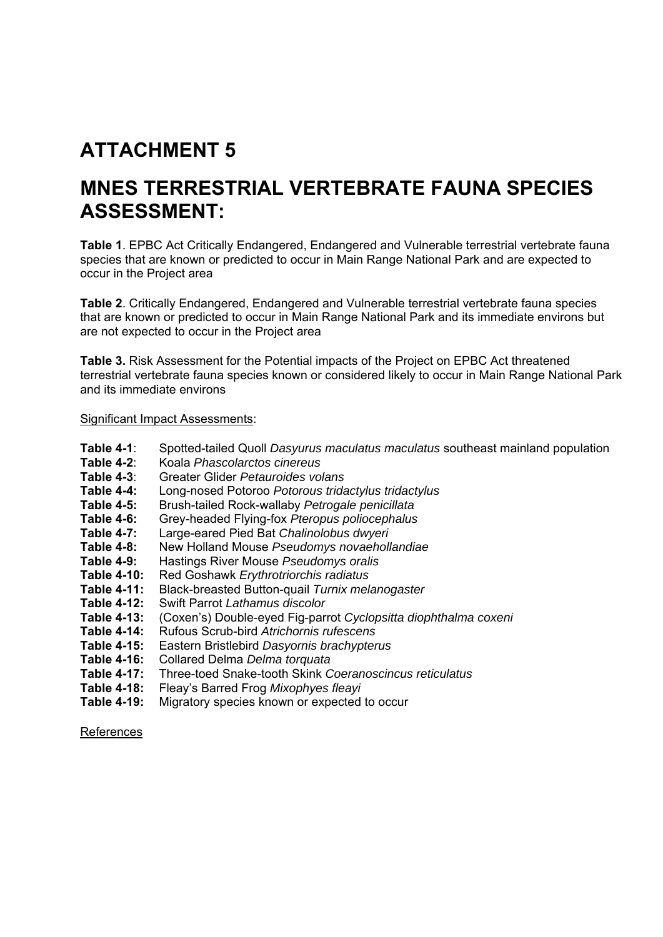# **ATTACHMENT 5**

# **MNES TERRESTRIAL VERTEBRATE FAUNA SPECIES ASSESSMENT:**

**Table 1**. EPBC Act Critically Endangered, Endangered and Vulnerable terrestrial vertebrate fauna species that are known or predicted to occur in Main Range National Park and are expected to occur in the Project area

**Table 2**. Critically Endangered, Endangered and Vulnerable terrestrial vertebrate fauna species that are known or predicted to occur in Main Range National Park and its immediate environs but are not expected to occur in the Project area

**Table 3.** Risk Assessment for the Potential impacts of the Project on EPBC Act threatened terrestrial vertebrate fauna species known or considered likely to occur in Main Range National Park and its immediate environs

#### Significant Impact Assessments:

- **Table 4-1**: Spotted-tailed Quoll *Dasyurus maculatus maculatus* southeast mainland population
- **Table 4-2**: Koala *Phascolarctos cinereus*
- **Table 4-3**: Greater Glider *Petauroides volans*
- **Table 4-4:** Long-nosed Potoroo *Potorous tridactylus tridactylus*
- **Table 4-5:** Brush-tailed Rock-wallaby *Petrogale penicillata*
- **Table 4-6:** Grey-headed Flying-fox *Pteropus poliocephalus*
- **Table 4-7:** Large-eared Pied Bat *Chalinolobus dwyeri*
- **Table 4-8:** New Holland Mouse *Pseudomys novaehollandiae*
- **Table 4-9:** Hastings River Mouse *Pseudomys oralis*
- **Table 4-10:** Red Goshawk *Erythrotriorchis radiatus*
- **Table 4-11:** Black-breasted Button-quail *Turnix melanogaster*
- **Table 4-12:** Swift Parrot *Lathamus discolor*
- **Table 4-13:** (Coxen's) Double-eyed Fig-parrot *Cyclopsitta diophthalma coxeni*
- **Table 4-14:** Rufous Scrub-bird *Atrichornis rufescens*
- **Table 4-15:** Eastern Bristlebird *Dasyornis brachypterus*
- **Table 4-16:** Collared Delma *Delma torquata*
- **Table 4-17:** Three-toed Snake-tooth Skink *Coeranoscincus reticulatus*
- **Table 4-18:** Fleay's Barred Frog *Mixophyes fleayi*
- **Table 4-19:** Migratory species known or expected to occur

References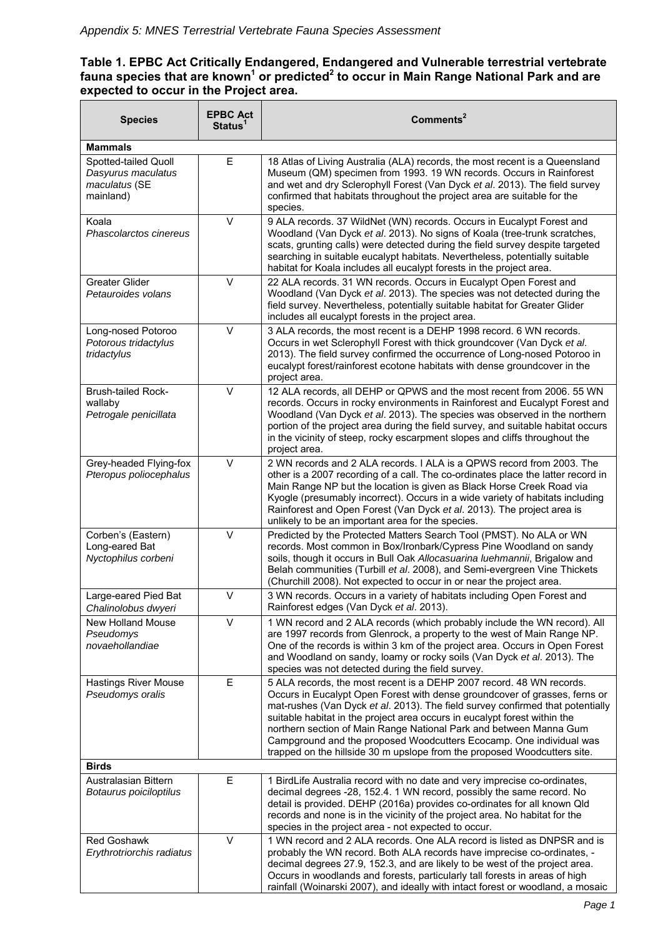## **Table 1. EPBC Act Critically Endangered, Endangered and Vulnerable terrestrial vertebrate**  fauna species that are known<sup>1</sup> or predicted<sup>2</sup> to occur in Main Range National Park and are **expected to occur in the Project area.**

| <b>Species</b>                                                           | <b>EPBC Act</b><br>Status <sup>1</sup> | Commonents <sup>2</sup>                                                                                                                                                                                                                                                                                                                                                                                                                                                                                                                    |
|--------------------------------------------------------------------------|----------------------------------------|--------------------------------------------------------------------------------------------------------------------------------------------------------------------------------------------------------------------------------------------------------------------------------------------------------------------------------------------------------------------------------------------------------------------------------------------------------------------------------------------------------------------------------------------|
| <b>Mammals</b>                                                           |                                        |                                                                                                                                                                                                                                                                                                                                                                                                                                                                                                                                            |
| Spotted-tailed Quoll<br>Dasyurus maculatus<br>maculatus (SE<br>mainland) | E                                      | 18 Atlas of Living Australia (ALA) records, the most recent is a Queensland<br>Museum (QM) specimen from 1993. 19 WN records. Occurs in Rainforest<br>and wet and dry Sclerophyll Forest (Van Dyck et al. 2013). The field survey<br>confirmed that habitats throughout the project area are suitable for the<br>species.                                                                                                                                                                                                                  |
| Koala<br>Phascolarctos cinereus                                          | $\vee$                                 | 9 ALA records. 37 WildNet (WN) records. Occurs in Eucalypt Forest and<br>Woodland (Van Dyck et al. 2013). No signs of Koala (tree-trunk scratches,<br>scats, grunting calls) were detected during the field survey despite targeted<br>searching in suitable eucalypt habitats. Nevertheless, potentially suitable<br>habitat for Koala includes all eucalypt forests in the project area.                                                                                                                                                 |
| <b>Greater Glider</b><br>Petauroides volans                              | $\vee$                                 | 22 ALA records. 31 WN records. Occurs in Eucalypt Open Forest and<br>Woodland (Van Dyck et al. 2013). The species was not detected during the<br>field survey. Nevertheless, potentially suitable habitat for Greater Glider<br>includes all eucalypt forests in the project area.                                                                                                                                                                                                                                                         |
| Long-nosed Potoroo<br>Potorous tridactylus<br>tridactylus                | $\vee$                                 | 3 ALA records, the most recent is a DEHP 1998 record. 6 WN records.<br>Occurs in wet Sclerophyll Forest with thick groundcover (Van Dyck et al.<br>2013). The field survey confirmed the occurrence of Long-nosed Potoroo in<br>eucalypt forest/rainforest ecotone habitats with dense groundcover in the<br>project area.                                                                                                                                                                                                                 |
| <b>Brush-tailed Rock-</b><br>wallaby<br>Petrogale penicillata            | $\vee$                                 | 12 ALA records, all DEHP or QPWS and the most recent from 2006. 55 WN<br>records. Occurs in rocky environments in Rainforest and Eucalypt Forest and<br>Woodland (Van Dyck et al. 2013). The species was observed in the northern<br>portion of the project area during the field survey, and suitable habitat occurs<br>in the vicinity of steep, rocky escarpment slopes and cliffs throughout the<br>project area.                                                                                                                      |
| Grey-headed Flying-fox<br>Pteropus poliocephalus                         | $\vee$                                 | 2 WN records and 2 ALA records. I ALA is a QPWS record from 2003. The<br>other is a 2007 recording of a call. The co-ordinates place the latter record in<br>Main Range NP but the location is given as Black Horse Creek Road via<br>Kyogle (presumably incorrect). Occurs in a wide variety of habitats including<br>Rainforest and Open Forest (Van Dyck et al. 2013). The project area is<br>unlikely to be an important area for the species.                                                                                         |
| Corben's (Eastern)<br>Long-eared Bat<br>Nyctophilus corbeni              | V                                      | Predicted by the Protected Matters Search Tool (PMST). No ALA or WN<br>records. Most common in Box/Ironbark/Cypress Pine Woodland on sandy<br>soils, though it occurs in Bull Oak Allocasuarina luehmannii, Brigalow and<br>Belah communities (Turbill et al. 2008), and Semi-evergreen Vine Thickets<br>(Churchill 2008). Not expected to occur in or near the project area.                                                                                                                                                              |
| Large-eared Pied Bat<br>Chalinolobus dwyeri                              | $\vee$                                 | 3 WN records. Occurs in a variety of habitats including Open Forest and<br>Rainforest edges (Van Dyck et al. 2013).                                                                                                                                                                                                                                                                                                                                                                                                                        |
| New Holland Mouse<br>Pseudomys<br>novaehollandiae                        | $\vee$                                 | 1 WN record and 2 ALA records (which probably include the WN record). All<br>are 1997 records from Glenrock, a property to the west of Main Range NP.<br>One of the records is within 3 km of the project area. Occurs in Open Forest<br>and Woodland on sandy, loamy or rocky soils (Van Dyck et al. 2013). The<br>species was not detected during the field survey.                                                                                                                                                                      |
| <b>Hastings River Mouse</b><br>Pseudomys oralis                          | E                                      | 5 ALA records, the most recent is a DEHP 2007 record. 48 WN records.<br>Occurs in Eucalypt Open Forest with dense groundcover of grasses, ferns or<br>mat-rushes (Van Dyck et al. 2013). The field survey confirmed that potentially<br>suitable habitat in the project area occurs in eucalypt forest within the<br>northern section of Main Range National Park and between Manna Gum<br>Campground and the proposed Woodcutters Ecocamp. One individual was<br>trapped on the hillside 30 m upslope from the proposed Woodcutters site. |
| <b>Birds</b>                                                             |                                        |                                                                                                                                                                                                                                                                                                                                                                                                                                                                                                                                            |
| Australasian Bittern<br>Botaurus poiciloptilus                           | E                                      | 1 BirdLife Australia record with no date and very imprecise co-ordinates,<br>decimal degrees -28, 152.4. 1 WN record, possibly the same record. No<br>detail is provided. DEHP (2016a) provides co-ordinates for all known Qld<br>records and none is in the vicinity of the project area. No habitat for the<br>species in the project area - not expected to occur.                                                                                                                                                                      |
| <b>Red Goshawk</b><br>Erythrotriorchis radiatus                          | $\vee$                                 | 1 WN record and 2 ALA records. One ALA record is listed as DNPSR and is<br>probably the WN record. Both ALA records have imprecise co-ordinates, -<br>decimal degrees 27.9, 152.3, and are likely to be west of the project area.<br>Occurs in woodlands and forests, particularly tall forests in areas of high<br>rainfall (Woinarski 2007), and ideally with intact forest or woodland, a mosaic                                                                                                                                        |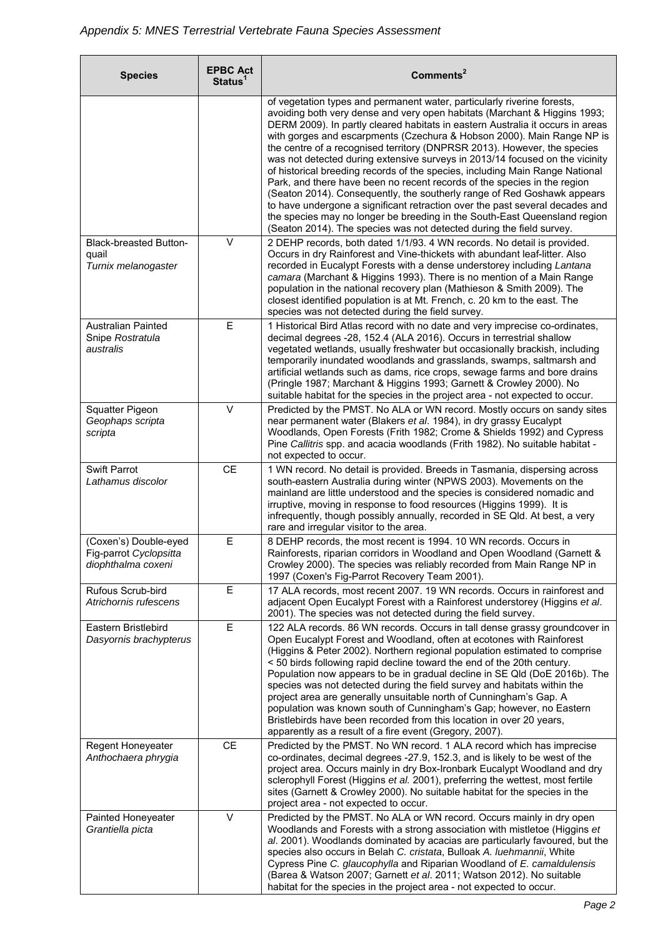<u> - Thomas Ann</u>

 $\overline{\phantom{0}}$ 

 $\mathsf{r}$ 

| <b>Species</b>                                                        | <b>EPBC Act</b><br>Status <sup>1</sup> | Commonents <sup>2</sup>                                                                                                                                                                                                                                                                                                                                                                                                                                                                                                                                                                                                                                                                                                                                                                                                                                                                                                                                  |
|-----------------------------------------------------------------------|----------------------------------------|----------------------------------------------------------------------------------------------------------------------------------------------------------------------------------------------------------------------------------------------------------------------------------------------------------------------------------------------------------------------------------------------------------------------------------------------------------------------------------------------------------------------------------------------------------------------------------------------------------------------------------------------------------------------------------------------------------------------------------------------------------------------------------------------------------------------------------------------------------------------------------------------------------------------------------------------------------|
|                                                                       |                                        | of vegetation types and permanent water, particularly riverine forests,<br>avoiding both very dense and very open habitats (Marchant & Higgins 1993;<br>DERM 2009). In partly cleared habitats in eastern Australia it occurs in areas<br>with gorges and escarpments (Czechura & Hobson 2000). Main Range NP is<br>the centre of a recognised territory (DNPRSR 2013). However, the species<br>was not detected during extensive surveys in 2013/14 focused on the vicinity<br>of historical breeding records of the species, including Main Range National<br>Park, and there have been no recent records of the species in the region<br>(Seaton 2014). Consequently, the southerly range of Red Goshawk appears<br>to have undergone a significant retraction over the past several decades and<br>the species may no longer be breeding in the South-East Queensland region<br>(Seaton 2014). The species was not detected during the field survey. |
| <b>Black-breasted Button-</b><br>quail<br>Turnix melanogaster         | $\vee$                                 | 2 DEHP records, both dated 1/1/93. 4 WN records. No detail is provided.<br>Occurs in dry Rainforest and Vine-thickets with abundant leaf-litter. Also<br>recorded in Eucalypt Forests with a dense understorey including Lantana<br>camara (Marchant & Higgins 1993). There is no mention of a Main Range<br>population in the national recovery plan (Mathieson & Smith 2009). The<br>closest identified population is at Mt. French, c. 20 km to the east. The<br>species was not detected during the field survey.                                                                                                                                                                                                                                                                                                                                                                                                                                    |
| <b>Australian Painted</b><br>Snipe Rostratula<br>australis            | E                                      | 1 Historical Bird Atlas record with no date and very imprecise co-ordinates,<br>decimal degrees -28, 152.4 (ALA 2016). Occurs in terrestrial shallow<br>vegetated wetlands, usually freshwater but occasionally brackish, including<br>temporarily inundated woodlands and grasslands, swamps, saltmarsh and<br>artificial wetlands such as dams, rice crops, sewage farms and bore drains<br>(Pringle 1987; Marchant & Higgins 1993; Garnett & Crowley 2000). No<br>suitable habitat for the species in the project area - not expected to occur.                                                                                                                                                                                                                                                                                                                                                                                                       |
| Squatter Pigeon<br>Geophaps scripta<br>scripta                        | $\vee$                                 | Predicted by the PMST. No ALA or WN record. Mostly occurs on sandy sites<br>near permanent water (Blakers et al. 1984), in dry grassy Eucalypt<br>Woodlands, Open Forests (Frith 1982; Crome & Shields 1992) and Cypress<br>Pine Callitris spp. and acacia woodlands (Frith 1982). No suitable habitat -<br>not expected to occur.                                                                                                                                                                                                                                                                                                                                                                                                                                                                                                                                                                                                                       |
| <b>Swift Parrot</b><br>Lathamus discolor                              | <b>CE</b>                              | 1 WN record. No detail is provided. Breeds in Tasmania, dispersing across<br>south-eastern Australia during winter (NPWS 2003). Movements on the<br>mainland are little understood and the species is considered nomadic and<br>irruptive, moving in response to food resources (Higgins 1999). It is<br>infrequently, though possibly annually, recorded in SE Qld. At best, a very<br>rare and irregular visitor to the area.                                                                                                                                                                                                                                                                                                                                                                                                                                                                                                                          |
| (Coxen's) Double-eyed<br>Fig-parrot Cyclopsitta<br>diophthalma coxeni | E                                      | 8 DEHP records, the most recent is 1994. 10 WN records. Occurs in<br>Rainforests, riparian corridors in Woodland and Open Woodland (Garnett &<br>Crowley 2000). The species was reliably recorded from Main Range NP in<br>1997 (Coxen's Fig-Parrot Recovery Team 2001).                                                                                                                                                                                                                                                                                                                                                                                                                                                                                                                                                                                                                                                                                 |
| Rufous Scrub-bird<br>Atrichornis rufescens                            | E                                      | 17 ALA records, most recent 2007. 19 WN records. Occurs in rainforest and<br>adjacent Open Eucalypt Forest with a Rainforest understorey (Higgins et al.<br>2001). The species was not detected during the field survey.                                                                                                                                                                                                                                                                                                                                                                                                                                                                                                                                                                                                                                                                                                                                 |
| Eastern Bristlebird<br>Dasyornis brachypterus                         | E                                      | 122 ALA records. 86 WN records. Occurs in tall dense grassy groundcover in<br>Open Eucalypt Forest and Woodland, often at ecotones with Rainforest<br>(Higgins & Peter 2002). Northern regional population estimated to comprise<br><50 birds following rapid decline toward the end of the 20th century.<br>Population now appears to be in gradual decline in SE Qld (DoE 2016b). The<br>species was not detected during the field survey and habitats within the<br>project area are generally unsuitable north of Cunningham's Gap. A<br>population was known south of Cunningham's Gap; however, no Eastern<br>Bristlebirds have been recorded from this location in over 20 years,<br>apparently as a result of a fire event (Gregory, 2007).                                                                                                                                                                                                      |
| Regent Honeyeater<br>Anthochaera phrygia                              | <b>CE</b>                              | Predicted by the PMST. No WN record. 1 ALA record which has imprecise<br>co-ordinates, decimal degrees -27.9, 152.3, and is likely to be west of the<br>project area. Occurs mainly in dry Box-Ironbark Eucalypt Woodland and dry<br>sclerophyll Forest (Higgins et al. 2001), preferring the wettest, most fertile<br>sites (Garnett & Crowley 2000). No suitable habitat for the species in the<br>project area - not expected to occur.                                                                                                                                                                                                                                                                                                                                                                                                                                                                                                               |
| Painted Honeyeater<br>Grantiella picta                                | $\vee$                                 | Predicted by the PMST. No ALA or WN record. Occurs mainly in dry open<br>Woodlands and Forests with a strong association with mistletoe (Higgins et<br>al. 2001). Woodlands dominated by acacias are particularly favoured, but the<br>species also occurs in Belah C. cristata, Bulloak A. luehmannii, White<br>Cypress Pine C. glaucophylla and Riparian Woodland of E. camaldulensis<br>(Barea & Watson 2007; Garnett et al. 2011; Watson 2012). No suitable<br>habitat for the species in the project area - not expected to occur.                                                                                                                                                                                                                                                                                                                                                                                                                  |

Ξ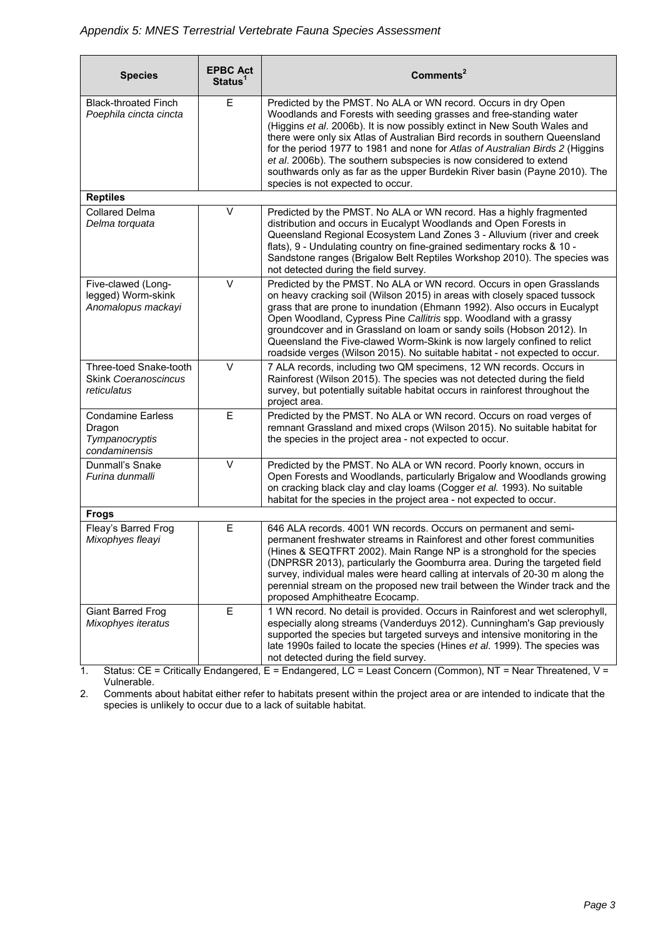| <b>Species</b>                                                                                                              | <b>EPBC Act</b><br>Status <sup>1</sup> | Commonents <sup>2</sup>                                                                                                                                                                                                                                                                                                                                                                                                                                                                                                                                                    |
|-----------------------------------------------------------------------------------------------------------------------------|----------------------------------------|----------------------------------------------------------------------------------------------------------------------------------------------------------------------------------------------------------------------------------------------------------------------------------------------------------------------------------------------------------------------------------------------------------------------------------------------------------------------------------------------------------------------------------------------------------------------------|
| <b>Black-throated Finch</b><br>Poephila cincta cincta                                                                       | E                                      | Predicted by the PMST. No ALA or WN record. Occurs in dry Open<br>Woodlands and Forests with seeding grasses and free-standing water<br>(Higgins et al. 2006b). It is now possibly extinct in New South Wales and<br>there were only six Atlas of Australian Bird records in southern Queensland<br>for the period 1977 to 1981 and none for Atlas of Australian Birds 2 (Higgins<br>et al. 2006b). The southern subspecies is now considered to extend<br>southwards only as far as the upper Burdekin River basin (Payne 2010). The<br>species is not expected to occur. |
| <b>Reptiles</b>                                                                                                             |                                        |                                                                                                                                                                                                                                                                                                                                                                                                                                                                                                                                                                            |
| <b>Collared Delma</b><br>Delma torquata                                                                                     | $\vee$                                 | Predicted by the PMST. No ALA or WN record. Has a highly fragmented<br>distribution and occurs in Eucalypt Woodlands and Open Forests in<br>Queensland Regional Ecosystem Land Zones 3 - Alluvium (river and creek<br>flats), 9 - Undulating country on fine-grained sedimentary rocks & 10 -<br>Sandstone ranges (Brigalow Belt Reptiles Workshop 2010). The species was<br>not detected during the field survey.                                                                                                                                                         |
| Five-clawed (Long-<br>legged) Worm-skink<br>Anomalopus mackayi                                                              | $\vee$                                 | Predicted by the PMST. No ALA or WN record. Occurs in open Grasslands<br>on heavy cracking soil (Wilson 2015) in areas with closely spaced tussock<br>grass that are prone to inundation (Ehmann 1992). Also occurs in Eucalypt<br>Open Woodland, Cypress Pine Callitris spp. Woodland with a grassy<br>groundcover and in Grassland on loam or sandy soils (Hobson 2012). In<br>Queensland the Five-clawed Worm-Skink is now largely confined to relict<br>roadside verges (Wilson 2015). No suitable habitat - not expected to occur.                                    |
| Three-toed Snake-tooth<br>Skink Coeranoscincus<br>reticulatus                                                               | $\vee$                                 | 7 ALA records, including two QM specimens, 12 WN records. Occurs in<br>Rainforest (Wilson 2015). The species was not detected during the field<br>survey, but potentially suitable habitat occurs in rainforest throughout the<br>project area.                                                                                                                                                                                                                                                                                                                            |
| <b>Condamine Earless</b><br>Dragon<br>Tympanocryptis<br>condaminensis                                                       | E                                      | Predicted by the PMST. No ALA or WN record. Occurs on road verges of<br>remnant Grassland and mixed crops (Wilson 2015). No suitable habitat for<br>the species in the project area - not expected to occur.                                                                                                                                                                                                                                                                                                                                                               |
| <b>Dunmall's Snake</b><br>Furina dunmalli                                                                                   | $\vee$                                 | Predicted by the PMST. No ALA or WN record. Poorly known, occurs in<br>Open Forests and Woodlands, particularly Brigalow and Woodlands growing<br>on cracking black clay and clay loams (Cogger et al. 1993). No suitable<br>habitat for the species in the project area - not expected to occur.                                                                                                                                                                                                                                                                          |
| <b>Frogs</b>                                                                                                                |                                        |                                                                                                                                                                                                                                                                                                                                                                                                                                                                                                                                                                            |
| Fleay's Barred Frog<br>Mixophyes fleayi                                                                                     | E                                      | 646 ALA records. 4001 WN records. Occurs on permanent and semi-<br>permanent freshwater streams in Rainforest and other forest communities<br>(Hines & SEQTFRT 2002). Main Range NP is a stronghold for the species<br>(DNPRSR 2013), particularly the Goomburra area. During the targeted field<br>survey, individual males were heard calling at intervals of 20-30 m along the<br>perennial stream on the proposed new trail between the Winder track and the<br>proposed Amphitheatre Ecocamp.                                                                         |
| <b>Giant Barred Frog</b><br>Mixophyes iteratus<br>$Q_{\text{total}}$ $C_{\text{max}}$ $C_{\text{total}}$ $C_{\text{total}}$ | E                                      | 1 WN record. No detail is provided. Occurs in Rainforest and wet sclerophyll,<br>especially along streams (Vanderduys 2012). Cunningham's Gap previously<br>supported the species but targeted surveys and intensive monitoring in the<br>late 1990s failed to locate the species (Hines et al. 1999). The species was<br>not detected during the field survey.<br>$\Gamma$ = Endepend LC = Leest Concern (Common) NT = Near Threatened V                                                                                                                                  |

1. Status: CE = Critically Endangered, E = Endangered, LC = Least Concern (Common), NT = Near Threatened, V = Vulnerable.

2. Comments about habitat either refer to habitats present within the project area or are intended to indicate that the species is unlikely to occur due to a lack of suitable habitat.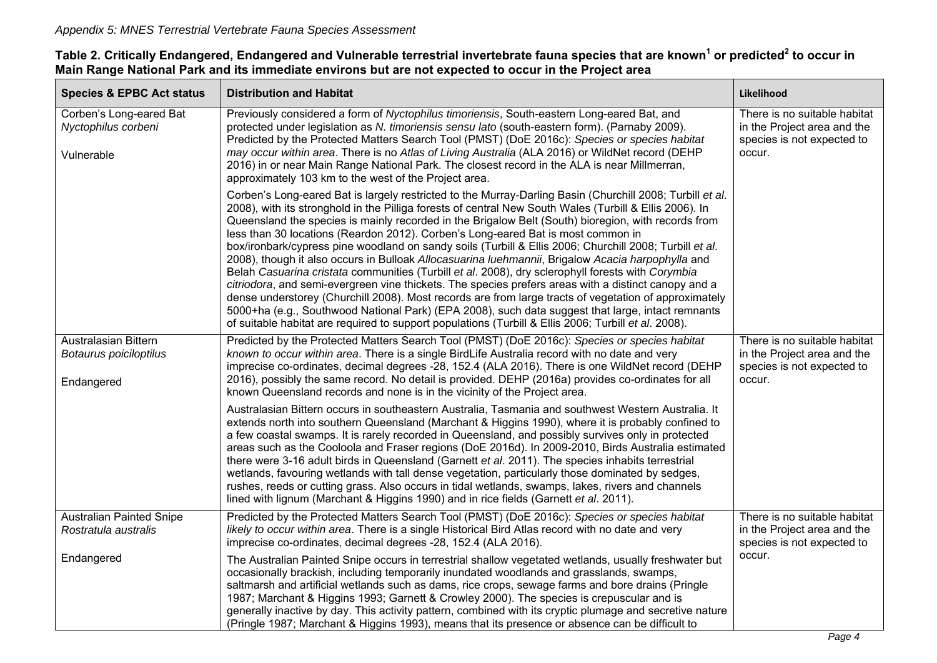| <b>Species &amp; EPBC Act status</b>                         | <b>Distribution and Habitat</b>                                                                                                                                                                                                                                                                                                                                                                                                                                                                                                                                                                                                                                                                                                                                                                                                                                                                                                                                                                                                                                                                                                                                    | Likelihood                                                                                          |
|--------------------------------------------------------------|--------------------------------------------------------------------------------------------------------------------------------------------------------------------------------------------------------------------------------------------------------------------------------------------------------------------------------------------------------------------------------------------------------------------------------------------------------------------------------------------------------------------------------------------------------------------------------------------------------------------------------------------------------------------------------------------------------------------------------------------------------------------------------------------------------------------------------------------------------------------------------------------------------------------------------------------------------------------------------------------------------------------------------------------------------------------------------------------------------------------------------------------------------------------|-----------------------------------------------------------------------------------------------------|
| Corben's Long-eared Bat<br>Nyctophilus corbeni<br>Vulnerable | Previously considered a form of Nyctophilus timoriensis, South-eastern Long-eared Bat, and<br>protected under legislation as N. timoriensis sensu lato (south-eastern form). (Parnaby 2009).<br>Predicted by the Protected Matters Search Tool (PMST) (DoE 2016c): Species or species habitat<br>may occur within area. There is no Atlas of Living Australia (ALA 2016) or WildNet record (DEHP<br>2016) in or near Main Range National Park. The closest record in the ALA is near Millmerran,<br>approximately 103 km to the west of the Project area.                                                                                                                                                                                                                                                                                                                                                                                                                                                                                                                                                                                                          | There is no suitable habitat<br>in the Project area and the<br>species is not expected to<br>occur. |
|                                                              | Corben's Long-eared Bat is largely restricted to the Murray-Darling Basin (Churchill 2008; Turbill et al.<br>2008), with its stronghold in the Pilliga forests of central New South Wales (Turbill & Ellis 2006). In<br>Queensland the species is mainly recorded in the Brigalow Belt (South) bioregion, with records from<br>less than 30 locations (Reardon 2012). Corben's Long-eared Bat is most common in<br>box/ironbark/cypress pine woodland on sandy soils (Turbill & Ellis 2006; Churchill 2008; Turbill et al.<br>2008), though it also occurs in Bulloak Allocasuarina luehmannii, Brigalow Acacia harpophylla and<br>Belah Casuarina cristata communities (Turbill et al. 2008), dry sclerophyll forests with Corymbia<br>citriodora, and semi-evergreen vine thickets. The species prefers areas with a distinct canopy and a<br>dense understorey (Churchill 2008). Most records are from large tracts of vegetation of approximately<br>5000+ha (e.g., Southwood National Park) (EPA 2008), such data suggest that large, intact remnants<br>of suitable habitat are required to support populations (Turbill & Ellis 2006; Turbill et al. 2008). |                                                                                                     |
| Australasian Bittern<br>Botaurus poiciloptilus<br>Endangered | Predicted by the Protected Matters Search Tool (PMST) (DoE 2016c): Species or species habitat<br>known to occur within area. There is a single BirdLife Australia record with no date and very<br>imprecise co-ordinates, decimal degrees -28, 152.4 (ALA 2016). There is one WildNet record (DEHP<br>2016), possibly the same record. No detail is provided. DEHP (2016a) provides co-ordinates for all<br>known Queensland records and none is in the vicinity of the Project area.                                                                                                                                                                                                                                                                                                                                                                                                                                                                                                                                                                                                                                                                              | There is no suitable habitat<br>in the Project area and the<br>species is not expected to<br>occur. |
|                                                              | Australasian Bittern occurs in southeastern Australia, Tasmania and southwest Western Australia. It<br>extends north into southern Queensland (Marchant & Higgins 1990), where it is probably confined to<br>a few coastal swamps. It is rarely recorded in Queensland, and possibly survives only in protected<br>areas such as the Cooloola and Fraser regions (DoE 2016d). In 2009-2010, Birds Australia estimated<br>there were 3-16 adult birds in Queensland (Garnett et al. 2011). The species inhabits terrestrial<br>wetlands, favouring wetlands with tall dense vegetation, particularly those dominated by sedges,<br>rushes, reeds or cutting grass. Also occurs in tidal wetlands, swamps, lakes, rivers and channels<br>lined with lignum (Marchant & Higgins 1990) and in rice fields (Garnett et al. 2011).                                                                                                                                                                                                                                                                                                                                       |                                                                                                     |
| <b>Australian Painted Snipe</b><br>Rostratula australis      | Predicted by the Protected Matters Search Tool (PMST) (DoE 2016c): Species or species habitat<br>likely to occur within area. There is a single Historical Bird Atlas record with no date and very<br>imprecise co-ordinates, decimal degrees -28, 152.4 (ALA 2016).                                                                                                                                                                                                                                                                                                                                                                                                                                                                                                                                                                                                                                                                                                                                                                                                                                                                                               | There is no suitable habitat<br>in the Project area and the<br>species is not expected to           |
| Endangered                                                   | The Australian Painted Snipe occurs in terrestrial shallow vegetated wetlands, usually freshwater but<br>occasionally brackish, including temporarily inundated woodlands and grasslands, swamps,<br>saltmarsh and artificial wetlands such as dams, rice crops, sewage farms and bore drains (Pringle<br>1987; Marchant & Higgins 1993; Garnett & Crowley 2000). The species is crepuscular and is<br>generally inactive by day. This activity pattern, combined with its cryptic plumage and secretive nature<br>(Pringle 1987; Marchant & Higgins 1993), means that its presence or absence can be difficult to                                                                                                                                                                                                                                                                                                                                                                                                                                                                                                                                                 | occur.                                                                                              |

## Table 2. Critically Endangered, Endangered and Vulnerable terrestrial invertebrate fauna species that are known<sup>1</sup> or predicted<sup>2</sup> to occur in **Main Range National Park and its immediate environs but are not expected to occur in the Project area**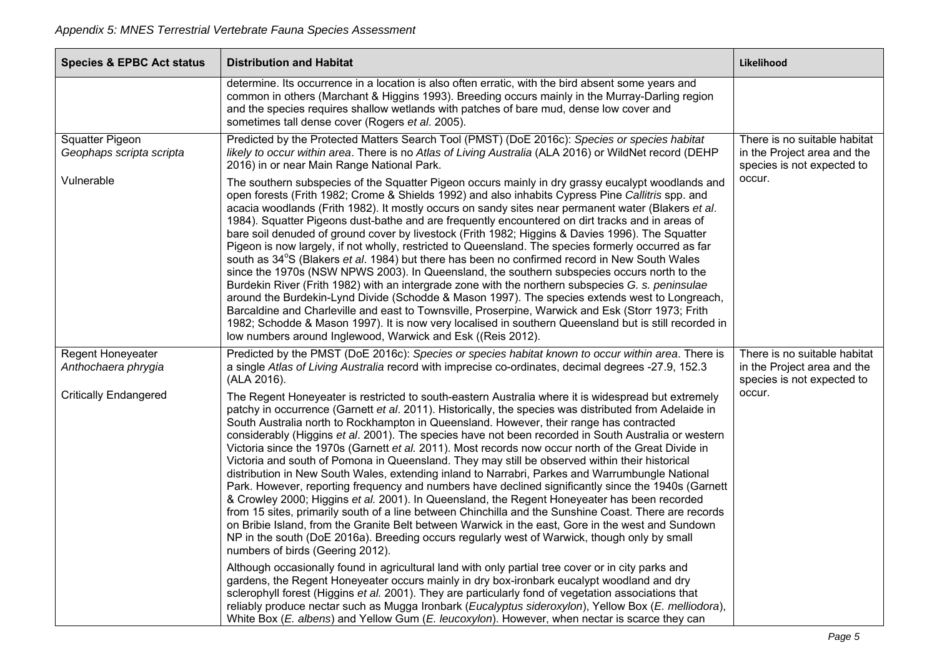| <b>Species &amp; EPBC Act status</b>               | <b>Distribution and Habitat</b>                                                                                                                                                                                                                                                                                                                                                                                                                                                                                                                                                                                                                                                                                                                                                                                                                                                                                                                                                                                                                                                                                                                                                                                                                                                                                   | Likelihood                                                                                          |
|----------------------------------------------------|-------------------------------------------------------------------------------------------------------------------------------------------------------------------------------------------------------------------------------------------------------------------------------------------------------------------------------------------------------------------------------------------------------------------------------------------------------------------------------------------------------------------------------------------------------------------------------------------------------------------------------------------------------------------------------------------------------------------------------------------------------------------------------------------------------------------------------------------------------------------------------------------------------------------------------------------------------------------------------------------------------------------------------------------------------------------------------------------------------------------------------------------------------------------------------------------------------------------------------------------------------------------------------------------------------------------|-----------------------------------------------------------------------------------------------------|
|                                                    | determine. Its occurrence in a location is also often erratic, with the bird absent some years and<br>common in others (Marchant & Higgins 1993). Breeding occurs mainly in the Murray-Darling region<br>and the species requires shallow wetlands with patches of bare mud, dense low cover and<br>sometimes tall dense cover (Rogers et al. 2005).                                                                                                                                                                                                                                                                                                                                                                                                                                                                                                                                                                                                                                                                                                                                                                                                                                                                                                                                                              |                                                                                                     |
| <b>Squatter Pigeon</b><br>Geophaps scripta scripta | Predicted by the Protected Matters Search Tool (PMST) (DoE 2016c): Species or species habitat<br>likely to occur within area. There is no Atlas of Living Australia (ALA 2016) or WildNet record (DEHP<br>2016) in or near Main Range National Park.                                                                                                                                                                                                                                                                                                                                                                                                                                                                                                                                                                                                                                                                                                                                                                                                                                                                                                                                                                                                                                                              | There is no suitable habitat<br>in the Project area and the<br>species is not expected to<br>occur. |
| Vulnerable                                         | The southern subspecies of the Squatter Pigeon occurs mainly in dry grassy eucalypt woodlands and<br>open forests (Frith 1982; Crome & Shields 1992) and also inhabits Cypress Pine Callitris spp. and<br>acacia woodlands (Frith 1982). It mostly occurs on sandy sites near permanent water (Blakers et al.<br>1984). Squatter Pigeons dust-bathe and are frequently encountered on dirt tracks and in areas of<br>bare soil denuded of ground cover by livestock (Frith 1982; Higgins & Davies 1996). The Squatter<br>Pigeon is now largely, if not wholly, restricted to Queensland. The species formerly occurred as far<br>south as 34°S (Blakers et al. 1984) but there has been no confirmed record in New South Wales<br>since the 1970s (NSW NPWS 2003). In Queensland, the southern subspecies occurs north to the<br>Burdekin River (Frith 1982) with an intergrade zone with the northern subspecies G. s. peninsulae<br>around the Burdekin-Lynd Divide (Schodde & Mason 1997). The species extends west to Longreach,<br>Barcaldine and Charleville and east to Townsville, Proserpine, Warwick and Esk (Storr 1973; Frith<br>1982; Schodde & Mason 1997). It is now very localised in southern Queensland but is still recorded in<br>low numbers around Inglewood, Warwick and Esk ((Reis 2012). |                                                                                                     |
| Regent Honeyeater<br>Anthochaera phrygia           | Predicted by the PMST (DoE 2016c): Species or species habitat known to occur within area. There is<br>a single Atlas of Living Australia record with imprecise co-ordinates, decimal degrees -27.9, 152.3<br>(ALA 2016).                                                                                                                                                                                                                                                                                                                                                                                                                                                                                                                                                                                                                                                                                                                                                                                                                                                                                                                                                                                                                                                                                          | There is no suitable habitat<br>in the Project area and the<br>species is not expected to           |
| <b>Critically Endangered</b>                       | The Regent Honeyeater is restricted to south-eastern Australia where it is widespread but extremely<br>patchy in occurrence (Garnett et al. 2011). Historically, the species was distributed from Adelaide in<br>South Australia north to Rockhampton in Queensland. However, their range has contracted<br>considerably (Higgins et al. 2001). The species have not been recorded in South Australia or western<br>Victoria since the 1970s (Garnett et al. 2011). Most records now occur north of the Great Divide in<br>Victoria and south of Pomona in Queensland. They may still be observed within their historical<br>distribution in New South Wales, extending inland to Narrabri, Parkes and Warrumbungle National<br>Park. However, reporting frequency and numbers have declined significantly since the 1940s (Garnett<br>& Crowley 2000; Higgins et al. 2001). In Queensland, the Regent Honeyeater has been recorded<br>from 15 sites, primarily south of a line between Chinchilla and the Sunshine Coast. There are records<br>on Bribie Island, from the Granite Belt between Warwick in the east, Gore in the west and Sundown<br>NP in the south (DoE 2016a). Breeding occurs regularly west of Warwick, though only by small<br>numbers of birds (Geering 2012).                             | occur.                                                                                              |
|                                                    | Although occasionally found in agricultural land with only partial tree cover or in city parks and<br>gardens, the Regent Honeyeater occurs mainly in dry box-ironbark eucalypt woodland and dry<br>sclerophyll forest (Higgins et al. 2001). They are particularly fond of vegetation associations that<br>reliably produce nectar such as Mugga Ironbark (Eucalyptus sideroxylon), Yellow Box (E. melliodora),<br>White Box (E. albens) and Yellow Gum (E. leucoxylon). However, when nectar is scarce they can                                                                                                                                                                                                                                                                                                                                                                                                                                                                                                                                                                                                                                                                                                                                                                                                 |                                                                                                     |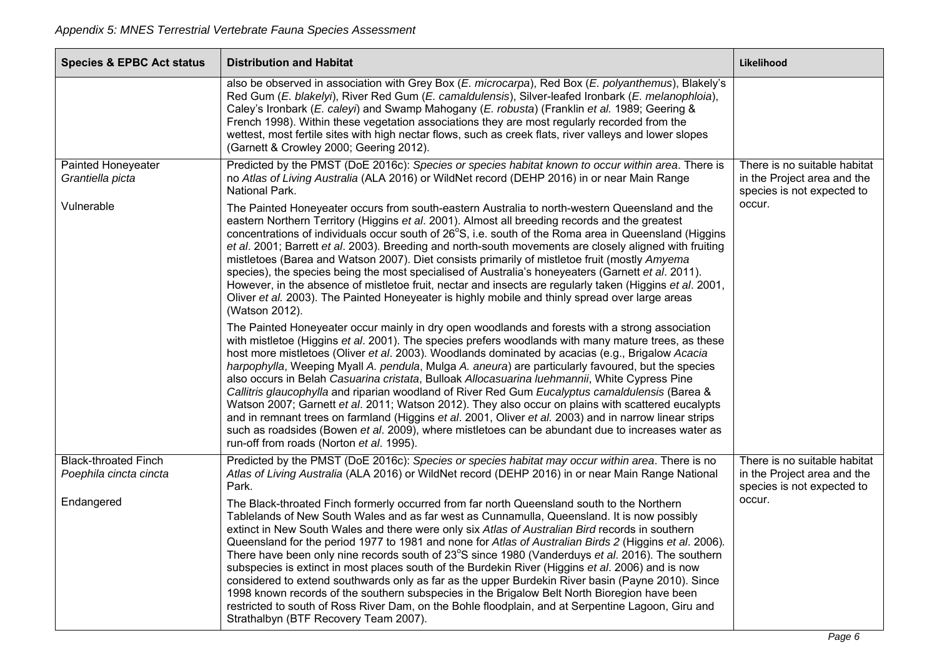| <b>Species &amp; EPBC Act status</b>                  | <b>Distribution and Habitat</b>                                                                                                                                                                                                                                                                                                                                                                                                                                                                                                                                                                                                                                                                                                                                                                                                                                                                                                                                                                                                                                                                                                                                                                                                                                                                                                                                                                                                                                                                                                                                                                                                                                                                                                                                                                                                                        | Likelihood                                                                                |
|-------------------------------------------------------|--------------------------------------------------------------------------------------------------------------------------------------------------------------------------------------------------------------------------------------------------------------------------------------------------------------------------------------------------------------------------------------------------------------------------------------------------------------------------------------------------------------------------------------------------------------------------------------------------------------------------------------------------------------------------------------------------------------------------------------------------------------------------------------------------------------------------------------------------------------------------------------------------------------------------------------------------------------------------------------------------------------------------------------------------------------------------------------------------------------------------------------------------------------------------------------------------------------------------------------------------------------------------------------------------------------------------------------------------------------------------------------------------------------------------------------------------------------------------------------------------------------------------------------------------------------------------------------------------------------------------------------------------------------------------------------------------------------------------------------------------------------------------------------------------------------------------------------------------------|-------------------------------------------------------------------------------------------|
|                                                       | also be observed in association with Grey Box (E. microcarpa), Red Box (E. polyanthemus), Blakely's<br>Red Gum (E. blakelyi), River Red Gum (E. camaldulensis), Silver-leafed Ironbark (E. melanophloia),<br>Caley's Ironbark (E. caleyi) and Swamp Mahogany (E. robusta) (Franklin et al. 1989; Geering &<br>French 1998). Within these vegetation associations they are most regularly recorded from the<br>wettest, most fertile sites with high nectar flows, such as creek flats, river valleys and lower slopes<br>(Garnett & Crowley 2000; Geering 2012).                                                                                                                                                                                                                                                                                                                                                                                                                                                                                                                                                                                                                                                                                                                                                                                                                                                                                                                                                                                                                                                                                                                                                                                                                                                                                       |                                                                                           |
| Painted Honeyeater<br>Grantiella picta                | Predicted by the PMST (DoE 2016c): Species or species habitat known to occur within area. There is<br>no Atlas of Living Australia (ALA 2016) or WildNet record (DEHP 2016) in or near Main Range<br>National Park.                                                                                                                                                                                                                                                                                                                                                                                                                                                                                                                                                                                                                                                                                                                                                                                                                                                                                                                                                                                                                                                                                                                                                                                                                                                                                                                                                                                                                                                                                                                                                                                                                                    | There is no suitable habitat<br>in the Project area and the<br>species is not expected to |
| Vulnerable                                            | The Painted Honeyeater occurs from south-eastern Australia to north-western Queensland and the<br>eastern Northern Territory (Higgins et al. 2001). Almost all breeding records and the greatest<br>concentrations of individuals occur south of 26°S, i.e. south of the Roma area in Queensland (Higgins<br>et al. 2001; Barrett et al. 2003). Breeding and north-south movements are closely aligned with fruiting<br>mistletoes (Barea and Watson 2007). Diet consists primarily of mistletoe fruit (mostly Amyema<br>species), the species being the most specialised of Australia's honeyeaters (Garnett et al. 2011).<br>However, in the absence of mistletoe fruit, nectar and insects are regularly taken (Higgins et al. 2001,<br>Oliver et al. 2003). The Painted Honeyeater is highly mobile and thinly spread over large areas<br>(Watson 2012).<br>The Painted Honeyeater occur mainly in dry open woodlands and forests with a strong association<br>with mistletoe (Higgins et al. 2001). The species prefers woodlands with many mature trees, as these<br>host more mistletoes (Oliver et al. 2003). Woodlands dominated by acacias (e.g., Brigalow Acacia<br>harpophylla, Weeping Myall A. pendula, Mulga A. aneura) are particularly favoured, but the species<br>also occurs in Belah Casuarina cristata, Bulloak Allocasuarina luehmannii, White Cypress Pine<br>Callitris glaucophylla and riparian woodland of River Red Gum Eucalyptus camaldulensis (Barea &<br>Watson 2007; Garnett et al. 2011; Watson 2012). They also occur on plains with scattered eucalypts<br>and in remnant trees on farmland (Higgins et al. 2001, Oliver et al. 2003) and in narrow linear strips<br>such as roadsides (Bowen et al. 2009), where mistletoes can be abundant due to increases water as<br>run-off from roads (Norton et al. 1995). | occur.                                                                                    |
| <b>Black-throated Finch</b><br>Poephila cincta cincta | Predicted by the PMST (DoE 2016c): Species or species habitat may occur within area. There is no<br>Atlas of Living Australia (ALA 2016) or WildNet record (DEHP 2016) in or near Main Range National                                                                                                                                                                                                                                                                                                                                                                                                                                                                                                                                                                                                                                                                                                                                                                                                                                                                                                                                                                                                                                                                                                                                                                                                                                                                                                                                                                                                                                                                                                                                                                                                                                                  | There is no suitable habitat<br>in the Project area and the                               |
| Endangered                                            | Park.<br>The Black-throated Finch formerly occurred from far north Queensland south to the Northern<br>Tablelands of New South Wales and as far west as Cunnamulla, Queensland. It is now possibly<br>extinct in New South Wales and there were only six Atlas of Australian Bird records in southern<br>Queensland for the period 1977 to 1981 and none for Atlas of Australian Birds 2 (Higgins et al. 2006).<br>There have been only nine records south of 23°S since 1980 (Vanderduys et al. 2016). The southern<br>subspecies is extinct in most places south of the Burdekin River (Higgins et al. 2006) and is now<br>considered to extend southwards only as far as the upper Burdekin River basin (Payne 2010). Since<br>1998 known records of the southern subspecies in the Brigalow Belt North Bioregion have been<br>restricted to south of Ross River Dam, on the Bohle floodplain, and at Serpentine Lagoon, Giru and<br>Strathalbyn (BTF Recovery Team 2007).                                                                                                                                                                                                                                                                                                                                                                                                                                                                                                                                                                                                                                                                                                                                                                                                                                                                          | species is not expected to<br>occur.                                                      |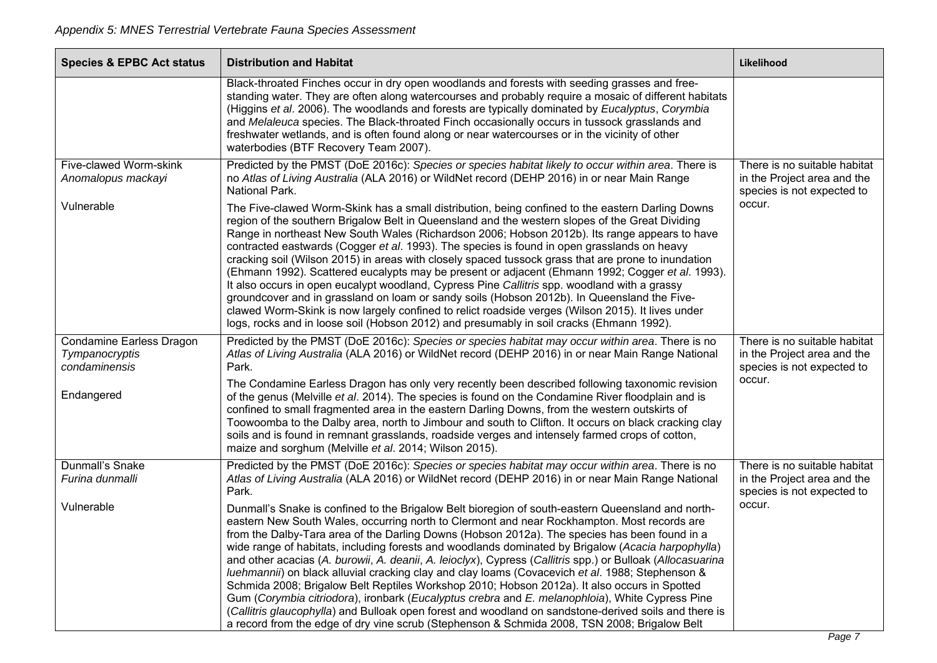| <b>Species &amp; EPBC Act status</b>                               | <b>Distribution and Habitat</b>                                                                                                                                                                                                                                                                                                                                                                                                                                                                                                                                                                                                                                                                                                                                                                                                                                                                                                                                                                                                       | Likelihood                                                                                |
|--------------------------------------------------------------------|---------------------------------------------------------------------------------------------------------------------------------------------------------------------------------------------------------------------------------------------------------------------------------------------------------------------------------------------------------------------------------------------------------------------------------------------------------------------------------------------------------------------------------------------------------------------------------------------------------------------------------------------------------------------------------------------------------------------------------------------------------------------------------------------------------------------------------------------------------------------------------------------------------------------------------------------------------------------------------------------------------------------------------------|-------------------------------------------------------------------------------------------|
|                                                                    | Black-throated Finches occur in dry open woodlands and forests with seeding grasses and free-<br>standing water. They are often along watercourses and probably require a mosaic of different habitats<br>(Higgins et al. 2006). The woodlands and forests are typically dominated by Eucalyptus, Corymbia<br>and Melaleuca species. The Black-throated Finch occasionally occurs in tussock grasslands and<br>freshwater wetlands, and is often found along or near watercourses or in the vicinity of other<br>waterbodies (BTF Recovery Team 2007).                                                                                                                                                                                                                                                                                                                                                                                                                                                                                |                                                                                           |
| Five-clawed Worm-skink<br>Anomalopus mackayi                       | Predicted by the PMST (DoE 2016c): Species or species habitat likely to occur within area. There is<br>no Atlas of Living Australia (ALA 2016) or WildNet record (DEHP 2016) in or near Main Range<br>National Park.                                                                                                                                                                                                                                                                                                                                                                                                                                                                                                                                                                                                                                                                                                                                                                                                                  | There is no suitable habitat<br>in the Project area and the<br>species is not expected to |
| Vulnerable                                                         | The Five-clawed Worm-Skink has a small distribution, being confined to the eastern Darling Downs<br>region of the southern Brigalow Belt in Queensland and the western slopes of the Great Dividing<br>Range in northeast New South Wales (Richardson 2006; Hobson 2012b). Its range appears to have<br>contracted eastwards (Cogger et al. 1993). The species is found in open grasslands on heavy<br>cracking soil (Wilson 2015) in areas with closely spaced tussock grass that are prone to inundation<br>(Ehmann 1992). Scattered eucalypts may be present or adjacent (Ehmann 1992; Cogger et al. 1993).<br>It also occurs in open eucalypt woodland, Cypress Pine Callitris spp. woodland with a grassy<br>groundcover and in grassland on loam or sandy soils (Hobson 2012b). In Queensland the Five-<br>clawed Worm-Skink is now largely confined to relict roadside verges (Wilson 2015). It lives under<br>logs, rocks and in loose soil (Hobson 2012) and presumably in soil cracks (Ehmann 1992).                        | occur.                                                                                    |
| <b>Condamine Earless Dragon</b><br>Tympanocryptis<br>condaminensis | Predicted by the PMST (DoE 2016c): Species or species habitat may occur within area. There is no<br>Atlas of Living Australia (ALA 2016) or WildNet record (DEHP 2016) in or near Main Range National<br>Park.                                                                                                                                                                                                                                                                                                                                                                                                                                                                                                                                                                                                                                                                                                                                                                                                                        | There is no suitable habitat<br>in the Project area and the<br>species is not expected to |
| Endangered                                                         | The Condamine Earless Dragon has only very recently been described following taxonomic revision<br>of the genus (Melville et al. 2014). The species is found on the Condamine River floodplain and is<br>confined to small fragmented area in the eastern Darling Downs, from the western outskirts of<br>Toowoomba to the Dalby area, north to Jimbour and south to Clifton. It occurs on black cracking clay<br>soils and is found in remnant grasslands, roadside verges and intensely farmed crops of cotton,<br>maize and sorghum (Melville et al. 2014; Wilson 2015).                                                                                                                                                                                                                                                                                                                                                                                                                                                           | occur.                                                                                    |
| <b>Dunmall's Snake</b><br>Furina dunmalli                          | Predicted by the PMST (DoE 2016c): Species or species habitat may occur within area. There is no<br>Atlas of Living Australia (ALA 2016) or WildNet record (DEHP 2016) in or near Main Range National<br>Park.                                                                                                                                                                                                                                                                                                                                                                                                                                                                                                                                                                                                                                                                                                                                                                                                                        | There is no suitable habitat<br>in the Project area and the<br>species is not expected to |
| Vulnerable                                                         | Dunmall's Snake is confined to the Brigalow Belt bioregion of south-eastern Queensland and north-<br>eastern New South Wales, occurring north to Clermont and near Rockhampton. Most records are<br>from the Dalby-Tara area of the Darling Downs (Hobson 2012a). The species has been found in a<br>wide range of habitats, including forests and woodlands dominated by Brigalow (Acacia harpophylla)<br>and other acacias (A. burowii, A. deanii, A. leioclyx), Cypress (Callitris spp.) or Bulloak (Allocasuarina<br>luehmannii) on black alluvial cracking clay and clay loams (Covacevich et al. 1988; Stephenson &<br>Schmida 2008; Brigalow Belt Reptiles Workshop 2010; Hobson 2012a). It also occurs in Spotted<br>Gum (Corymbia citriodora), ironbark (Eucalyptus crebra and E. melanophloia), White Cypress Pine<br>(Callitris glaucophylla) and Bulloak open forest and woodland on sandstone-derived soils and there is<br>a record from the edge of dry vine scrub (Stephenson & Schmida 2008, TSN 2008; Brigalow Belt | occur.                                                                                    |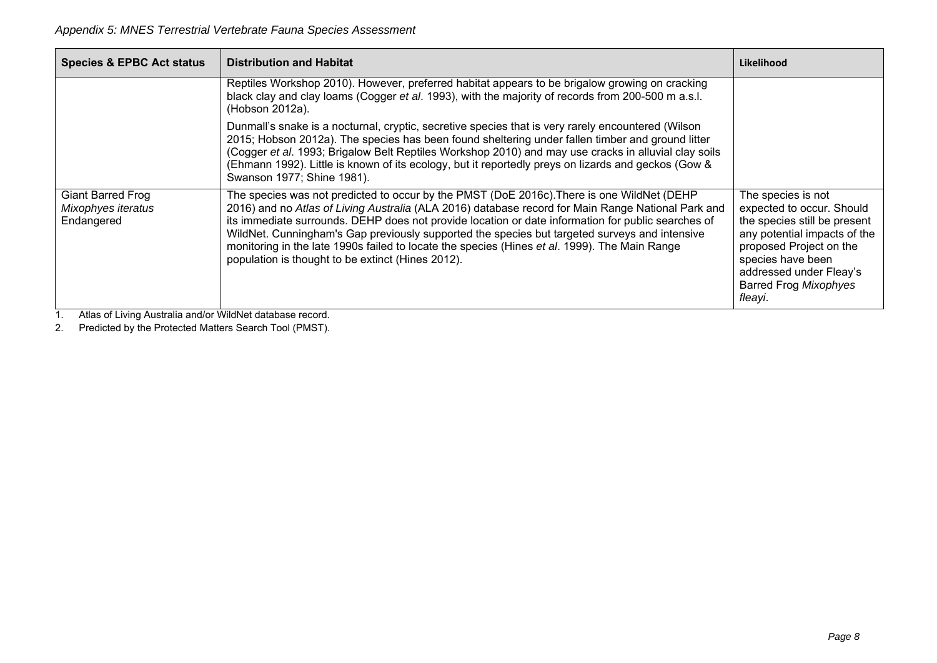| <b>Species &amp; EPBC Act status</b>                  | <b>Distribution and Habitat</b>                                                                                                                                                                                                                                                                                                                                                                                                                                                                                                                               | Likelihood                                                                                                                                                                                                                            |
|-------------------------------------------------------|---------------------------------------------------------------------------------------------------------------------------------------------------------------------------------------------------------------------------------------------------------------------------------------------------------------------------------------------------------------------------------------------------------------------------------------------------------------------------------------------------------------------------------------------------------------|---------------------------------------------------------------------------------------------------------------------------------------------------------------------------------------------------------------------------------------|
|                                                       | Reptiles Workshop 2010). However, preferred habitat appears to be brigalow growing on cracking<br>black clay and clay loams (Cogger et al. 1993), with the majority of records from 200-500 m a.s.l.<br>(Hobson 2012a).                                                                                                                                                                                                                                                                                                                                       |                                                                                                                                                                                                                                       |
|                                                       | Dunmall's snake is a nocturnal, cryptic, secretive species that is very rarely encountered (Wilson<br>2015; Hobson 2012a). The species has been found sheltering under fallen timber and ground litter<br>(Cogger et al. 1993; Brigalow Belt Reptiles Workshop 2010) and may use cracks in alluvial clay soils<br>(Ehmann 1992). Little is known of its ecology, but it reportedly preys on lizards and geckos (Gow &<br>Swanson 1977; Shine 1981).                                                                                                           |                                                                                                                                                                                                                                       |
| Giant Barred Frog<br>Mixophyes iteratus<br>Endangered | The species was not predicted to occur by the PMST (DoE 2016c). There is one WildNet (DEHP<br>2016) and no Atlas of Living Australia (ALA 2016) database record for Main Range National Park and<br>its immediate surrounds. DEHP does not provide location or date information for public searches of<br>WildNet. Cunningham's Gap previously supported the species but targeted surveys and intensive<br>monitoring in the late 1990s failed to locate the species (Hines et al. 1999). The Main Range<br>population is thought to be extinct (Hines 2012). | The species is not<br>expected to occur. Should<br>the species still be present<br>any potential impacts of the<br>proposed Project on the<br>species have been<br>addressed under Fleay's<br><b>Barred Frog Mixophyes</b><br>fleayi. |

1. Atlas of Living Australia and/or WildNet database record.

2. Predicted by the Protected Matters Search Tool (PMST).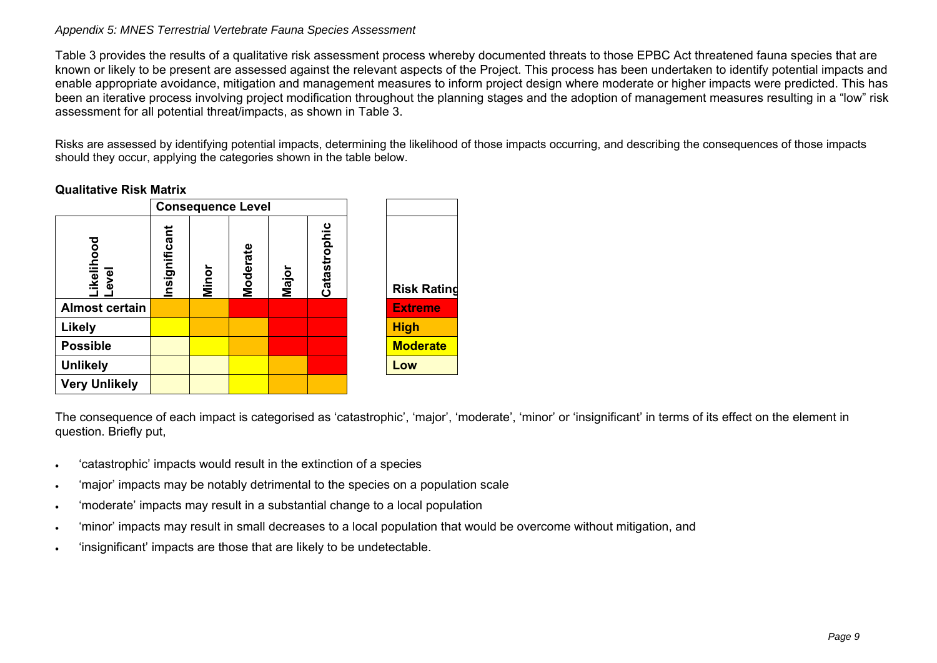#### *Appendix 5: MNES Terrestrial Vertebrate Fauna Species Assessment*

Table 3 provides the results of a qualitative risk assessment process whereby documented threats to those EPBC Act threatened fauna species that are known or likely to be present are assessed against the relevant aspects of the Project. This process has been undertaken to identify potential impacts and enable appropriate avoidance, mitigation and management measures to inform project design where moderate or higher impacts were predicted. This has been an iterative process involving project modification throughout the planning stages and the adoption of management measures resulting in a "low" risk assessment for all potential threat/impacts, as shown in Table 3.

Risks are assessed by identifying potential impacts, determining the likelihood of those impacts occurring, and describing the consequences of those impacts should they occur, applying the categories shown in the table below.

## **Qualitative Risk Matrix**

|                       |               | <b>Consequence Level</b> |          |       |              |                    |
|-----------------------|---------------|--------------------------|----------|-------|--------------|--------------------|
| Likelihood<br>Level   | Insignificant | Minor                    | Moderate | Major | Catastrophic | <b>Risk Rating</b> |
| <b>Almost certain</b> |               |                          |          |       |              | <b>Extreme</b>     |
| <b>Likely</b>         |               |                          |          |       |              | <b>High</b>        |
| <b>Possible</b>       |               |                          |          |       |              | <b>Moderate</b>    |
| <b>Unlikely</b>       |               |                          |          |       |              | Low                |
| <b>Very Unlikely</b>  |               |                          |          |       |              |                    |

The consequence of each impact is categorised as 'catastrophic', 'major', 'moderate', 'minor' or 'insignificant' in terms of its effect on the element in question. Briefly put,

- $\bullet$ 'catastrophic' impacts would result in the extinction of a species
- ٠ 'major' impacts may be notably detrimental to the species on a population scale
- $\bullet$ 'moderate' impacts may result in a substantial change to a local population
- ٠ 'minor' impacts may result in small decreases to a local population that would be overcome without mitigation, and
- ٠ 'insignificant' impacts are those that are likely to be undetectable.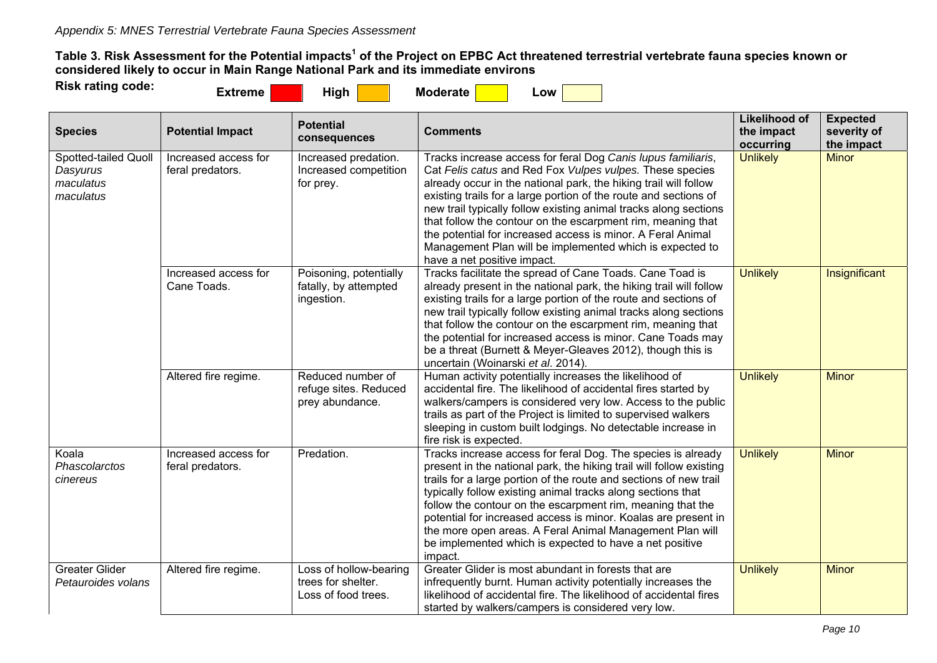**Table 3. Risk Assessment for the Potential impacts1 of the Project on EPBC Act threatened terrestrial vertebrate fauna species known or considered likely to occur in Main Range National Park and its immediate environs** 

| <b>Risk rating code:</b> | Extreme | High | <b>Moderate</b> | LOW. |  |
|--------------------------|---------|------|-----------------|------|--|

| <b>Species</b>                                             | <b>Potential Impact</b>                  | <b>Potential</b><br>consequences                                    | <b>Comments</b>                                                                                                                                                                                                                                                                                                                                                                                                                                                                                                                                               | <b>Likelihood of</b><br>the impact<br>occurring | <b>Expected</b><br>severity of<br>the impact |
|------------------------------------------------------------|------------------------------------------|---------------------------------------------------------------------|---------------------------------------------------------------------------------------------------------------------------------------------------------------------------------------------------------------------------------------------------------------------------------------------------------------------------------------------------------------------------------------------------------------------------------------------------------------------------------------------------------------------------------------------------------------|-------------------------------------------------|----------------------------------------------|
| Spotted-tailed Quoll<br>Dasyurus<br>maculatus<br>maculatus | Increased access for<br>feral predators. | Increased predation.<br>Increased competition<br>for prey.          | Tracks increase access for feral Dog Canis lupus familiaris,<br>Cat Felis catus and Red Fox Vulpes vulpes. These species<br>already occur in the national park, the hiking trail will follow<br>existing trails for a large portion of the route and sections of<br>new trail typically follow existing animal tracks along sections<br>that follow the contour on the escarpment rim, meaning that<br>the potential for increased access is minor. A Feral Animal<br>Management Plan will be implemented which is expected to<br>have a net positive impact. | <b>Unlikely</b>                                 | <b>Minor</b>                                 |
|                                                            | Increased access for<br>Cane Toads.      | Poisoning, potentially<br>fatally, by attempted<br>ingestion.       | Tracks facilitate the spread of Cane Toads. Cane Toad is<br>already present in the national park, the hiking trail will follow<br>existing trails for a large portion of the route and sections of<br>new trail typically follow existing animal tracks along sections<br>that follow the contour on the escarpment rim, meaning that<br>the potential for increased access is minor. Cane Toads may<br>be a threat (Burnett & Meyer-Gleaves 2012), though this is<br>uncertain (Woinarski et al. 2014).                                                      | <b>Unlikely</b>                                 | Insignificant                                |
|                                                            | Altered fire regime.                     | Reduced number of<br>refuge sites. Reduced<br>prey abundance.       | Human activity potentially increases the likelihood of<br>accidental fire. The likelihood of accidental fires started by<br>walkers/campers is considered very low. Access to the public<br>trails as part of the Project is limited to supervised walkers<br>sleeping in custom built lodgings. No detectable increase in<br>fire risk is expected.                                                                                                                                                                                                          | <b>Unlikely</b>                                 | <b>Minor</b>                                 |
| Koala<br>Phascolarctos<br>cinereus                         | Increased access for<br>feral predators. | Predation.                                                          | Tracks increase access for feral Dog. The species is already<br>present in the national park, the hiking trail will follow existing<br>trails for a large portion of the route and sections of new trail<br>typically follow existing animal tracks along sections that<br>follow the contour on the escarpment rim, meaning that the<br>potential for increased access is minor. Koalas are present in<br>the more open areas. A Feral Animal Management Plan will<br>be implemented which is expected to have a net positive<br>impact.                     | <b>Unlikely</b>                                 | <b>Minor</b>                                 |
| <b>Greater Glider</b><br>Petauroides volans                | Altered fire regime.                     | Loss of hollow-bearing<br>trees for shelter.<br>Loss of food trees. | Greater Glider is most abundant in forests that are<br>infrequently burnt. Human activity potentially increases the<br>likelihood of accidental fire. The likelihood of accidental fires<br>started by walkers/campers is considered very low.                                                                                                                                                                                                                                                                                                                | <b>Unlikely</b>                                 | <b>Minor</b>                                 |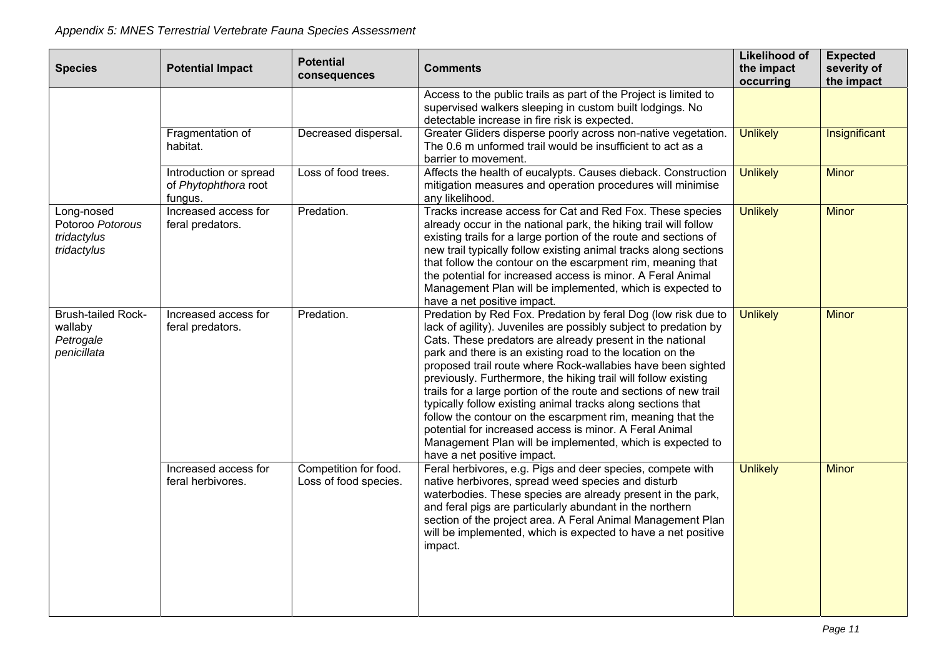| <b>Species</b>                                                   | <b>Potential Impact</b>                                   | <b>Potential</b><br>consequences               | <b>Comments</b>                                                                                                                                                                                                                                                                                                                                                                                                                                                                                                                                                                                                                                                                                                                                       | <b>Likelihood of</b><br>the impact<br>occurring | <b>Expected</b><br>severity of<br>the impact |
|------------------------------------------------------------------|-----------------------------------------------------------|------------------------------------------------|-------------------------------------------------------------------------------------------------------------------------------------------------------------------------------------------------------------------------------------------------------------------------------------------------------------------------------------------------------------------------------------------------------------------------------------------------------------------------------------------------------------------------------------------------------------------------------------------------------------------------------------------------------------------------------------------------------------------------------------------------------|-------------------------------------------------|----------------------------------------------|
|                                                                  |                                                           |                                                | Access to the public trails as part of the Project is limited to<br>supervised walkers sleeping in custom built lodgings. No<br>detectable increase in fire risk is expected.                                                                                                                                                                                                                                                                                                                                                                                                                                                                                                                                                                         |                                                 |                                              |
|                                                                  | Fragmentation of<br>habitat.                              | Decreased dispersal.                           | Greater Gliders disperse poorly across non-native vegetation.<br>The 0.6 m unformed trail would be insufficient to act as a<br>barrier to movement.                                                                                                                                                                                                                                                                                                                                                                                                                                                                                                                                                                                                   | <b>Unlikely</b>                                 | Insignificant                                |
|                                                                  | Introduction or spread<br>of Phytophthora root<br>fungus. | Loss of food trees.                            | Affects the health of eucalypts. Causes dieback. Construction<br>mitigation measures and operation procedures will minimise<br>any likelihood.                                                                                                                                                                                                                                                                                                                                                                                                                                                                                                                                                                                                        | <b>Unlikely</b>                                 | <b>Minor</b>                                 |
| Long-nosed<br>Potoroo Potorous<br>tridactylus<br>tridactylus     | Increased access for<br>feral predators.                  | Predation.                                     | Tracks increase access for Cat and Red Fox. These species<br>already occur in the national park, the hiking trail will follow<br>existing trails for a large portion of the route and sections of<br>new trail typically follow existing animal tracks along sections<br>that follow the contour on the escarpment rim, meaning that<br>the potential for increased access is minor. A Feral Animal<br>Management Plan will be implemented, which is expected to<br>have a net positive impact.                                                                                                                                                                                                                                                       | <b>Unlikely</b>                                 | <b>Minor</b>                                 |
| <b>Brush-tailed Rock-</b><br>wallaby<br>Petrogale<br>penicillata | Increased access for<br>feral predators.                  | Predation.                                     | Predation by Red Fox. Predation by feral Dog (low risk due to<br>lack of agility). Juveniles are possibly subject to predation by<br>Cats. These predators are already present in the national<br>park and there is an existing road to the location on the<br>proposed trail route where Rock-wallabies have been sighted<br>previously. Furthermore, the hiking trail will follow existing<br>trails for a large portion of the route and sections of new trail<br>typically follow existing animal tracks along sections that<br>follow the contour on the escarpment rim, meaning that the<br>potential for increased access is minor. A Feral Animal<br>Management Plan will be implemented, which is expected to<br>have a net positive impact. | <b>Unlikely</b>                                 | <b>Minor</b>                                 |
|                                                                  | Increased access for<br>feral herbivores.                 | Competition for food.<br>Loss of food species. | Feral herbivores, e.g. Pigs and deer species, compete with<br>native herbivores, spread weed species and disturb<br>waterbodies. These species are already present in the park,<br>and feral pigs are particularly abundant in the northern<br>section of the project area. A Feral Animal Management Plan<br>will be implemented, which is expected to have a net positive<br>impact.                                                                                                                                                                                                                                                                                                                                                                | <b>Unlikely</b>                                 | <b>Minor</b>                                 |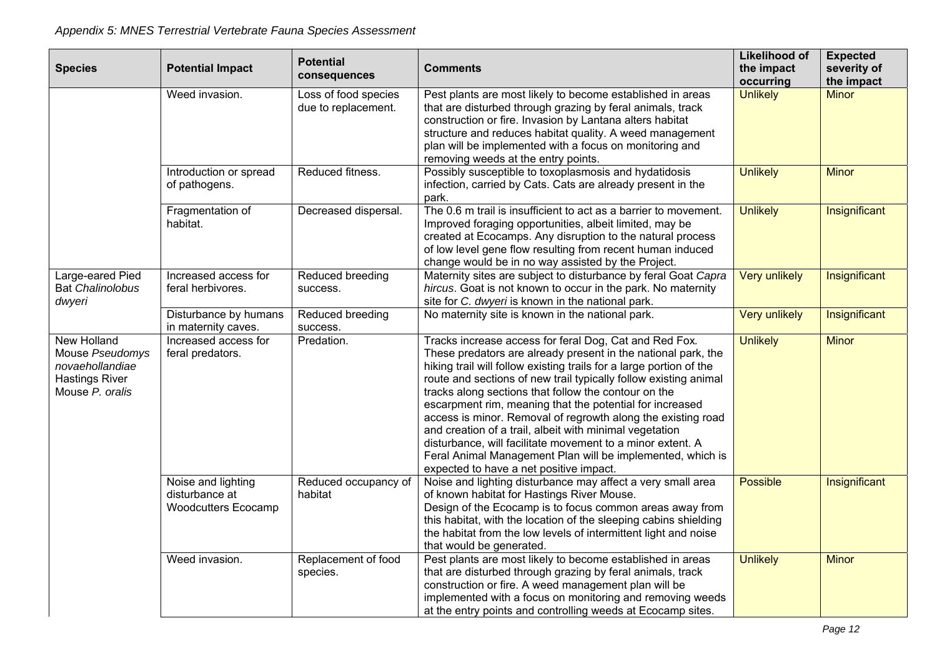|                         |                            | <b>Potential</b>     |                                                                     | <b>Likelihood of</b>    | <b>Expected</b>           |
|-------------------------|----------------------------|----------------------|---------------------------------------------------------------------|-------------------------|---------------------------|
| <b>Species</b>          | <b>Potential Impact</b>    | consequences         | <b>Comments</b>                                                     | the impact<br>occurring | severity of<br>the impact |
|                         | Weed invasion.             | Loss of food species | Pest plants are most likely to become established in areas          | <b>Unlikely</b>         | <b>Minor</b>              |
|                         |                            | due to replacement.  | that are disturbed through grazing by feral animals, track          |                         |                           |
|                         |                            |                      | construction or fire. Invasion by Lantana alters habitat            |                         |                           |
|                         |                            |                      | structure and reduces habitat quality. A weed management            |                         |                           |
|                         |                            |                      | plan will be implemented with a focus on monitoring and             |                         |                           |
|                         |                            |                      | removing weeds at the entry points.                                 |                         |                           |
|                         | Introduction or spread     | Reduced fitness.     | Possibly susceptible to toxoplasmosis and hydatidosis               | <b>Unlikely</b>         | <b>Minor</b>              |
|                         | of pathogens.              |                      | infection, carried by Cats. Cats are already present in the         |                         |                           |
|                         |                            |                      | park.                                                               |                         |                           |
|                         | Fragmentation of           | Decreased dispersal. | The 0.6 m trail is insufficient to act as a barrier to movement.    | <b>Unlikely</b>         | Insignificant             |
|                         | habitat.                   |                      | Improved foraging opportunities, albeit limited, may be             |                         |                           |
|                         |                            |                      | created at Ecocamps. Any disruption to the natural process          |                         |                           |
|                         |                            |                      | of low level gene flow resulting from recent human induced          |                         |                           |
|                         |                            |                      | change would be in no way assisted by the Project.                  |                         |                           |
| Large-eared Pied        | Increased access for       | Reduced breeding     | Maternity sites are subject to disturbance by feral Goat Capra      | <b>Very unlikely</b>    | Insignificant             |
| <b>Bat Chalinolobus</b> | feral herbivores.          | success.             | hircus. Goat is not known to occur in the park. No maternity        |                         |                           |
| dwyeri                  |                            |                      | site for C. dwyeri is known in the national park.                   |                         |                           |
|                         | Disturbance by humans      | Reduced breeding     | No maternity site is known in the national park.                    | <b>Very unlikely</b>    | Insignificant             |
|                         | in maternity caves.        | success.             |                                                                     |                         |                           |
| New Holland             | Increased access for       | Predation.           | Tracks increase access for feral Dog, Cat and Red Fox.              | <b>Unlikely</b>         | <b>Minor</b>              |
| Mouse Pseudomys         | feral predators.           |                      | These predators are already present in the national park, the       |                         |                           |
| novaehollandiae         |                            |                      | hiking trail will follow existing trails for a large portion of the |                         |                           |
| <b>Hastings River</b>   |                            |                      | route and sections of new trail typically follow existing animal    |                         |                           |
| Mouse P. oralis         |                            |                      | tracks along sections that follow the contour on the                |                         |                           |
|                         |                            |                      | escarpment rim, meaning that the potential for increased            |                         |                           |
|                         |                            |                      | access is minor. Removal of regrowth along the existing road        |                         |                           |
|                         |                            |                      | and creation of a trail, albeit with minimal vegetation             |                         |                           |
|                         |                            |                      | disturbance, will facilitate movement to a minor extent. A          |                         |                           |
|                         |                            |                      | Feral Animal Management Plan will be implemented, which is          |                         |                           |
|                         |                            |                      | expected to have a net positive impact.                             |                         |                           |
|                         | Noise and lighting         | Reduced occupancy of | Noise and lighting disturbance may affect a very small area         | Possible                | Insignificant             |
|                         | disturbance at             | habitat              | of known habitat for Hastings River Mouse.                          |                         |                           |
|                         | <b>Woodcutters Ecocamp</b> |                      | Design of the Ecocamp is to focus common areas away from            |                         |                           |
|                         |                            |                      | this habitat, with the location of the sleeping cabins shielding    |                         |                           |
|                         |                            |                      | the habitat from the low levels of intermittent light and noise     |                         |                           |
|                         |                            |                      | that would be generated.                                            |                         |                           |
|                         | Weed invasion.             | Replacement of food  | Pest plants are most likely to become established in areas          | <b>Unlikely</b>         | <b>Minor</b>              |
|                         |                            | species.             | that are disturbed through grazing by feral animals, track          |                         |                           |
|                         |                            |                      | construction or fire. A weed management plan will be                |                         |                           |
|                         |                            |                      | implemented with a focus on monitoring and removing weeds           |                         |                           |
|                         |                            |                      | at the entry points and controlling weeds at Ecocamp sites.         |                         |                           |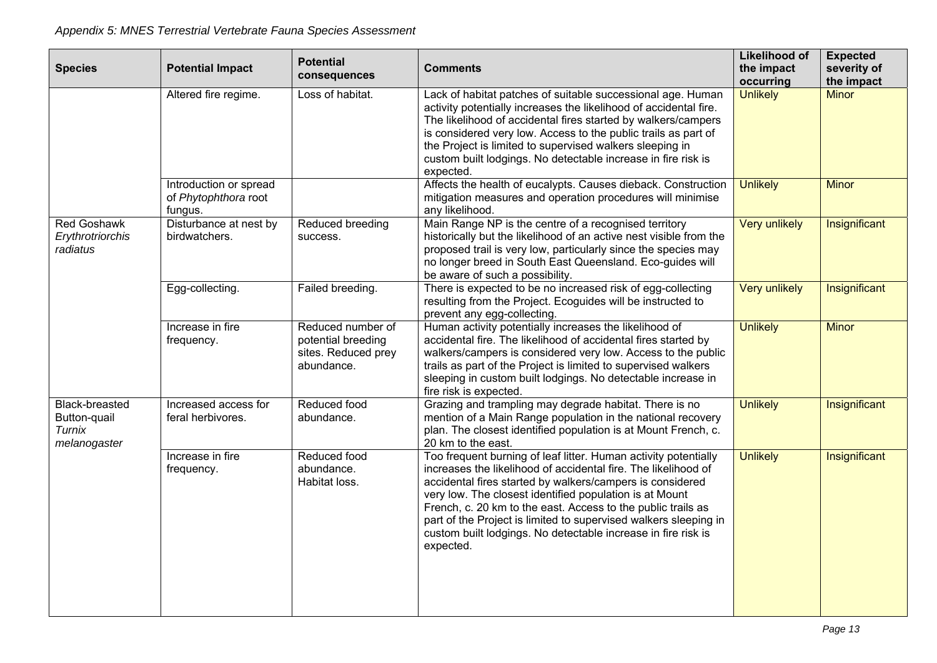|                                                                 |                                                           | <b>Potential</b>                                                             |                                                                                                                                                                                                                                                                                                                                                                                                                                                                             | <b>Likelihood of</b>    | <b>Expected</b>           |
|-----------------------------------------------------------------|-----------------------------------------------------------|------------------------------------------------------------------------------|-----------------------------------------------------------------------------------------------------------------------------------------------------------------------------------------------------------------------------------------------------------------------------------------------------------------------------------------------------------------------------------------------------------------------------------------------------------------------------|-------------------------|---------------------------|
| <b>Species</b>                                                  | <b>Potential Impact</b>                                   | consequences                                                                 | <b>Comments</b>                                                                                                                                                                                                                                                                                                                                                                                                                                                             | the impact<br>occurring | severity of<br>the impact |
|                                                                 | Altered fire regime.                                      | Loss of habitat.                                                             | Lack of habitat patches of suitable successional age. Human<br>activity potentially increases the likelihood of accidental fire.<br>The likelihood of accidental fires started by walkers/campers<br>is considered very low. Access to the public trails as part of<br>the Project is limited to supervised walkers sleeping in<br>custom built lodgings. No detectable increase in fire risk is<br>expected.                                                               | <b>Unlikely</b>         | <b>Minor</b>              |
|                                                                 | Introduction or spread<br>of Phytophthora root<br>fungus. |                                                                              | Affects the health of eucalypts. Causes dieback. Construction<br>mitigation measures and operation procedures will minimise<br>any likelihood.                                                                                                                                                                                                                                                                                                                              | <b>Unlikely</b>         | <b>Minor</b>              |
| <b>Red Goshawk</b><br>Erythrotriorchis<br>radiatus              | Disturbance at nest by<br>birdwatchers.                   | Reduced breeding<br>success.                                                 | Main Range NP is the centre of a recognised territory<br>historically but the likelihood of an active nest visible from the<br>proposed trail is very low, particularly since the species may<br>no longer breed in South East Queensland. Eco-guides will<br>be aware of such a possibility.                                                                                                                                                                               | <b>Very unlikely</b>    | Insignificant             |
|                                                                 | Egg-collecting.                                           | Failed breeding.                                                             | There is expected to be no increased risk of egg-collecting<br>resulting from the Project. Ecoguides will be instructed to<br>prevent any egg-collecting.                                                                                                                                                                                                                                                                                                                   | <b>Very unlikely</b>    | Insignificant             |
|                                                                 | Increase in fire<br>frequency.                            | Reduced number of<br>potential breeding<br>sites. Reduced prey<br>abundance. | Human activity potentially increases the likelihood of<br>accidental fire. The likelihood of accidental fires started by<br>walkers/campers is considered very low. Access to the public<br>trails as part of the Project is limited to supervised walkers<br>sleeping in custom built lodgings. No detectable increase in<br>fire risk is expected.                                                                                                                        | <b>Unlikely</b>         | <b>Minor</b>              |
| <b>Black-breasted</b><br>Button-quail<br>Turnix<br>melanogaster | Increased access for<br>feral herbivores.                 | Reduced food<br>abundance.                                                   | Grazing and trampling may degrade habitat. There is no<br>mention of a Main Range population in the national recovery<br>plan. The closest identified population is at Mount French, c.<br>20 km to the east.                                                                                                                                                                                                                                                               | <b>Unlikely</b>         | Insignificant             |
|                                                                 | Increase in fire<br>frequency.                            | Reduced food<br>abundance.<br>Habitat loss.                                  | Too frequent burning of leaf litter. Human activity potentially<br>increases the likelihood of accidental fire. The likelihood of<br>accidental fires started by walkers/campers is considered<br>very low. The closest identified population is at Mount<br>French, c. 20 km to the east. Access to the public trails as<br>part of the Project is limited to supervised walkers sleeping in<br>custom built lodgings. No detectable increase in fire risk is<br>expected. | <b>Unlikely</b>         | Insignificant             |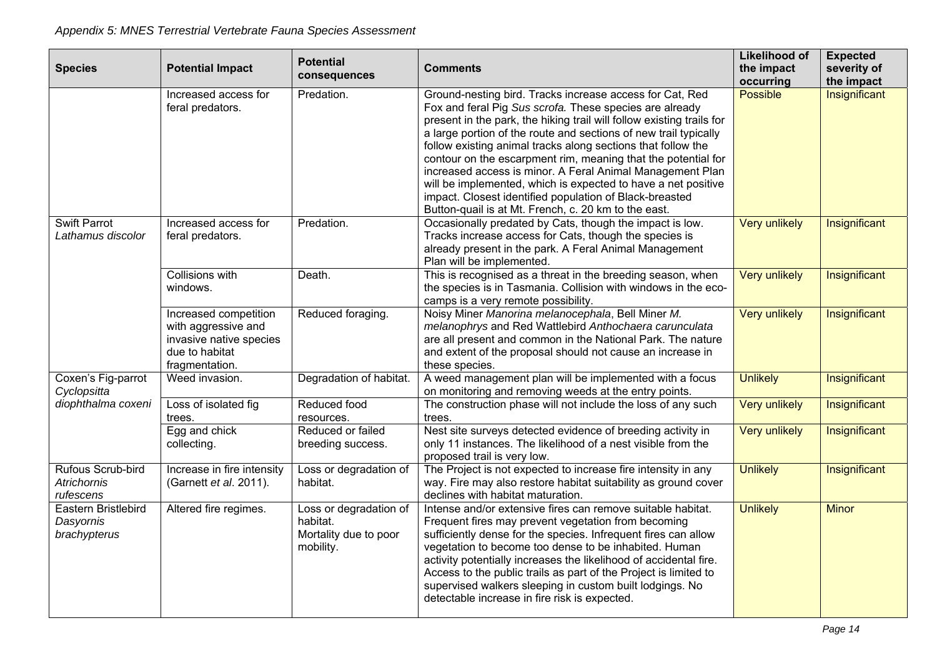| <b>Species</b>                                   | <b>Potential Impact</b>                                                                                     | <b>Potential</b><br>consequences                                         | <b>Comments</b>                                                                                                                                                                                                                                                                                                                                                                                                                                                                                                                                                                                                                                    | Likelihood of<br>the impact<br>occurring | <b>Expected</b><br>severity of<br>the impact |
|--------------------------------------------------|-------------------------------------------------------------------------------------------------------------|--------------------------------------------------------------------------|----------------------------------------------------------------------------------------------------------------------------------------------------------------------------------------------------------------------------------------------------------------------------------------------------------------------------------------------------------------------------------------------------------------------------------------------------------------------------------------------------------------------------------------------------------------------------------------------------------------------------------------------------|------------------------------------------|----------------------------------------------|
|                                                  | Increased access for<br>feral predators.                                                                    | Predation.                                                               | Ground-nesting bird. Tracks increase access for Cat, Red<br>Fox and feral Pig Sus scrofa. These species are already<br>present in the park, the hiking trail will follow existing trails for<br>a large portion of the route and sections of new trail typically<br>follow existing animal tracks along sections that follow the<br>contour on the escarpment rim, meaning that the potential for<br>increased access is minor. A Feral Animal Management Plan<br>will be implemented, which is expected to have a net positive<br>impact. Closest identified population of Black-breasted<br>Button-quail is at Mt. French, c. 20 km to the east. | <b>Possible</b>                          | Insignificant                                |
| <b>Swift Parrot</b><br>Lathamus discolor         | Increased access for<br>feral predators.                                                                    | Predation.                                                               | Occasionally predated by Cats, though the impact is low.<br>Tracks increase access for Cats, though the species is<br>already present in the park. A Feral Animal Management<br>Plan will be implemented.                                                                                                                                                                                                                                                                                                                                                                                                                                          | <b>Very unlikely</b>                     | Insignificant                                |
|                                                  | Collisions with<br>windows.                                                                                 | Death.                                                                   | This is recognised as a threat in the breeding season, when<br>the species is in Tasmania. Collision with windows in the eco-<br>camps is a very remote possibility.                                                                                                                                                                                                                                                                                                                                                                                                                                                                               | <b>Very unlikely</b>                     | Insignificant                                |
|                                                  | Increased competition<br>with aggressive and<br>invasive native species<br>due to habitat<br>fragmentation. | Reduced foraging.                                                        | Noisy Miner Manorina melanocephala, Bell Miner M.<br>melanophrys and Red Wattlebird Anthochaera carunculata<br>are all present and common in the National Park. The nature<br>and extent of the proposal should not cause an increase in<br>these species.                                                                                                                                                                                                                                                                                                                                                                                         | <b>Very unlikely</b>                     | Insignificant                                |
| Coxen's Fig-parrot<br>Cyclopsitta                | Weed invasion.                                                                                              | Degradation of habitat.                                                  | A weed management plan will be implemented with a focus<br>on monitoring and removing weeds at the entry points.                                                                                                                                                                                                                                                                                                                                                                                                                                                                                                                                   | <b>Unlikely</b>                          | Insignificant                                |
| diophthalma coxeni                               | Loss of isolated fig<br>trees.                                                                              | Reduced food<br>resources.                                               | The construction phase will not include the loss of any such<br>trees.                                                                                                                                                                                                                                                                                                                                                                                                                                                                                                                                                                             | <b>Very unlikely</b>                     | Insignificant                                |
|                                                  | Egg and chick<br>collecting.                                                                                | Reduced or failed<br>breeding success.                                   | Nest site surveys detected evidence of breeding activity in<br>only 11 instances. The likelihood of a nest visible from the<br>proposed trail is very low.                                                                                                                                                                                                                                                                                                                                                                                                                                                                                         | <b>Very unlikely</b>                     | Insignificant                                |
| Rufous Scrub-bird<br>Atrichornis<br>rufescens    | Increase in fire intensity<br>(Garnett et al. 2011).                                                        | Loss or degradation of<br>habitat.                                       | The Project is not expected to increase fire intensity in any<br>way. Fire may also restore habitat suitability as ground cover<br>declines with habitat maturation.                                                                                                                                                                                                                                                                                                                                                                                                                                                                               | <b>Unlikely</b>                          | Insignificant                                |
| Eastern Bristlebird<br>Dasyornis<br>brachypterus | Altered fire regimes.                                                                                       | Loss or degradation of<br>habitat.<br>Mortality due to poor<br>mobility. | Intense and/or extensive fires can remove suitable habitat.<br>Frequent fires may prevent vegetation from becoming<br>sufficiently dense for the species. Infrequent fires can allow<br>vegetation to become too dense to be inhabited. Human<br>activity potentially increases the likelihood of accidental fire.<br>Access to the public trails as part of the Project is limited to<br>supervised walkers sleeping in custom built lodgings. No<br>detectable increase in fire risk is expected.                                                                                                                                                | <b>Unlikely</b>                          | <b>Minor</b>                                 |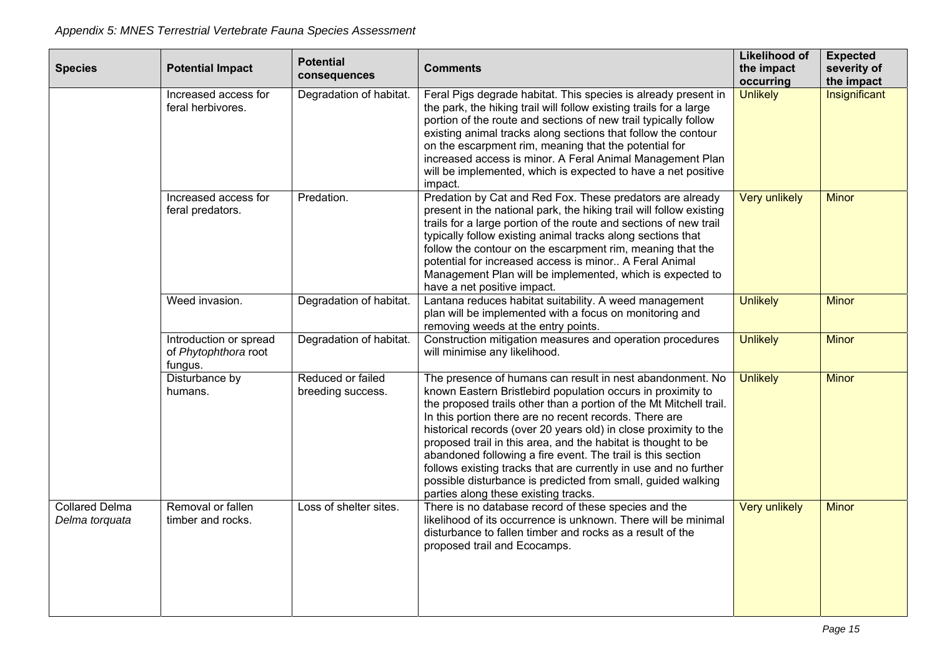| <b>Species</b>                          | <b>Potential Impact</b>                                   | <b>Potential</b><br>consequences       | <b>Comments</b>                                                                                                                                                                                                                                                                                                                                                                                                                                                                                                                                                                                                                          | <b>Likelihood of</b><br>the impact<br>occurring | <b>Expected</b><br>severity of<br>the impact |
|-----------------------------------------|-----------------------------------------------------------|----------------------------------------|------------------------------------------------------------------------------------------------------------------------------------------------------------------------------------------------------------------------------------------------------------------------------------------------------------------------------------------------------------------------------------------------------------------------------------------------------------------------------------------------------------------------------------------------------------------------------------------------------------------------------------------|-------------------------------------------------|----------------------------------------------|
|                                         | Increased access for<br>feral herbivores.                 | Degradation of habitat.                | Feral Pigs degrade habitat. This species is already present in<br>the park, the hiking trail will follow existing trails for a large<br>portion of the route and sections of new trail typically follow<br>existing animal tracks along sections that follow the contour<br>on the escarpment rim, meaning that the potential for<br>increased access is minor. A Feral Animal Management Plan<br>will be implemented, which is expected to have a net positive<br>impact.                                                                                                                                                               | <b>Unlikely</b>                                 | Insignificant                                |
|                                         | Increased access for<br>feral predators.                  | Predation.                             | Predation by Cat and Red Fox. These predators are already<br>present in the national park, the hiking trail will follow existing<br>trails for a large portion of the route and sections of new trail<br>typically follow existing animal tracks along sections that<br>follow the contour on the escarpment rim, meaning that the<br>potential for increased access is minor A Feral Animal<br>Management Plan will be implemented, which is expected to<br>have a net positive impact.                                                                                                                                                 | <b>Very unlikely</b>                            | <b>Minor</b>                                 |
|                                         | Weed invasion.                                            | Degradation of habitat.                | Lantana reduces habitat suitability. A weed management<br>plan will be implemented with a focus on monitoring and<br>removing weeds at the entry points.                                                                                                                                                                                                                                                                                                                                                                                                                                                                                 | <b>Unlikely</b>                                 | <b>Minor</b>                                 |
|                                         | Introduction or spread<br>of Phytophthora root<br>fungus. | Degradation of habitat.                | Construction mitigation measures and operation procedures<br>will minimise any likelihood.                                                                                                                                                                                                                                                                                                                                                                                                                                                                                                                                               | <b>Unlikely</b>                                 | <b>Minor</b>                                 |
|                                         | Disturbance by<br>humans.                                 | Reduced or failed<br>breeding success. | The presence of humans can result in nest abandonment. No<br>known Eastern Bristlebird population occurs in proximity to<br>the proposed trails other than a portion of the Mt Mitchell trail.<br>In this portion there are no recent records. There are<br>historical records (over 20 years old) in close proximity to the<br>proposed trail in this area, and the habitat is thought to be<br>abandoned following a fire event. The trail is this section<br>follows existing tracks that are currently in use and no further<br>possible disturbance is predicted from small, guided walking<br>parties along these existing tracks. | <b>Unlikely</b>                                 | <b>Minor</b>                                 |
| <b>Collared Delma</b><br>Delma torquata | Removal or fallen<br>timber and rocks.                    | Loss of shelter sites.                 | There is no database record of these species and the<br>likelihood of its occurrence is unknown. There will be minimal<br>disturbance to fallen timber and rocks as a result of the<br>proposed trail and Ecocamps.                                                                                                                                                                                                                                                                                                                                                                                                                      | <b>Very unlikely</b>                            | <b>Minor</b>                                 |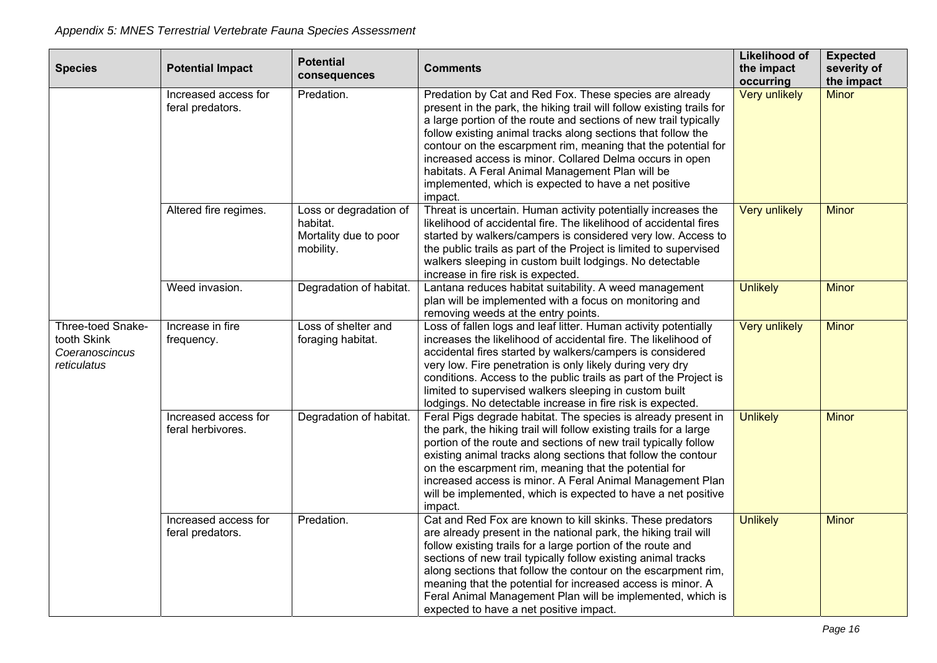| <b>Species</b>                                                    | <b>Potential Impact</b>                   | <b>Potential</b>                                                         | <b>Comments</b>                                                                                                                                                                                                                                                                                                                                                                                                                                                                                                | <b>Likelihood of</b><br>the impact | <b>Expected</b><br>severity of |
|-------------------------------------------------------------------|-------------------------------------------|--------------------------------------------------------------------------|----------------------------------------------------------------------------------------------------------------------------------------------------------------------------------------------------------------------------------------------------------------------------------------------------------------------------------------------------------------------------------------------------------------------------------------------------------------------------------------------------------------|------------------------------------|--------------------------------|
|                                                                   |                                           | consequences                                                             |                                                                                                                                                                                                                                                                                                                                                                                                                                                                                                                | occurring                          | the impact                     |
|                                                                   | Increased access for<br>feral predators.  | Predation.                                                               | Predation by Cat and Red Fox. These species are already<br>present in the park, the hiking trail will follow existing trails for<br>a large portion of the route and sections of new trail typically<br>follow existing animal tracks along sections that follow the<br>contour on the escarpment rim, meaning that the potential for<br>increased access is minor. Collared Delma occurs in open<br>habitats. A Feral Animal Management Plan will be<br>implemented, which is expected to have a net positive | <b>Very unlikely</b>               | <b>Minor</b>                   |
|                                                                   | Altered fire regimes.                     | Loss or degradation of<br>habitat.<br>Mortality due to poor<br>mobility. | impact.<br>Threat is uncertain. Human activity potentially increases the<br>likelihood of accidental fire. The likelihood of accidental fires<br>started by walkers/campers is considered very low. Access to<br>the public trails as part of the Project is limited to supervised<br>walkers sleeping in custom built lodgings. No detectable<br>increase in fire risk is expected.                                                                                                                           | <b>Very unlikely</b>               | <b>Minor</b>                   |
|                                                                   | Weed invasion.                            | Degradation of habitat.                                                  | Lantana reduces habitat suitability. A weed management<br>plan will be implemented with a focus on monitoring and<br>removing weeds at the entry points.                                                                                                                                                                                                                                                                                                                                                       | <b>Unlikely</b>                    | <b>Minor</b>                   |
| Three-toed Snake-<br>tooth Skink<br>Coeranoscincus<br>reticulatus | Increase in fire<br>frequency.            | Loss of shelter and<br>foraging habitat.                                 | Loss of fallen logs and leaf litter. Human activity potentially<br>increases the likelihood of accidental fire. The likelihood of<br>accidental fires started by walkers/campers is considered<br>very low. Fire penetration is only likely during very dry<br>conditions. Access to the public trails as part of the Project is<br>limited to supervised walkers sleeping in custom built<br>lodgings. No detectable increase in fire risk is expected.                                                       | <b>Very unlikely</b>               | <b>Minor</b>                   |
|                                                                   | Increased access for<br>feral herbivores. | Degradation of habitat.                                                  | Feral Pigs degrade habitat. The species is already present in<br>the park, the hiking trail will follow existing trails for a large<br>portion of the route and sections of new trail typically follow<br>existing animal tracks along sections that follow the contour<br>on the escarpment rim, meaning that the potential for<br>increased access is minor. A Feral Animal Management Plan<br>will be implemented, which is expected to have a net positive<br>impact.                                      | <b>Unlikely</b>                    | <b>Minor</b>                   |
|                                                                   | Increased access for<br>feral predators.  | Predation.                                                               | Cat and Red Fox are known to kill skinks. These predators<br>are already present in the national park, the hiking trail will<br>follow existing trails for a large portion of the route and<br>sections of new trail typically follow existing animal tracks<br>along sections that follow the contour on the escarpment rim,<br>meaning that the potential for increased access is minor. A<br>Feral Animal Management Plan will be implemented, which is<br>expected to have a net positive impact.          | <b>Unlikely</b>                    | <b>Minor</b>                   |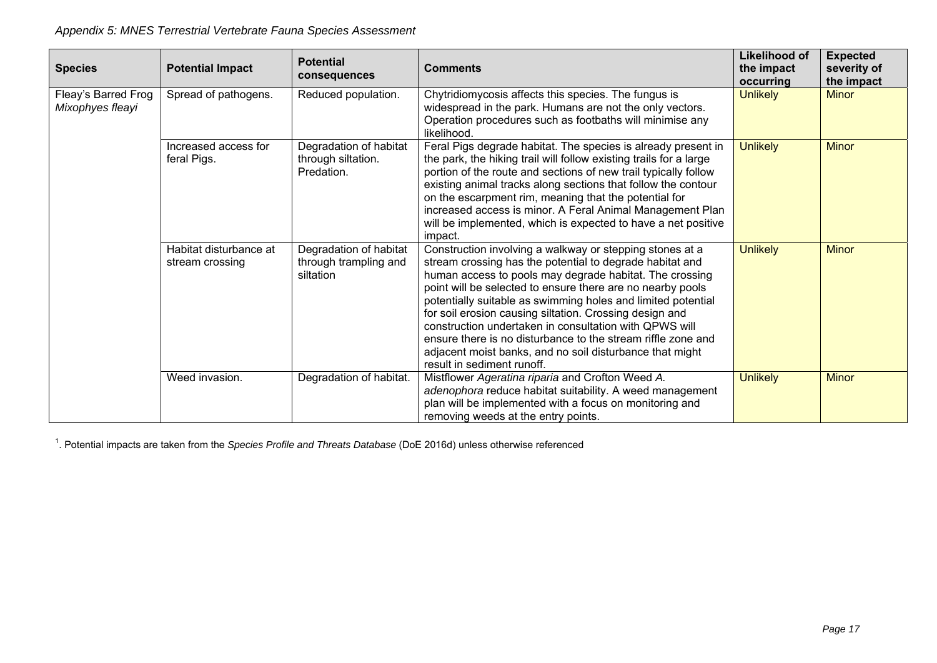| <b>Species</b>                          | <b>Potential Impact</b>                   | <b>Potential</b><br>consequences                             | <b>Comments</b>                                                                                                                                                                                                                                                                                                                                                                                                                                                                                                                                                                              | Likelihood of<br>the impact<br>occurring | <b>Expected</b><br>severity of<br>the impact |
|-----------------------------------------|-------------------------------------------|--------------------------------------------------------------|----------------------------------------------------------------------------------------------------------------------------------------------------------------------------------------------------------------------------------------------------------------------------------------------------------------------------------------------------------------------------------------------------------------------------------------------------------------------------------------------------------------------------------------------------------------------------------------------|------------------------------------------|----------------------------------------------|
| Fleay's Barred Frog<br>Mixophyes fleayi | Spread of pathogens.                      | Reduced population.                                          | Chytridiomycosis affects this species. The fungus is<br>widespread in the park. Humans are not the only vectors.<br>Operation procedures such as footbaths will minimise any<br>likelihood.                                                                                                                                                                                                                                                                                                                                                                                                  | <b>Unlikely</b>                          | <b>Minor</b>                                 |
|                                         | Increased access for<br>feral Pigs.       | Degradation of habitat<br>through siltation.<br>Predation.   | Feral Pigs degrade habitat. The species is already present in<br>the park, the hiking trail will follow existing trails for a large<br>portion of the route and sections of new trail typically follow<br>existing animal tracks along sections that follow the contour<br>on the escarpment rim, meaning that the potential for<br>increased access is minor. A Feral Animal Management Plan<br>will be implemented, which is expected to have a net positive<br>impact.                                                                                                                    | <b>Unlikely</b>                          | <b>Minor</b>                                 |
|                                         | Habitat disturbance at<br>stream crossing | Degradation of habitat<br>through trampling and<br>siltation | Construction involving a walkway or stepping stones at a<br>stream crossing has the potential to degrade habitat and<br>human access to pools may degrade habitat. The crossing<br>point will be selected to ensure there are no nearby pools<br>potentially suitable as swimming holes and limited potential<br>for soil erosion causing siltation. Crossing design and<br>construction undertaken in consultation with QPWS will<br>ensure there is no disturbance to the stream riffle zone and<br>adjacent moist banks, and no soil disturbance that might<br>result in sediment runoff. | <b>Unlikely</b>                          | <b>Minor</b>                                 |
|                                         | Weed invasion.                            | Degradation of habitat.                                      | Mistflower Ageratina riparia and Crofton Weed A.<br>adenophora reduce habitat suitability. A weed management<br>plan will be implemented with a focus on monitoring and<br>removing weeds at the entry points.                                                                                                                                                                                                                                                                                                                                                                               | <b>Unlikely</b>                          | <b>Minor</b>                                 |

1. Potential impacts are taken from the *Species Profile and Threats Database* (DoE 2016d) unless otherwise referenced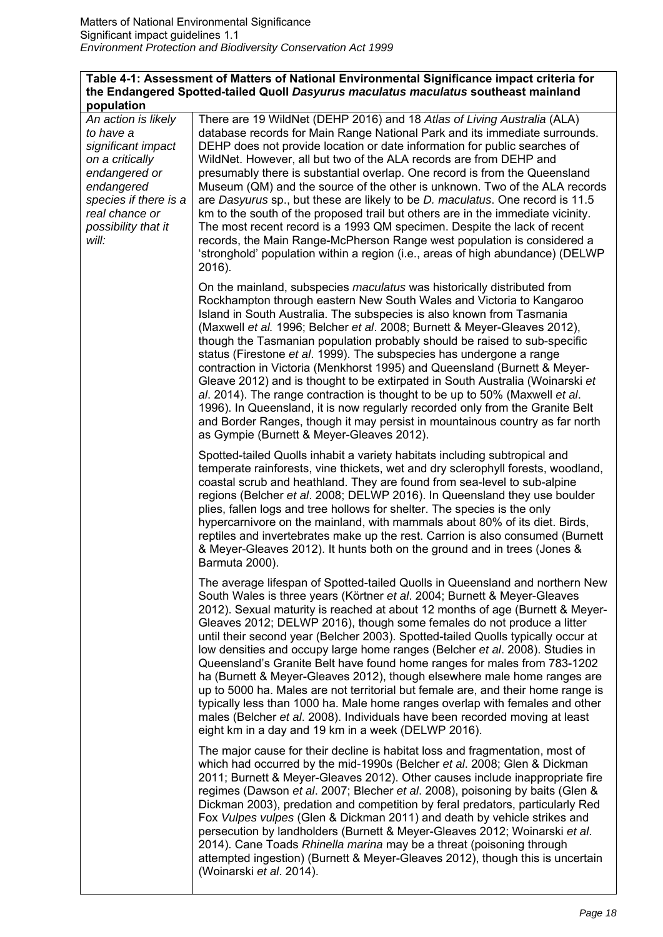#### **Table 4-1: Assessment of Matters of National Environmental Significance impact criteria for the Endangered Spotted-tailed Quoll** *Dasyurus maculatus maculatus* **southeast mainland population**

*An action is likely to have a significant impact on a critically endangered or endangered species if there is a real chance or possibility that it will:*

There are 19 WildNet (DEHP 2016) and 18 *Atlas of Living Australia* (ALA) database records for Main Range National Park and its immediate surrounds. DEHP does not provide location or date information for public searches of WildNet. However, all but two of the ALA records are from DEHP and presumably there is substantial overlap. One record is from the Queensland Museum (QM) and the source of the other is unknown. Two of the ALA records are *Dasyurus* sp., but these are likely to be *D. maculatus*. One record is 11.5 km to the south of the proposed trail but others are in the immediate vicinity. The most recent record is a 1993 QM specimen. Despite the lack of recent records, the Main Range-McPherson Range west population is considered a 'stronghold' population within a region (i.e., areas of high abundance) (DELWP 2016).

On the mainland, subspecies *maculatus* was historically distributed from Rockhampton through eastern New South Wales and Victoria to Kangaroo Island in South Australia. The subspecies is also known from Tasmania (Maxwell *et al.* 1996; Belcher *et al*. 2008; Burnett & Meyer-Gleaves 2012), though the Tasmanian population probably should be raised to sub-specific status (Firestone *et al*. 1999). The subspecies has undergone a range contraction in Victoria (Menkhorst 1995) and Queensland (Burnett & Meyer-Gleave 2012) and is thought to be extirpated in South Australia (Woinarski *et al*. 2014). The range contraction is thought to be up to 50% (Maxwell *et al*. 1996). In Queensland, it is now regularly recorded only from the Granite Belt and Border Ranges, though it may persist in mountainous country as far north as Gympie (Burnett & Meyer-Gleaves 2012).

Spotted-tailed Quolls inhabit a variety habitats including subtropical and temperate rainforests, vine thickets, wet and dry sclerophyll forests, woodland, coastal scrub and heathland. They are found from sea-level to sub-alpine regions (Belcher *et al*. 2008; DELWP 2016). In Queensland they use boulder plies, fallen logs and tree hollows for shelter. The species is the only hypercarnivore on the mainland, with mammals about 80% of its diet. Birds, reptiles and invertebrates make up the rest. Carrion is also consumed (Burnett & Meyer-Gleaves 2012). It hunts both on the ground and in trees (Jones & Barmuta 2000).

The average lifespan of Spotted-tailed Quolls in Queensland and northern New South Wales is three years (Körtner *et al*. 2004; Burnett & Meyer-Gleaves 2012). Sexual maturity is reached at about 12 months of age (Burnett & Meyer-Gleaves 2012; DELWP 2016), though some females do not produce a litter until their second year (Belcher 2003). Spotted-tailed Quolls typically occur at low densities and occupy large home ranges (Belcher *et al*. 2008). Studies in Queensland's Granite Belt have found home ranges for males from 783-1202 ha (Burnett & Meyer-Gleaves 2012), though elsewhere male home ranges are up to 5000 ha. Males are not territorial but female are, and their home range is typically less than 1000 ha. Male home ranges overlap with females and other males (Belcher *et al*. 2008). Individuals have been recorded moving at least eight km in a day and 19 km in a week (DELWP 2016).

The major cause for their decline is habitat loss and fragmentation, most of which had occurred by the mid-1990s (Belcher *et al*. 2008; Glen & Dickman 2011; Burnett & Meyer-Gleaves 2012). Other causes include inappropriate fire regimes (Dawson *et al*. 2007; Blecher *et al*. 2008), poisoning by baits (Glen & Dickman 2003), predation and competition by feral predators, particularly Red Fox *Vulpes vulpes* (Glen & Dickman 2011) and death by vehicle strikes and persecution by landholders (Burnett & Meyer-Gleaves 2012; Woinarski *et al*. 2014). Cane Toads *Rhinella marina* may be a threat (poisoning through attempted ingestion) (Burnett & Meyer-Gleaves 2012), though this is uncertain (Woinarski *et al*. 2014).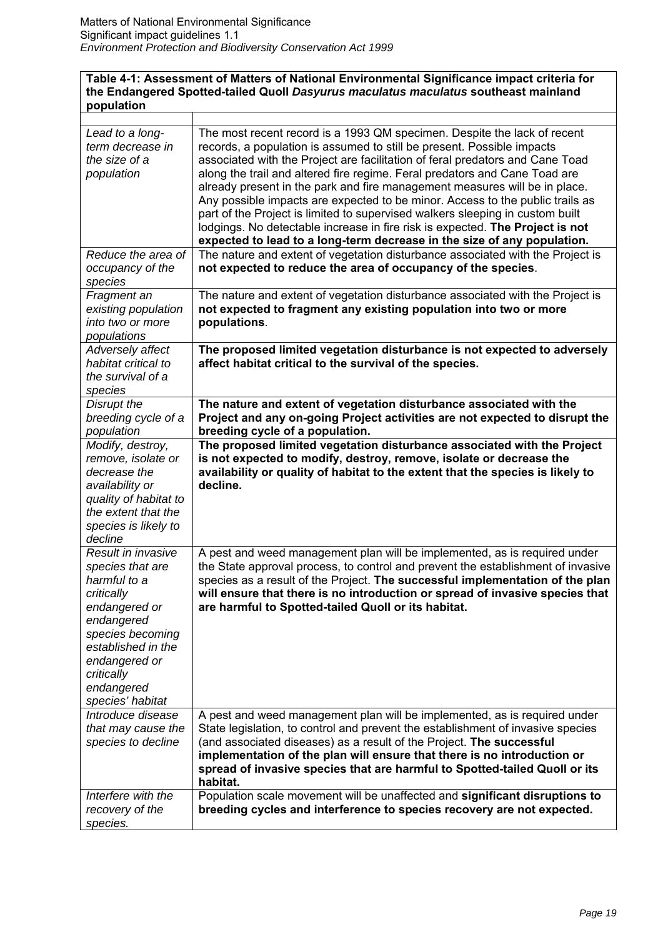#### **Table 4-1: Assessment of Matters of National Environmental Significance impact criteria for the Endangered Spotted-tailed Quoll** *Dasyurus maculatus maculatus* **southeast mainland population**

| Lead to a long-<br>term decrease in<br>the size of a<br>population                                                                                                                                             | The most recent record is a 1993 QM specimen. Despite the lack of recent<br>records, a population is assumed to still be present. Possible impacts<br>associated with the Project are facilitation of feral predators and Cane Toad<br>along the trail and altered fire regime. Feral predators and Cane Toad are<br>already present in the park and fire management measures will be in place.<br>Any possible impacts are expected to be minor. Access to the public trails as<br>part of the Project is limited to supervised walkers sleeping in custom built<br>lodgings. No detectable increase in fire risk is expected. The Project is not<br>expected to lead to a long-term decrease in the size of any population. |
|----------------------------------------------------------------------------------------------------------------------------------------------------------------------------------------------------------------|-------------------------------------------------------------------------------------------------------------------------------------------------------------------------------------------------------------------------------------------------------------------------------------------------------------------------------------------------------------------------------------------------------------------------------------------------------------------------------------------------------------------------------------------------------------------------------------------------------------------------------------------------------------------------------------------------------------------------------|
| Reduce the area of<br>occupancy of the<br>species                                                                                                                                                              | The nature and extent of vegetation disturbance associated with the Project is<br>not expected to reduce the area of occupancy of the species.                                                                                                                                                                                                                                                                                                                                                                                                                                                                                                                                                                                |
| Fragment an<br>existing population<br>into two or more<br>populations                                                                                                                                          | The nature and extent of vegetation disturbance associated with the Project is<br>not expected to fragment any existing population into two or more<br>populations.                                                                                                                                                                                                                                                                                                                                                                                                                                                                                                                                                           |
| Adversely affect<br>habitat critical to<br>the survival of a<br>species                                                                                                                                        | The proposed limited vegetation disturbance is not expected to adversely<br>affect habitat critical to the survival of the species.                                                                                                                                                                                                                                                                                                                                                                                                                                                                                                                                                                                           |
| Disrupt the<br>breeding cycle of a<br>population                                                                                                                                                               | The nature and extent of vegetation disturbance associated with the<br>Project and any on-going Project activities are not expected to disrupt the<br>breeding cycle of a population.                                                                                                                                                                                                                                                                                                                                                                                                                                                                                                                                         |
| Modify, destroy,<br>remove, isolate or<br>decrease the<br>availability or<br>quality of habitat to<br>the extent that the<br>species is likely to<br>decline                                                   | The proposed limited vegetation disturbance associated with the Project<br>is not expected to modify, destroy, remove, isolate or decrease the<br>availability or quality of habitat to the extent that the species is likely to<br>decline.                                                                                                                                                                                                                                                                                                                                                                                                                                                                                  |
| Result in invasive<br>species that are<br>harmful to a<br>critically<br>endangered or<br>endangered<br>species becoming<br>established in the<br>endangered or<br>critically<br>endangered<br>species' habitat | A pest and weed management plan will be implemented, as is required under<br>the State approval process, to control and prevent the establishment of invasive<br>species as a result of the Project. The successful implementation of the plan<br>will ensure that there is no introduction or spread of invasive species that<br>are harmful to Spotted-tailed Quoll or its habitat.                                                                                                                                                                                                                                                                                                                                         |
| Introduce disease<br>that may cause the<br>species to decline                                                                                                                                                  | A pest and weed management plan will be implemented, as is required under<br>State legislation, to control and prevent the establishment of invasive species<br>(and associated diseases) as a result of the Project. The successful<br>implementation of the plan will ensure that there is no introduction or<br>spread of invasive species that are harmful to Spotted-tailed Quoll or its<br>habitat.                                                                                                                                                                                                                                                                                                                     |
| Interfere with the<br>recovery of the<br>species.                                                                                                                                                              | Population scale movement will be unaffected and significant disruptions to<br>breeding cycles and interference to species recovery are not expected.                                                                                                                                                                                                                                                                                                                                                                                                                                                                                                                                                                         |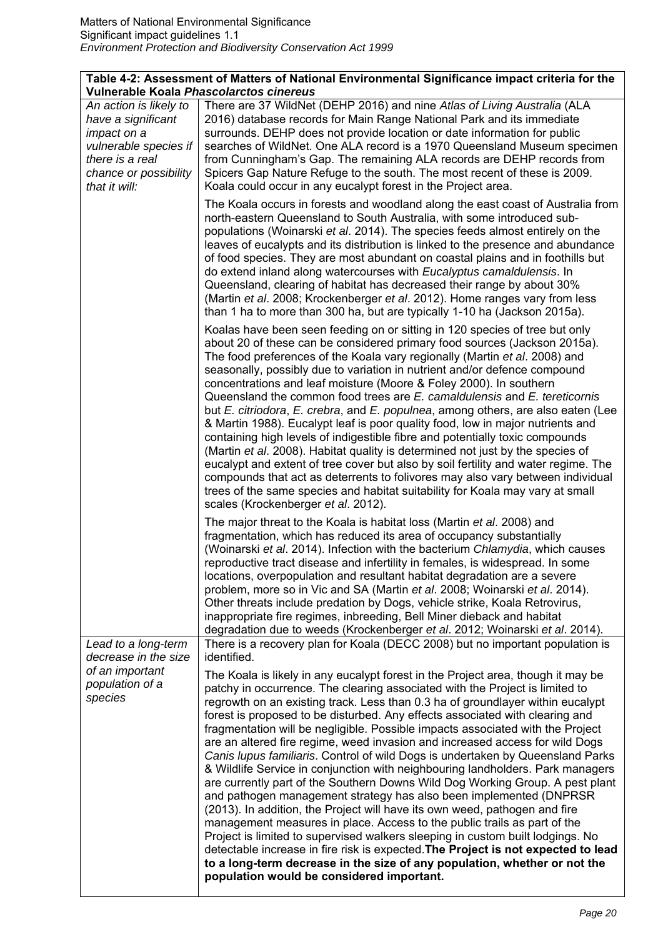|                                                                                                                                                   | Table 4-2: Assessment of Matters of National Environmental Significance impact criteria for the<br>Vulnerable Koala Phascolarctos cinereus                                                                                                                                                                                                                                                                                                                                                                                                                                                                                                                                                                                                                                                                                                                                                                                                                                                                                                                                                                                                                                                                                                                                                 |
|---------------------------------------------------------------------------------------------------------------------------------------------------|--------------------------------------------------------------------------------------------------------------------------------------------------------------------------------------------------------------------------------------------------------------------------------------------------------------------------------------------------------------------------------------------------------------------------------------------------------------------------------------------------------------------------------------------------------------------------------------------------------------------------------------------------------------------------------------------------------------------------------------------------------------------------------------------------------------------------------------------------------------------------------------------------------------------------------------------------------------------------------------------------------------------------------------------------------------------------------------------------------------------------------------------------------------------------------------------------------------------------------------------------------------------------------------------|
| An action is likely to<br>have a significant<br>impact on a<br>vulnerable species if<br>there is a real<br>chance or possibility<br>that it will: | There are 37 WildNet (DEHP 2016) and nine Atlas of Living Australia (ALA<br>2016) database records for Main Range National Park and its immediate<br>surrounds. DEHP does not provide location or date information for public<br>searches of WildNet. One ALA record is a 1970 Queensland Museum specimen<br>from Cunningham's Gap. The remaining ALA records are DEHP records from<br>Spicers Gap Nature Refuge to the south. The most recent of these is 2009.<br>Koala could occur in any eucalypt forest in the Project area.                                                                                                                                                                                                                                                                                                                                                                                                                                                                                                                                                                                                                                                                                                                                                          |
|                                                                                                                                                   | The Koala occurs in forests and woodland along the east coast of Australia from<br>north-eastern Queensland to South Australia, with some introduced sub-<br>populations (Woinarski et al. 2014). The species feeds almost entirely on the<br>leaves of eucalypts and its distribution is linked to the presence and abundance<br>of food species. They are most abundant on coastal plains and in foothills but<br>do extend inland along watercourses with Eucalyptus camaldulensis. In<br>Queensland, clearing of habitat has decreased their range by about 30%<br>(Martin et al. 2008; Krockenberger et al. 2012). Home ranges vary from less<br>than 1 ha to more than 300 ha, but are typically 1-10 ha (Jackson 2015a).                                                                                                                                                                                                                                                                                                                                                                                                                                                                                                                                                            |
|                                                                                                                                                   | Koalas have been seen feeding on or sitting in 120 species of tree but only<br>about 20 of these can be considered primary food sources (Jackson 2015a).<br>The food preferences of the Koala vary regionally (Martin et al. 2008) and<br>seasonally, possibly due to variation in nutrient and/or defence compound<br>concentrations and leaf moisture (Moore & Foley 2000). In southern<br>Queensland the common food trees are E. camaldulensis and E. tereticornis<br>but E. citriodora, E. crebra, and E. populnea, among others, are also eaten (Lee<br>& Martin 1988). Eucalypt leaf is poor quality food, low in major nutrients and<br>containing high levels of indigestible fibre and potentially toxic compounds<br>(Martin et al. 2008). Habitat quality is determined not just by the species of<br>eucalypt and extent of tree cover but also by soil fertility and water regime. The<br>compounds that act as deterrents to folivores may also vary between individual<br>trees of the same species and habitat suitability for Koala may vary at small<br>scales (Krockenberger et al. 2012).                                                                                                                                                                             |
|                                                                                                                                                   | The major threat to the Koala is habitat loss (Martin et al. 2008) and<br>fragmentation, which has reduced its area of occupancy substantially<br>(Woinarski et al. 2014). Infection with the bacterium Chlamydia, which causes<br>reproductive tract disease and infertility in females, is widespread. In some<br>locations, overpopulation and resultant habitat degradation are a severe<br>problem, more so in Vic and SA (Martin et al. 2008; Woinarski et al. 2014).<br>Other threats include predation by Dogs, vehicle strike, Koala Retrovirus,<br>inappropriate fire regimes, inbreeding, Bell Miner dieback and habitat<br>degradation due to weeds (Krockenberger et al. 2012; Woinarski et al. 2014).                                                                                                                                                                                                                                                                                                                                                                                                                                                                                                                                                                        |
| Lead to a long-term<br>decrease in the size                                                                                                       | There is a recovery plan for Koala (DECC 2008) but no important population is<br>identified.                                                                                                                                                                                                                                                                                                                                                                                                                                                                                                                                                                                                                                                                                                                                                                                                                                                                                                                                                                                                                                                                                                                                                                                               |
| of an important<br>population of a<br>species                                                                                                     | The Koala is likely in any eucalypt forest in the Project area, though it may be<br>patchy in occurrence. The clearing associated with the Project is limited to<br>regrowth on an existing track. Less than 0.3 ha of groundlayer within eucalypt<br>forest is proposed to be disturbed. Any effects associated with clearing and<br>fragmentation will be negligible. Possible impacts associated with the Project<br>are an altered fire regime, weed invasion and increased access for wild Dogs<br>Canis lupus familiaris. Control of wild Dogs is undertaken by Queensland Parks<br>& Wildlife Service in conjunction with neighbouring landholders. Park managers<br>are currently part of the Southern Downs Wild Dog Working Group. A pest plant<br>and pathogen management strategy has also been implemented (DNPRSR<br>(2013). In addition, the Project will have its own weed, pathogen and fire<br>management measures in place. Access to the public trails as part of the<br>Project is limited to supervised walkers sleeping in custom built lodgings. No<br>detectable increase in fire risk is expected. The Project is not expected to lead<br>to a long-term decrease in the size of any population, whether or not the<br>population would be considered important. |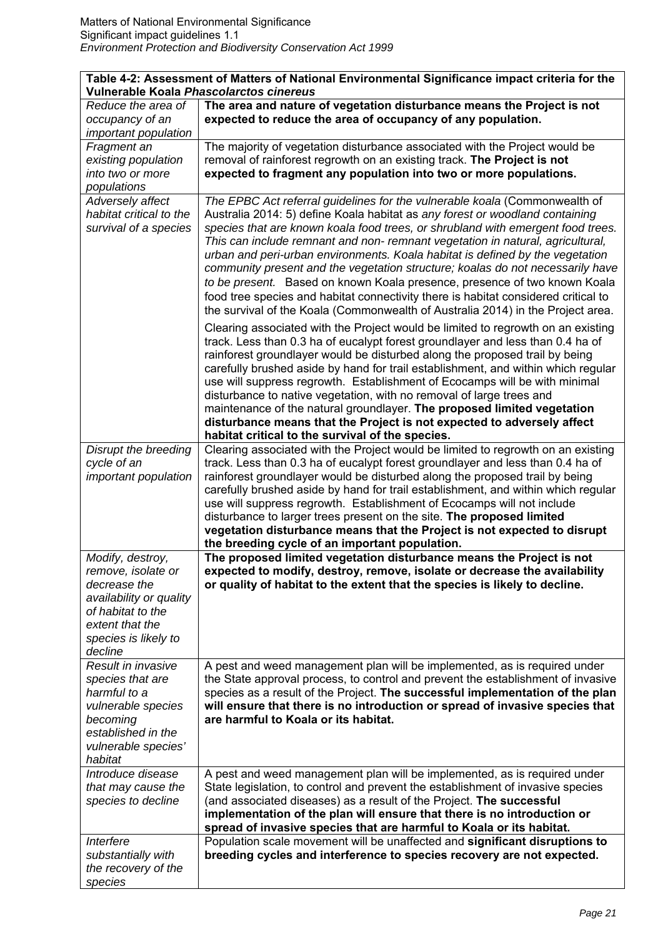| Table 4-2: Assessment of Matters of National Environmental Significance impact criteria for the<br>Vulnerable Koala Phascolarctos cinereus                   |                                                                                                                                                                                                                                                                                                                                                                                                                                                                                                                                                                                                                                                                                                                                                          |  |  |
|--------------------------------------------------------------------------------------------------------------------------------------------------------------|----------------------------------------------------------------------------------------------------------------------------------------------------------------------------------------------------------------------------------------------------------------------------------------------------------------------------------------------------------------------------------------------------------------------------------------------------------------------------------------------------------------------------------------------------------------------------------------------------------------------------------------------------------------------------------------------------------------------------------------------------------|--|--|
| Reduce the area of<br>occupancy of an                                                                                                                        | The area and nature of vegetation disturbance means the Project is not<br>expected to reduce the area of occupancy of any population.                                                                                                                                                                                                                                                                                                                                                                                                                                                                                                                                                                                                                    |  |  |
| important population<br>Fragment an<br>existing population<br>into two or more<br>populations                                                                | The majority of vegetation disturbance associated with the Project would be<br>removal of rainforest regrowth on an existing track. The Project is not<br>expected to fragment any population into two or more populations.                                                                                                                                                                                                                                                                                                                                                                                                                                                                                                                              |  |  |
| Adversely affect<br>habitat critical to the<br>survival of a species                                                                                         | The EPBC Act referral guidelines for the vulnerable koala (Commonwealth of<br>Australia 2014: 5) define Koala habitat as any forest or woodland containing<br>species that are known koala food trees, or shrubland with emergent food trees.<br>This can include remnant and non- remnant vegetation in natural, agricultural,<br>urban and peri-urban environments. Koala habitat is defined by the vegetation<br>community present and the vegetation structure; koalas do not necessarily have<br>to be present. Based on known Koala presence, presence of two known Koala<br>food tree species and habitat connectivity there is habitat considered critical to<br>the survival of the Koala (Commonwealth of Australia 2014) in the Project area. |  |  |
|                                                                                                                                                              | Clearing associated with the Project would be limited to regrowth on an existing<br>track. Less than 0.3 ha of eucalypt forest groundlayer and less than 0.4 ha of<br>rainforest groundlayer would be disturbed along the proposed trail by being<br>carefully brushed aside by hand for trail establishment, and within which regular<br>use will suppress regrowth. Establishment of Ecocamps will be with minimal<br>disturbance to native vegetation, with no removal of large trees and<br>maintenance of the natural groundlayer. The proposed limited vegetation<br>disturbance means that the Project is not expected to adversely affect                                                                                                        |  |  |
|                                                                                                                                                              | habitat critical to the survival of the species.                                                                                                                                                                                                                                                                                                                                                                                                                                                                                                                                                                                                                                                                                                         |  |  |
| Disrupt the breeding<br>cycle of an<br>important population                                                                                                  | Clearing associated with the Project would be limited to regrowth on an existing<br>track. Less than 0.3 ha of eucalypt forest groundlayer and less than 0.4 ha of<br>rainforest groundlayer would be disturbed along the proposed trail by being<br>carefully brushed aside by hand for trail establishment, and within which regular<br>use will suppress regrowth. Establishment of Ecocamps will not include<br>disturbance to larger trees present on the site. The proposed limited<br>vegetation disturbance means that the Project is not expected to disrupt<br>the breeding cycle of an important population.                                                                                                                                  |  |  |
| Modify, destroy,<br>remove, isolate or<br>decrease the<br>availability or quality<br>of habitat to the<br>extent that the<br>species is likely to<br>decline | The proposed limited vegetation disturbance means the Project is not<br>expected to modify, destroy, remove, isolate or decrease the availability<br>or quality of habitat to the extent that the species is likely to decline.                                                                                                                                                                                                                                                                                                                                                                                                                                                                                                                          |  |  |
| Result in invasive<br>species that are<br>harmful to a<br>vulnerable species<br>becoming<br>established in the<br>vulnerable species'<br>habitat             | A pest and weed management plan will be implemented, as is required under<br>the State approval process, to control and prevent the establishment of invasive<br>species as a result of the Project. The successful implementation of the plan<br>will ensure that there is no introduction or spread of invasive species that<br>are harmful to Koala or its habitat.                                                                                                                                                                                                                                                                                                                                                                                   |  |  |
| Introduce disease<br>that may cause the<br>species to decline                                                                                                | A pest and weed management plan will be implemented, as is required under<br>State legislation, to control and prevent the establishment of invasive species<br>(and associated diseases) as a result of the Project. The successful<br>implementation of the plan will ensure that there is no introduction or<br>spread of invasive species that are harmful to Koala or its habitat.                                                                                                                                                                                                                                                                                                                                                                  |  |  |
| Interfere<br>substantially with<br>the recovery of the<br>species                                                                                            | Population scale movement will be unaffected and significant disruptions to<br>breeding cycles and interference to species recovery are not expected.                                                                                                                                                                                                                                                                                                                                                                                                                                                                                                                                                                                                    |  |  |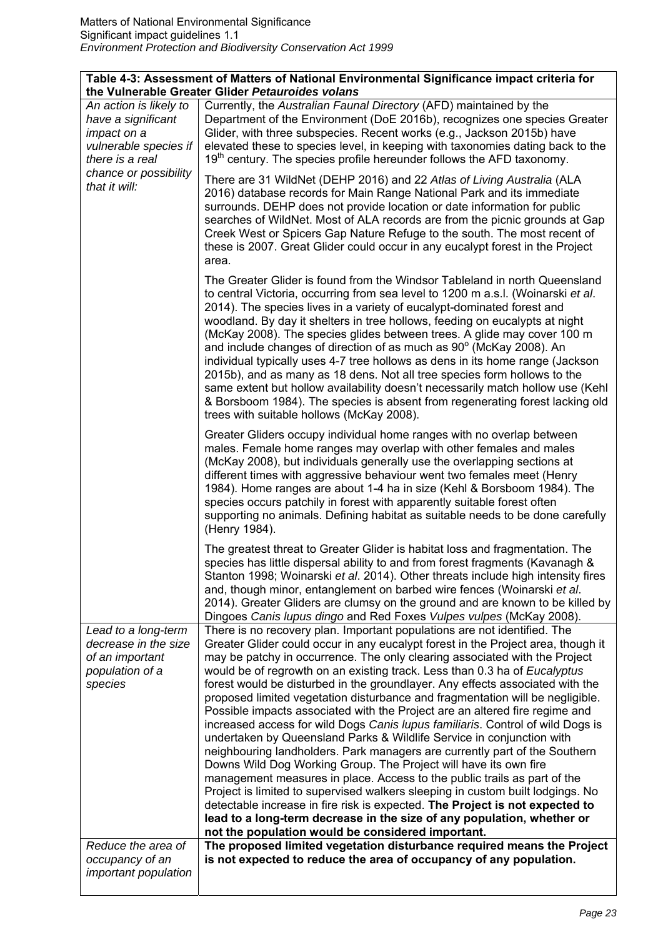| Table 4-3: Assessment of Matters of National Environmental Significance impact criteria for<br>the Vulnerable Greater Glider Petauroides volans |                                                                                         |  |  |  |
|-------------------------------------------------------------------------------------------------------------------------------------------------|-----------------------------------------------------------------------------------------|--|--|--|
| An action is likely to                                                                                                                          | Currently, the Australian Faunal Directory (AFD) maintained by the                      |  |  |  |
|                                                                                                                                                 |                                                                                         |  |  |  |
| have a significant                                                                                                                              | Department of the Environment (DoE 2016b), recognizes one species Greater               |  |  |  |
| impact on a                                                                                                                                     | Glider, with three subspecies. Recent works (e.g., Jackson 2015b) have                  |  |  |  |
| vulnerable species if                                                                                                                           | elevated these to species level, in keeping with taxonomies dating back to the          |  |  |  |
| there is a real                                                                                                                                 | $19th$ century. The species profile hereunder follows the AFD taxonomy.                 |  |  |  |
| chance or possibility                                                                                                                           |                                                                                         |  |  |  |
| that it will:                                                                                                                                   | There are 31 WildNet (DEHP 2016) and 22 Atlas of Living Australia (ALA                  |  |  |  |
|                                                                                                                                                 | 2016) database records for Main Range National Park and its immediate                   |  |  |  |
|                                                                                                                                                 | surrounds. DEHP does not provide location or date information for public                |  |  |  |
|                                                                                                                                                 | searches of WildNet. Most of ALA records are from the picnic grounds at Gap             |  |  |  |
|                                                                                                                                                 | Creek West or Spicers Gap Nature Refuge to the south. The most recent of                |  |  |  |
|                                                                                                                                                 | these is 2007. Great Glider could occur in any eucalypt forest in the Project           |  |  |  |
|                                                                                                                                                 | area.                                                                                   |  |  |  |
|                                                                                                                                                 |                                                                                         |  |  |  |
|                                                                                                                                                 | The Greater Glider is found from the Windsor Tableland in north Queensland              |  |  |  |
|                                                                                                                                                 | to central Victoria, occurring from sea level to 1200 m a.s.l. (Woinarski et al.        |  |  |  |
|                                                                                                                                                 | 2014). The species lives in a variety of eucalypt-dominated forest and                  |  |  |  |
|                                                                                                                                                 | woodland. By day it shelters in tree hollows, feeding on eucalypts at night             |  |  |  |
|                                                                                                                                                 | (McKay 2008). The species glides between trees. A glide may cover 100 m                 |  |  |  |
|                                                                                                                                                 | and include changes of direction of as much as $90^{\circ}$ (McKay 2008). An            |  |  |  |
|                                                                                                                                                 | individual typically uses 4-7 tree hollows as dens in its home range (Jackson           |  |  |  |
|                                                                                                                                                 | 2015b), and as many as 18 dens. Not all tree species form hollows to the                |  |  |  |
|                                                                                                                                                 | same extent but hollow availability doesn't necessarily match hollow use (Kehl          |  |  |  |
|                                                                                                                                                 | & Borsboom 1984). The species is absent from regenerating forest lacking old            |  |  |  |
|                                                                                                                                                 | trees with suitable hollows (McKay 2008).                                               |  |  |  |
|                                                                                                                                                 |                                                                                         |  |  |  |
|                                                                                                                                                 | Greater Gliders occupy individual home ranges with no overlap between                   |  |  |  |
|                                                                                                                                                 | males. Female home ranges may overlap with other females and males                      |  |  |  |
|                                                                                                                                                 | (McKay 2008), but individuals generally use the overlapping sections at                 |  |  |  |
|                                                                                                                                                 | different times with aggressive behaviour went two females meet (Henry                  |  |  |  |
|                                                                                                                                                 | 1984). Home ranges are about 1-4 ha in size (Kehl & Borsboom 1984). The                 |  |  |  |
|                                                                                                                                                 | species occurs patchily in forest with apparently suitable forest often                 |  |  |  |
|                                                                                                                                                 | supporting no animals. Defining habitat as suitable needs to be done carefully          |  |  |  |
|                                                                                                                                                 | (Henry 1984).                                                                           |  |  |  |
|                                                                                                                                                 |                                                                                         |  |  |  |
|                                                                                                                                                 | The greatest threat to Greater Glider is habitat loss and fragmentation. The            |  |  |  |
|                                                                                                                                                 | species has little dispersal ability to and from forest fragments (Kavanagh &           |  |  |  |
|                                                                                                                                                 | Stanton 1998; Woinarski <i>et al.</i> 2014). Other threats include high intensity fires |  |  |  |
|                                                                                                                                                 | and, though minor, entanglement on barbed wire fences (Woinarski et al.                 |  |  |  |
|                                                                                                                                                 | 2014). Greater Gliders are clumsy on the ground and are known to be killed by           |  |  |  |
|                                                                                                                                                 | Dingoes Canis lupus dingo and Red Foxes Vulpes vulpes (McKay 2008).                     |  |  |  |
| Lead to a long-term                                                                                                                             | There is no recovery plan. Important populations are not identified. The                |  |  |  |
| decrease in the size                                                                                                                            | Greater Glider could occur in any eucalypt forest in the Project area, though it        |  |  |  |
|                                                                                                                                                 |                                                                                         |  |  |  |
| of an important                                                                                                                                 | may be patchy in occurrence. The only clearing associated with the Project              |  |  |  |
| population of a                                                                                                                                 | would be of regrowth on an existing track. Less than 0.3 ha of Eucalyptus               |  |  |  |
| species                                                                                                                                         | forest would be disturbed in the groundlayer. Any effects associated with the           |  |  |  |
|                                                                                                                                                 | proposed limited vegetation disturbance and fragmentation will be negligible.           |  |  |  |
|                                                                                                                                                 | Possible impacts associated with the Project are an altered fire regime and             |  |  |  |
|                                                                                                                                                 | increased access for wild Dogs Canis lupus familiaris. Control of wild Dogs is          |  |  |  |
|                                                                                                                                                 | undertaken by Queensland Parks & Wildlife Service in conjunction with                   |  |  |  |
|                                                                                                                                                 | neighbouring landholders. Park managers are currently part of the Southern              |  |  |  |
|                                                                                                                                                 | Downs Wild Dog Working Group. The Project will have its own fire                        |  |  |  |
|                                                                                                                                                 | management measures in place. Access to the public trails as part of the                |  |  |  |
|                                                                                                                                                 | Project is limited to supervised walkers sleeping in custom built lodgings. No          |  |  |  |
|                                                                                                                                                 | detectable increase in fire risk is expected. The Project is not expected to            |  |  |  |
|                                                                                                                                                 | lead to a long-term decrease in the size of any population, whether or                  |  |  |  |
|                                                                                                                                                 | not the population would be considered important.                                       |  |  |  |
|                                                                                                                                                 |                                                                                         |  |  |  |
| Reduce the area of                                                                                                                              | The proposed limited vegetation disturbance required means the Project                  |  |  |  |
| occupancy of an                                                                                                                                 | is not expected to reduce the area of occupancy of any population.                      |  |  |  |
| important population                                                                                                                            |                                                                                         |  |  |  |
|                                                                                                                                                 |                                                                                         |  |  |  |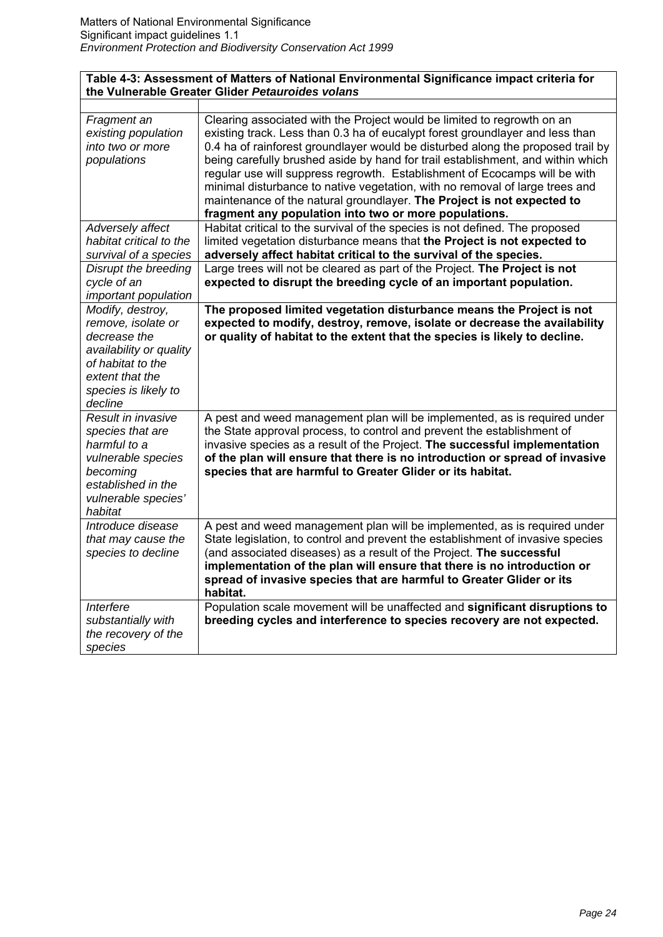### **Table 4-3: Assessment of Matters of National Environmental Significance impact criteria for the Vulnerable Greater Glider** *Petauroides volans*

| Fragment an<br>existing population<br>into two or more<br>populations                                                                                        | Clearing associated with the Project would be limited to regrowth on an<br>existing track. Less than 0.3 ha of eucalypt forest groundlayer and less than<br>0.4 ha of rainforest groundlayer would be disturbed along the proposed trail by<br>being carefully brushed aside by hand for trail establishment, and within which<br>regular use will suppress regrowth. Establishment of Ecocamps will be with<br>minimal disturbance to native vegetation, with no removal of large trees and<br>maintenance of the natural groundlayer. The Project is not expected to<br>fragment any population into two or more populations. |
|--------------------------------------------------------------------------------------------------------------------------------------------------------------|---------------------------------------------------------------------------------------------------------------------------------------------------------------------------------------------------------------------------------------------------------------------------------------------------------------------------------------------------------------------------------------------------------------------------------------------------------------------------------------------------------------------------------------------------------------------------------------------------------------------------------|
| Adversely affect<br>habitat critical to the<br>survival of a species                                                                                         | Habitat critical to the survival of the species is not defined. The proposed<br>limited vegetation disturbance means that the Project is not expected to<br>adversely affect habitat critical to the survival of the species.                                                                                                                                                                                                                                                                                                                                                                                                   |
| Disrupt the breeding<br>cycle of an<br>important population                                                                                                  | Large trees will not be cleared as part of the Project. The Project is not<br>expected to disrupt the breeding cycle of an important population.                                                                                                                                                                                                                                                                                                                                                                                                                                                                                |
| Modify, destroy,<br>remove, isolate or<br>decrease the<br>availability or quality<br>of habitat to the<br>extent that the<br>species is likely to<br>decline | The proposed limited vegetation disturbance means the Project is not<br>expected to modify, destroy, remove, isolate or decrease the availability<br>or quality of habitat to the extent that the species is likely to decline.                                                                                                                                                                                                                                                                                                                                                                                                 |
| Result in invasive<br>species that are<br>harmful to a<br>vulnerable species<br>becoming<br>established in the<br>vulnerable species'<br>habitat             | A pest and weed management plan will be implemented, as is required under<br>the State approval process, to control and prevent the establishment of<br>invasive species as a result of the Project. The successful implementation<br>of the plan will ensure that there is no introduction or spread of invasive<br>species that are harmful to Greater Glider or its habitat.                                                                                                                                                                                                                                                 |
| Introduce disease<br>that may cause the<br>species to decline                                                                                                | A pest and weed management plan will be implemented, as is required under<br>State legislation, to control and prevent the establishment of invasive species<br>(and associated diseases) as a result of the Project. The successful<br>implementation of the plan will ensure that there is no introduction or<br>spread of invasive species that are harmful to Greater Glider or its<br>habitat.                                                                                                                                                                                                                             |
| Interfere<br>substantially with<br>the recovery of the<br>species                                                                                            | Population scale movement will be unaffected and significant disruptions to<br>breeding cycles and interference to species recovery are not expected.                                                                                                                                                                                                                                                                                                                                                                                                                                                                           |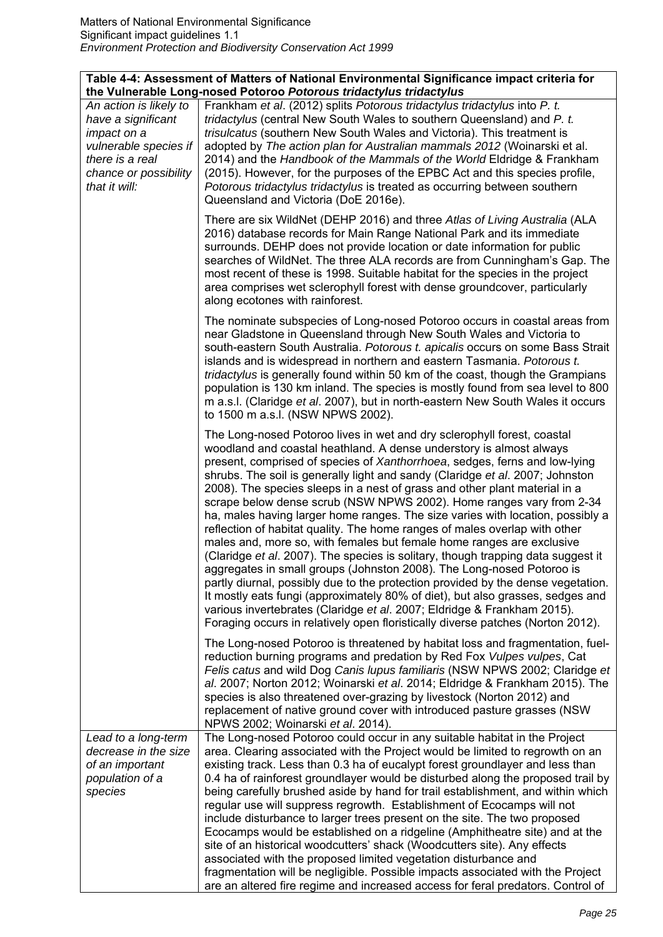| Table 4-4: Assessment of Matters of National Environmental Significance impact criteria for |
|---------------------------------------------------------------------------------------------|
| the Vulnerable Long-nosed Potoroo Potorous tridactylus tridactylus                          |

|                                                                                                                                                   | $\sim$ one and $\sim$                                                                                                                                                                                                                                                                                                                                                                                                                                                                                                                                                                                                                                                                                                                                                                                                                                                                                                                                                                                                                                                                                                                                                                                         |
|---------------------------------------------------------------------------------------------------------------------------------------------------|---------------------------------------------------------------------------------------------------------------------------------------------------------------------------------------------------------------------------------------------------------------------------------------------------------------------------------------------------------------------------------------------------------------------------------------------------------------------------------------------------------------------------------------------------------------------------------------------------------------------------------------------------------------------------------------------------------------------------------------------------------------------------------------------------------------------------------------------------------------------------------------------------------------------------------------------------------------------------------------------------------------------------------------------------------------------------------------------------------------------------------------------------------------------------------------------------------------|
| An action is likely to<br>have a significant<br>impact on a<br>vulnerable species if<br>there is a real<br>chance or possibility<br>that it will: | Frankham et al. (2012) splits Potorous tridactylus tridactylus into P. t.<br>tridactylus (central New South Wales to southern Queensland) and P. t.<br>trisulcatus (southern New South Wales and Victoria). This treatment is<br>adopted by The action plan for Australian mammals 2012 (Woinarski et al.<br>2014) and the Handbook of the Mammals of the World Eldridge & Frankham<br>(2015). However, for the purposes of the EPBC Act and this species profile,<br>Potorous tridactylus tridactylus is treated as occurring between southern<br>Queensland and Victoria (DoE 2016e).                                                                                                                                                                                                                                                                                                                                                                                                                                                                                                                                                                                                                       |
|                                                                                                                                                   | There are six WildNet (DEHP 2016) and three Atlas of Living Australia (ALA<br>2016) database records for Main Range National Park and its immediate<br>surrounds. DEHP does not provide location or date information for public<br>searches of WildNet. The three ALA records are from Cunningham's Gap. The<br>most recent of these is 1998. Suitable habitat for the species in the project<br>area comprises wet sclerophyll forest with dense groundcover, particularly<br>along ecotones with rainforest.                                                                                                                                                                                                                                                                                                                                                                                                                                                                                                                                                                                                                                                                                                |
|                                                                                                                                                   | The nominate subspecies of Long-nosed Potoroo occurs in coastal areas from<br>near Gladstone in Queensland through New South Wales and Victoria to<br>south-eastern South Australia. Potorous t. apicalis occurs on some Bass Strait<br>islands and is widespread in northern and eastern Tasmania. Potorous t.<br>tridactylus is generally found within 50 km of the coast, though the Grampians<br>population is 130 km inland. The species is mostly found from sea level to 800<br>m a.s.l. (Claridge et al. 2007), but in north-eastern New South Wales it occurs<br>to 1500 m a.s.l. (NSW NPWS 2002).                                                                                                                                                                                                                                                                                                                                                                                                                                                                                                                                                                                                   |
|                                                                                                                                                   | The Long-nosed Potoroo lives in wet and dry sclerophyll forest, coastal<br>woodland and coastal heathland. A dense understory is almost always<br>present, comprised of species of Xanthorrhoea, sedges, ferns and low-lying<br>shrubs. The soil is generally light and sandy (Claridge et al. 2007; Johnston<br>2008). The species sleeps in a nest of grass and other plant material in a<br>scrape below dense scrub (NSW NPWS 2002). Home ranges vary from 2-34<br>ha, males having larger home ranges. The size varies with location, possibly a<br>reflection of habitat quality. The home ranges of males overlap with other<br>males and, more so, with females but female home ranges are exclusive<br>(Claridge et al. 2007). The species is solitary, though trapping data suggest it<br>aggregates in small groups (Johnston 2008). The Long-nosed Potoroo is<br>partly diurnal, possibly due to the protection provided by the dense vegetation.<br>It mostly eats fungi (approximately 80% of diet), but also grasses, sedges and<br>various invertebrates (Claridge et al. 2007; Eldridge & Frankham 2015).<br>Foraging occurs in relatively open floristically diverse patches (Norton 2012). |
|                                                                                                                                                   | The Long-nosed Potoroo is threatened by habitat loss and fragmentation, fuel-<br>reduction burning programs and predation by Red Fox Vulpes vulpes, Cat<br>Felis catus and wild Dog Canis lupus familiaris (NSW NPWS 2002; Claridge et<br>al. 2007; Norton 2012; Woinarski et al. 2014; Eldridge & Frankham 2015). The<br>species is also threatened over-grazing by livestock (Norton 2012) and<br>replacement of native ground cover with introduced pasture grasses (NSW<br>NPWS 2002; Woinarski et al. 2014).                                                                                                                                                                                                                                                                                                                                                                                                                                                                                                                                                                                                                                                                                             |
| Lead to a long-term<br>decrease in the size<br>of an important<br>population of a<br>species                                                      | The Long-nosed Potoroo could occur in any suitable habitat in the Project<br>area. Clearing associated with the Project would be limited to regrowth on an<br>existing track. Less than 0.3 ha of eucalypt forest groundlayer and less than<br>0.4 ha of rainforest groundlayer would be disturbed along the proposed trail by<br>being carefully brushed aside by hand for trail establishment, and within which<br>regular use will suppress regrowth. Establishment of Ecocamps will not<br>include disturbance to larger trees present on the site. The two proposed<br>Ecocamps would be established on a ridgeline (Amphitheatre site) and at the<br>site of an historical woodcutters' shack (Woodcutters site). Any effects<br>associated with the proposed limited vegetation disturbance and<br>fragmentation will be negligible. Possible impacts associated with the Project<br>are an altered fire regime and increased access for feral predators. Control of                                                                                                                                                                                                                                   |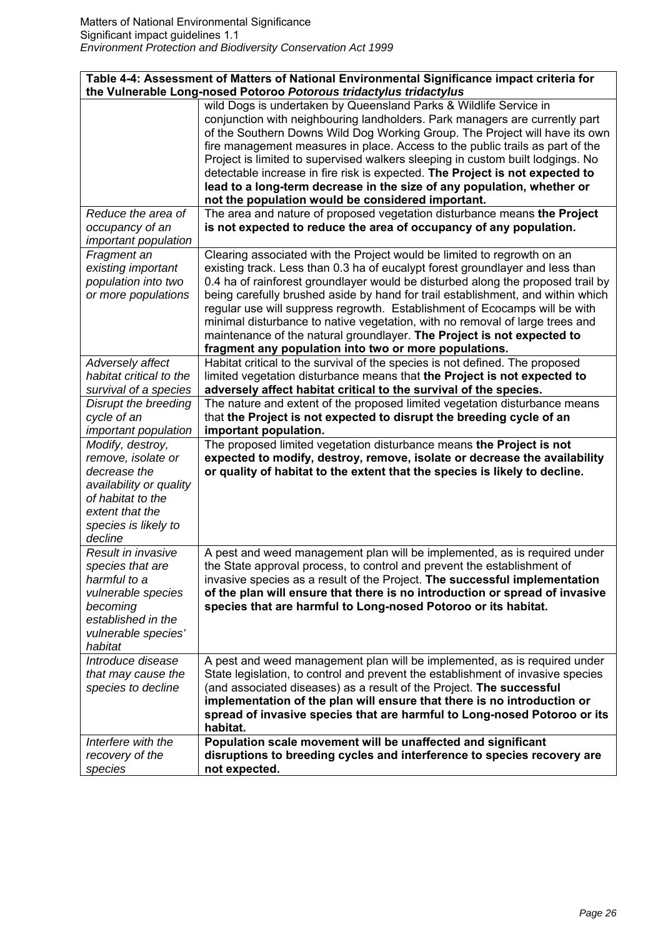|                                                                                                                                                              | Table 4-4: Assessment of Matters of National Environmental Significance impact criteria for<br>the Vulnerable Long-nosed Potoroo Potorous tridactylus tridactylus                                                                                                                                                                                                                                                                                                                                                                                                                                                               |
|--------------------------------------------------------------------------------------------------------------------------------------------------------------|---------------------------------------------------------------------------------------------------------------------------------------------------------------------------------------------------------------------------------------------------------------------------------------------------------------------------------------------------------------------------------------------------------------------------------------------------------------------------------------------------------------------------------------------------------------------------------------------------------------------------------|
|                                                                                                                                                              | wild Dogs is undertaken by Queensland Parks & Wildlife Service in<br>conjunction with neighbouring landholders. Park managers are currently part<br>of the Southern Downs Wild Dog Working Group. The Project will have its own<br>fire management measures in place. Access to the public trails as part of the<br>Project is limited to supervised walkers sleeping in custom built lodgings. No<br>detectable increase in fire risk is expected. The Project is not expected to<br>lead to a long-term decrease in the size of any population, whether or<br>not the population would be considered important.               |
| Reduce the area of<br>occupancy of an<br>important population                                                                                                | The area and nature of proposed vegetation disturbance means the Project<br>is not expected to reduce the area of occupancy of any population.                                                                                                                                                                                                                                                                                                                                                                                                                                                                                  |
| Fragment an<br>existing important<br>population into two<br>or more populations                                                                              | Clearing associated with the Project would be limited to regrowth on an<br>existing track. Less than 0.3 ha of eucalypt forest groundlayer and less than<br>0.4 ha of rainforest groundlayer would be disturbed along the proposed trail by<br>being carefully brushed aside by hand for trail establishment, and within which<br>regular use will suppress regrowth. Establishment of Ecocamps will be with<br>minimal disturbance to native vegetation, with no removal of large trees and<br>maintenance of the natural groundlayer. The Project is not expected to<br>fragment any population into two or more populations. |
| Adversely affect<br>habitat critical to the<br>survival of a species                                                                                         | Habitat critical to the survival of the species is not defined. The proposed<br>limited vegetation disturbance means that the Project is not expected to<br>adversely affect habitat critical to the survival of the species.                                                                                                                                                                                                                                                                                                                                                                                                   |
| Disrupt the breeding<br>cycle of an<br>important population                                                                                                  | The nature and extent of the proposed limited vegetation disturbance means<br>that the Project is not expected to disrupt the breeding cycle of an<br>important population.                                                                                                                                                                                                                                                                                                                                                                                                                                                     |
| Modify, destroy,<br>remove, isolate or<br>decrease the<br>availability or quality<br>of habitat to the<br>extent that the<br>species is likely to<br>decline | The proposed limited vegetation disturbance means the Project is not<br>expected to modify, destroy, remove, isolate or decrease the availability<br>or quality of habitat to the extent that the species is likely to decline.                                                                                                                                                                                                                                                                                                                                                                                                 |
| Result in invasive<br>species that are<br>harmful to a<br>vulnerable species<br>becoming<br>established in the<br>vulnerable species'<br>habitat             | A pest and weed management plan will be implemented, as is required under<br>the State approval process, to control and prevent the establishment of<br>invasive species as a result of the Project. The successful implementation<br>of the plan will ensure that there is no introduction or spread of invasive<br>species that are harmful to Long-nosed Potoroo or its habitat.                                                                                                                                                                                                                                             |
| Introduce disease<br>that may cause the<br>species to decline                                                                                                | A pest and weed management plan will be implemented, as is required under<br>State legislation, to control and prevent the establishment of invasive species<br>(and associated diseases) as a result of the Project. The successful<br>implementation of the plan will ensure that there is no introduction or<br>spread of invasive species that are harmful to Long-nosed Potoroo or its<br>habitat.                                                                                                                                                                                                                         |
| Interfere with the<br>recovery of the<br>species                                                                                                             | Population scale movement will be unaffected and significant<br>disruptions to breeding cycles and interference to species recovery are<br>not expected.                                                                                                                                                                                                                                                                                                                                                                                                                                                                        |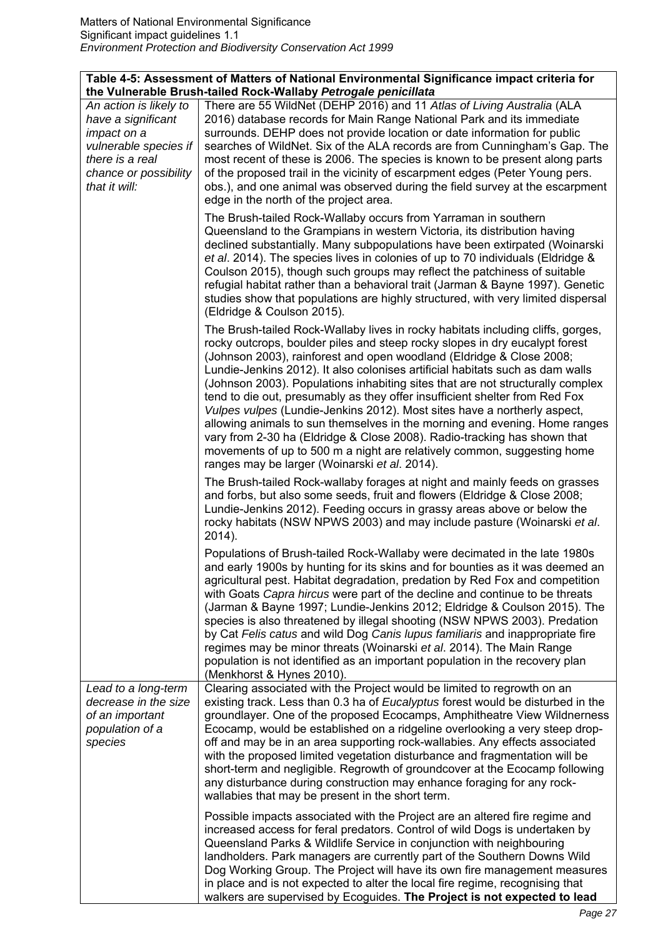| Table 4-5: Assessment of Matters of National Environmental Significance impact criteria for<br>the Vulnerable Brush-tailed Rock-Wallaby Petrogale penicillata |                                                                                                                                                                                                                                                                                                                                                                                                                                                                                                                                                                                                                                                                                                                                                                                                                                                            |
|---------------------------------------------------------------------------------------------------------------------------------------------------------------|------------------------------------------------------------------------------------------------------------------------------------------------------------------------------------------------------------------------------------------------------------------------------------------------------------------------------------------------------------------------------------------------------------------------------------------------------------------------------------------------------------------------------------------------------------------------------------------------------------------------------------------------------------------------------------------------------------------------------------------------------------------------------------------------------------------------------------------------------------|
| An action is likely to                                                                                                                                        | There are 55 WildNet (DEHP 2016) and 11 Atlas of Living Australia (ALA                                                                                                                                                                                                                                                                                                                                                                                                                                                                                                                                                                                                                                                                                                                                                                                     |
|                                                                                                                                                               |                                                                                                                                                                                                                                                                                                                                                                                                                                                                                                                                                                                                                                                                                                                                                                                                                                                            |
| have a significant                                                                                                                                            | 2016) database records for Main Range National Park and its immediate                                                                                                                                                                                                                                                                                                                                                                                                                                                                                                                                                                                                                                                                                                                                                                                      |
| impact on a                                                                                                                                                   | surrounds. DEHP does not provide location or date information for public                                                                                                                                                                                                                                                                                                                                                                                                                                                                                                                                                                                                                                                                                                                                                                                   |
| vulnerable species if                                                                                                                                         | searches of WildNet. Six of the ALA records are from Cunningham's Gap. The                                                                                                                                                                                                                                                                                                                                                                                                                                                                                                                                                                                                                                                                                                                                                                                 |
| there is a real                                                                                                                                               | most recent of these is 2006. The species is known to be present along parts                                                                                                                                                                                                                                                                                                                                                                                                                                                                                                                                                                                                                                                                                                                                                                               |
| chance or possibility                                                                                                                                         | of the proposed trail in the vicinity of escarpment edges (Peter Young pers.                                                                                                                                                                                                                                                                                                                                                                                                                                                                                                                                                                                                                                                                                                                                                                               |
| that it will:                                                                                                                                                 | obs.), and one animal was observed during the field survey at the escarpment                                                                                                                                                                                                                                                                                                                                                                                                                                                                                                                                                                                                                                                                                                                                                                               |
|                                                                                                                                                               | edge in the north of the project area.                                                                                                                                                                                                                                                                                                                                                                                                                                                                                                                                                                                                                                                                                                                                                                                                                     |
|                                                                                                                                                               | The Brush-tailed Rock-Wallaby occurs from Yarraman in southern<br>Queensland to the Grampians in western Victoria, its distribution having<br>declined substantially. Many subpopulations have been extirpated (Woinarski<br>et al. 2014). The species lives in colonies of up to 70 individuals (Eldridge &<br>Coulson 2015), though such groups may reflect the patchiness of suitable<br>refugial habitat rather than a behavioral trait (Jarman & Bayne 1997). Genetic<br>studies show that populations are highly structured, with very limited dispersal<br>(Eldridge & Coulson 2015).                                                                                                                                                                                                                                                               |
|                                                                                                                                                               | The Brush-tailed Rock-Wallaby lives in rocky habitats including cliffs, gorges,<br>rocky outcrops, boulder piles and steep rocky slopes in dry eucalypt forest<br>(Johnson 2003), rainforest and open woodland (Eldridge & Close 2008;<br>Lundie-Jenkins 2012). It also colonises artificial habitats such as dam walls<br>(Johnson 2003). Populations inhabiting sites that are not structurally complex<br>tend to die out, presumably as they offer insufficient shelter from Red Fox<br>Vulpes vulpes (Lundie-Jenkins 2012). Most sites have a northerly aspect,<br>allowing animals to sun themselves in the morning and evening. Home ranges<br>vary from 2-30 ha (Eldridge & Close 2008). Radio-tracking has shown that<br>movements of up to 500 m a night are relatively common, suggesting home<br>ranges may be larger (Woinarski et al. 2014). |
|                                                                                                                                                               | The Brush-tailed Rock-wallaby forages at night and mainly feeds on grasses<br>and forbs, but also some seeds, fruit and flowers (Eldridge & Close 2008;<br>Lundie-Jenkins 2012). Feeding occurs in grassy areas above or below the<br>rocky habitats (NSW NPWS 2003) and may include pasture (Woinarski et al.<br>2014).                                                                                                                                                                                                                                                                                                                                                                                                                                                                                                                                   |
|                                                                                                                                                               | Populations of Brush-tailed Rock-Wallaby were decimated in the late 1980s<br>and early 1900s by hunting for its skins and for bounties as it was deemed an<br>agricultural pest. Habitat degradation, predation by Red Fox and competition<br>with Goats Capra hircus were part of the decline and continue to be threats<br>(Jarman & Bayne 1997; Lundie-Jenkins 2012; Eldridge & Coulson 2015). The<br>species is also threatened by illegal shooting (NSW NPWS 2003). Predation<br>by Cat Felis catus and wild Dog Canis lupus familiaris and inappropriate fire<br>regimes may be minor threats (Woinarski et al. 2014). The Main Range<br>population is not identified as an important population in the recovery plan<br>(Menkhorst & Hynes 2010).                                                                                                   |
| Lead to a long-term<br>decrease in the size<br>of an important<br>population of a<br>species                                                                  | Clearing associated with the Project would be limited to regrowth on an<br>existing track. Less than 0.3 ha of Eucalyptus forest would be disturbed in the<br>groundlayer. One of the proposed Ecocamps, Amphitheatre View Wildnerness<br>Ecocamp, would be established on a ridgeline overlooking a very steep drop-<br>off and may be in an area supporting rock-wallabies. Any effects associated<br>with the proposed limited vegetation disturbance and fragmentation will be<br>short-term and negligible. Regrowth of groundcover at the Ecocamp following<br>any disturbance during construction may enhance foraging for any rock-<br>wallabies that may be present in the short term.                                                                                                                                                            |
|                                                                                                                                                               | Possible impacts associated with the Project are an altered fire regime and<br>increased access for feral predators. Control of wild Dogs is undertaken by<br>Queensland Parks & Wildlife Service in conjunction with neighbouring<br>landholders. Park managers are currently part of the Southern Downs Wild<br>Dog Working Group. The Project will have its own fire management measures<br>in place and is not expected to alter the local fire regime, recognising that<br>walkers are supervised by Ecoguides. The Project is not expected to lead                                                                                                                                                                                                                                                                                                   |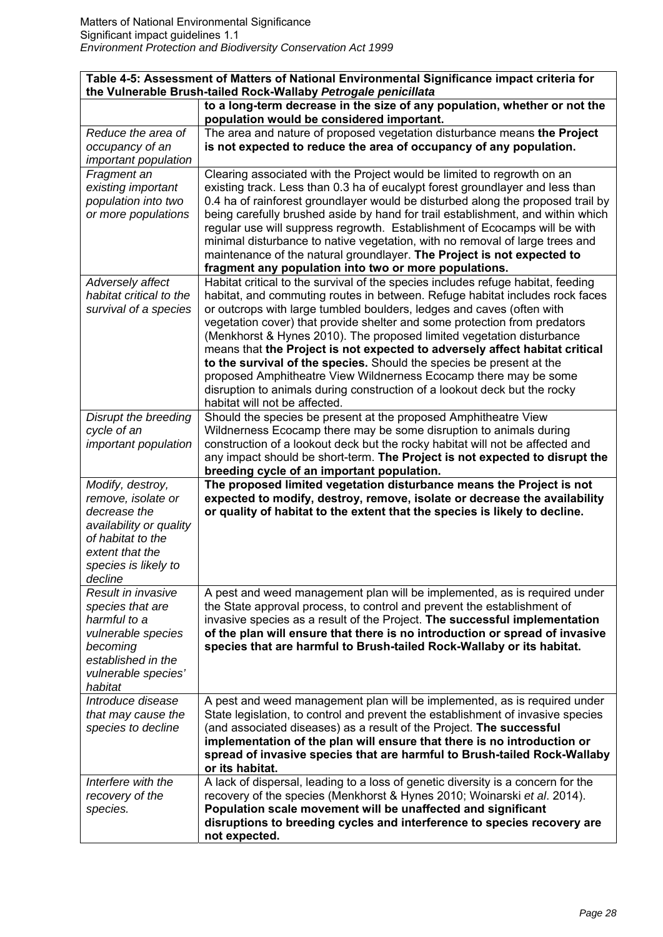| Table 4-5: Assessment of Matters of National Environmental Significance impact criteria for<br>the Vulnerable Brush-tailed Rock-Wallaby Petrogale penicillata |                                                                                                                                                              |
|---------------------------------------------------------------------------------------------------------------------------------------------------------------|--------------------------------------------------------------------------------------------------------------------------------------------------------------|
|                                                                                                                                                               | to a long-term decrease in the size of any population, whether or not the                                                                                    |
|                                                                                                                                                               | population would be considered important.                                                                                                                    |
| Reduce the area of                                                                                                                                            | The area and nature of proposed vegetation disturbance means the Project                                                                                     |
| occupancy of an                                                                                                                                               | is not expected to reduce the area of occupancy of any population.                                                                                           |
| important population                                                                                                                                          |                                                                                                                                                              |
| Fragment an                                                                                                                                                   | Clearing associated with the Project would be limited to regrowth on an                                                                                      |
| existing important                                                                                                                                            | existing track. Less than 0.3 ha of eucalypt forest groundlayer and less than                                                                                |
| population into two                                                                                                                                           | 0.4 ha of rainforest groundlayer would be disturbed along the proposed trail by                                                                              |
| or more populations                                                                                                                                           | being carefully brushed aside by hand for trail establishment, and within which                                                                              |
|                                                                                                                                                               | regular use will suppress regrowth. Establishment of Ecocamps will be with<br>minimal disturbance to native vegetation, with no removal of large trees and   |
|                                                                                                                                                               | maintenance of the natural groundlayer. The Project is not expected to                                                                                       |
|                                                                                                                                                               | fragment any population into two or more populations.                                                                                                        |
| Adversely affect                                                                                                                                              | Habitat critical to the survival of the species includes refuge habitat, feeding                                                                             |
| habitat critical to the                                                                                                                                       | habitat, and commuting routes in between. Refuge habitat includes rock faces                                                                                 |
| survival of a species                                                                                                                                         | or outcrops with large tumbled boulders, ledges and caves (often with                                                                                        |
|                                                                                                                                                               | vegetation cover) that provide shelter and some protection from predators                                                                                    |
|                                                                                                                                                               | (Menkhorst & Hynes 2010). The proposed limited vegetation disturbance                                                                                        |
|                                                                                                                                                               | means that the Project is not expected to adversely affect habitat critical                                                                                  |
|                                                                                                                                                               | to the survival of the species. Should the species be present at the                                                                                         |
|                                                                                                                                                               | proposed Amphitheatre View Wildnerness Ecocamp there may be some                                                                                             |
|                                                                                                                                                               | disruption to animals during construction of a lookout deck but the rocky                                                                                    |
|                                                                                                                                                               | habitat will not be affected.                                                                                                                                |
| Disrupt the breeding                                                                                                                                          | Should the species be present at the proposed Amphitheatre View                                                                                              |
| cycle of an                                                                                                                                                   | Wildnerness Ecocamp there may be some disruption to animals during                                                                                           |
| important population                                                                                                                                          | construction of a lookout deck but the rocky habitat will not be affected and<br>any impact should be short-term. The Project is not expected to disrupt the |
|                                                                                                                                                               | breeding cycle of an important population.                                                                                                                   |
| Modify, destroy,                                                                                                                                              | The proposed limited vegetation disturbance means the Project is not                                                                                         |
| remove, isolate or                                                                                                                                            | expected to modify, destroy, remove, isolate or decrease the availability                                                                                    |
| decrease the                                                                                                                                                  | or quality of habitat to the extent that the species is likely to decline.                                                                                   |
| availability or quality                                                                                                                                       |                                                                                                                                                              |
| of habitat to the                                                                                                                                             |                                                                                                                                                              |
| extent that the                                                                                                                                               |                                                                                                                                                              |
| species is likely to                                                                                                                                          |                                                                                                                                                              |
| decline                                                                                                                                                       |                                                                                                                                                              |
| Result in invasive<br>species that are                                                                                                                        | A pest and weed management plan will be implemented, as is required under<br>the State approval process, to control and prevent the establishment of         |
| harmful to a                                                                                                                                                  | invasive species as a result of the Project. The successful implementation                                                                                   |
| vulnerable species                                                                                                                                            | of the plan will ensure that there is no introduction or spread of invasive                                                                                  |
| becoming                                                                                                                                                      | species that are harmful to Brush-tailed Rock-Wallaby or its habitat.                                                                                        |
| established in the                                                                                                                                            |                                                                                                                                                              |
| vulnerable species'                                                                                                                                           |                                                                                                                                                              |
| habitat                                                                                                                                                       |                                                                                                                                                              |
| Introduce disease                                                                                                                                             | A pest and weed management plan will be implemented, as is required under                                                                                    |
| that may cause the                                                                                                                                            | State legislation, to control and prevent the establishment of invasive species                                                                              |
| species to decline                                                                                                                                            | (and associated diseases) as a result of the Project. The successful                                                                                         |
|                                                                                                                                                               | implementation of the plan will ensure that there is no introduction or                                                                                      |
|                                                                                                                                                               | spread of invasive species that are harmful to Brush-tailed Rock-Wallaby<br>or its habitat.                                                                  |
| Interfere with the                                                                                                                                            | A lack of dispersal, leading to a loss of genetic diversity is a concern for the                                                                             |
| recovery of the                                                                                                                                               | recovery of the species (Menkhorst & Hynes 2010; Woinarski et al. 2014).                                                                                     |
| species.                                                                                                                                                      | Population scale movement will be unaffected and significant                                                                                                 |
|                                                                                                                                                               | disruptions to breeding cycles and interference to species recovery are                                                                                      |
|                                                                                                                                                               | not expected.                                                                                                                                                |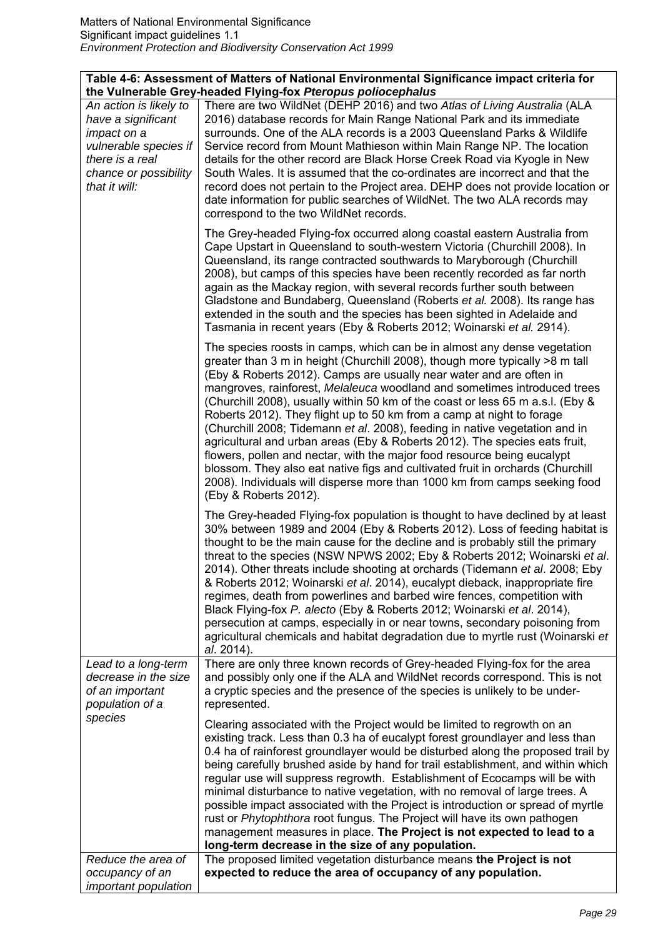*occupancy of an important population* 

| Table 4-6: Assessment of Matters of National Environmental Significance impact criteria for<br>the Vulnerable Grey-headed Flying-fox Pteropus poliocephalus |                                                                                                                                                                                                                                                                                                                                                                                                                                                                                                                                                                                                                                                                                                                                                                                                                                                                                                         |
|-------------------------------------------------------------------------------------------------------------------------------------------------------------|---------------------------------------------------------------------------------------------------------------------------------------------------------------------------------------------------------------------------------------------------------------------------------------------------------------------------------------------------------------------------------------------------------------------------------------------------------------------------------------------------------------------------------------------------------------------------------------------------------------------------------------------------------------------------------------------------------------------------------------------------------------------------------------------------------------------------------------------------------------------------------------------------------|
| An action is likely to<br>have a significant<br>impact on a<br>vulnerable species if<br>there is a real<br>chance or possibility<br>that it will:           | There are two WildNet (DEHP 2016) and two Atlas of Living Australia (ALA<br>2016) database records for Main Range National Park and its immediate<br>surrounds. One of the ALA records is a 2003 Queensland Parks & Wildlife<br>Service record from Mount Mathieson within Main Range NP. The location<br>details for the other record are Black Horse Creek Road via Kyogle in New<br>South Wales. It is assumed that the co-ordinates are incorrect and that the<br>record does not pertain to the Project area. DEHP does not provide location or<br>date information for public searches of WildNet. The two ALA records may<br>correspond to the two WildNet records.                                                                                                                                                                                                                              |
|                                                                                                                                                             | The Grey-headed Flying-fox occurred along coastal eastern Australia from<br>Cape Upstart in Queensland to south-western Victoria (Churchill 2008). In<br>Queensland, its range contracted southwards to Maryborough (Churchill<br>2008), but camps of this species have been recently recorded as far north<br>again as the Mackay region, with several records further south between<br>Gladstone and Bundaberg, Queensland (Roberts et al. 2008). Its range has<br>extended in the south and the species has been sighted in Adelaide and<br>Tasmania in recent years (Eby & Roberts 2012; Woinarski et al. 2914).                                                                                                                                                                                                                                                                                    |
|                                                                                                                                                             | The species roosts in camps, which can be in almost any dense vegetation<br>greater than 3 m in height (Churchill 2008), though more typically >8 m tall<br>(Eby & Roberts 2012). Camps are usually near water and are often in<br>mangroves, rainforest, Melaleuca woodland and sometimes introduced trees<br>(Churchill 2008), usually within 50 km of the coast or less 65 m a.s.l. (Eby &<br>Roberts 2012). They flight up to 50 km from a camp at night to forage<br>(Churchill 2008; Tidemann et al. 2008), feeding in native vegetation and in<br>agricultural and urban areas (Eby & Roberts 2012). The species eats fruit,<br>flowers, pollen and nectar, with the major food resource being eucalypt<br>blossom. They also eat native figs and cultivated fruit in orchards (Churchill<br>2008). Individuals will disperse more than 1000 km from camps seeking food<br>(Eby & Roberts 2012). |
|                                                                                                                                                             | The Grey-headed Flying-fox population is thought to have declined by at least<br>30% between 1989 and 2004 (Eby & Roberts 2012). Loss of feeding habitat is<br>thought to be the main cause for the decline and is probably still the primary<br>threat to the species (NSW NPWS 2002; Eby & Roberts 2012; Woinarski et al.<br>2014). Other threats include shooting at orchards (Tidemann et al. 2008; Eby<br>& Roberts 2012; Woinarski et al. 2014), eucalypt dieback, inappropriate fire<br>regimes, death from powerlines and barbed wire fences, competition with<br>Black Flying-fox P. alecto (Eby & Roberts 2012; Woinarski et al. 2014),<br>persecution at camps, especially in or near towns, secondary poisoning from<br>agricultural chemicals and habitat degradation due to myrtle rust (Woinarski et<br>al. 2014).                                                                       |
| Lead to a long-term<br>decrease in the size<br>of an important<br>population of a                                                                           | There are only three known records of Grey-headed Flying-fox for the area<br>and possibly only one if the ALA and WildNet records correspond. This is not<br>a cryptic species and the presence of the species is unlikely to be under-<br>represented.                                                                                                                                                                                                                                                                                                                                                                                                                                                                                                                                                                                                                                                 |
| species                                                                                                                                                     | Clearing associated with the Project would be limited to regrowth on an<br>existing track. Less than 0.3 ha of eucalypt forest groundlayer and less than<br>0.4 ha of rainforest groundlayer would be disturbed along the proposed trail by<br>being carefully brushed aside by hand for trail establishment, and within which<br>regular use will suppress regrowth. Establishment of Ecocamps will be with<br>minimal disturbance to native vegetation, with no removal of large trees. A<br>possible impact associated with the Project is introduction or spread of myrtle<br>rust or Phytophthora root fungus. The Project will have its own pathogen<br>management measures in place. The Project is not expected to lead to a                                                                                                                                                                    |
| Reduce the area of                                                                                                                                          | long-term decrease in the size of any population.<br>The proposed limited vegetation disturbance means the Project is not                                                                                                                                                                                                                                                                                                                                                                                                                                                                                                                                                                                                                                                                                                                                                                               |

**expected to reduce the area of occupancy of any population.**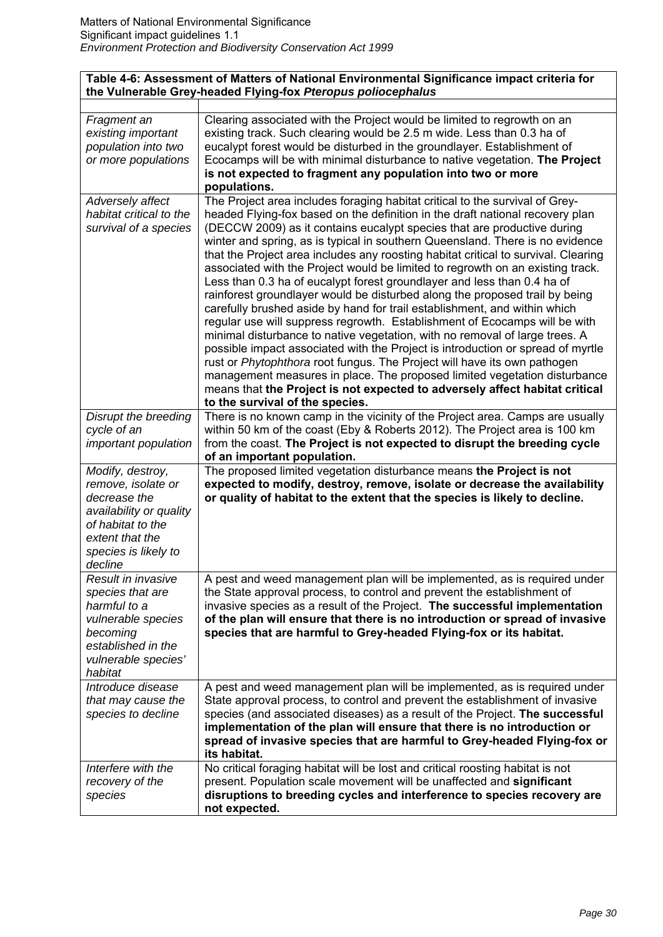# **Table 4-6: Assessment of Matters of National Environmental Significance impact criteria for the Vulnerable Grey-headed Flying-fox** *Pteropus poliocephalus*

| Fragment an<br>existing important<br>population into two<br>or more populations | Clearing associated with the Project would be limited to regrowth on an<br>existing track. Such clearing would be 2.5 m wide. Less than 0.3 ha of<br>eucalypt forest would be disturbed in the groundlayer. Establishment of<br>Ecocamps will be with minimal disturbance to native vegetation. The Project<br>is not expected to fragment any population into two or more<br>populations.                                                                                                                                                                                                                                                                                                                                                                                                                                                                                                                                                                                                                                                                                                                                                                                                                                                                          |
|---------------------------------------------------------------------------------|---------------------------------------------------------------------------------------------------------------------------------------------------------------------------------------------------------------------------------------------------------------------------------------------------------------------------------------------------------------------------------------------------------------------------------------------------------------------------------------------------------------------------------------------------------------------------------------------------------------------------------------------------------------------------------------------------------------------------------------------------------------------------------------------------------------------------------------------------------------------------------------------------------------------------------------------------------------------------------------------------------------------------------------------------------------------------------------------------------------------------------------------------------------------------------------------------------------------------------------------------------------------|
| Adversely affect<br>habitat critical to the<br>survival of a species            | The Project area includes foraging habitat critical to the survival of Grey-<br>headed Flying-fox based on the definition in the draft national recovery plan<br>(DECCW 2009) as it contains eucalypt species that are productive during<br>winter and spring, as is typical in southern Queensland. There is no evidence<br>that the Project area includes any roosting habitat critical to survival. Clearing<br>associated with the Project would be limited to regrowth on an existing track.<br>Less than 0.3 ha of eucalypt forest groundlayer and less than 0.4 ha of<br>rainforest groundlayer would be disturbed along the proposed trail by being<br>carefully brushed aside by hand for trail establishment, and within which<br>regular use will suppress regrowth. Establishment of Ecocamps will be with<br>minimal disturbance to native vegetation, with no removal of large trees. A<br>possible impact associated with the Project is introduction or spread of myrtle<br>rust or Phytophthora root fungus. The Project will have its own pathogen<br>management measures in place. The proposed limited vegetation disturbance<br>means that the Project is not expected to adversely affect habitat critical<br>to the survival of the species. |
| Disrupt the breeding                                                            | There is no known camp in the vicinity of the Project area. Camps are usually                                                                                                                                                                                                                                                                                                                                                                                                                                                                                                                                                                                                                                                                                                                                                                                                                                                                                                                                                                                                                                                                                                                                                                                       |
| cycle of an                                                                     | within 50 km of the coast (Eby & Roberts 2012). The Project area is 100 km                                                                                                                                                                                                                                                                                                                                                                                                                                                                                                                                                                                                                                                                                                                                                                                                                                                                                                                                                                                                                                                                                                                                                                                          |
| important population                                                            | from the coast. The Project is not expected to disrupt the breeding cycle                                                                                                                                                                                                                                                                                                                                                                                                                                                                                                                                                                                                                                                                                                                                                                                                                                                                                                                                                                                                                                                                                                                                                                                           |
|                                                                                 | of an important population.                                                                                                                                                                                                                                                                                                                                                                                                                                                                                                                                                                                                                                                                                                                                                                                                                                                                                                                                                                                                                                                                                                                                                                                                                                         |
|                                                                                 |                                                                                                                                                                                                                                                                                                                                                                                                                                                                                                                                                                                                                                                                                                                                                                                                                                                                                                                                                                                                                                                                                                                                                                                                                                                                     |
| Modify, destroy,                                                                | The proposed limited vegetation disturbance means the Project is not                                                                                                                                                                                                                                                                                                                                                                                                                                                                                                                                                                                                                                                                                                                                                                                                                                                                                                                                                                                                                                                                                                                                                                                                |
| remove, isolate or                                                              | expected to modify, destroy, remove, isolate or decrease the availability                                                                                                                                                                                                                                                                                                                                                                                                                                                                                                                                                                                                                                                                                                                                                                                                                                                                                                                                                                                                                                                                                                                                                                                           |
| decrease the                                                                    | or quality of habitat to the extent that the species is likely to decline.                                                                                                                                                                                                                                                                                                                                                                                                                                                                                                                                                                                                                                                                                                                                                                                                                                                                                                                                                                                                                                                                                                                                                                                          |
| availability or quality                                                         |                                                                                                                                                                                                                                                                                                                                                                                                                                                                                                                                                                                                                                                                                                                                                                                                                                                                                                                                                                                                                                                                                                                                                                                                                                                                     |
| of habitat to the                                                               |                                                                                                                                                                                                                                                                                                                                                                                                                                                                                                                                                                                                                                                                                                                                                                                                                                                                                                                                                                                                                                                                                                                                                                                                                                                                     |
| extent that the                                                                 |                                                                                                                                                                                                                                                                                                                                                                                                                                                                                                                                                                                                                                                                                                                                                                                                                                                                                                                                                                                                                                                                                                                                                                                                                                                                     |
| species is likely to                                                            |                                                                                                                                                                                                                                                                                                                                                                                                                                                                                                                                                                                                                                                                                                                                                                                                                                                                                                                                                                                                                                                                                                                                                                                                                                                                     |
| decline                                                                         |                                                                                                                                                                                                                                                                                                                                                                                                                                                                                                                                                                                                                                                                                                                                                                                                                                                                                                                                                                                                                                                                                                                                                                                                                                                                     |
| Result in invasive                                                              | A pest and weed management plan will be implemented, as is required under                                                                                                                                                                                                                                                                                                                                                                                                                                                                                                                                                                                                                                                                                                                                                                                                                                                                                                                                                                                                                                                                                                                                                                                           |
| species that are                                                                | the State approval process, to control and prevent the establishment of                                                                                                                                                                                                                                                                                                                                                                                                                                                                                                                                                                                                                                                                                                                                                                                                                                                                                                                                                                                                                                                                                                                                                                                             |
| harmful to a                                                                    | invasive species as a result of the Project. The successful implementation                                                                                                                                                                                                                                                                                                                                                                                                                                                                                                                                                                                                                                                                                                                                                                                                                                                                                                                                                                                                                                                                                                                                                                                          |
| vulnerable species                                                              | of the plan will ensure that there is no introduction or spread of invasive                                                                                                                                                                                                                                                                                                                                                                                                                                                                                                                                                                                                                                                                                                                                                                                                                                                                                                                                                                                                                                                                                                                                                                                         |
| becoming                                                                        | species that are harmful to Grey-headed Flying-fox or its habitat.                                                                                                                                                                                                                                                                                                                                                                                                                                                                                                                                                                                                                                                                                                                                                                                                                                                                                                                                                                                                                                                                                                                                                                                                  |
| established in the                                                              |                                                                                                                                                                                                                                                                                                                                                                                                                                                                                                                                                                                                                                                                                                                                                                                                                                                                                                                                                                                                                                                                                                                                                                                                                                                                     |
| vulnerable species'<br>habitat                                                  |                                                                                                                                                                                                                                                                                                                                                                                                                                                                                                                                                                                                                                                                                                                                                                                                                                                                                                                                                                                                                                                                                                                                                                                                                                                                     |
| Introduce disease                                                               | A pest and weed management plan will be implemented, as is required under                                                                                                                                                                                                                                                                                                                                                                                                                                                                                                                                                                                                                                                                                                                                                                                                                                                                                                                                                                                                                                                                                                                                                                                           |
| that may cause the                                                              | State approval process, to control and prevent the establishment of invasive                                                                                                                                                                                                                                                                                                                                                                                                                                                                                                                                                                                                                                                                                                                                                                                                                                                                                                                                                                                                                                                                                                                                                                                        |
| species to decline                                                              | species (and associated diseases) as a result of the Project. The successful                                                                                                                                                                                                                                                                                                                                                                                                                                                                                                                                                                                                                                                                                                                                                                                                                                                                                                                                                                                                                                                                                                                                                                                        |
|                                                                                 | implementation of the plan will ensure that there is no introduction or                                                                                                                                                                                                                                                                                                                                                                                                                                                                                                                                                                                                                                                                                                                                                                                                                                                                                                                                                                                                                                                                                                                                                                                             |
|                                                                                 | spread of invasive species that are harmful to Grey-headed Flying-fox or                                                                                                                                                                                                                                                                                                                                                                                                                                                                                                                                                                                                                                                                                                                                                                                                                                                                                                                                                                                                                                                                                                                                                                                            |
|                                                                                 | its habitat.                                                                                                                                                                                                                                                                                                                                                                                                                                                                                                                                                                                                                                                                                                                                                                                                                                                                                                                                                                                                                                                                                                                                                                                                                                                        |
| Interfere with the                                                              | No critical foraging habitat will be lost and critical roosting habitat is not                                                                                                                                                                                                                                                                                                                                                                                                                                                                                                                                                                                                                                                                                                                                                                                                                                                                                                                                                                                                                                                                                                                                                                                      |
| recovery of the                                                                 | present. Population scale movement will be unaffected and significant                                                                                                                                                                                                                                                                                                                                                                                                                                                                                                                                                                                                                                                                                                                                                                                                                                                                                                                                                                                                                                                                                                                                                                                               |
| species                                                                         | disruptions to breeding cycles and interference to species recovery are<br>not expected.                                                                                                                                                                                                                                                                                                                                                                                                                                                                                                                                                                                                                                                                                                                                                                                                                                                                                                                                                                                                                                                                                                                                                                            |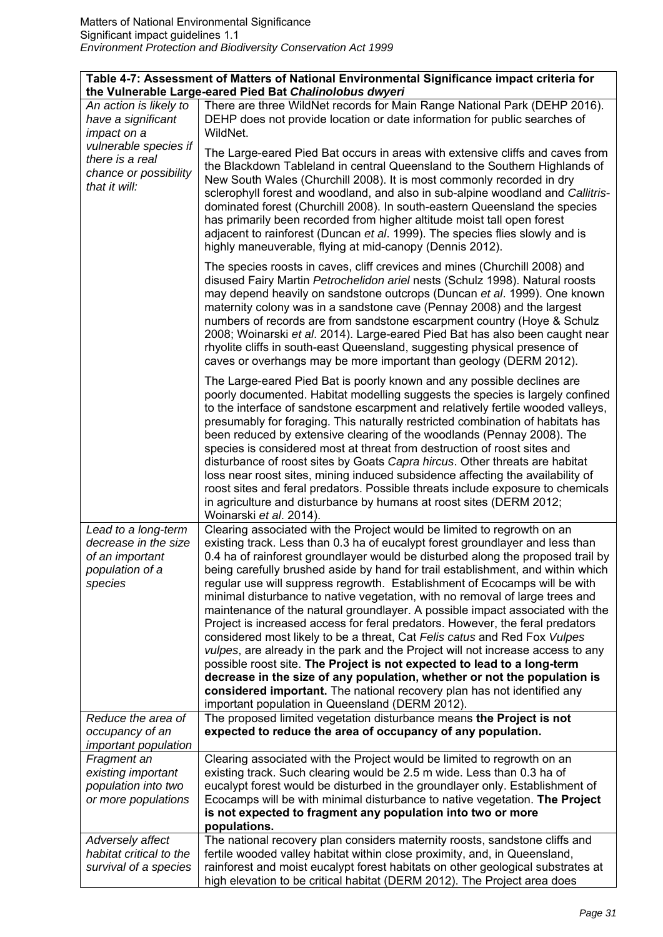| Table 4-7: Assessment of Matters of National Environmental Significance impact criteria for<br>the Vulnerable Large-eared Pied Bat Chalinolobus dwyeri |                                                                                                                                                                                                                                                                                                                                                                                                                                                                                                                                                                                                                                                                                                                                                                                                                                                                                                                                                                                                                                                                                                                     |
|--------------------------------------------------------------------------------------------------------------------------------------------------------|---------------------------------------------------------------------------------------------------------------------------------------------------------------------------------------------------------------------------------------------------------------------------------------------------------------------------------------------------------------------------------------------------------------------------------------------------------------------------------------------------------------------------------------------------------------------------------------------------------------------------------------------------------------------------------------------------------------------------------------------------------------------------------------------------------------------------------------------------------------------------------------------------------------------------------------------------------------------------------------------------------------------------------------------------------------------------------------------------------------------|
| An action is likely to<br>have a significant<br>impact on a                                                                                            | There are three WildNet records for Main Range National Park (DEHP 2016).<br>DEHP does not provide location or date information for public searches of<br>WildNet.                                                                                                                                                                                                                                                                                                                                                                                                                                                                                                                                                                                                                                                                                                                                                                                                                                                                                                                                                  |
| vulnerable species if<br>there is a real<br>chance or possibility<br>that it will:                                                                     | The Large-eared Pied Bat occurs in areas with extensive cliffs and caves from<br>the Blackdown Tableland in central Queensland to the Southern Highlands of<br>New South Wales (Churchill 2008). It is most commonly recorded in dry<br>sclerophyll forest and woodland, and also in sub-alpine woodland and Callitris-<br>dominated forest (Churchill 2008). In south-eastern Queensland the species<br>has primarily been recorded from higher altitude moist tall open forest<br>adjacent to rainforest (Duncan et al. 1999). The species flies slowly and is<br>highly maneuverable, flying at mid-canopy (Dennis 2012).                                                                                                                                                                                                                                                                                                                                                                                                                                                                                        |
|                                                                                                                                                        | The species roosts in caves, cliff crevices and mines (Churchill 2008) and<br>disused Fairy Martin Petrochelidon ariel nests (Schulz 1998). Natural roosts<br>may depend heavily on sandstone outcrops (Duncan et al. 1999). One known<br>maternity colony was in a sandstone cave (Pennay 2008) and the largest<br>numbers of records are from sandstone escarpment country (Hoye & Schulz<br>2008; Woinarski et al. 2014). Large-eared Pied Bat has also been caught near<br>rhyolite cliffs in south-east Queensland, suggesting physical presence of<br>caves or overhangs may be more important than geology (DERM 2012).                                                                                                                                                                                                                                                                                                                                                                                                                                                                                      |
|                                                                                                                                                        | The Large-eared Pied Bat is poorly known and any possible declines are<br>poorly documented. Habitat modelling suggests the species is largely confined<br>to the interface of sandstone escarpment and relatively fertile wooded valleys,<br>presumably for foraging. This naturally restricted combination of habitats has<br>been reduced by extensive clearing of the woodlands (Pennay 2008). The<br>species is considered most at threat from destruction of roost sites and<br>disturbance of roost sites by Goats Capra hircus. Other threats are habitat<br>loss near roost sites, mining induced subsidence affecting the availability of<br>roost sites and feral predators. Possible threats include exposure to chemicals<br>in agriculture and disturbance by humans at roost sites (DERM 2012;<br>Woinarski et al. 2014).                                                                                                                                                                                                                                                                            |
| Lead to a long-term<br>decrease in the size<br>of an important<br>population of a<br>species                                                           | Clearing associated with the Project would be limited to regrowth on an<br>existing track. Less than 0.3 ha of eucalypt forest groundlayer and less than<br>0.4 ha of rainforest groundlayer would be disturbed along the proposed trail by<br>being carefully brushed aside by hand for trail establishment, and within which<br>regular use will suppress regrowth. Establishment of Ecocamps will be with<br>minimal disturbance to native vegetation, with no removal of large trees and<br>maintenance of the natural groundlayer. A possible impact associated with the<br>Project is increased access for feral predators. However, the feral predators<br>considered most likely to be a threat, Cat Felis catus and Red Fox Vulpes<br>vulpes, are already in the park and the Project will not increase access to any<br>possible roost site. The Project is not expected to lead to a long-term<br>decrease in the size of any population, whether or not the population is<br>considered important. The national recovery plan has not identified any<br>important population in Queensland (DERM 2012). |
| Reduce the area of<br>occupancy of an<br><i>important population</i>                                                                                   | The proposed limited vegetation disturbance means the Project is not<br>expected to reduce the area of occupancy of any population.                                                                                                                                                                                                                                                                                                                                                                                                                                                                                                                                                                                                                                                                                                                                                                                                                                                                                                                                                                                 |
| Fragment an<br>existing important<br>population into two<br>or more populations                                                                        | Clearing associated with the Project would be limited to regrowth on an<br>existing track. Such clearing would be 2.5 m wide. Less than 0.3 ha of<br>eucalypt forest would be disturbed in the groundlayer only. Establishment of<br>Ecocamps will be with minimal disturbance to native vegetation. The Project<br>is not expected to fragment any population into two or more<br>populations.                                                                                                                                                                                                                                                                                                                                                                                                                                                                                                                                                                                                                                                                                                                     |
| Adversely affect<br>habitat critical to the<br>survival of a species                                                                                   | The national recovery plan considers maternity roosts, sandstone cliffs and<br>fertile wooded valley habitat within close proximity, and, in Queensland,<br>rainforest and moist eucalypt forest habitats on other geological substrates at<br>high elevation to be critical habitat (DERM 2012). The Project area does                                                                                                                                                                                                                                                                                                                                                                                                                                                                                                                                                                                                                                                                                                                                                                                             |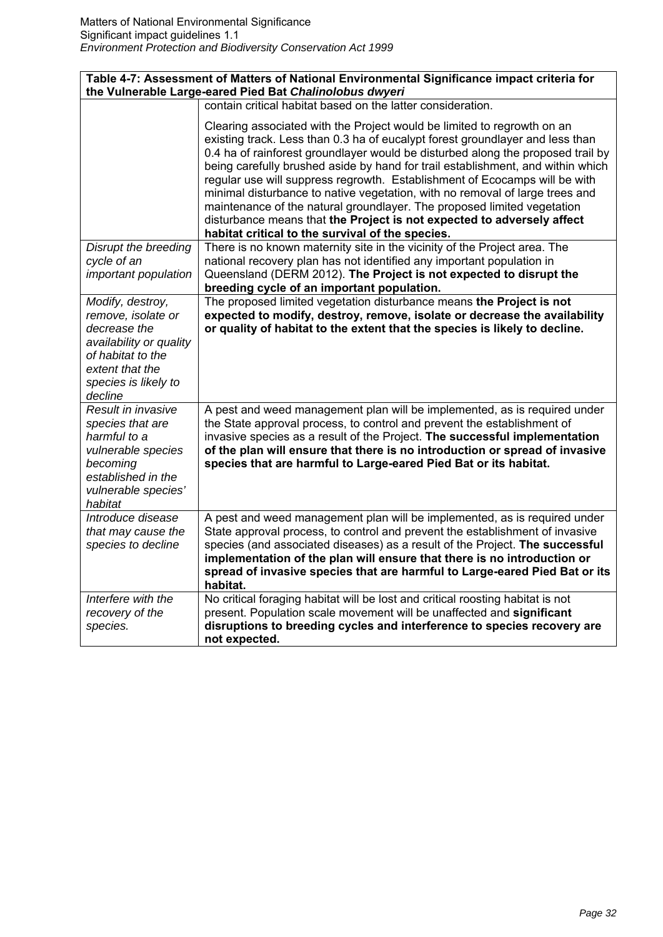| Table 4-7: Assessment of Matters of National Environmental Significance impact criteria for                                                      |                                                                                                                                                                                                                                                                                                                                                                                                                                                                                                                                                                                                                                                                                                       |
|--------------------------------------------------------------------------------------------------------------------------------------------------|-------------------------------------------------------------------------------------------------------------------------------------------------------------------------------------------------------------------------------------------------------------------------------------------------------------------------------------------------------------------------------------------------------------------------------------------------------------------------------------------------------------------------------------------------------------------------------------------------------------------------------------------------------------------------------------------------------|
|                                                                                                                                                  | the Vulnerable Large-eared Pied Bat Chalinolobus dwyeri<br>contain critical habitat based on the latter consideration.                                                                                                                                                                                                                                                                                                                                                                                                                                                                                                                                                                                |
|                                                                                                                                                  |                                                                                                                                                                                                                                                                                                                                                                                                                                                                                                                                                                                                                                                                                                       |
|                                                                                                                                                  | Clearing associated with the Project would be limited to regrowth on an<br>existing track. Less than 0.3 ha of eucalypt forest groundlayer and less than<br>0.4 ha of rainforest groundlayer would be disturbed along the proposed trail by<br>being carefully brushed aside by hand for trail establishment, and within which<br>regular use will suppress regrowth. Establishment of Ecocamps will be with<br>minimal disturbance to native vegetation, with no removal of large trees and<br>maintenance of the natural groundlayer. The proposed limited vegetation<br>disturbance means that the Project is not expected to adversely affect<br>habitat critical to the survival of the species. |
| Disrupt the breeding                                                                                                                             | There is no known maternity site in the vicinity of the Project area. The                                                                                                                                                                                                                                                                                                                                                                                                                                                                                                                                                                                                                             |
| cycle of an                                                                                                                                      | national recovery plan has not identified any important population in                                                                                                                                                                                                                                                                                                                                                                                                                                                                                                                                                                                                                                 |
| important population                                                                                                                             | Queensland (DERM 2012). The Project is not expected to disrupt the                                                                                                                                                                                                                                                                                                                                                                                                                                                                                                                                                                                                                                    |
|                                                                                                                                                  | breeding cycle of an important population.                                                                                                                                                                                                                                                                                                                                                                                                                                                                                                                                                                                                                                                            |
| Modify, destroy,<br>remove, isolate or                                                                                                           | The proposed limited vegetation disturbance means the Project is not<br>expected to modify, destroy, remove, isolate or decrease the availability                                                                                                                                                                                                                                                                                                                                                                                                                                                                                                                                                     |
| decrease the                                                                                                                                     | or quality of habitat to the extent that the species is likely to decline.                                                                                                                                                                                                                                                                                                                                                                                                                                                                                                                                                                                                                            |
| availability or quality                                                                                                                          |                                                                                                                                                                                                                                                                                                                                                                                                                                                                                                                                                                                                                                                                                                       |
| of habitat to the                                                                                                                                |                                                                                                                                                                                                                                                                                                                                                                                                                                                                                                                                                                                                                                                                                                       |
| extent that the                                                                                                                                  |                                                                                                                                                                                                                                                                                                                                                                                                                                                                                                                                                                                                                                                                                                       |
| species is likely to                                                                                                                             |                                                                                                                                                                                                                                                                                                                                                                                                                                                                                                                                                                                                                                                                                                       |
| decline                                                                                                                                          |                                                                                                                                                                                                                                                                                                                                                                                                                                                                                                                                                                                                                                                                                                       |
| Result in invasive<br>species that are<br>harmful to a<br>vulnerable species<br>becoming<br>established in the<br>vulnerable species'<br>habitat | A pest and weed management plan will be implemented, as is required under<br>the State approval process, to control and prevent the establishment of<br>invasive species as a result of the Project. The successful implementation<br>of the plan will ensure that there is no introduction or spread of invasive<br>species that are harmful to Large-eared Pied Bat or its habitat.                                                                                                                                                                                                                                                                                                                 |
| Introduce disease                                                                                                                                | A pest and weed management plan will be implemented, as is required under                                                                                                                                                                                                                                                                                                                                                                                                                                                                                                                                                                                                                             |
| that may cause the<br>species to decline                                                                                                         | State approval process, to control and prevent the establishment of invasive<br>species (and associated diseases) as a result of the Project. The successful                                                                                                                                                                                                                                                                                                                                                                                                                                                                                                                                          |
|                                                                                                                                                  | implementation of the plan will ensure that there is no introduction or                                                                                                                                                                                                                                                                                                                                                                                                                                                                                                                                                                                                                               |
|                                                                                                                                                  | spread of invasive species that are harmful to Large-eared Pied Bat or its<br>habitat.                                                                                                                                                                                                                                                                                                                                                                                                                                                                                                                                                                                                                |
| Interfere with the                                                                                                                               | No critical foraging habitat will be lost and critical roosting habitat is not                                                                                                                                                                                                                                                                                                                                                                                                                                                                                                                                                                                                                        |
| recovery of the                                                                                                                                  | present. Population scale movement will be unaffected and significant                                                                                                                                                                                                                                                                                                                                                                                                                                                                                                                                                                                                                                 |
| species.                                                                                                                                         | disruptions to breeding cycles and interference to species recovery are<br>not expected.                                                                                                                                                                                                                                                                                                                                                                                                                                                                                                                                                                                                              |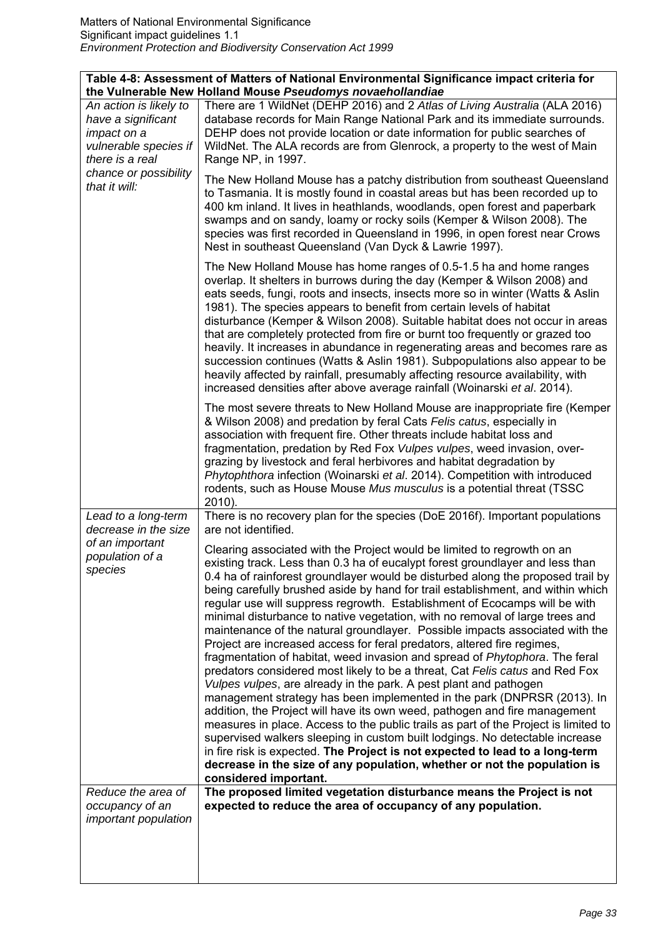|                                                                                                         | Table 4-8: Assessment of Matters of National Environmental Significance impact criteria for<br>the Vulnerable New Holland Mouse Pseudomys novaehollandiae                                                                                                                                                                                                                                                                                                                                                                                                                                                                                                                                                                                                                                                                                                                                                                                                                                                                                                                                                                                                                                                                                                                                                                                                                                                                                                                                |
|---------------------------------------------------------------------------------------------------------|------------------------------------------------------------------------------------------------------------------------------------------------------------------------------------------------------------------------------------------------------------------------------------------------------------------------------------------------------------------------------------------------------------------------------------------------------------------------------------------------------------------------------------------------------------------------------------------------------------------------------------------------------------------------------------------------------------------------------------------------------------------------------------------------------------------------------------------------------------------------------------------------------------------------------------------------------------------------------------------------------------------------------------------------------------------------------------------------------------------------------------------------------------------------------------------------------------------------------------------------------------------------------------------------------------------------------------------------------------------------------------------------------------------------------------------------------------------------------------------|
| An action is likely to<br>have a significant<br>impact on a<br>vulnerable species if<br>there is a real | There are 1 WildNet (DEHP 2016) and 2 Atlas of Living Australia (ALA 2016)<br>database records for Main Range National Park and its immediate surrounds.<br>DEHP does not provide location or date information for public searches of<br>WildNet. The ALA records are from Glenrock, a property to the west of Main<br>Range NP, in 1997.                                                                                                                                                                                                                                                                                                                                                                                                                                                                                                                                                                                                                                                                                                                                                                                                                                                                                                                                                                                                                                                                                                                                                |
| chance or possibility<br>that it will:                                                                  | The New Holland Mouse has a patchy distribution from southeast Queensland<br>to Tasmania. It is mostly found in coastal areas but has been recorded up to<br>400 km inland. It lives in heathlands, woodlands, open forest and paperbark<br>swamps and on sandy, loamy or rocky soils (Kemper & Wilson 2008). The<br>species was first recorded in Queensland in 1996, in open forest near Crows<br>Nest in southeast Queensland (Van Dyck & Lawrie 1997).                                                                                                                                                                                                                                                                                                                                                                                                                                                                                                                                                                                                                                                                                                                                                                                                                                                                                                                                                                                                                               |
|                                                                                                         | The New Holland Mouse has home ranges of 0.5-1.5 ha and home ranges<br>overlap. It shelters in burrows during the day (Kemper & Wilson 2008) and<br>eats seeds, fungi, roots and insects, insects more so in winter (Watts & Aslin<br>1981). The species appears to benefit from certain levels of habitat<br>disturbance (Kemper & Wilson 2008). Suitable habitat does not occur in areas<br>that are completely protected from fire or burnt too frequently or grazed too<br>heavily. It increases in abundance in regenerating areas and becomes rare as<br>succession continues (Watts & Aslin 1981). Subpopulations also appear to be<br>heavily affected by rainfall, presumably affecting resource availability, with<br>increased densities after above average rainfall (Woinarski et al. 2014).                                                                                                                                                                                                                                                                                                                                                                                                                                                                                                                                                                                                                                                                                |
|                                                                                                         | The most severe threats to New Holland Mouse are inappropriate fire (Kemper<br>& Wilson 2008) and predation by feral Cats Felis catus, especially in<br>association with frequent fire. Other threats include habitat loss and<br>fragmentation, predation by Red Fox Vulpes vulpes, weed invasion, over-<br>grazing by livestock and feral herbivores and habitat degradation by<br>Phytophthora infection (Woinarski et al. 2014). Competition with introduced<br>rodents, such as House Mouse Mus musculus is a potential threat (TSSC<br>2010).                                                                                                                                                                                                                                                                                                                                                                                                                                                                                                                                                                                                                                                                                                                                                                                                                                                                                                                                      |
| Lead to a long-term<br>decrease in the size                                                             | There is no recovery plan for the species (DoE 2016f). Important populations<br>are not identified.                                                                                                                                                                                                                                                                                                                                                                                                                                                                                                                                                                                                                                                                                                                                                                                                                                                                                                                                                                                                                                                                                                                                                                                                                                                                                                                                                                                      |
| of an important<br>population of a<br>species<br>Reduce the area of                                     | Clearing associated with the Project would be limited to regrowth on an<br>existing track. Less than 0.3 ha of eucalypt forest groundlayer and less than<br>0.4 ha of rainforest groundlayer would be disturbed along the proposed trail by<br>being carefully brushed aside by hand for trail establishment, and within which<br>regular use will suppress regrowth. Establishment of Ecocamps will be with<br>minimal disturbance to native vegetation, with no removal of large trees and<br>maintenance of the natural groundlayer. Possible impacts associated with the<br>Project are increased access for feral predators, altered fire regimes,<br>fragmentation of habitat, weed invasion and spread of Phytophora. The feral<br>predators considered most likely to be a threat, Cat Felis catus and Red Fox<br>Vulpes vulpes, are already in the park. A pest plant and pathogen<br>management strategy has been implemented in the park (DNPRSR (2013). In<br>addition, the Project will have its own weed, pathogen and fire management<br>measures in place. Access to the public trails as part of the Project is limited to<br>supervised walkers sleeping in custom built lodgings. No detectable increase<br>in fire risk is expected. The Project is not expected to lead to a long-term<br>decrease in the size of any population, whether or not the population is<br>considered important.<br>The proposed limited vegetation disturbance means the Project is not |
| occupancy of an<br>important population                                                                 | expected to reduce the area of occupancy of any population.                                                                                                                                                                                                                                                                                                                                                                                                                                                                                                                                                                                                                                                                                                                                                                                                                                                                                                                                                                                                                                                                                                                                                                                                                                                                                                                                                                                                                              |
|                                                                                                         |                                                                                                                                                                                                                                                                                                                                                                                                                                                                                                                                                                                                                                                                                                                                                                                                                                                                                                                                                                                                                                                                                                                                                                                                                                                                                                                                                                                                                                                                                          |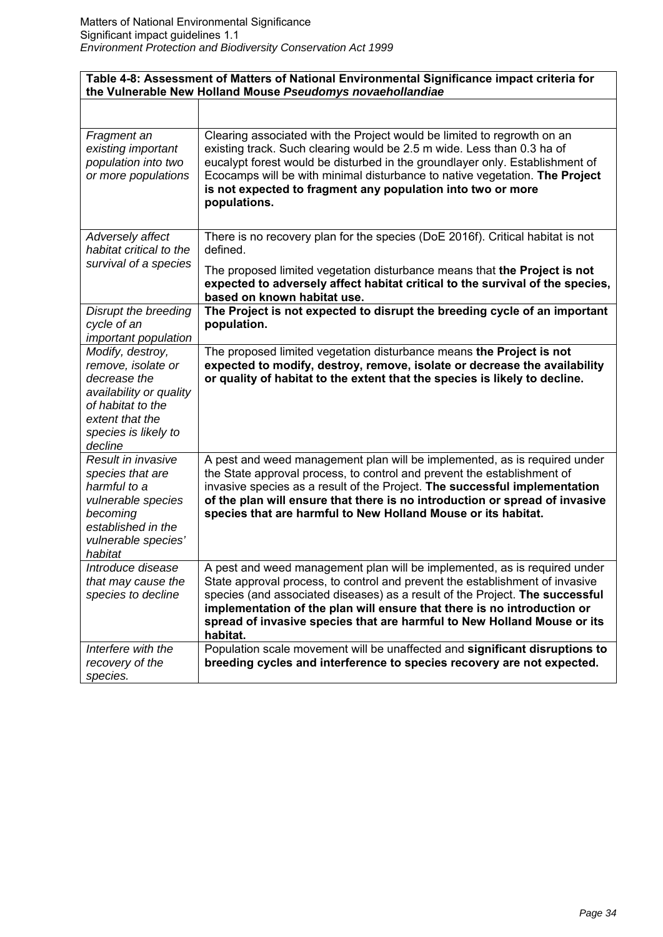| Table 4-8: Assessment of Matters of National Environmental Significance impact criteria for<br>the Vulnerable New Holland Mouse Pseudomys novaehollandiae    |                                                                                                                                                                                                                                                                                                                                                                                                             |
|--------------------------------------------------------------------------------------------------------------------------------------------------------------|-------------------------------------------------------------------------------------------------------------------------------------------------------------------------------------------------------------------------------------------------------------------------------------------------------------------------------------------------------------------------------------------------------------|
|                                                                                                                                                              |                                                                                                                                                                                                                                                                                                                                                                                                             |
| Fragment an<br>existing important<br>population into two<br>or more populations                                                                              | Clearing associated with the Project would be limited to regrowth on an<br>existing track. Such clearing would be 2.5 m wide. Less than 0.3 ha of<br>eucalypt forest would be disturbed in the groundlayer only. Establishment of<br>Ecocamps will be with minimal disturbance to native vegetation. The Project<br>is not expected to fragment any population into two or more<br>populations.             |
| Adversely affect<br>habitat critical to the                                                                                                                  | There is no recovery plan for the species (DoE 2016f). Critical habitat is not<br>defined.                                                                                                                                                                                                                                                                                                                  |
| survival of a species                                                                                                                                        | The proposed limited vegetation disturbance means that the Project is not<br>expected to adversely affect habitat critical to the survival of the species,<br>based on known habitat use.                                                                                                                                                                                                                   |
| Disrupt the breeding<br>cycle of an<br>important population                                                                                                  | The Project is not expected to disrupt the breeding cycle of an important<br>population.                                                                                                                                                                                                                                                                                                                    |
| Modify, destroy,<br>remove, isolate or<br>decrease the<br>availability or quality<br>of habitat to the<br>extent that the<br>species is likely to<br>decline | The proposed limited vegetation disturbance means the Project is not<br>expected to modify, destroy, remove, isolate or decrease the availability<br>or quality of habitat to the extent that the species is likely to decline.                                                                                                                                                                             |
| Result in invasive<br>species that are<br>harmful to a<br>vulnerable species<br>becoming<br>established in the<br>vulnerable species'<br>habitat             | A pest and weed management plan will be implemented, as is required under<br>the State approval process, to control and prevent the establishment of<br>invasive species as a result of the Project. The successful implementation<br>of the plan will ensure that there is no introduction or spread of invasive<br>species that are harmful to New Holland Mouse or its habitat.                          |
| Introduce disease<br>that may cause the<br>species to decline                                                                                                | A pest and weed management plan will be implemented, as is required under<br>State approval process, to control and prevent the establishment of invasive<br>species (and associated diseases) as a result of the Project. The successful<br>implementation of the plan will ensure that there is no introduction or<br>spread of invasive species that are harmful to New Holland Mouse or its<br>habitat. |
| Interfere with the<br>recovery of the<br>species.                                                                                                            | Population scale movement will be unaffected and significant disruptions to<br>breeding cycles and interference to species recovery are not expected.                                                                                                                                                                                                                                                       |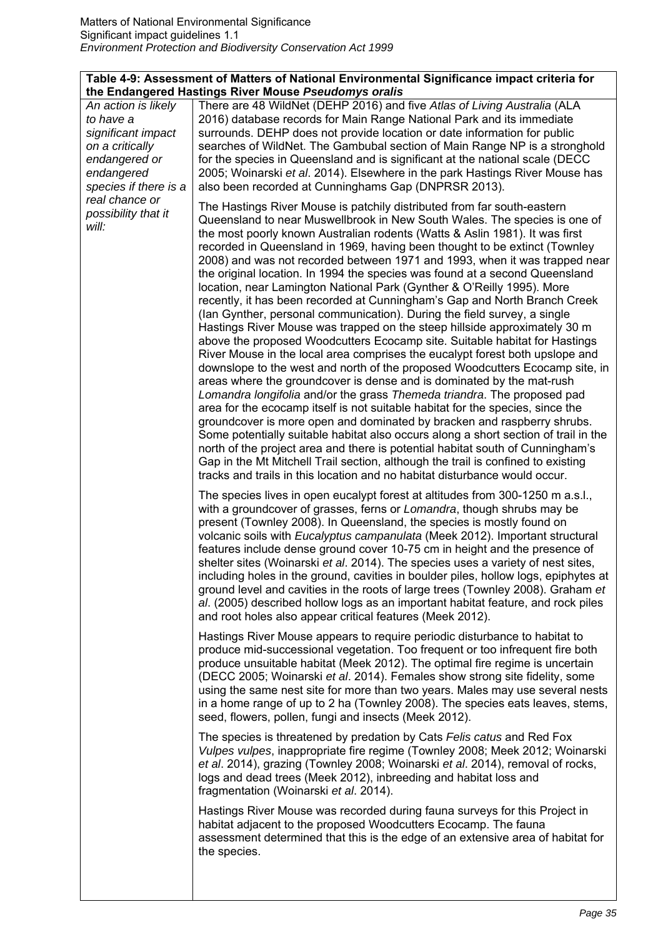## **Table 4-9: Assessment of Matters of National Environmental Significance impact criteria for the Endangered Hastings River Mouse** *Pseudomys oralis*

|                                                                                                                                                                                     | the Endangered Hastings Kiver Mouse <i>Pseudomys Orans</i>                                                                                                                                                                                                                                                                                                                                                                                                                                                                                                                                                                                                                                                                                                                                                                                                                                                                                                                                                                                                                                                                                                                                                                                                                                                                                                                                                                                                                                                                                                                                                                                                                                               |
|-------------------------------------------------------------------------------------------------------------------------------------------------------------------------------------|----------------------------------------------------------------------------------------------------------------------------------------------------------------------------------------------------------------------------------------------------------------------------------------------------------------------------------------------------------------------------------------------------------------------------------------------------------------------------------------------------------------------------------------------------------------------------------------------------------------------------------------------------------------------------------------------------------------------------------------------------------------------------------------------------------------------------------------------------------------------------------------------------------------------------------------------------------------------------------------------------------------------------------------------------------------------------------------------------------------------------------------------------------------------------------------------------------------------------------------------------------------------------------------------------------------------------------------------------------------------------------------------------------------------------------------------------------------------------------------------------------------------------------------------------------------------------------------------------------------------------------------------------------------------------------------------------------|
| An action is likely<br>to have a<br>significant impact<br>on a critically<br>endangered or<br>endangered<br>species if there is a<br>real chance or<br>possibility that it<br>will: | There are 48 WildNet (DEHP 2016) and five Atlas of Living Australia (ALA<br>2016) database records for Main Range National Park and its immediate<br>surrounds. DEHP does not provide location or date information for public<br>searches of WildNet. The Gambubal section of Main Range NP is a stronghold<br>for the species in Queensland and is significant at the national scale (DECC)<br>2005; Woinarski et al. 2014). Elsewhere in the park Hastings River Mouse has<br>also been recorded at Cunninghams Gap (DNPRSR 2013).                                                                                                                                                                                                                                                                                                                                                                                                                                                                                                                                                                                                                                                                                                                                                                                                                                                                                                                                                                                                                                                                                                                                                                     |
|                                                                                                                                                                                     | The Hastings River Mouse is patchily distributed from far south-eastern<br>Queensland to near Muswellbrook in New South Wales. The species is one of<br>the most poorly known Australian rodents (Watts & Aslin 1981). It was first<br>recorded in Queensland in 1969, having been thought to be extinct (Townley<br>2008) and was not recorded between 1971 and 1993, when it was trapped near<br>the original location. In 1994 the species was found at a second Queensland<br>location, near Lamington National Park (Gynther & O'Reilly 1995). More<br>recently, it has been recorded at Cunningham's Gap and North Branch Creek<br>(lan Gynther, personal communication). During the field survey, a single<br>Hastings River Mouse was trapped on the steep hillside approximately 30 m<br>above the proposed Woodcutters Ecocamp site. Suitable habitat for Hastings<br>River Mouse in the local area comprises the eucalypt forest both upslope and<br>downslope to the west and north of the proposed Woodcutters Ecocamp site, in<br>areas where the groundcover is dense and is dominated by the mat-rush<br>Lomandra longifolia and/or the grass Themeda triandra. The proposed pad<br>area for the ecocamp itself is not suitable habitat for the species, since the<br>groundcover is more open and dominated by bracken and raspberry shrubs.<br>Some potentially suitable habitat also occurs along a short section of trail in the<br>north of the project area and there is potential habitat south of Cunningham's<br>Gap in the Mt Mitchell Trail section, although the trail is confined to existing<br>tracks and trails in this location and no habitat disturbance would occur. |
|                                                                                                                                                                                     | The species lives in open eucalypt forest at altitudes from 300-1250 m a.s.l.,<br>with a groundcover of grasses, ferns or Lomandra, though shrubs may be<br>present (Townley 2008). In Queensland, the species is mostly found on<br>volcanic soils with Eucalyptus campanulata (Meek 2012). Important structural<br>features include dense ground cover 10-75 cm in height and the presence of<br>shelter sites (Woinarski et al. 2014). The species uses a variety of nest sites,<br>including holes in the ground, cavities in boulder piles, hollow logs, epiphytes at<br>ground level and cavities in the roots of large trees (Townley 2008). Graham et<br>al. (2005) described hollow logs as an important habitat feature, and rock piles<br>and root holes also appear critical features (Meek 2012).                                                                                                                                                                                                                                                                                                                                                                                                                                                                                                                                                                                                                                                                                                                                                                                                                                                                                           |
|                                                                                                                                                                                     | Hastings River Mouse appears to require periodic disturbance to habitat to<br>produce mid-successional vegetation. Too frequent or too infrequent fire both<br>produce unsuitable habitat (Meek 2012). The optimal fire regime is uncertain<br>(DECC 2005; Woinarski et al. 2014). Females show strong site fidelity, some<br>using the same nest site for more than two years. Males may use several nests<br>in a home range of up to 2 ha (Townley 2008). The species eats leaves, stems,<br>seed, flowers, pollen, fungi and insects (Meek 2012).                                                                                                                                                                                                                                                                                                                                                                                                                                                                                                                                                                                                                                                                                                                                                                                                                                                                                                                                                                                                                                                                                                                                                    |
|                                                                                                                                                                                     | The species is threatened by predation by Cats Felis catus and Red Fox<br>Vulpes vulpes, inappropriate fire regime (Townley 2008; Meek 2012; Woinarski<br>et al. 2014), grazing (Townley 2008; Woinarski et al. 2014), removal of rocks,<br>logs and dead trees (Meek 2012), inbreeding and habitat loss and<br>fragmentation (Woinarski et al. 2014).                                                                                                                                                                                                                                                                                                                                                                                                                                                                                                                                                                                                                                                                                                                                                                                                                                                                                                                                                                                                                                                                                                                                                                                                                                                                                                                                                   |
|                                                                                                                                                                                     | Hastings River Mouse was recorded during fauna surveys for this Project in<br>habitat adjacent to the proposed Woodcutters Ecocamp. The fauna<br>assessment determined that this is the edge of an extensive area of habitat for<br>the species.                                                                                                                                                                                                                                                                                                                                                                                                                                                                                                                                                                                                                                                                                                                                                                                                                                                                                                                                                                                                                                                                                                                                                                                                                                                                                                                                                                                                                                                         |
|                                                                                                                                                                                     |                                                                                                                                                                                                                                                                                                                                                                                                                                                                                                                                                                                                                                                                                                                                                                                                                                                                                                                                                                                                                                                                                                                                                                                                                                                                                                                                                                                                                                                                                                                                                                                                                                                                                                          |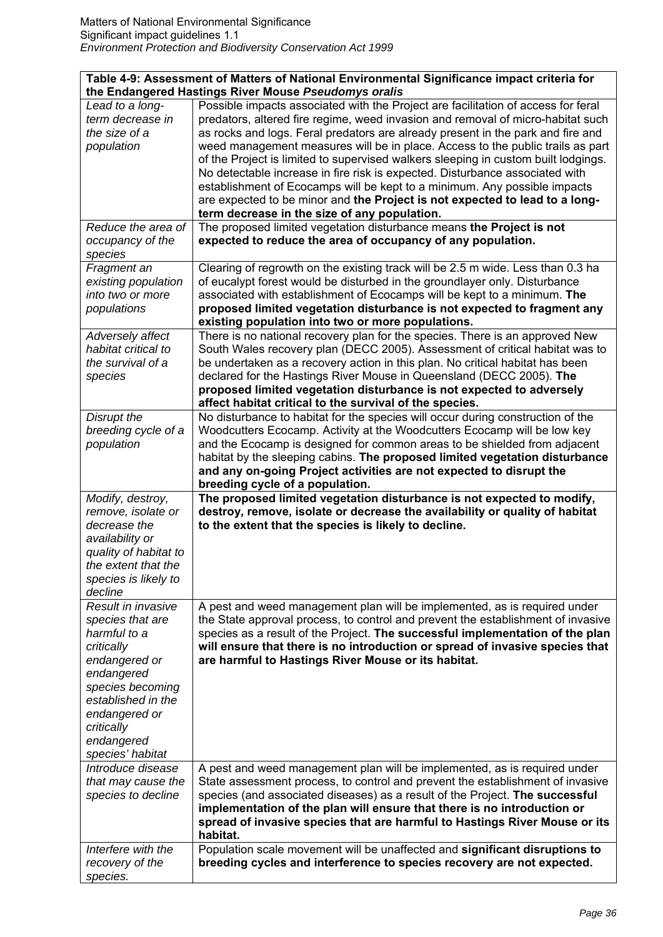| Table 4-9: Assessment of Matters of National Environmental Significance impact criteria for<br>the Endangered Hastings River Mouse Pseudomys oralis                                                            |                                                                                                                                                                                                                                                                                                                                                                                                                                                                                                                                                                                                                                                                                                                             |
|----------------------------------------------------------------------------------------------------------------------------------------------------------------------------------------------------------------|-----------------------------------------------------------------------------------------------------------------------------------------------------------------------------------------------------------------------------------------------------------------------------------------------------------------------------------------------------------------------------------------------------------------------------------------------------------------------------------------------------------------------------------------------------------------------------------------------------------------------------------------------------------------------------------------------------------------------------|
| Lead to a long-<br>term decrease in<br>the size of a<br>population                                                                                                                                             | Possible impacts associated with the Project are facilitation of access for feral<br>predators, altered fire regime, weed invasion and removal of micro-habitat such<br>as rocks and logs. Feral predators are already present in the park and fire and<br>weed management measures will be in place. Access to the public trails as part<br>of the Project is limited to supervised walkers sleeping in custom built lodgings.<br>No detectable increase in fire risk is expected. Disturbance associated with<br>establishment of Ecocamps will be kept to a minimum. Any possible impacts<br>are expected to be minor and the Project is not expected to lead to a long-<br>term decrease in the size of any population. |
| Reduce the area of<br>occupancy of the<br>species                                                                                                                                                              | The proposed limited vegetation disturbance means the Project is not<br>expected to reduce the area of occupancy of any population.                                                                                                                                                                                                                                                                                                                                                                                                                                                                                                                                                                                         |
| Fragment an<br>existing population<br>into two or more<br>populations                                                                                                                                          | Clearing of regrowth on the existing track will be 2.5 m wide. Less than 0.3 ha<br>of eucalypt forest would be disturbed in the groundlayer only. Disturbance<br>associated with establishment of Ecocamps will be kept to a minimum. The<br>proposed limited vegetation disturbance is not expected to fragment any<br>existing population into two or more populations.                                                                                                                                                                                                                                                                                                                                                   |
| Adversely affect<br>habitat critical to<br>the survival of a<br>species                                                                                                                                        | There is no national recovery plan for the species. There is an approved New<br>South Wales recovery plan (DECC 2005). Assessment of critical habitat was to<br>be undertaken as a recovery action in this plan. No critical habitat has been<br>declared for the Hastings River Mouse in Queensland (DECC 2005). The<br>proposed limited vegetation disturbance is not expected to adversely<br>affect habitat critical to the survival of the species.                                                                                                                                                                                                                                                                    |
| Disrupt the<br>breeding cycle of a<br>population                                                                                                                                                               | No disturbance to habitat for the species will occur during construction of the<br>Woodcutters Ecocamp. Activity at the Woodcutters Ecocamp will be low key<br>and the Ecocamp is designed for common areas to be shielded from adjacent<br>habitat by the sleeping cabins. The proposed limited vegetation disturbance<br>and any on-going Project activities are not expected to disrupt the<br>breeding cycle of a population.                                                                                                                                                                                                                                                                                           |
| Modify, destroy,<br>remove, isolate or<br>decrease the<br>availability or<br>quality of habitat to<br>the extent that the<br>species is likely to<br>decline                                                   | The proposed limited vegetation disturbance is not expected to modify,<br>destroy, remove, isolate or decrease the availability or quality of habitat<br>to the extent that the species is likely to decline.                                                                                                                                                                                                                                                                                                                                                                                                                                                                                                               |
| Result in invasive<br>species that are<br>harmful to a<br>critically<br>endangered or<br>endangered<br>species becoming<br>established in the<br>endangered or<br>critically<br>endangered<br>species' habitat | A pest and weed management plan will be implemented, as is required under<br>the State approval process, to control and prevent the establishment of invasive<br>species as a result of the Project. The successful implementation of the plan<br>will ensure that there is no introduction or spread of invasive species that<br>are harmful to Hastings River Mouse or its habitat.                                                                                                                                                                                                                                                                                                                                       |
| Introduce disease<br>that may cause the<br>species to decline                                                                                                                                                  | A pest and weed management plan will be implemented, as is required under<br>State assessment process, to control and prevent the establishment of invasive<br>species (and associated diseases) as a result of the Project. The successful<br>implementation of the plan will ensure that there is no introduction or<br>spread of invasive species that are harmful to Hastings River Mouse or its<br>habitat.                                                                                                                                                                                                                                                                                                            |
| Interfere with the<br>recovery of the<br>species.                                                                                                                                                              | Population scale movement will be unaffected and significant disruptions to<br>breeding cycles and interference to species recovery are not expected.                                                                                                                                                                                                                                                                                                                                                                                                                                                                                                                                                                       |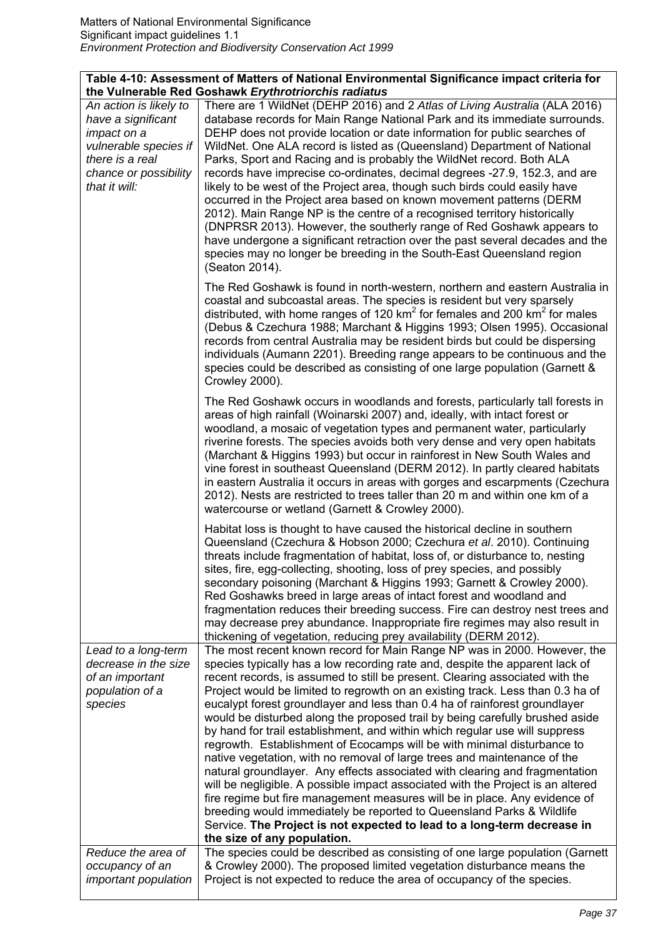| Table 4-10: Assessment of Matters of National Environmental Significance impact criteria for |                                                                                                                                                                                                                                             |
|----------------------------------------------------------------------------------------------|---------------------------------------------------------------------------------------------------------------------------------------------------------------------------------------------------------------------------------------------|
|                                                                                              | the Vulnerable Red Goshawk Erythrotriorchis radiatus                                                                                                                                                                                        |
| An action is likely to                                                                       | There are 1 WildNet (DEHP 2016) and 2 Atlas of Living Australia (ALA 2016)                                                                                                                                                                  |
| have a significant                                                                           | database records for Main Range National Park and its immediate surrounds.                                                                                                                                                                  |
| impact on a                                                                                  | DEHP does not provide location or date information for public searches of                                                                                                                                                                   |
| vulnerable species if                                                                        | WildNet. One ALA record is listed as (Queensland) Department of National                                                                                                                                                                    |
| there is a real                                                                              | Parks, Sport and Racing and is probably the WildNet record. Both ALA                                                                                                                                                                        |
| chance or possibility                                                                        | records have imprecise co-ordinates, decimal degrees -27.9, 152.3, and are                                                                                                                                                                  |
| that it will:                                                                                | likely to be west of the Project area, though such birds could easily have                                                                                                                                                                  |
|                                                                                              | occurred in the Project area based on known movement patterns (DERM                                                                                                                                                                         |
|                                                                                              | 2012). Main Range NP is the centre of a recognised territory historically                                                                                                                                                                   |
|                                                                                              | (DNPRSR 2013). However, the southerly range of Red Goshawk appears to                                                                                                                                                                       |
|                                                                                              | have undergone a significant retraction over the past several decades and the                                                                                                                                                               |
|                                                                                              | species may no longer be breeding in the South-East Queensland region                                                                                                                                                                       |
|                                                                                              | (Seaton 2014).                                                                                                                                                                                                                              |
|                                                                                              | The Red Goshawk is found in north-western, northern and eastern Australia in<br>coastal and subcoastal areas. The species is resident but very sparsely<br>distributed, with home ranges of 120 $km^2$ for females and 200 $km^2$ for males |
|                                                                                              | (Debus & Czechura 1988; Marchant & Higgins 1993; Olsen 1995). Occasional                                                                                                                                                                    |
|                                                                                              | records from central Australia may be resident birds but could be dispersing<br>individuals (Aumann 2201). Breeding range appears to be continuous and the                                                                                  |
|                                                                                              | species could be described as consisting of one large population (Garnett &                                                                                                                                                                 |
|                                                                                              | Crowley 2000).                                                                                                                                                                                                                              |
|                                                                                              | The Red Goshawk occurs in woodlands and forests, particularly tall forests in                                                                                                                                                               |
|                                                                                              | areas of high rainfall (Woinarski 2007) and, ideally, with intact forest or                                                                                                                                                                 |
|                                                                                              | woodland, a mosaic of vegetation types and permanent water, particularly                                                                                                                                                                    |
|                                                                                              | riverine forests. The species avoids both very dense and very open habitats                                                                                                                                                                 |
|                                                                                              | (Marchant & Higgins 1993) but occur in rainforest in New South Wales and<br>vine forest in southeast Queensland (DERM 2012). In partly cleared habitats                                                                                     |
|                                                                                              | in eastern Australia it occurs in areas with gorges and escarpments (Czechura                                                                                                                                                               |
|                                                                                              | 2012). Nests are restricted to trees taller than 20 m and within one km of a                                                                                                                                                                |
|                                                                                              | watercourse or wetland (Garnett & Crowley 2000).                                                                                                                                                                                            |
|                                                                                              | Habitat loss is thought to have caused the historical decline in southern                                                                                                                                                                   |
|                                                                                              | Queensland (Czechura & Hobson 2000; Czechura et al. 2010). Continuing                                                                                                                                                                       |
|                                                                                              | threats include fragmentation of habitat, loss of, or disturbance to, nesting<br>sites, fire, egg-collecting, shooting, loss of prey species, and possibly                                                                                  |
|                                                                                              | secondary poisoning (Marchant & Higgins 1993; Garnett & Crowley 2000).                                                                                                                                                                      |
|                                                                                              | Red Goshawks breed in large areas of intact forest and woodland and                                                                                                                                                                         |
|                                                                                              | fragmentation reduces their breeding success. Fire can destroy nest trees and                                                                                                                                                               |
|                                                                                              | may decrease prey abundance. Inappropriate fire regimes may also result in                                                                                                                                                                  |
|                                                                                              | thickening of vegetation, reducing prey availability (DERM 2012).                                                                                                                                                                           |
| Lead to a long-term                                                                          | The most recent known record for Main Range NP was in 2000. However, the                                                                                                                                                                    |
| decrease in the size                                                                         | species typically has a low recording rate and, despite the apparent lack of                                                                                                                                                                |
| of an important                                                                              | recent records, is assumed to still be present. Clearing associated with the                                                                                                                                                                |
| population of a                                                                              | Project would be limited to regrowth on an existing track. Less than 0.3 ha of                                                                                                                                                              |
| species                                                                                      | eucalypt forest groundlayer and less than 0.4 ha of rainforest groundlayer                                                                                                                                                                  |
|                                                                                              | would be disturbed along the proposed trail by being carefully brushed aside                                                                                                                                                                |
|                                                                                              | by hand for trail establishment, and within which regular use will suppress                                                                                                                                                                 |
|                                                                                              | regrowth. Establishment of Ecocamps will be with minimal disturbance to                                                                                                                                                                     |
|                                                                                              | native vegetation, with no removal of large trees and maintenance of the                                                                                                                                                                    |
|                                                                                              | natural groundlayer. Any effects associated with clearing and fragmentation                                                                                                                                                                 |
|                                                                                              | will be negligible. A possible impact associated with the Project is an altered                                                                                                                                                             |
|                                                                                              | fire regime but fire management measures will be in place. Any evidence of                                                                                                                                                                  |
|                                                                                              | breeding would immediately be reported to Queensland Parks & Wildlife<br>Service. The Project is not expected to lead to a long-term decrease in                                                                                            |
|                                                                                              | the size of any population.                                                                                                                                                                                                                 |
| Reduce the area of                                                                           | The species could be described as consisting of one large population (Garnett                                                                                                                                                               |
| occupancy of an                                                                              | & Crowley 2000). The proposed limited vegetation disturbance means the                                                                                                                                                                      |
| <i>important population</i>                                                                  | Project is not expected to reduce the area of occupancy of the species.                                                                                                                                                                     |
|                                                                                              |                                                                                                                                                                                                                                             |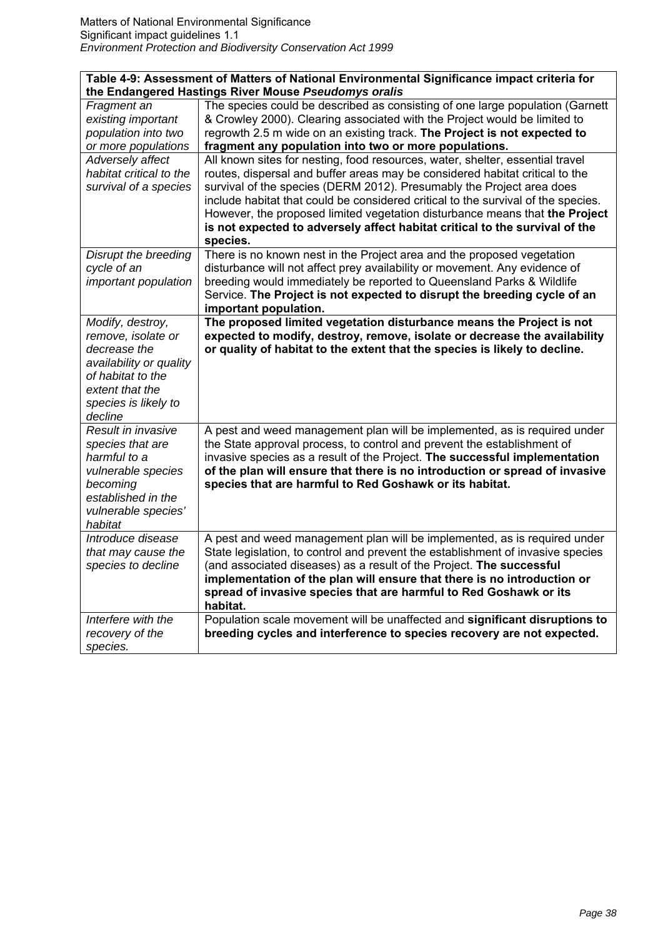| Table 4-9: Assessment of Matters of National Environmental Significance impact criteria for<br>the Endangered Hastings River Mouse Pseudomys oralis          |                                                                                                                                                                                                                                                                                                                                                                                                                                                                                                       |
|--------------------------------------------------------------------------------------------------------------------------------------------------------------|-------------------------------------------------------------------------------------------------------------------------------------------------------------------------------------------------------------------------------------------------------------------------------------------------------------------------------------------------------------------------------------------------------------------------------------------------------------------------------------------------------|
| Fragment an<br>existing important<br>population into two<br>or more populations                                                                              | The species could be described as consisting of one large population (Garnett<br>& Crowley 2000). Clearing associated with the Project would be limited to<br>regrowth 2.5 m wide on an existing track. The Project is not expected to<br>fragment any population into two or more populations.                                                                                                                                                                                                       |
| Adversely affect<br>habitat critical to the<br>survival of a species                                                                                         | All known sites for nesting, food resources, water, shelter, essential travel<br>routes, dispersal and buffer areas may be considered habitat critical to the<br>survival of the species (DERM 2012). Presumably the Project area does<br>include habitat that could be considered critical to the survival of the species.<br>However, the proposed limited vegetation disturbance means that the Project<br>is not expected to adversely affect habitat critical to the survival of the<br>species. |
| Disrupt the breeding<br>cycle of an<br>important population                                                                                                  | There is no known nest in the Project area and the proposed vegetation<br>disturbance will not affect prey availability or movement. Any evidence of<br>breeding would immediately be reported to Queensland Parks & Wildlife<br>Service. The Project is not expected to disrupt the breeding cycle of an<br>important population.                                                                                                                                                                    |
| Modify, destroy,<br>remove, isolate or<br>decrease the<br>availability or quality<br>of habitat to the<br>extent that the<br>species is likely to<br>decline | The proposed limited vegetation disturbance means the Project is not<br>expected to modify, destroy, remove, isolate or decrease the availability<br>or quality of habitat to the extent that the species is likely to decline.                                                                                                                                                                                                                                                                       |
| Result in invasive<br>species that are<br>harmful to a<br>vulnerable species<br>becoming<br>established in the<br>vulnerable species'<br>habitat             | A pest and weed management plan will be implemented, as is required under<br>the State approval process, to control and prevent the establishment of<br>invasive species as a result of the Project. The successful implementation<br>of the plan will ensure that there is no introduction or spread of invasive<br>species that are harmful to Red Goshawk or its habitat.                                                                                                                          |
| Introduce disease<br>that may cause the<br>species to decline                                                                                                | A pest and weed management plan will be implemented, as is required under<br>State legislation, to control and prevent the establishment of invasive species<br>(and associated diseases) as a result of the Project. The successful<br>implementation of the plan will ensure that there is no introduction or<br>spread of invasive species that are harmful to Red Goshawk or its<br>habitat.                                                                                                      |
| Interfere with the<br>recovery of the<br>species.                                                                                                            | Population scale movement will be unaffected and significant disruptions to<br>breeding cycles and interference to species recovery are not expected.                                                                                                                                                                                                                                                                                                                                                 |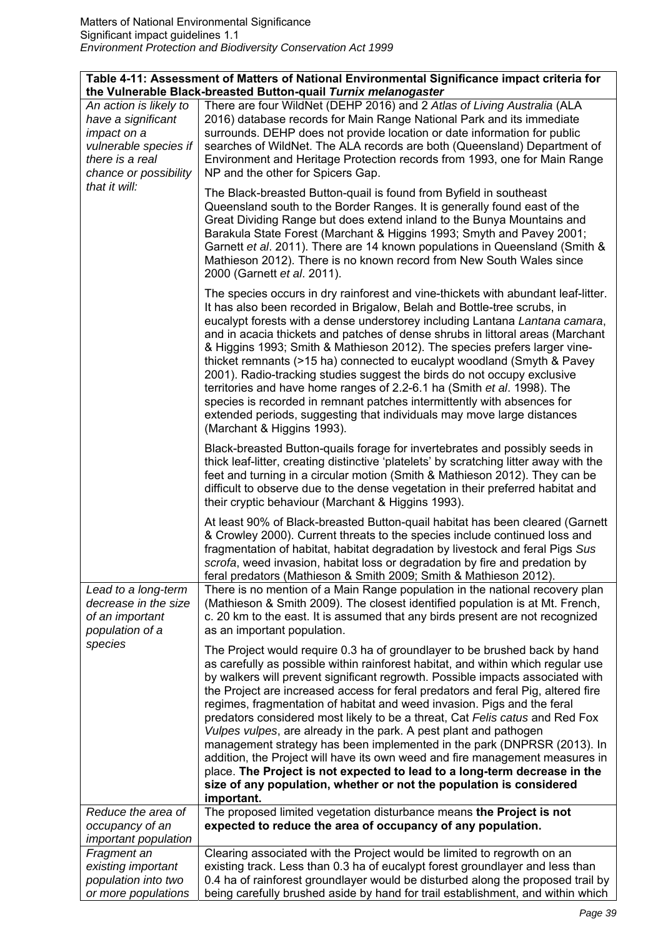| Table 4-11: Assessment of Matters of National Environmental Significance impact criteria for<br>the Vulnerable Black-breasted Button-quail Turnix melanogaster |                                                                                                                                                                                                                                                                                                                                                                                                                                                                                                                                                                                                                                                                                                                                                                                                                                                                                                   |
|----------------------------------------------------------------------------------------------------------------------------------------------------------------|---------------------------------------------------------------------------------------------------------------------------------------------------------------------------------------------------------------------------------------------------------------------------------------------------------------------------------------------------------------------------------------------------------------------------------------------------------------------------------------------------------------------------------------------------------------------------------------------------------------------------------------------------------------------------------------------------------------------------------------------------------------------------------------------------------------------------------------------------------------------------------------------------|
| An action is likely to<br>have a significant<br>impact on a<br>vulnerable species if<br>there is a real<br>chance or possibility                               | There are four WildNet (DEHP 2016) and 2 Atlas of Living Australia (ALA<br>2016) database records for Main Range National Park and its immediate<br>surrounds. DEHP does not provide location or date information for public<br>searches of WildNet. The ALA records are both (Queensland) Department of<br>Environment and Heritage Protection records from 1993, one for Main Range<br>NP and the other for Spicers Gap.                                                                                                                                                                                                                                                                                                                                                                                                                                                                        |
| that it will:                                                                                                                                                  | The Black-breasted Button-quail is found from Byfield in southeast<br>Queensland south to the Border Ranges. It is generally found east of the<br>Great Dividing Range but does extend inland to the Bunya Mountains and<br>Barakula State Forest (Marchant & Higgins 1993; Smyth and Pavey 2001;<br>Garnett et al. 2011). There are 14 known populations in Queensland (Smith &<br>Mathieson 2012). There is no known record from New South Wales since<br>2000 (Garnett et al. 2011).                                                                                                                                                                                                                                                                                                                                                                                                           |
|                                                                                                                                                                | The species occurs in dry rainforest and vine-thickets with abundant leaf-litter.<br>It has also been recorded in Brigalow, Belah and Bottle-tree scrubs, in<br>eucalypt forests with a dense understorey including Lantana Lantana camara,<br>and in acacia thickets and patches of dense shrubs in littoral areas (Marchant<br>& Higgins 1993; Smith & Mathieson 2012). The species prefers larger vine-<br>thicket remnants (>15 ha) connected to eucalypt woodland (Smyth & Pavey<br>2001). Radio-tracking studies suggest the birds do not occupy exclusive<br>territories and have home ranges of 2.2-6.1 ha (Smith et al. 1998). The<br>species is recorded in remnant patches intermittently with absences for<br>extended periods, suggesting that individuals may move large distances<br>(Marchant & Higgins 1993).                                                                    |
|                                                                                                                                                                | Black-breasted Button-quails forage for invertebrates and possibly seeds in<br>thick leaf-litter, creating distinctive 'platelets' by scratching litter away with the<br>feet and turning in a circular motion (Smith & Mathieson 2012). They can be<br>difficult to observe due to the dense vegetation in their preferred habitat and<br>their cryptic behaviour (Marchant & Higgins 1993).                                                                                                                                                                                                                                                                                                                                                                                                                                                                                                     |
|                                                                                                                                                                | At least 90% of Black-breasted Button-quail habitat has been cleared (Garnett<br>& Crowley 2000). Current threats to the species include continued loss and<br>fragmentation of habitat, habitat degradation by livestock and feral Pigs Sus<br>scrofa, weed invasion, habitat loss or degradation by fire and predation by<br>feral predators (Mathieson & Smith 2009; Smith & Mathieson 2012).                                                                                                                                                                                                                                                                                                                                                                                                                                                                                                  |
| Lead to a long-term<br>decrease in the size<br>of an important<br>population of a                                                                              | There is no mention of a Main Range population in the national recovery plan<br>(Mathieson & Smith 2009). The closest identified population is at Mt. French,<br>c. 20 km to the east. It is assumed that any birds present are not recognized<br>as an important population.                                                                                                                                                                                                                                                                                                                                                                                                                                                                                                                                                                                                                     |
| species                                                                                                                                                        | The Project would require 0.3 ha of groundlayer to be brushed back by hand<br>as carefully as possible within rainforest habitat, and within which regular use<br>by walkers will prevent significant regrowth. Possible impacts associated with<br>the Project are increased access for feral predators and feral Pig, altered fire<br>regimes, fragmentation of habitat and weed invasion. Pigs and the feral<br>predators considered most likely to be a threat, Cat Felis catus and Red Fox<br>Vulpes vulpes, are already in the park. A pest plant and pathogen<br>management strategy has been implemented in the park (DNPRSR (2013). In<br>addition, the Project will have its own weed and fire management measures in<br>place. The Project is not expected to lead to a long-term decrease in the<br>size of any population, whether or not the population is considered<br>important. |
| Reduce the area of<br>occupancy of an                                                                                                                          | The proposed limited vegetation disturbance means the Project is not<br>expected to reduce the area of occupancy of any population.                                                                                                                                                                                                                                                                                                                                                                                                                                                                                                                                                                                                                                                                                                                                                               |
| important population                                                                                                                                           |                                                                                                                                                                                                                                                                                                                                                                                                                                                                                                                                                                                                                                                                                                                                                                                                                                                                                                   |
| Fragment an                                                                                                                                                    | Clearing associated with the Project would be limited to regrowth on an                                                                                                                                                                                                                                                                                                                                                                                                                                                                                                                                                                                                                                                                                                                                                                                                                           |
| existing important<br>population into two                                                                                                                      | existing track. Less than 0.3 ha of eucalypt forest groundlayer and less than<br>0.4 ha of rainforest groundlayer would be disturbed along the proposed trail by                                                                                                                                                                                                                                                                                                                                                                                                                                                                                                                                                                                                                                                                                                                                  |
| or more populations                                                                                                                                            | being carefully brushed aside by hand for trail establishment, and within which                                                                                                                                                                                                                                                                                                                                                                                                                                                                                                                                                                                                                                                                                                                                                                                                                   |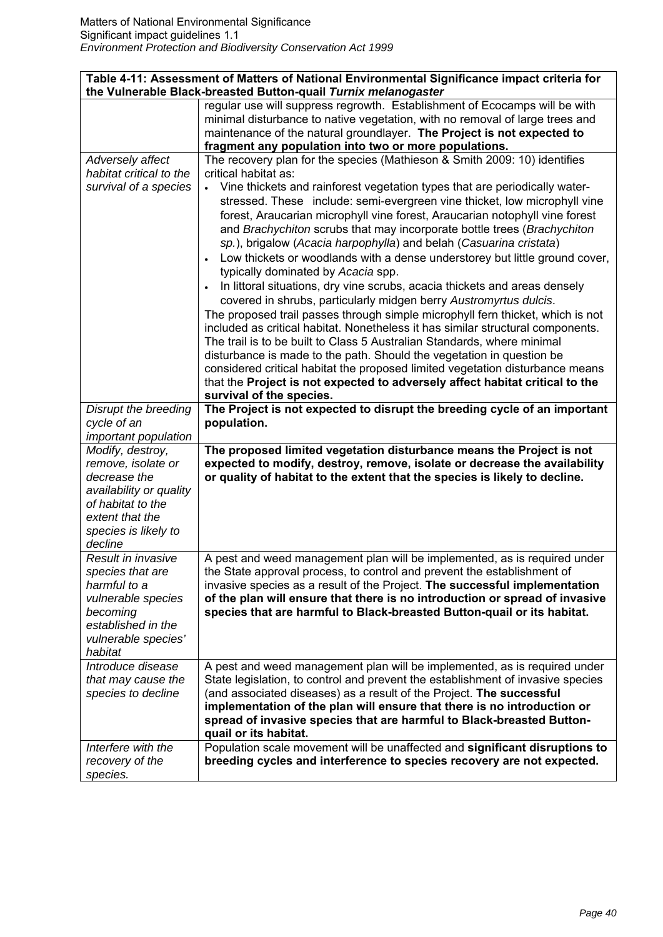| Table 4-11: Assessment of Matters of National Environmental Significance impact criteria for<br>the Vulnerable Black-breasted Button-quail Turnix melanogaster |                                                                                                                                                                                                                                      |
|----------------------------------------------------------------------------------------------------------------------------------------------------------------|--------------------------------------------------------------------------------------------------------------------------------------------------------------------------------------------------------------------------------------|
|                                                                                                                                                                | regular use will suppress regrowth. Establishment of Ecocamps will be with<br>minimal disturbance to native vegetation, with no removal of large trees and<br>maintenance of the natural groundlayer. The Project is not expected to |
|                                                                                                                                                                | fragment any population into two or more populations.                                                                                                                                                                                |
| Adversely affect                                                                                                                                               | The recovery plan for the species (Mathieson & Smith 2009: 10) identifies                                                                                                                                                            |
| habitat critical to the                                                                                                                                        | critical habitat as:                                                                                                                                                                                                                 |
| survival of a species                                                                                                                                          | Vine thickets and rainforest vegetation types that are periodically water-                                                                                                                                                           |
|                                                                                                                                                                | stressed. These include: semi-evergreen vine thicket, low microphyll vine                                                                                                                                                            |
|                                                                                                                                                                | forest, Araucarian microphyll vine forest, Araucarian notophyll vine forest                                                                                                                                                          |
|                                                                                                                                                                | and Brachychiton scrubs that may incorporate bottle trees (Brachychiton                                                                                                                                                              |
|                                                                                                                                                                | sp.), brigalow (Acacia harpophylla) and belah (Casuarina cristata)                                                                                                                                                                   |
|                                                                                                                                                                | Low thickets or woodlands with a dense understorey but little ground cover,<br>$\bullet$<br>typically dominated by Acacia spp.                                                                                                       |
|                                                                                                                                                                | In littoral situations, dry vine scrubs, acacia thickets and areas densely                                                                                                                                                           |
|                                                                                                                                                                | covered in shrubs, particularly midgen berry Austromyrtus dulcis.                                                                                                                                                                    |
|                                                                                                                                                                | The proposed trail passes through simple microphyll fern thicket, which is not                                                                                                                                                       |
|                                                                                                                                                                | included as critical habitat. Nonetheless it has similar structural components.                                                                                                                                                      |
|                                                                                                                                                                | The trail is to be built to Class 5 Australian Standards, where minimal                                                                                                                                                              |
|                                                                                                                                                                | disturbance is made to the path. Should the vegetation in question be                                                                                                                                                                |
|                                                                                                                                                                | considered critical habitat the proposed limited vegetation disturbance means                                                                                                                                                        |
|                                                                                                                                                                | that the Project is not expected to adversely affect habitat critical to the                                                                                                                                                         |
|                                                                                                                                                                | survival of the species.                                                                                                                                                                                                             |
| Disrupt the breeding<br>cycle of an                                                                                                                            | The Project is not expected to disrupt the breeding cycle of an important<br>population.                                                                                                                                             |
| important population                                                                                                                                           |                                                                                                                                                                                                                                      |
| Modify, destroy,                                                                                                                                               | The proposed limited vegetation disturbance means the Project is not                                                                                                                                                                 |
| remove, isolate or                                                                                                                                             | expected to modify, destroy, remove, isolate or decrease the availability                                                                                                                                                            |
| decrease the                                                                                                                                                   | or quality of habitat to the extent that the species is likely to decline.                                                                                                                                                           |
| availability or quality                                                                                                                                        |                                                                                                                                                                                                                                      |
| of habitat to the                                                                                                                                              |                                                                                                                                                                                                                                      |
| extent that the                                                                                                                                                |                                                                                                                                                                                                                                      |
| species is likely to                                                                                                                                           |                                                                                                                                                                                                                                      |
| decline                                                                                                                                                        |                                                                                                                                                                                                                                      |
| Result in invasive                                                                                                                                             | A pest and weed management plan will be implemented, as is required under                                                                                                                                                            |
| species that are                                                                                                                                               | the State approval process, to control and prevent the establishment of                                                                                                                                                              |
| harmful to a                                                                                                                                                   | invasive species as a result of the Project. The successful implementation                                                                                                                                                           |
| vulnerable species                                                                                                                                             | of the plan will ensure that there is no introduction or spread of invasive                                                                                                                                                          |
| becoming                                                                                                                                                       | species that are harmful to Black-breasted Button-quail or its habitat.                                                                                                                                                              |
| established in the<br>vulnerable species'                                                                                                                      |                                                                                                                                                                                                                                      |
| habitat                                                                                                                                                        |                                                                                                                                                                                                                                      |
| Introduce disease                                                                                                                                              | A pest and weed management plan will be implemented, as is required under                                                                                                                                                            |
| that may cause the                                                                                                                                             | State legislation, to control and prevent the establishment of invasive species                                                                                                                                                      |
| species to decline                                                                                                                                             | (and associated diseases) as a result of the Project. The successful                                                                                                                                                                 |
|                                                                                                                                                                | implementation of the plan will ensure that there is no introduction or                                                                                                                                                              |
|                                                                                                                                                                | spread of invasive species that are harmful to Black-breasted Button-                                                                                                                                                                |
|                                                                                                                                                                | quail or its habitat.                                                                                                                                                                                                                |
| Interfere with the                                                                                                                                             | Population scale movement will be unaffected and significant disruptions to                                                                                                                                                          |
| recovery of the                                                                                                                                                | breeding cycles and interference to species recovery are not expected.                                                                                                                                                               |
| species.                                                                                                                                                       |                                                                                                                                                                                                                                      |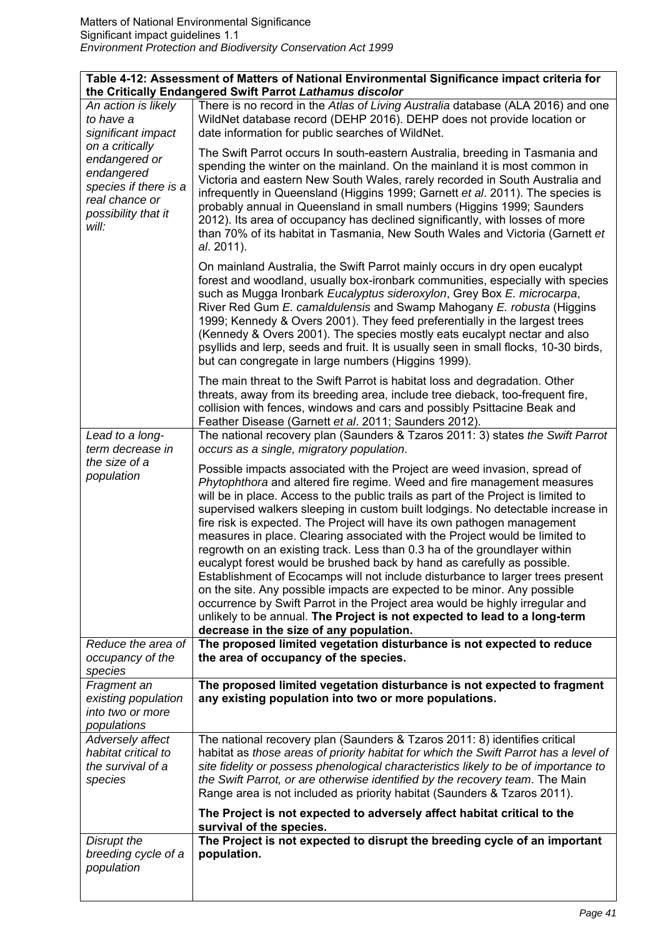| Table 4-12: Assessment of Matters of National Environmental Significance impact criteria for<br>the Critically Endangered Swift Parrot Lathamus discolor |                                                                                                                                                                                                                                                                                                                                                                                                                                                                                                                                                                                                                                                                                                                                                                                                                                                                                                                                                                                                                        |
|----------------------------------------------------------------------------------------------------------------------------------------------------------|------------------------------------------------------------------------------------------------------------------------------------------------------------------------------------------------------------------------------------------------------------------------------------------------------------------------------------------------------------------------------------------------------------------------------------------------------------------------------------------------------------------------------------------------------------------------------------------------------------------------------------------------------------------------------------------------------------------------------------------------------------------------------------------------------------------------------------------------------------------------------------------------------------------------------------------------------------------------------------------------------------------------|
| An action is likely<br>to have a<br>significant impact                                                                                                   | There is no record in the Atlas of Living Australia database (ALA 2016) and one<br>WildNet database record (DEHP 2016). DEHP does not provide location or<br>date information for public searches of WildNet.                                                                                                                                                                                                                                                                                                                                                                                                                                                                                                                                                                                                                                                                                                                                                                                                          |
| on a critically<br>endangered or<br>endangered<br>species if there is a<br>real chance or<br>possibility that it<br>will:                                | The Swift Parrot occurs In south-eastern Australia, breeding in Tasmania and<br>spending the winter on the mainland. On the mainland it is most common in<br>Victoria and eastern New South Wales, rarely recorded in South Australia and<br>infrequently in Queensland (Higgins 1999; Garnett et al. 2011). The species is<br>probably annual in Queensland in small numbers (Higgins 1999; Saunders<br>2012). Its area of occupancy has declined significantly, with losses of more<br>than 70% of its habitat in Tasmania, New South Wales and Victoria (Garnett et<br>al. 2011).                                                                                                                                                                                                                                                                                                                                                                                                                                   |
|                                                                                                                                                          | On mainland Australia, the Swift Parrot mainly occurs in dry open eucalypt<br>forest and woodland, usually box-ironbark communities, especially with species<br>such as Mugga Ironbark Eucalyptus sideroxylon, Grey Box E. microcarpa,<br>River Red Gum E. camaldulensis and Swamp Mahogany E. robusta (Higgins<br>1999; Kennedy & Overs 2001). They feed preferentially in the largest trees<br>(Kennedy & Overs 2001). The species mostly eats eucalypt nectar and also<br>psyllids and lerp, seeds and fruit. It is usually seen in small flocks, 10-30 birds,<br>but can congregate in large numbers (Higgins 1999).                                                                                                                                                                                                                                                                                                                                                                                               |
|                                                                                                                                                          | The main threat to the Swift Parrot is habitat loss and degradation. Other<br>threats, away from its breeding area, include tree dieback, too-frequent fire,<br>collision with fences, windows and cars and possibly Psittacine Beak and<br>Feather Disease (Garnett et al. 2011; Saunders 2012).                                                                                                                                                                                                                                                                                                                                                                                                                                                                                                                                                                                                                                                                                                                      |
| Lead to a long-<br>term decrease in                                                                                                                      | The national recovery plan (Saunders & Tzaros 2011: 3) states the Swift Parrot<br>occurs as a single, migratory population.                                                                                                                                                                                                                                                                                                                                                                                                                                                                                                                                                                                                                                                                                                                                                                                                                                                                                            |
| the size of a<br>population                                                                                                                              | Possible impacts associated with the Project are weed invasion, spread of<br>Phytophthora and altered fire regime. Weed and fire management measures<br>will be in place. Access to the public trails as part of the Project is limited to<br>supervised walkers sleeping in custom built lodgings. No detectable increase in<br>fire risk is expected. The Project will have its own pathogen management<br>measures in place. Clearing associated with the Project would be limited to<br>regrowth on an existing track. Less than 0.3 ha of the groundlayer within<br>eucalypt forest would be brushed back by hand as carefully as possible.<br>Establishment of Ecocamps will not include disturbance to larger trees present<br>on the site. Any possible impacts are expected to be minor. Any possible<br>occurrence by Swift Parrot in the Project area would be highly irregular and<br>unlikely to be annual. The Project is not expected to lead to a long-term<br>decrease in the size of any population. |
| Reduce the area of<br>occupancy of the<br>species                                                                                                        | The proposed limited vegetation disturbance is not expected to reduce<br>the area of occupancy of the species.                                                                                                                                                                                                                                                                                                                                                                                                                                                                                                                                                                                                                                                                                                                                                                                                                                                                                                         |
| Fragment an<br>existing population<br>into two or more<br>populations                                                                                    | The proposed limited vegetation disturbance is not expected to fragment<br>any existing population into two or more populations.                                                                                                                                                                                                                                                                                                                                                                                                                                                                                                                                                                                                                                                                                                                                                                                                                                                                                       |
| Adversely affect<br>habitat critical to<br>the survival of a<br>species                                                                                  | The national recovery plan (Saunders & Tzaros 2011: 8) identifies critical<br>habitat as those areas of priority habitat for which the Swift Parrot has a level of<br>site fidelity or possess phenological characteristics likely to be of importance to<br>the Swift Parrot, or are otherwise identified by the recovery team. The Main<br>Range area is not included as priority habitat (Saunders & Tzaros 2011).                                                                                                                                                                                                                                                                                                                                                                                                                                                                                                                                                                                                  |
|                                                                                                                                                          | The Project is not expected to adversely affect habitat critical to the<br>survival of the species.                                                                                                                                                                                                                                                                                                                                                                                                                                                                                                                                                                                                                                                                                                                                                                                                                                                                                                                    |
| Disrupt the<br>breeding cycle of a<br>population                                                                                                         | The Project is not expected to disrupt the breeding cycle of an important<br>population.                                                                                                                                                                                                                                                                                                                                                                                                                                                                                                                                                                                                                                                                                                                                                                                                                                                                                                                               |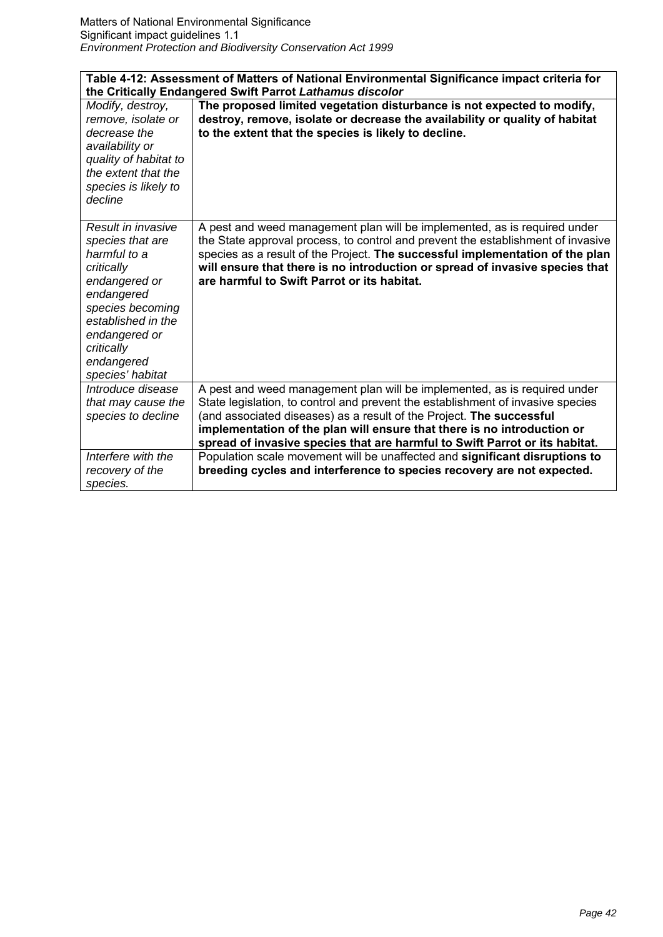| Table 4-12: Assessment of Matters of National Environmental Significance impact criteria for                                                                                                                   |                                                                                                                                                                                                                                                                                                                                                                                                |  |
|----------------------------------------------------------------------------------------------------------------------------------------------------------------------------------------------------------------|------------------------------------------------------------------------------------------------------------------------------------------------------------------------------------------------------------------------------------------------------------------------------------------------------------------------------------------------------------------------------------------------|--|
| the Critically Endangered Swift Parrot Lathamus discolor                                                                                                                                                       |                                                                                                                                                                                                                                                                                                                                                                                                |  |
| Modify, destroy,<br>remove, isolate or<br>decrease the<br>availability or<br>quality of habitat to<br>the extent that the<br>species is likely to<br>decline                                                   | The proposed limited vegetation disturbance is not expected to modify,<br>destroy, remove, isolate or decrease the availability or quality of habitat<br>to the extent that the species is likely to decline.                                                                                                                                                                                  |  |
| Result in invasive<br>species that are<br>harmful to a<br>critically<br>endangered or<br>endangered<br>species becoming<br>established in the<br>endangered or<br>critically<br>endangered<br>species' habitat | A pest and weed management plan will be implemented, as is required under<br>the State approval process, to control and prevent the establishment of invasive<br>species as a result of the Project. The successful implementation of the plan<br>will ensure that there is no introduction or spread of invasive species that<br>are harmful to Swift Parrot or its habitat.                  |  |
| Introduce disease<br>that may cause the<br>species to decline                                                                                                                                                  | A pest and weed management plan will be implemented, as is required under<br>State legislation, to control and prevent the establishment of invasive species<br>(and associated diseases) as a result of the Project. The successful<br>implementation of the plan will ensure that there is no introduction or<br>spread of invasive species that are harmful to Swift Parrot or its habitat. |  |
| Interfere with the<br>recovery of the<br>species.                                                                                                                                                              | Population scale movement will be unaffected and significant disruptions to<br>breeding cycles and interference to species recovery are not expected.                                                                                                                                                                                                                                          |  |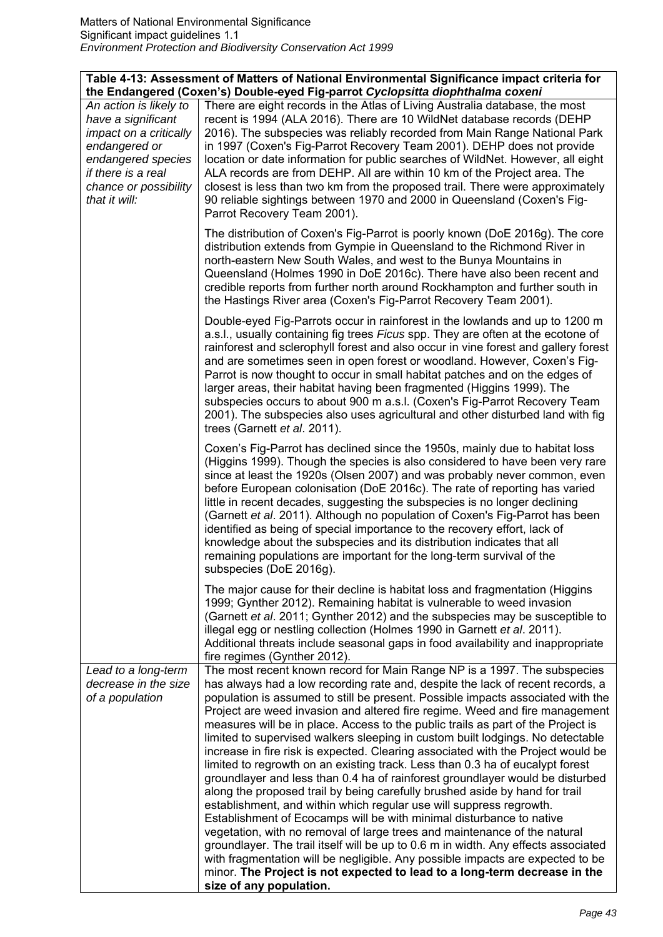|                        | Table 4-13: Assessment of Matters of National Environmental Significance impact criteria for |
|------------------------|----------------------------------------------------------------------------------------------|
|                        | the Endangered (Coxen's) Double-eyed Fig-parrot Cyclopsitta diophthalma coxeni               |
| An action is likely to | There are eight records in the Atlas of Living Australia database, the most                  |
| have a significant     | recent is 1994 (ALA 2016). There are 10 WildNet database records (DEHP                       |
| impact on a critically | 2016). The subspecies was reliably recorded from Main Range National Park                    |
| endangered or          | in 1997 (Coxen's Fig-Parrot Recovery Team 2001). DEHP does not provide                       |
| endangered species     | location or date information for public searches of WildNet. However, all eight              |
| if there is a real     | ALA records are from DEHP. All are within 10 km of the Project area. The                     |
| chance or possibility  | closest is less than two km from the proposed trail. There were approximately                |
| that it will:          | 90 reliable sightings between 1970 and 2000 in Queensland (Coxen's Fig-                      |
|                        | Parrot Recovery Team 2001).                                                                  |
|                        |                                                                                              |
|                        | The distribution of Coxen's Fig-Parrot is poorly known (DoE 2016g). The core                 |
|                        | distribution extends from Gympie in Queensland to the Richmond River in                      |
|                        | north-eastern New South Wales, and west to the Bunya Mountains in                            |
|                        | Queensland (Holmes 1990 in DoE 2016c). There have also been recent and                       |
|                        | credible reports from further north around Rockhampton and further south in                  |
|                        | the Hastings River area (Coxen's Fig-Parrot Recovery Team 2001).                             |
|                        |                                                                                              |
|                        | Double-eyed Fig-Parrots occur in rainforest in the lowlands and up to 1200 m                 |
|                        | a.s.l., usually containing fig trees Ficus spp. They are often at the ecotone of             |
|                        | rainforest and sclerophyll forest and also occur in vine forest and gallery forest           |
|                        | and are sometimes seen in open forest or woodland. However, Coxen's Fig-                     |
|                        | Parrot is now thought to occur in small habitat patches and on the edges of                  |
|                        | larger areas, their habitat having been fragmented (Higgins 1999). The                       |
|                        | subspecies occurs to about 900 m a.s.l. (Coxen's Fig-Parrot Recovery Team                    |
|                        | 2001). The subspecies also uses agricultural and other disturbed land with fig               |
|                        | trees (Garnett et al. 2011).                                                                 |
|                        |                                                                                              |
|                        | Coxen's Fig-Parrot has declined since the 1950s, mainly due to habitat loss                  |
|                        | (Higgins 1999). Though the species is also considered to have been very rare                 |
|                        | since at least the 1920s (Olsen 2007) and was probably never common, even                    |
|                        | before European colonisation (DoE 2016c). The rate of reporting has varied                   |
|                        | little in recent decades, suggesting the subspecies is no longer declining                   |
|                        | (Garnett et al. 2011). Although no population of Coxen's Fig-Parrot has been                 |
|                        | identified as being of special importance to the recovery effort, lack of                    |
|                        | knowledge about the subspecies and its distribution indicates that all                       |
|                        | remaining populations are important for the long-term survival of the                        |
|                        | subspecies (DoE 2016g).                                                                      |
|                        |                                                                                              |
|                        | The major cause for their decline is habitat loss and fragmentation (Higgins                 |
|                        | 1999; Gynther 2012). Remaining habitat is vulnerable to weed invasion                        |
|                        | (Garnett et al. 2011; Gynther 2012) and the subspecies may be susceptible to                 |
|                        | illegal egg or nestling collection (Holmes 1990 in Garnett et al. 2011).                     |
|                        | Additional threats include seasonal gaps in food availability and inappropriate              |
|                        | fire regimes (Gynther 2012).                                                                 |
| Lead to a long-term    | The most recent known record for Main Range NP is a 1997. The subspecies                     |
| decrease in the size   | has always had a low recording rate and, despite the lack of recent records, a               |
| of a population        | population is assumed to still be present. Possible impacts associated with the              |
|                        | Project are weed invasion and altered fire regime. Weed and fire management                  |
|                        | measures will be in place. Access to the public trails as part of the Project is             |
|                        | limited to supervised walkers sleeping in custom built lodgings. No detectable               |
|                        | increase in fire risk is expected. Clearing associated with the Project would be             |
|                        | limited to regrowth on an existing track. Less than 0.3 ha of eucalypt forest                |
|                        | groundlayer and less than 0.4 ha of rainforest groundlayer would be disturbed                |
|                        | along the proposed trail by being carefully brushed aside by hand for trail                  |
|                        |                                                                                              |
|                        | establishment, and within which regular use will suppress regrowth.                          |
|                        | Establishment of Ecocamps will be with minimal disturbance to native                         |
|                        | vegetation, with no removal of large trees and maintenance of the natural                    |
|                        | groundlayer. The trail itself will be up to 0.6 m in width. Any effects associated           |
|                        | with fragmentation will be negligible. Any possible impacts are expected to be               |
|                        | minor. The Project is not expected to lead to a long-term decrease in the                    |
|                        | size of any population.                                                                      |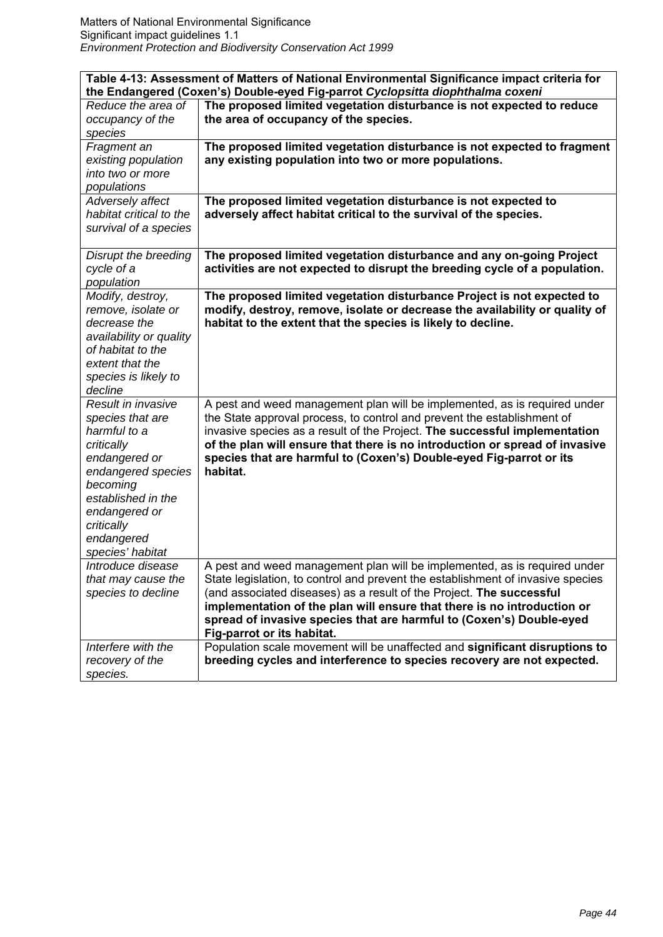| Table 4-13: Assessment of Matters of National Environmental Significance impact criteria for<br>the Endangered (Coxen's) Double-eyed Fig-parrot Cyclopsitta diophthalma coxeni |                                                                                                    |
|--------------------------------------------------------------------------------------------------------------------------------------------------------------------------------|----------------------------------------------------------------------------------------------------|
| Reduce the area of                                                                                                                                                             | The proposed limited vegetation disturbance is not expected to reduce                              |
| occupancy of the                                                                                                                                                               | the area of occupancy of the species.                                                              |
| species                                                                                                                                                                        |                                                                                                    |
| Fragment an                                                                                                                                                                    | The proposed limited vegetation disturbance is not expected to fragment                            |
| existing population                                                                                                                                                            | any existing population into two or more populations.                                              |
| into two or more                                                                                                                                                               |                                                                                                    |
| populations                                                                                                                                                                    |                                                                                                    |
| Adversely affect                                                                                                                                                               | The proposed limited vegetation disturbance is not expected to                                     |
| habitat critical to the                                                                                                                                                        | adversely affect habitat critical to the survival of the species.                                  |
| survival of a species                                                                                                                                                          |                                                                                                    |
|                                                                                                                                                                                |                                                                                                    |
| Disrupt the breeding                                                                                                                                                           | The proposed limited vegetation disturbance and any on-going Project                               |
| cycle of a                                                                                                                                                                     | activities are not expected to disrupt the breeding cycle of a population.                         |
| population                                                                                                                                                                     |                                                                                                    |
| Modify, destroy,                                                                                                                                                               | The proposed limited vegetation disturbance Project is not expected to                             |
| remove, isolate or                                                                                                                                                             | modify, destroy, remove, isolate or decrease the availability or quality of                        |
| decrease the                                                                                                                                                                   | habitat to the extent that the species is likely to decline.                                       |
| availability or quality                                                                                                                                                        |                                                                                                    |
| of habitat to the<br>extent that the                                                                                                                                           |                                                                                                    |
|                                                                                                                                                                                |                                                                                                    |
| species is likely to<br>decline                                                                                                                                                |                                                                                                    |
| Result in invasive                                                                                                                                                             | A pest and weed management plan will be implemented, as is required under                          |
| species that are                                                                                                                                                               | the State approval process, to control and prevent the establishment of                            |
| harmful to a                                                                                                                                                                   | invasive species as a result of the Project. The successful implementation                         |
| critically                                                                                                                                                                     | of the plan will ensure that there is no introduction or spread of invasive                        |
| endangered or                                                                                                                                                                  | species that are harmful to (Coxen's) Double-eyed Fig-parrot or its                                |
| endangered species                                                                                                                                                             | habitat.                                                                                           |
| becoming                                                                                                                                                                       |                                                                                                    |
| established in the                                                                                                                                                             |                                                                                                    |
| endangered or                                                                                                                                                                  |                                                                                                    |
| critically                                                                                                                                                                     |                                                                                                    |
| endangered                                                                                                                                                                     |                                                                                                    |
| species' habitat                                                                                                                                                               |                                                                                                    |
| Introduce disease                                                                                                                                                              | A pest and weed management plan will be implemented, as is required under                          |
| that may cause the                                                                                                                                                             | State legislation, to control and prevent the establishment of invasive species                    |
| species to decline                                                                                                                                                             | (and associated diseases) as a result of the Project. The successful                               |
|                                                                                                                                                                                | implementation of the plan will ensure that there is no introduction or                            |
|                                                                                                                                                                                | spread of invasive species that are harmful to (Coxen's) Double-eyed<br>Fig-parrot or its habitat. |
| Interfere with the                                                                                                                                                             | Population scale movement will be unaffected and significant disruptions to                        |
| recovery of the                                                                                                                                                                | breeding cycles and interference to species recovery are not expected.                             |
| species.                                                                                                                                                                       |                                                                                                    |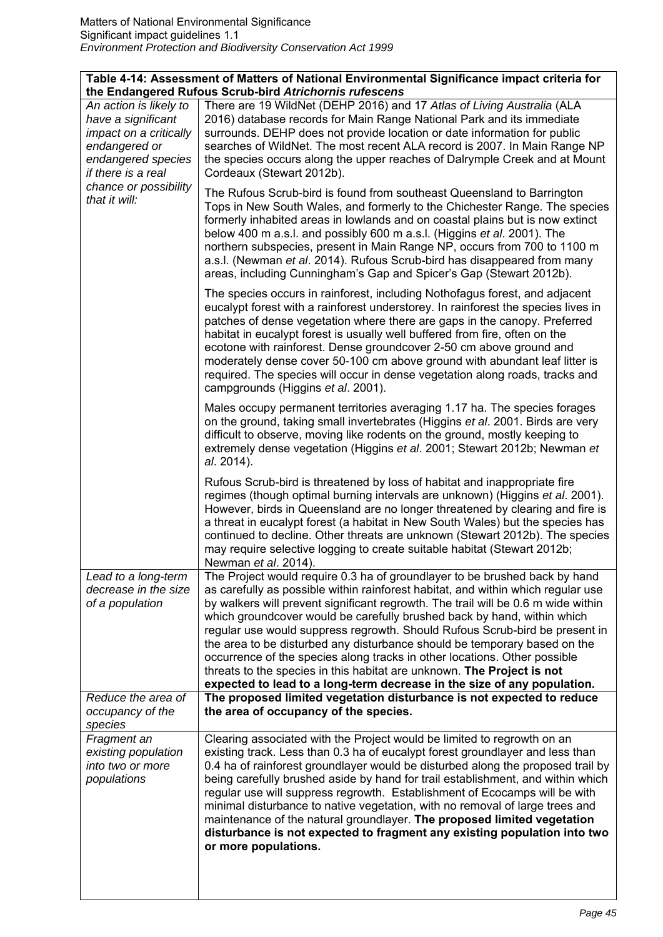|                                                                                                                                     | Table 4-14: Assessment of Matters of National Environmental Significance impact criteria for<br>the Endangered Rufous Scrub-bird Atrichornis rufescens                                                                                                                                                                                                                                                                                                                                                                                                                                                                                                                                                                       |
|-------------------------------------------------------------------------------------------------------------------------------------|------------------------------------------------------------------------------------------------------------------------------------------------------------------------------------------------------------------------------------------------------------------------------------------------------------------------------------------------------------------------------------------------------------------------------------------------------------------------------------------------------------------------------------------------------------------------------------------------------------------------------------------------------------------------------------------------------------------------------|
| An action is likely to<br>have a significant<br>impact on a critically<br>endangered or<br>endangered species<br>if there is a real | There are 19 WildNet (DEHP 2016) and 17 Atlas of Living Australia (ALA<br>2016) database records for Main Range National Park and its immediate<br>surrounds. DEHP does not provide location or date information for public<br>searches of WildNet. The most recent ALA record is 2007. In Main Range NP<br>the species occurs along the upper reaches of Dalrymple Creek and at Mount<br>Cordeaux (Stewart 2012b).                                                                                                                                                                                                                                                                                                          |
| chance or possibility<br>that it will:                                                                                              | The Rufous Scrub-bird is found from southeast Queensland to Barrington<br>Tops in New South Wales, and formerly to the Chichester Range. The species<br>formerly inhabited areas in lowlands and on coastal plains but is now extinct<br>below 400 m a.s.l. and possibly 600 m a.s.l. (Higgins et al. 2001). The<br>northern subspecies, present in Main Range NP, occurs from 700 to 1100 m<br>a.s.l. (Newman et al. 2014). Rufous Scrub-bird has disappeared from many<br>areas, including Cunningham's Gap and Spicer's Gap (Stewart 2012b).                                                                                                                                                                              |
|                                                                                                                                     | The species occurs in rainforest, including Nothofagus forest, and adjacent<br>eucalypt forest with a rainforest understorey. In rainforest the species lives in<br>patches of dense vegetation where there are gaps in the canopy. Preferred<br>habitat in eucalypt forest is usually well buffered from fire, often on the<br>ecotone with rainforest. Dense groundcover 2-50 cm above ground and<br>moderately dense cover 50-100 cm above ground with abundant leaf litter is<br>required. The species will occur in dense vegetation along roads, tracks and<br>campgrounds (Higgins et al. 2001).                                                                                                                      |
|                                                                                                                                     | Males occupy permanent territories averaging 1.17 ha. The species forages<br>on the ground, taking small invertebrates (Higgins et al. 2001. Birds are very<br>difficult to observe, moving like rodents on the ground, mostly keeping to<br>extremely dense vegetation (Higgins et al. 2001; Stewart 2012b; Newman et<br>al. 2014).                                                                                                                                                                                                                                                                                                                                                                                         |
|                                                                                                                                     | Rufous Scrub-bird is threatened by loss of habitat and inappropriate fire<br>regimes (though optimal burning intervals are unknown) (Higgins et al. 2001).<br>However, birds in Queensland are no longer threatened by clearing and fire is<br>a threat in eucalypt forest (a habitat in New South Wales) but the species has<br>continued to decline. Other threats are unknown (Stewart 2012b). The species<br>may require selective logging to create suitable habitat (Stewart 2012b;<br>Newman et al. 2014).                                                                                                                                                                                                            |
| Lead to a long-term<br>decrease in the size<br>of a population                                                                      | The Project would require 0.3 ha of groundlayer to be brushed back by hand<br>as carefully as possible within rainforest habitat, and within which regular use<br>by walkers will prevent significant regrowth. The trail will be 0.6 m wide within<br>which groundcover would be carefully brushed back by hand, within which<br>regular use would suppress regrowth. Should Rufous Scrub-bird be present in<br>the area to be disturbed any disturbance should be temporary based on the<br>occurrence of the species along tracks in other locations. Other possible<br>threats to the species in this habitat are unknown. The Project is not<br>expected to lead to a long-term decrease in the size of any population. |
| Reduce the area of<br>occupancy of the<br>species                                                                                   | The proposed limited vegetation disturbance is not expected to reduce<br>the area of occupancy of the species.                                                                                                                                                                                                                                                                                                                                                                                                                                                                                                                                                                                                               |
| Fragment an<br>existing population<br>into two or more<br>populations                                                               | Clearing associated with the Project would be limited to regrowth on an<br>existing track. Less than 0.3 ha of eucalypt forest groundlayer and less than<br>0.4 ha of rainforest groundlayer would be disturbed along the proposed trail by<br>being carefully brushed aside by hand for trail establishment, and within which<br>regular use will suppress regrowth. Establishment of Ecocamps will be with<br>minimal disturbance to native vegetation, with no removal of large trees and<br>maintenance of the natural groundlayer. The proposed limited vegetation<br>disturbance is not expected to fragment any existing population into two<br>or more populations.                                                  |
|                                                                                                                                     |                                                                                                                                                                                                                                                                                                                                                                                                                                                                                                                                                                                                                                                                                                                              |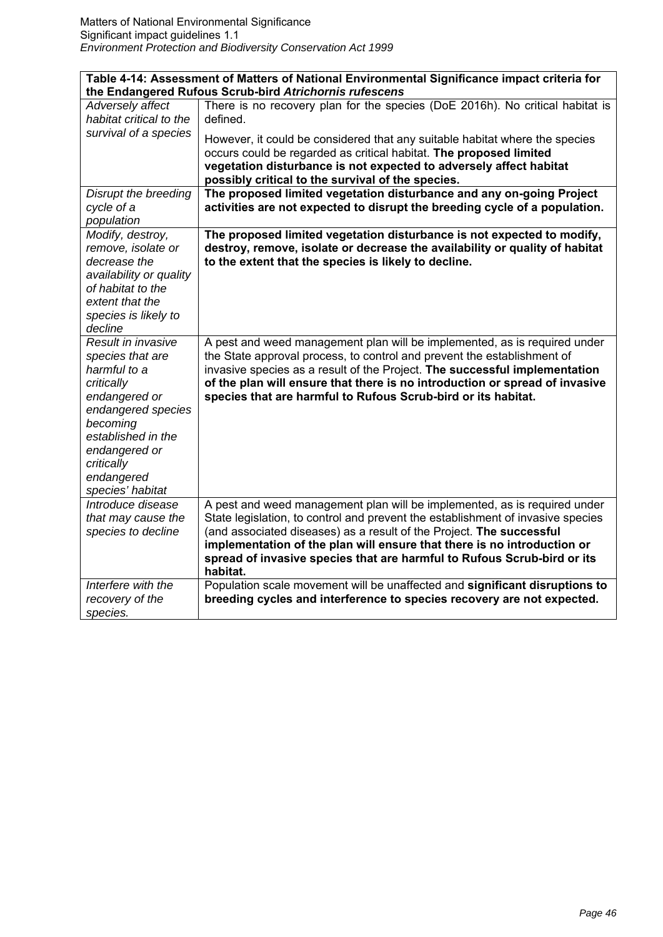| Table 4-14: Assessment of Matters of National Environmental Significance impact criteria for                                                                                                                   |                                                                                                                                                                                                                                                                                                                                                                                                        |
|----------------------------------------------------------------------------------------------------------------------------------------------------------------------------------------------------------------|--------------------------------------------------------------------------------------------------------------------------------------------------------------------------------------------------------------------------------------------------------------------------------------------------------------------------------------------------------------------------------------------------------|
|                                                                                                                                                                                                                | the Endangered Rufous Scrub-bird Atrichornis rufescens                                                                                                                                                                                                                                                                                                                                                 |
| Adversely affect<br>habitat critical to the<br>survival of a species                                                                                                                                           | There is no recovery plan for the species (DoE 2016h). No critical habitat is<br>defined.                                                                                                                                                                                                                                                                                                              |
|                                                                                                                                                                                                                | However, it could be considered that any suitable habitat where the species<br>occurs could be regarded as critical habitat. The proposed limited<br>vegetation disturbance is not expected to adversely affect habitat<br>possibly critical to the survival of the species.                                                                                                                           |
| Disrupt the breeding<br>cycle of a<br>population                                                                                                                                                               | The proposed limited vegetation disturbance and any on-going Project<br>activities are not expected to disrupt the breeding cycle of a population.                                                                                                                                                                                                                                                     |
| Modify, destroy,<br>remove, isolate or<br>decrease the                                                                                                                                                         | The proposed limited vegetation disturbance is not expected to modify,<br>destroy, remove, isolate or decrease the availability or quality of habitat<br>to the extent that the species is likely to decline.                                                                                                                                                                                          |
| availability or quality<br>of habitat to the<br>extent that the<br>species is likely to<br>decline                                                                                                             |                                                                                                                                                                                                                                                                                                                                                                                                        |
| Result in invasive<br>species that are<br>harmful to a<br>critically<br>endangered or<br>endangered species<br>becoming<br>established in the<br>endangered or<br>critically<br>endangered<br>species' habitat | A pest and weed management plan will be implemented, as is required under<br>the State approval process, to control and prevent the establishment of<br>invasive species as a result of the Project. The successful implementation<br>of the plan will ensure that there is no introduction or spread of invasive<br>species that are harmful to Rufous Scrub-bird or its habitat.                     |
| Introduce disease<br>that may cause the<br>species to decline                                                                                                                                                  | A pest and weed management plan will be implemented, as is required under<br>State legislation, to control and prevent the establishment of invasive species<br>(and associated diseases) as a result of the Project. The successful<br>implementation of the plan will ensure that there is no introduction or<br>spread of invasive species that are harmful to Rufous Scrub-bird or its<br>habitat. |
| Interfere with the<br>recovery of the<br>species.                                                                                                                                                              | Population scale movement will be unaffected and significant disruptions to<br>breeding cycles and interference to species recovery are not expected.                                                                                                                                                                                                                                                  |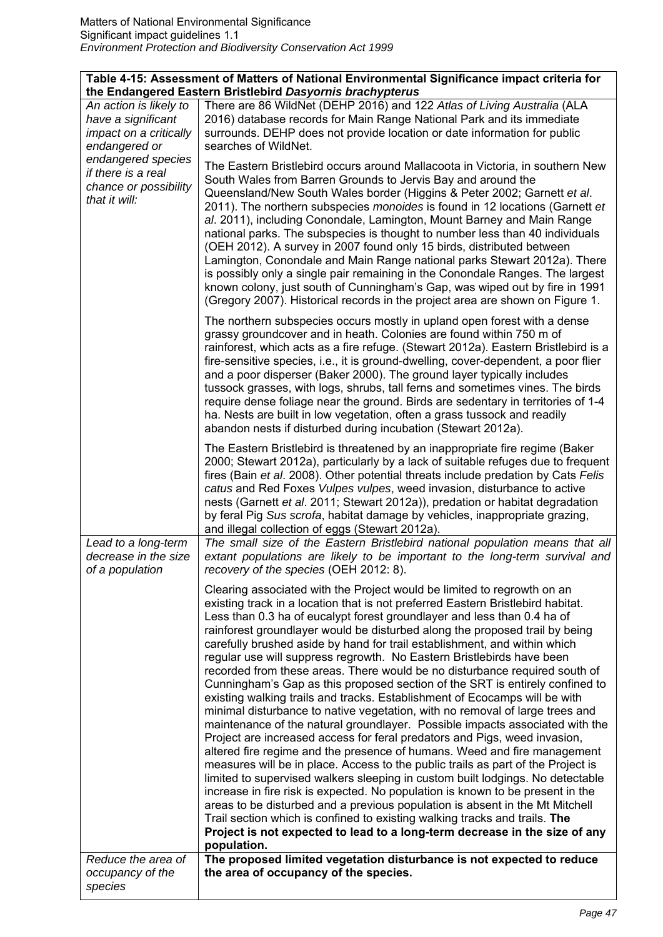| Table 4-15: Assessment of Matters of National Environmental Significance impact criteria for<br>the Endangered Eastern Bristlebird Dasyornis brachypterus |                                                                                                                                                                                                                                                                                                                                                                                                                                                                                                                                                                                                                                                                                                                                                                                                                                                                                                                                                                                                                                                                                                                                                                                                                                                                                                                                                                                                                                                                                                                                                                    |
|-----------------------------------------------------------------------------------------------------------------------------------------------------------|--------------------------------------------------------------------------------------------------------------------------------------------------------------------------------------------------------------------------------------------------------------------------------------------------------------------------------------------------------------------------------------------------------------------------------------------------------------------------------------------------------------------------------------------------------------------------------------------------------------------------------------------------------------------------------------------------------------------------------------------------------------------------------------------------------------------------------------------------------------------------------------------------------------------------------------------------------------------------------------------------------------------------------------------------------------------------------------------------------------------------------------------------------------------------------------------------------------------------------------------------------------------------------------------------------------------------------------------------------------------------------------------------------------------------------------------------------------------------------------------------------------------------------------------------------------------|
| An action is likely to<br>have a significant<br>impact on a critically<br>endangered or                                                                   | There are 86 WildNet (DEHP 2016) and 122 Atlas of Living Australia (ALA<br>2016) database records for Main Range National Park and its immediate<br>surrounds. DEHP does not provide location or date information for public<br>searches of WildNet.                                                                                                                                                                                                                                                                                                                                                                                                                                                                                                                                                                                                                                                                                                                                                                                                                                                                                                                                                                                                                                                                                                                                                                                                                                                                                                               |
| endangered species<br>if there is a real<br>chance or possibility<br>that it will:                                                                        | The Eastern Bristlebird occurs around Mallacoota in Victoria, in southern New<br>South Wales from Barren Grounds to Jervis Bay and around the<br>Queensland/New South Wales border (Higgins & Peter 2002; Garnett et al.<br>2011). The northern subspecies monoides is found in 12 locations (Garnett et<br>al. 2011), including Conondale, Lamington, Mount Barney and Main Range<br>national parks. The subspecies is thought to number less than 40 individuals<br>(OEH 2012). A survey in 2007 found only 15 birds, distributed between<br>Lamington, Conondale and Main Range national parks Stewart 2012a). There<br>is possibly only a single pair remaining in the Conondale Ranges. The largest<br>known colony, just south of Cunningham's Gap, was wiped out by fire in 1991<br>(Gregory 2007). Historical records in the project area are shown on Figure 1.                                                                                                                                                                                                                                                                                                                                                                                                                                                                                                                                                                                                                                                                                           |
|                                                                                                                                                           | The northern subspecies occurs mostly in upland open forest with a dense<br>grassy groundcover and in heath. Colonies are found within 750 m of<br>rainforest, which acts as a fire refuge. (Stewart 2012a). Eastern Bristlebird is a<br>fire-sensitive species, i.e., it is ground-dwelling, cover-dependent, a poor flier<br>and a poor disperser (Baker 2000). The ground layer typically includes<br>tussock grasses, with logs, shrubs, tall ferns and sometimes vines. The birds<br>require dense foliage near the ground. Birds are sedentary in territories of 1-4<br>ha. Nests are built in low vegetation, often a grass tussock and readily<br>abandon nests if disturbed during incubation (Stewart 2012a).                                                                                                                                                                                                                                                                                                                                                                                                                                                                                                                                                                                                                                                                                                                                                                                                                                            |
| Lead to a long-term<br>decrease in the size<br>of a population                                                                                            | The Eastern Bristlebird is threatened by an inappropriate fire regime (Baker<br>2000; Stewart 2012a), particularly by a lack of suitable refuges due to frequent<br>fires (Bain et al. 2008). Other potential threats include predation by Cats Felis<br>catus and Red Foxes Vulpes vulpes, weed invasion, disturbance to active<br>nests (Garnett et al. 2011; Stewart 2012a)), predation or habitat degradation<br>by feral Pig Sus scrofa, habitat damage by vehicles, inappropriate grazing,<br>and illegal collection of eggs (Stewart 2012a).<br>The small size of the Eastern Bristlebird national population means that all<br>extant populations are likely to be important to the long-term survival and<br>recovery of the species (OEH 2012: 8).                                                                                                                                                                                                                                                                                                                                                                                                                                                                                                                                                                                                                                                                                                                                                                                                       |
|                                                                                                                                                           | Clearing associated with the Project would be limited to regrowth on an<br>existing track in a location that is not preferred Eastern Bristlebird habitat.<br>Less than 0.3 ha of eucalypt forest groundlayer and less than 0.4 ha of<br>rainforest groundlayer would be disturbed along the proposed trail by being<br>carefully brushed aside by hand for trail establishment, and within which<br>regular use will suppress regrowth. No Eastern Bristlebirds have been<br>recorded from these areas. There would be no disturbance required south of<br>Cunningham's Gap as this proposed section of the SRT is entirely confined to<br>existing walking trails and tracks. Establishment of Ecocamps will be with<br>minimal disturbance to native vegetation, with no removal of large trees and<br>maintenance of the natural groundlayer. Possible impacts associated with the<br>Project are increased access for feral predators and Pigs, weed invasion,<br>altered fire regime and the presence of humans. Weed and fire management<br>measures will be in place. Access to the public trails as part of the Project is<br>limited to supervised walkers sleeping in custom built lodgings. No detectable<br>increase in fire risk is expected. No population is known to be present in the<br>areas to be disturbed and a previous population is absent in the Mt Mitchell<br>Trail section which is confined to existing walking tracks and trails. The<br>Project is not expected to lead to a long-term decrease in the size of any<br>population. |
| Reduce the area of<br>occupancy of the<br>species                                                                                                         | The proposed limited vegetation disturbance is not expected to reduce<br>the area of occupancy of the species.                                                                                                                                                                                                                                                                                                                                                                                                                                                                                                                                                                                                                                                                                                                                                                                                                                                                                                                                                                                                                                                                                                                                                                                                                                                                                                                                                                                                                                                     |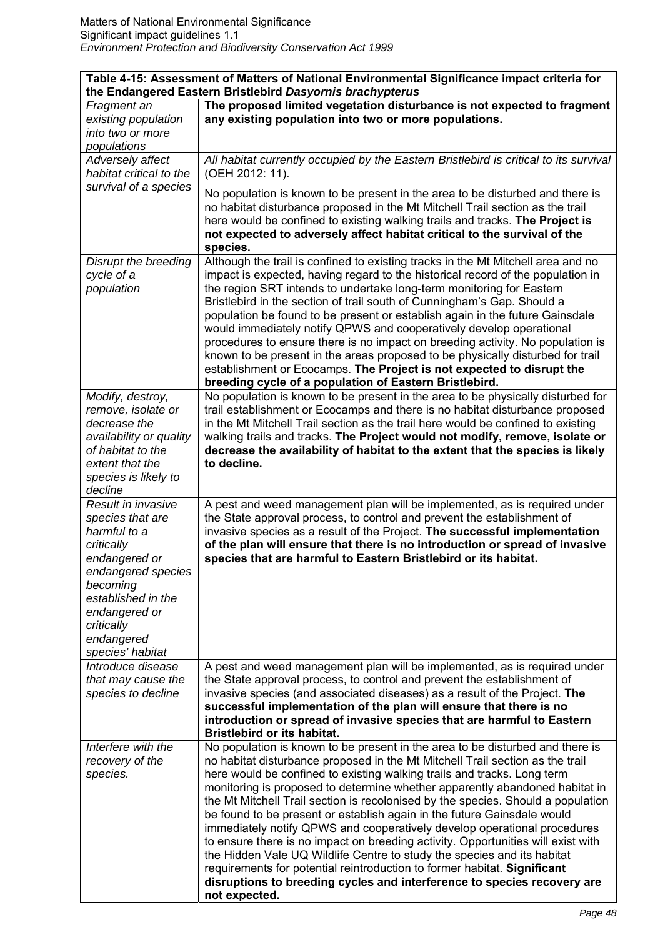| Table 4-15: Assessment of Matters of National Environmental Significance impact criteria for<br>the Endangered Eastern Bristlebird Dasyornis brachypterus |                                                                                          |
|-----------------------------------------------------------------------------------------------------------------------------------------------------------|------------------------------------------------------------------------------------------|
| Fragment an                                                                                                                                               | The proposed limited vegetation disturbance is not expected to fragment                  |
| existing population                                                                                                                                       | any existing population into two or more populations.                                    |
| into two or more                                                                                                                                          |                                                                                          |
| populations                                                                                                                                               |                                                                                          |
| Adversely affect                                                                                                                                          | All habitat currently occupied by the Eastern Bristlebird is critical to its survival    |
| habitat critical to the                                                                                                                                   | (OEH 2012: 11).                                                                          |
| survival of a species                                                                                                                                     |                                                                                          |
|                                                                                                                                                           | No population is known to be present in the area to be disturbed and there is            |
|                                                                                                                                                           | no habitat disturbance proposed in the Mt Mitchell Trail section as the trail            |
|                                                                                                                                                           | here would be confined to existing walking trails and tracks. The Project is             |
|                                                                                                                                                           | not expected to adversely affect habitat critical to the survival of the<br>species.     |
| Disrupt the breeding                                                                                                                                      | Although the trail is confined to existing tracks in the Mt Mitchell area and no         |
| cycle of a                                                                                                                                                | impact is expected, having regard to the historical record of the population in          |
| population                                                                                                                                                | the region SRT intends to undertake long-term monitoring for Eastern                     |
|                                                                                                                                                           | Bristlebird in the section of trail south of Cunningham's Gap. Should a                  |
|                                                                                                                                                           | population be found to be present or establish again in the future Gainsdale             |
|                                                                                                                                                           | would immediately notify QPWS and cooperatively develop operational                      |
|                                                                                                                                                           | procedures to ensure there is no impact on breeding activity. No population is           |
|                                                                                                                                                           | known to be present in the areas proposed to be physically disturbed for trail           |
|                                                                                                                                                           | establishment or Ecocamps. The Project is not expected to disrupt the                    |
|                                                                                                                                                           | breeding cycle of a population of Eastern Bristlebird.                                   |
| Modify, destroy,                                                                                                                                          | No population is known to be present in the area to be physically disturbed for          |
| remove, isolate or                                                                                                                                        | trail establishment or Ecocamps and there is no habitat disturbance proposed             |
| decrease the                                                                                                                                              | in the Mt Mitchell Trail section as the trail here would be confined to existing         |
| availability or quality                                                                                                                                   | walking trails and tracks. The Project would not modify, remove, isolate or              |
| of habitat to the                                                                                                                                         | decrease the availability of habitat to the extent that the species is likely            |
| extent that the                                                                                                                                           | to decline.                                                                              |
| species is likely to                                                                                                                                      |                                                                                          |
| decline                                                                                                                                                   |                                                                                          |
| Result in invasive                                                                                                                                        | A pest and weed management plan will be implemented, as is required under                |
| species that are                                                                                                                                          | the State approval process, to control and prevent the establishment of                  |
| harmful to a                                                                                                                                              | invasive species as a result of the Project. The successful implementation               |
| critically                                                                                                                                                | of the plan will ensure that there is no introduction or spread of invasive              |
| endangered or                                                                                                                                             | species that are harmful to Eastern Bristlebird or its habitat.                          |
| endangered species                                                                                                                                        |                                                                                          |
| becoming<br>established in the                                                                                                                            |                                                                                          |
| endangered or                                                                                                                                             |                                                                                          |
| critically                                                                                                                                                |                                                                                          |
| endangered                                                                                                                                                |                                                                                          |
| species' habitat                                                                                                                                          |                                                                                          |
| Introduce disease                                                                                                                                         | A pest and weed management plan will be implemented, as is required under                |
| that may cause the                                                                                                                                        | the State approval process, to control and prevent the establishment of                  |
| species to decline                                                                                                                                        | invasive species (and associated diseases) as a result of the Project. The               |
|                                                                                                                                                           | successful implementation of the plan will ensure that there is no                       |
|                                                                                                                                                           | introduction or spread of invasive species that are harmful to Eastern                   |
|                                                                                                                                                           | <b>Bristlebird or its habitat.</b>                                                       |
| Interfere with the                                                                                                                                        | No population is known to be present in the area to be disturbed and there is            |
| recovery of the                                                                                                                                           | no habitat disturbance proposed in the Mt Mitchell Trail section as the trail            |
| species.                                                                                                                                                  | here would be confined to existing walking trails and tracks. Long term                  |
|                                                                                                                                                           | monitoring is proposed to determine whether apparently abandoned habitat in              |
|                                                                                                                                                           | the Mt Mitchell Trail section is recolonised by the species. Should a population         |
|                                                                                                                                                           | be found to be present or establish again in the future Gainsdale would                  |
|                                                                                                                                                           | immediately notify QPWS and cooperatively develop operational procedures                 |
|                                                                                                                                                           | to ensure there is no impact on breeding activity. Opportunities will exist with         |
|                                                                                                                                                           | the Hidden Vale UQ Wildlife Centre to study the species and its habitat                  |
|                                                                                                                                                           | requirements for potential reintroduction to former habitat. Significant                 |
|                                                                                                                                                           | disruptions to breeding cycles and interference to species recovery are<br>not expected. |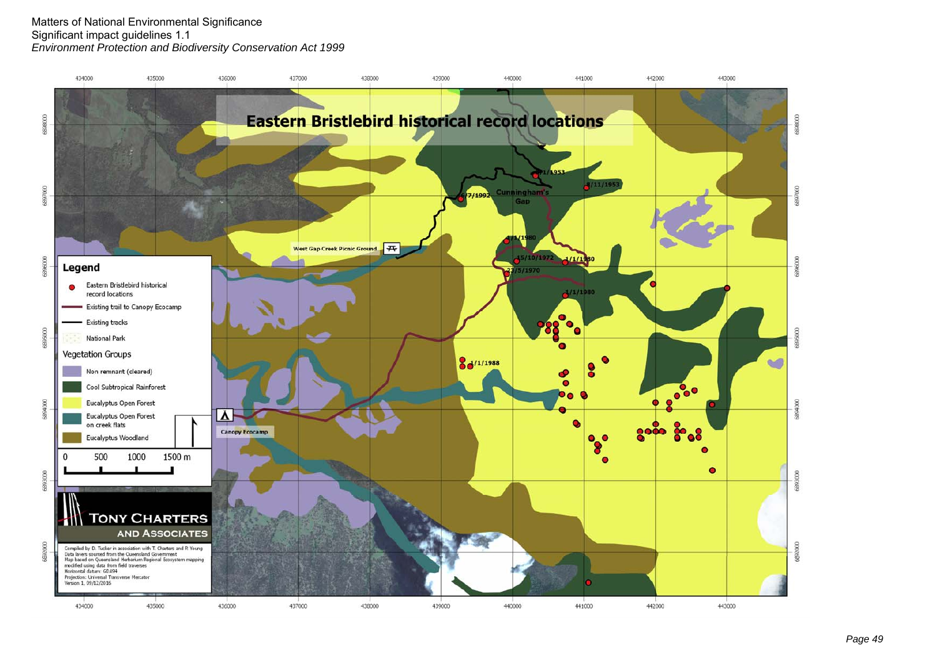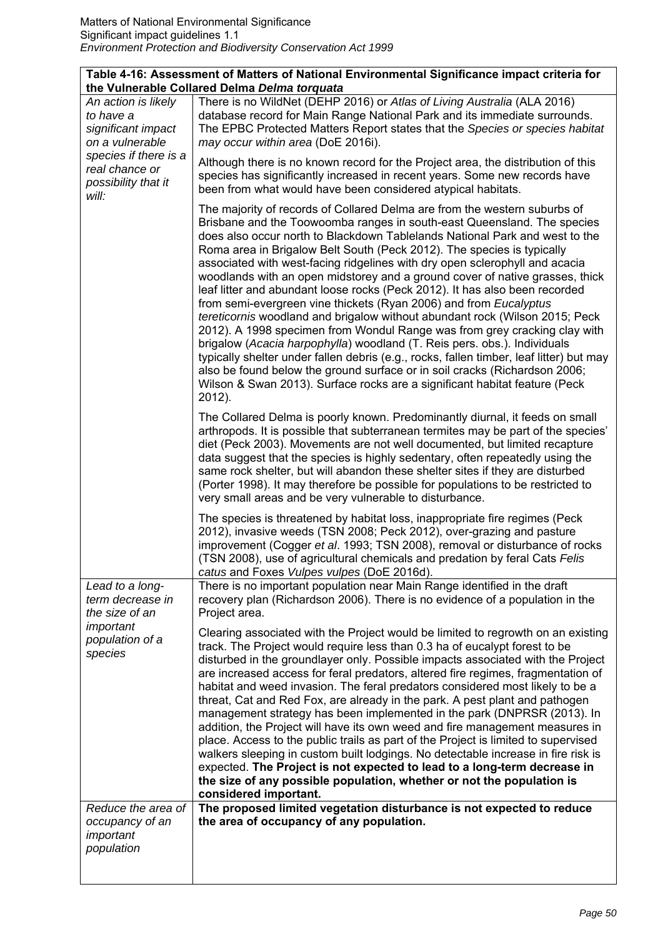|  |                                                                                                                                                      | Table 4-16: Assessment of Matters of National Environmental Significance impact criteria for<br>the Vulnerable Collared Delma Delma torquata                                                                                                                                                                                                                                                                                                                                                                                                                                                                                                                                                                                                                                                                                                                                                                                                                                                                                                                                                                                              |
|--|------------------------------------------------------------------------------------------------------------------------------------------------------|-------------------------------------------------------------------------------------------------------------------------------------------------------------------------------------------------------------------------------------------------------------------------------------------------------------------------------------------------------------------------------------------------------------------------------------------------------------------------------------------------------------------------------------------------------------------------------------------------------------------------------------------------------------------------------------------------------------------------------------------------------------------------------------------------------------------------------------------------------------------------------------------------------------------------------------------------------------------------------------------------------------------------------------------------------------------------------------------------------------------------------------------|
|  | An action is likely<br>to have a<br>significant impact<br>on a vulnerable<br>species if there is a<br>real chance or<br>possibility that it<br>will: | There is no WildNet (DEHP 2016) or Atlas of Living Australia (ALA 2016)<br>database record for Main Range National Park and its immediate surrounds.<br>The EPBC Protected Matters Report states that the Species or species habitat<br>may occur within area (DoE 2016i).                                                                                                                                                                                                                                                                                                                                                                                                                                                                                                                                                                                                                                                                                                                                                                                                                                                                |
|  |                                                                                                                                                      | Although there is no known record for the Project area, the distribution of this<br>species has significantly increased in recent years. Some new records have<br>been from what would have been considered atypical habitats.                                                                                                                                                                                                                                                                                                                                                                                                                                                                                                                                                                                                                                                                                                                                                                                                                                                                                                            |
|  |                                                                                                                                                      | The majority of records of Collared Delma are from the western suburbs of<br>Brisbane and the Toowoomba ranges in south-east Queensland. The species<br>does also occur north to Blackdown Tablelands National Park and west to the<br>Roma area in Brigalow Belt South (Peck 2012). The species is typically<br>associated with west-facing ridgelines with dry open sclerophyll and acacia<br>woodlands with an open midstorey and a ground cover of native grasses, thick<br>leaf litter and abundant loose rocks (Peck 2012). It has also been recorded<br>from semi-evergreen vine thickets (Ryan 2006) and from Eucalyptus<br>tereticornis woodland and brigalow without abundant rock (Wilson 2015; Peck<br>2012). A 1998 specimen from Wondul Range was from grey cracking clay with<br>brigalow (Acacia harpophylla) woodland (T. Reis pers. obs.). Individuals<br>typically shelter under fallen debris (e.g., rocks, fallen timber, leaf litter) but may<br>also be found below the ground surface or in soil cracks (Richardson 2006;<br>Wilson & Swan 2013). Surface rocks are a significant habitat feature (Peck<br>2012). |
|  |                                                                                                                                                      | The Collared Delma is poorly known. Predominantly diurnal, it feeds on small<br>arthropods. It is possible that subterranean termites may be part of the species'<br>diet (Peck 2003). Movements are not well documented, but limited recapture<br>data suggest that the species is highly sedentary, often repeatedly using the<br>same rock shelter, but will abandon these shelter sites if they are disturbed<br>(Porter 1998). It may therefore be possible for populations to be restricted to<br>very small areas and be very vulnerable to disturbance.                                                                                                                                                                                                                                                                                                                                                                                                                                                                                                                                                                           |
|  |                                                                                                                                                      | The species is threatened by habitat loss, inappropriate fire regimes (Peck<br>2012), invasive weeds (TSN 2008; Peck 2012), over-grazing and pasture<br>improvement (Cogger et al. 1993; TSN 2008), removal or disturbance of rocks<br>(TSN 2008), use of agricultural chemicals and predation by feral Cats Felis<br>catus and Foxes Vulpes vulpes (DoE 2016d).                                                                                                                                                                                                                                                                                                                                                                                                                                                                                                                                                                                                                                                                                                                                                                          |
|  | Lead to a long-<br>term decrease in<br>the size of an                                                                                                | There is no important population near Main Range identified in the draft<br>recovery plan (Richardson 2006). There is no evidence of a population in the<br>Project area.                                                                                                                                                                                                                                                                                                                                                                                                                                                                                                                                                                                                                                                                                                                                                                                                                                                                                                                                                                 |
|  | important<br>population of a<br>species                                                                                                              | Clearing associated with the Project would be limited to regrowth on an existing<br>track. The Project would require less than 0.3 ha of eucalypt forest to be<br>disturbed in the groundlayer only. Possible impacts associated with the Project<br>are increased access for feral predators, altered fire regimes, fragmentation of<br>habitat and weed invasion. The feral predators considered most likely to be a<br>threat, Cat and Red Fox, are already in the park. A pest plant and pathogen<br>management strategy has been implemented in the park (DNPRSR (2013). In<br>addition, the Project will have its own weed and fire management measures in<br>place. Access to the public trails as part of the Project is limited to supervised<br>walkers sleeping in custom built lodgings. No detectable increase in fire risk is<br>expected. The Project is not expected to lead to a long-term decrease in<br>the size of any possible population, whether or not the population is<br>considered important.                                                                                                                 |
|  | Reduce the area of<br>occupancy of an<br>important<br>population                                                                                     | The proposed limited vegetation disturbance is not expected to reduce<br>the area of occupancy of any population.                                                                                                                                                                                                                                                                                                                                                                                                                                                                                                                                                                                                                                                                                                                                                                                                                                                                                                                                                                                                                         |
|  |                                                                                                                                                      |                                                                                                                                                                                                                                                                                                                                                                                                                                                                                                                                                                                                                                                                                                                                                                                                                                                                                                                                                                                                                                                                                                                                           |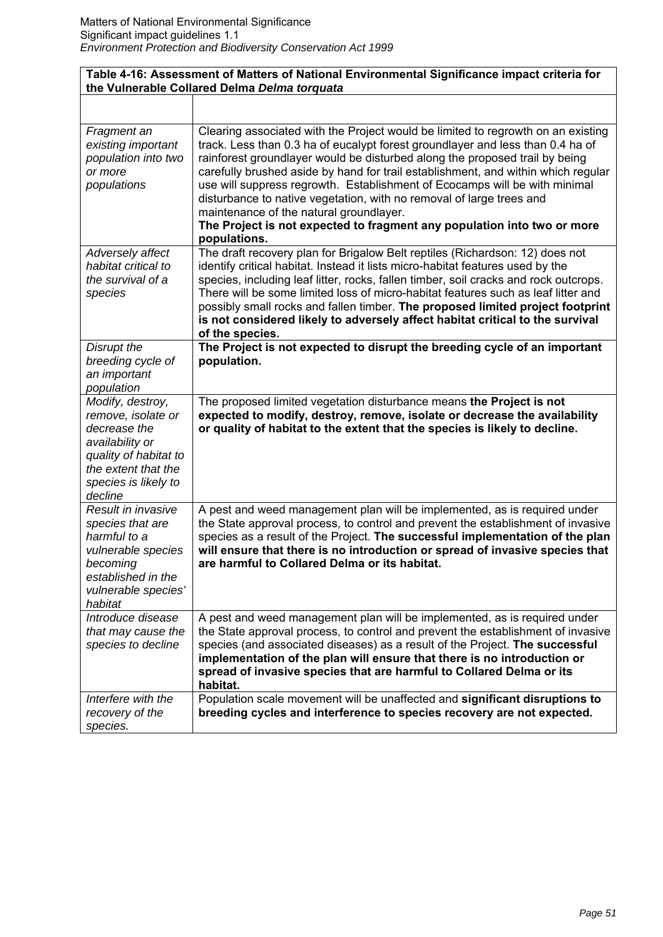# **Table 4-16: Assessment of Matters of National Environmental Significance impact criteria for the Vulnerable Collared Delma** *Delma torquata*

| Fragment an<br>existing important<br>population into two<br>or more<br>populations                                                                           | Clearing associated with the Project would be limited to regrowth on an existing<br>track. Less than 0.3 ha of eucalypt forest groundlayer and less than 0.4 ha of<br>rainforest groundlayer would be disturbed along the proposed trail by being<br>carefully brushed aside by hand for trail establishment, and within which regular<br>use will suppress regrowth. Establishment of Ecocamps will be with minimal<br>disturbance to native vegetation, with no removal of large trees and<br>maintenance of the natural groundlayer.<br>The Project is not expected to fragment any population into two or more<br>populations. |
|--------------------------------------------------------------------------------------------------------------------------------------------------------------|------------------------------------------------------------------------------------------------------------------------------------------------------------------------------------------------------------------------------------------------------------------------------------------------------------------------------------------------------------------------------------------------------------------------------------------------------------------------------------------------------------------------------------------------------------------------------------------------------------------------------------|
| Adversely affect<br>habitat critical to<br>the survival of a<br>species                                                                                      | The draft recovery plan for Brigalow Belt reptiles (Richardson: 12) does not<br>identify critical habitat. Instead it lists micro-habitat features used by the<br>species, including leaf litter, rocks, fallen timber, soil cracks and rock outcrops.<br>There will be some limited loss of micro-habitat features such as leaf litter and<br>possibly small rocks and fallen timber. The proposed limited project footprint<br>is not considered likely to adversely affect habitat critical to the survival<br>of the species.                                                                                                  |
| Disrupt the<br>breeding cycle of<br>an important<br>population                                                                                               | The Project is not expected to disrupt the breeding cycle of an important<br>population.                                                                                                                                                                                                                                                                                                                                                                                                                                                                                                                                           |
| Modify, destroy,<br>remove, isolate or<br>decrease the<br>availability or<br>quality of habitat to<br>the extent that the<br>species is likely to<br>decline | The proposed limited vegetation disturbance means the Project is not<br>expected to modify, destroy, remove, isolate or decrease the availability<br>or quality of habitat to the extent that the species is likely to decline.                                                                                                                                                                                                                                                                                                                                                                                                    |
| Result in invasive<br>species that are<br>harmful to a<br>vulnerable species<br>becoming<br>established in the<br>vulnerable species'<br>habitat             | A pest and weed management plan will be implemented, as is required under<br>the State approval process, to control and prevent the establishment of invasive<br>species as a result of the Project. The successful implementation of the plan<br>will ensure that there is no introduction or spread of invasive species that<br>are harmful to Collared Delma or its habitat.                                                                                                                                                                                                                                                    |
| Introduce disease<br>that may cause the<br>species to decline                                                                                                | A pest and weed management plan will be implemented, as is required under<br>the State approval process, to control and prevent the establishment of invasive<br>species (and associated diseases) as a result of the Project. The successful<br>implementation of the plan will ensure that there is no introduction or<br>spread of invasive species that are harmful to Collared Delma or its<br>habitat.                                                                                                                                                                                                                       |
| Interfere with the<br>recovery of the<br>species.                                                                                                            | Population scale movement will be unaffected and significant disruptions to<br>breeding cycles and interference to species recovery are not expected.                                                                                                                                                                                                                                                                                                                                                                                                                                                                              |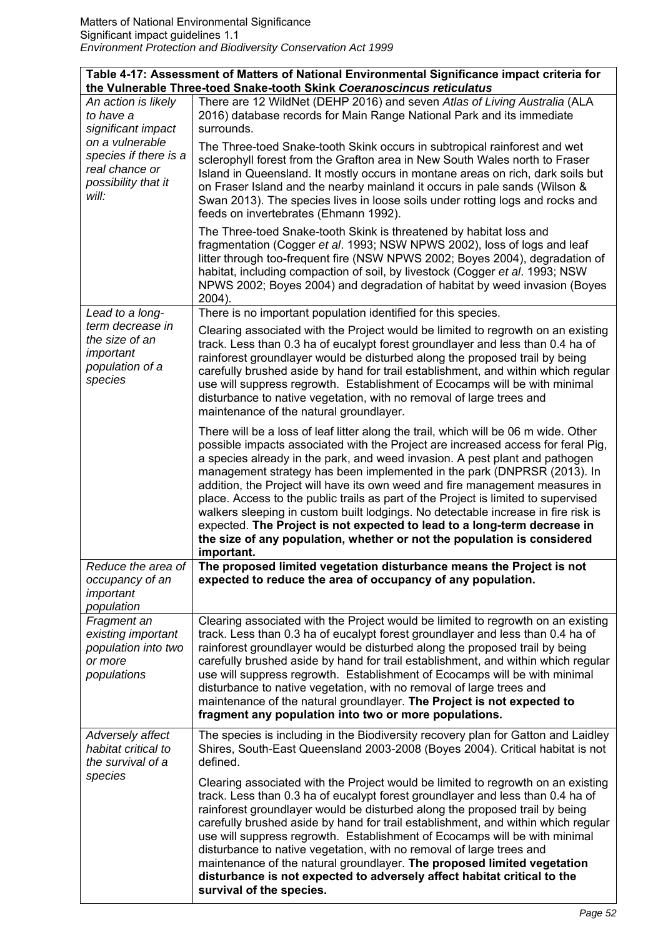|                                                                                    | Table 4-17: Assessment of Matters of National Environmental Significance impact criteria for<br>the Vulnerable Three-toed Snake-tooth Skink Coeranoscincus reticulatus                                                                                                                                                                                                                                                                                                                                                                                                                                                                                                                                                                                            |
|------------------------------------------------------------------------------------|-------------------------------------------------------------------------------------------------------------------------------------------------------------------------------------------------------------------------------------------------------------------------------------------------------------------------------------------------------------------------------------------------------------------------------------------------------------------------------------------------------------------------------------------------------------------------------------------------------------------------------------------------------------------------------------------------------------------------------------------------------------------|
| An action is likely<br>to have a<br>significant impact<br>on a vulnerable          | There are 12 WildNet (DEHP 2016) and seven Atlas of Living Australia (ALA<br>2016) database records for Main Range National Park and its immediate<br>surrounds.                                                                                                                                                                                                                                                                                                                                                                                                                                                                                                                                                                                                  |
| species if there is a<br>real chance or<br>possibility that it<br>will:            | The Three-toed Snake-tooth Skink occurs in subtropical rainforest and wet<br>sclerophyll forest from the Grafton area in New South Wales north to Fraser<br>Island in Queensland. It mostly occurs in montane areas on rich, dark soils but<br>on Fraser Island and the nearby mainland it occurs in pale sands (Wilson &<br>Swan 2013). The species lives in loose soils under rotting logs and rocks and<br>feeds on invertebrates (Ehmann 1992).                                                                                                                                                                                                                                                                                                               |
|                                                                                    | The Three-toed Snake-tooth Skink is threatened by habitat loss and<br>fragmentation (Cogger et al. 1993; NSW NPWS 2002), loss of logs and leaf<br>litter through too-frequent fire (NSW NPWS 2002; Boyes 2004), degradation of<br>habitat, including compaction of soil, by livestock (Cogger et al. 1993; NSW<br>NPWS 2002; Boyes 2004) and degradation of habitat by weed invasion (Boyes<br>2004).                                                                                                                                                                                                                                                                                                                                                             |
| Lead to a long-                                                                    | There is no important population identified for this species.                                                                                                                                                                                                                                                                                                                                                                                                                                                                                                                                                                                                                                                                                                     |
| term decrease in<br>the size of an<br>important<br>population of a<br>species      | Clearing associated with the Project would be limited to regrowth on an existing<br>track. Less than 0.3 ha of eucalypt forest groundlayer and less than 0.4 ha of<br>rainforest groundlayer would be disturbed along the proposed trail by being<br>carefully brushed aside by hand for trail establishment, and within which regular<br>use will suppress regrowth. Establishment of Ecocamps will be with minimal<br>disturbance to native vegetation, with no removal of large trees and<br>maintenance of the natural groundlayer.                                                                                                                                                                                                                           |
|                                                                                    | There will be a loss of leaf litter along the trail, which will be 06 m wide. Other<br>possible impacts associated with the Project are increased access for feral Pig,<br>a species already in the park, and weed invasion. A pest plant and pathogen<br>management strategy has been implemented in the park (DNPRSR (2013). In<br>addition, the Project will have its own weed and fire management measures in<br>place. Access to the public trails as part of the Project is limited to supervised<br>walkers sleeping in custom built lodgings. No detectable increase in fire risk is<br>expected. The Project is not expected to lead to a long-term decrease in<br>the size of any population, whether or not the population is considered<br>important. |
| Reduce the area of<br>occupancy of an<br>important<br>population                   | The proposed limited vegetation disturbance means the Project is not<br>expected to reduce the area of occupancy of any population.                                                                                                                                                                                                                                                                                                                                                                                                                                                                                                                                                                                                                               |
| Fragment an<br>existing important<br>population into two<br>or more<br>populations | Clearing associated with the Project would be limited to regrowth on an existing<br>track. Less than 0.3 ha of eucalypt forest groundlayer and less than 0.4 ha of<br>rainforest groundlayer would be disturbed along the proposed trail by being<br>carefully brushed aside by hand for trail establishment, and within which regular<br>use will suppress regrowth. Establishment of Ecocamps will be with minimal<br>disturbance to native vegetation, with no removal of large trees and<br>maintenance of the natural groundlayer. The Project is not expected to<br>fragment any population into two or more populations.                                                                                                                                   |
| Adversely affect<br>habitat critical to<br>the survival of a<br>species            | The species is including in the Biodiversity recovery plan for Gatton and Laidley<br>Shires, South-East Queensland 2003-2008 (Boyes 2004). Critical habitat is not<br>defined.                                                                                                                                                                                                                                                                                                                                                                                                                                                                                                                                                                                    |
|                                                                                    | Clearing associated with the Project would be limited to regrowth on an existing<br>track. Less than 0.3 ha of eucalypt forest groundlayer and less than 0.4 ha of<br>rainforest groundlayer would be disturbed along the proposed trail by being<br>carefully brushed aside by hand for trail establishment, and within which regular<br>use will suppress regrowth. Establishment of Ecocamps will be with minimal<br>disturbance to native vegetation, with no removal of large trees and<br>maintenance of the natural groundlayer. The proposed limited vegetation<br>disturbance is not expected to adversely affect habitat critical to the<br>survival of the species.                                                                                    |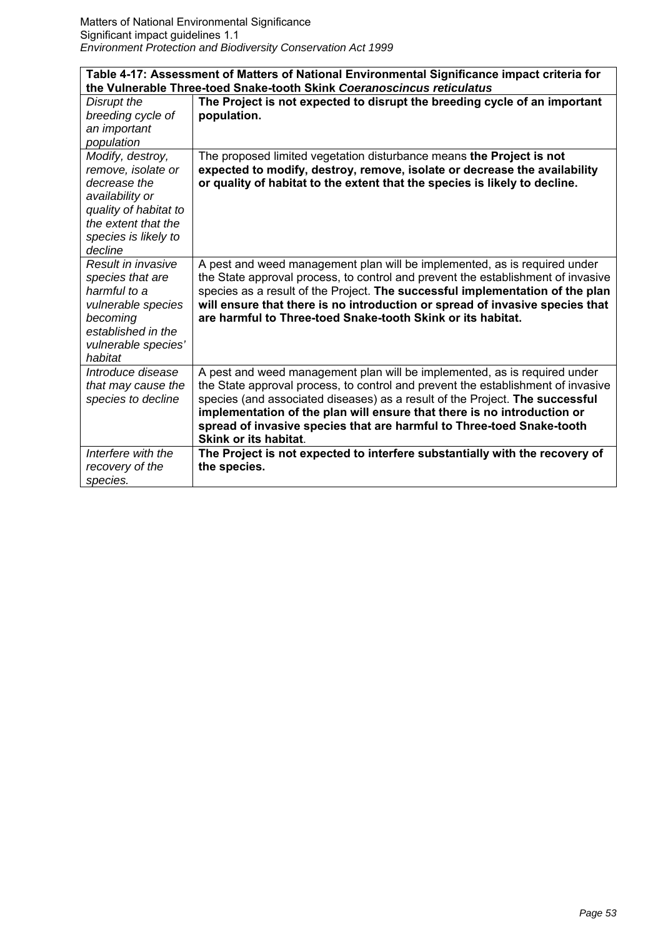| Table 4-17: Assessment of Matters of National Environmental Significance impact criteria for |                                                                                                                                                         |
|----------------------------------------------------------------------------------------------|---------------------------------------------------------------------------------------------------------------------------------------------------------|
|                                                                                              | the Vulnerable Three-toed Snake-tooth Skink Coeranoscincus reticulatus                                                                                  |
| Disrupt the                                                                                  | The Project is not expected to disrupt the breeding cycle of an important                                                                               |
| breeding cycle of                                                                            | population.                                                                                                                                             |
| an important                                                                                 |                                                                                                                                                         |
| population                                                                                   |                                                                                                                                                         |
| Modify, destroy,                                                                             | The proposed limited vegetation disturbance means the Project is not                                                                                    |
| remove, isolate or                                                                           | expected to modify, destroy, remove, isolate or decrease the availability                                                                               |
| decrease the                                                                                 | or quality of habitat to the extent that the species is likely to decline.                                                                              |
| availability or                                                                              |                                                                                                                                                         |
| quality of habitat to                                                                        |                                                                                                                                                         |
| the extent that the                                                                          |                                                                                                                                                         |
| species is likely to                                                                         |                                                                                                                                                         |
| decline                                                                                      |                                                                                                                                                         |
| Result in invasive                                                                           | A pest and weed management plan will be implemented, as is required under                                                                               |
| species that are                                                                             | the State approval process, to control and prevent the establishment of invasive                                                                        |
| harmful to a                                                                                 | species as a result of the Project. The successful implementation of the plan                                                                           |
| vulnerable species                                                                           | will ensure that there is no introduction or spread of invasive species that                                                                            |
| becoming                                                                                     | are harmful to Three-toed Snake-tooth Skink or its habitat.                                                                                             |
| established in the                                                                           |                                                                                                                                                         |
| vulnerable species'                                                                          |                                                                                                                                                         |
| habitat                                                                                      |                                                                                                                                                         |
| Introduce disease<br>that may cause the                                                      | A pest and weed management plan will be implemented, as is required under                                                                               |
|                                                                                              | the State approval process, to control and prevent the establishment of invasive                                                                        |
| species to decline                                                                           | species (and associated diseases) as a result of the Project. The successful<br>implementation of the plan will ensure that there is no introduction or |
|                                                                                              | spread of invasive species that are harmful to Three-toed Snake-tooth                                                                                   |
|                                                                                              | <b>Skink or its habitat.</b>                                                                                                                            |
| Interfere with the                                                                           | The Project is not expected to interfere substantially with the recovery of                                                                             |
| recovery of the                                                                              | the species.                                                                                                                                            |
| species.                                                                                     |                                                                                                                                                         |
|                                                                                              |                                                                                                                                                         |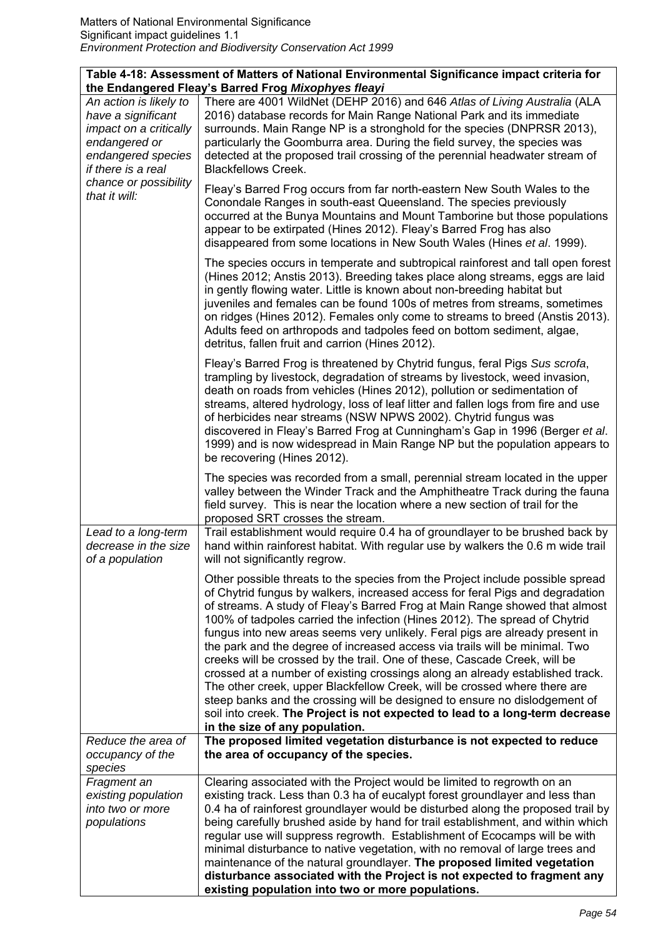| Table 4-18: Assessment of Matters of National Environmental Significance impact criteria for |  |
|----------------------------------------------------------------------------------------------|--|
| the Endangered Fleay's Barred Frog Mixophyes fleayi                                          |  |

| An action is likely to<br>have a significant<br>impact on a critically<br>endangered or<br>endangered species<br>if there is a real<br>chance or possibility<br>that it will: | There are 4001 WildNet (DEHP 2016) and 646 Atlas of Living Australia (ALA<br>2016) database records for Main Range National Park and its immediate<br>surrounds. Main Range NP is a stronghold for the species (DNPRSR 2013),<br>particularly the Goomburra area. During the field survey, the species was<br>detected at the proposed trail crossing of the perennial headwater stream of<br><b>Blackfellows Creek.</b>                                                                                                                                                                                                                                                                                                                                                                                                                                                                                                               |
|-------------------------------------------------------------------------------------------------------------------------------------------------------------------------------|----------------------------------------------------------------------------------------------------------------------------------------------------------------------------------------------------------------------------------------------------------------------------------------------------------------------------------------------------------------------------------------------------------------------------------------------------------------------------------------------------------------------------------------------------------------------------------------------------------------------------------------------------------------------------------------------------------------------------------------------------------------------------------------------------------------------------------------------------------------------------------------------------------------------------------------|
|                                                                                                                                                                               | Fleay's Barred Frog occurs from far north-eastern New South Wales to the<br>Conondale Ranges in south-east Queensland. The species previously<br>occurred at the Bunya Mountains and Mount Tamborine but those populations<br>appear to be extirpated (Hines 2012). Fleay's Barred Frog has also<br>disappeared from some locations in New South Wales (Hines et al. 1999).                                                                                                                                                                                                                                                                                                                                                                                                                                                                                                                                                            |
|                                                                                                                                                                               | The species occurs in temperate and subtropical rainforest and tall open forest<br>(Hines 2012; Anstis 2013). Breeding takes place along streams, eggs are laid<br>in gently flowing water. Little is known about non-breeding habitat but<br>juveniles and females can be found 100s of metres from streams, sometimes<br>on ridges (Hines 2012). Females only come to streams to breed (Anstis 2013).<br>Adults feed on arthropods and tadpoles feed on bottom sediment, algae,<br>detritus, fallen fruit and carrion (Hines 2012).                                                                                                                                                                                                                                                                                                                                                                                                  |
|                                                                                                                                                                               | Fleay's Barred Frog is threatened by Chytrid fungus, feral Pigs Sus scrofa,<br>trampling by livestock, degradation of streams by livestock, weed invasion,<br>death on roads from vehicles (Hines 2012), pollution or sedimentation of<br>streams, altered hydrology, loss of leaf litter and fallen logs from fire and use<br>of herbicides near streams (NSW NPWS 2002). Chytrid fungus was<br>discovered in Fleay's Barred Frog at Cunningham's Gap in 1996 (Berger et al.<br>1999) and is now widespread in Main Range NP but the population appears to<br>be recovering (Hines 2012).                                                                                                                                                                                                                                                                                                                                             |
|                                                                                                                                                                               | The species was recorded from a small, perennial stream located in the upper<br>valley between the Winder Track and the Amphitheatre Track during the fauna<br>field survey. This is near the location where a new section of trail for the<br>proposed SRT crosses the stream.                                                                                                                                                                                                                                                                                                                                                                                                                                                                                                                                                                                                                                                        |
| Lead to a long-term<br>decrease in the size<br>of a population                                                                                                                | Trail establishment would require 0.4 ha of groundlayer to be brushed back by<br>hand within rainforest habitat. With regular use by walkers the 0.6 m wide trail<br>will not significantly regrow.                                                                                                                                                                                                                                                                                                                                                                                                                                                                                                                                                                                                                                                                                                                                    |
|                                                                                                                                                                               | Other possible threats to the species from the Project include possible spread<br>of Chytrid fungus by walkers, increased access for feral Pigs and degradation<br>of streams. A study of Fleay's Barred Frog at Main Range showed that almost<br>100% of tadpoles carried the infection (Hines 2012). The spread of Chytrid<br>fungus into new areas seems very unlikely. Feral pigs are already present in<br>the park and the degree of increased access via trails will be minimal. Two<br>creeks will be crossed by the trail. One of these, Cascade Creek, will be<br>crossed at a number of existing crossings along an already established track.<br>The other creek, upper Blackfellow Creek, will be crossed where there are<br>steep banks and the crossing will be designed to ensure no dislodgement of<br>soil into creek. The Project is not expected to lead to a long-term decrease<br>in the size of any population. |
| Reduce the area of<br>occupancy of the<br>species                                                                                                                             | The proposed limited vegetation disturbance is not expected to reduce<br>the area of occupancy of the species.                                                                                                                                                                                                                                                                                                                                                                                                                                                                                                                                                                                                                                                                                                                                                                                                                         |
| Fragment an<br>existing population<br>into two or more<br>populations                                                                                                         | Clearing associated with the Project would be limited to regrowth on an<br>existing track. Less than 0.3 ha of eucalypt forest groundlayer and less than<br>0.4 ha of rainforest groundlayer would be disturbed along the proposed trail by<br>being carefully brushed aside by hand for trail establishment, and within which<br>regular use will suppress regrowth. Establishment of Ecocamps will be with<br>minimal disturbance to native vegetation, with no removal of large trees and<br>maintenance of the natural groundlayer. The proposed limited vegetation<br>disturbance associated with the Project is not expected to fragment any<br>existing population into two or more populations.                                                                                                                                                                                                                                |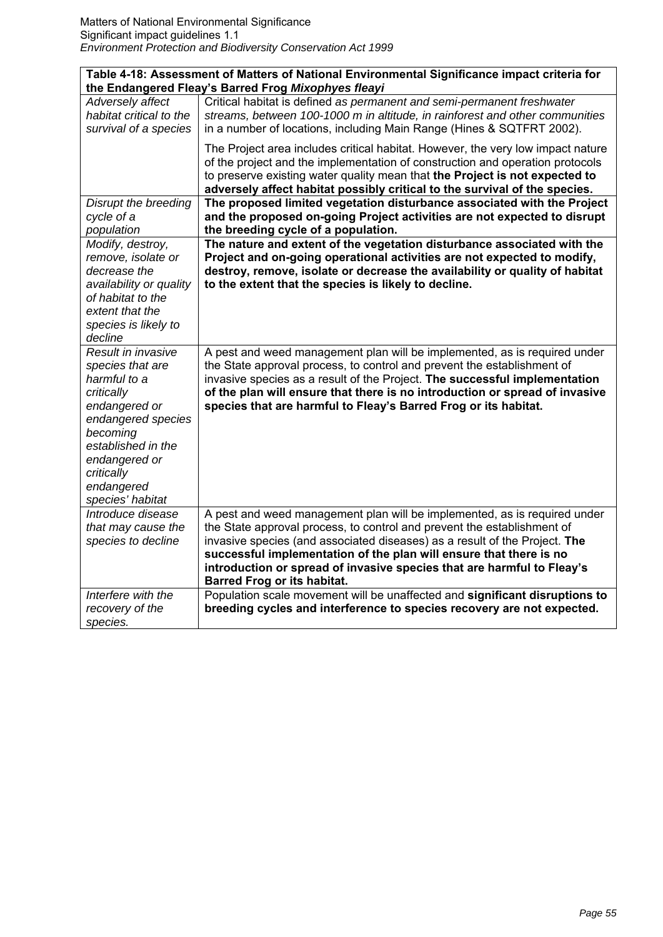| Table 4-18: Assessment of Matters of National Environmental Significance impact criteria for                                                                                                                   |                                                                                                                                                                                                                                                                                                                                                                                                                          |  |
|----------------------------------------------------------------------------------------------------------------------------------------------------------------------------------------------------------------|--------------------------------------------------------------------------------------------------------------------------------------------------------------------------------------------------------------------------------------------------------------------------------------------------------------------------------------------------------------------------------------------------------------------------|--|
|                                                                                                                                                                                                                | the Endangered Fleay's Barred Frog Mixophyes fleayi                                                                                                                                                                                                                                                                                                                                                                      |  |
| Adversely affect<br>habitat critical to the<br>survival of a species                                                                                                                                           | Critical habitat is defined as permanent and semi-permanent freshwater<br>streams, between 100-1000 m in altitude, in rainforest and other communities<br>in a number of locations, including Main Range (Hines & SQTFRT 2002).                                                                                                                                                                                          |  |
|                                                                                                                                                                                                                | The Project area includes critical habitat. However, the very low impact nature<br>of the project and the implementation of construction and operation protocols<br>to preserve existing water quality mean that the Project is not expected to<br>adversely affect habitat possibly critical to the survival of the species.                                                                                            |  |
| Disrupt the breeding<br>cycle of a<br>population                                                                                                                                                               | The proposed limited vegetation disturbance associated with the Project<br>and the proposed on-going Project activities are not expected to disrupt<br>the breeding cycle of a population.                                                                                                                                                                                                                               |  |
| Modify, destroy,<br>remove, isolate or<br>decrease the<br>availability or quality<br>of habitat to the<br>extent that the<br>species is likely to<br>decline                                                   | The nature and extent of the vegetation disturbance associated with the<br>Project and on-going operational activities are not expected to modify,<br>destroy, remove, isolate or decrease the availability or quality of habitat<br>to the extent that the species is likely to decline.                                                                                                                                |  |
| Result in invasive<br>species that are<br>harmful to a<br>critically<br>endangered or<br>endangered species<br>becoming<br>established in the<br>endangered or<br>critically<br>endangered<br>species' habitat | A pest and weed management plan will be implemented, as is required under<br>the State approval process, to control and prevent the establishment of<br>invasive species as a result of the Project. The successful implementation<br>of the plan will ensure that there is no introduction or spread of invasive<br>species that are harmful to Fleay's Barred Frog or its habitat.                                     |  |
| Introduce disease<br>that may cause the<br>species to decline                                                                                                                                                  | A pest and weed management plan will be implemented, as is required under<br>the State approval process, to control and prevent the establishment of<br>invasive species (and associated diseases) as a result of the Project. The<br>successful implementation of the plan will ensure that there is no<br>introduction or spread of invasive species that are harmful to Fleay's<br><b>Barred Frog or its habitat.</b> |  |
| Interfere with the<br>recovery of the<br>species.                                                                                                                                                              | Population scale movement will be unaffected and significant disruptions to<br>breeding cycles and interference to species recovery are not expected.                                                                                                                                                                                                                                                                    |  |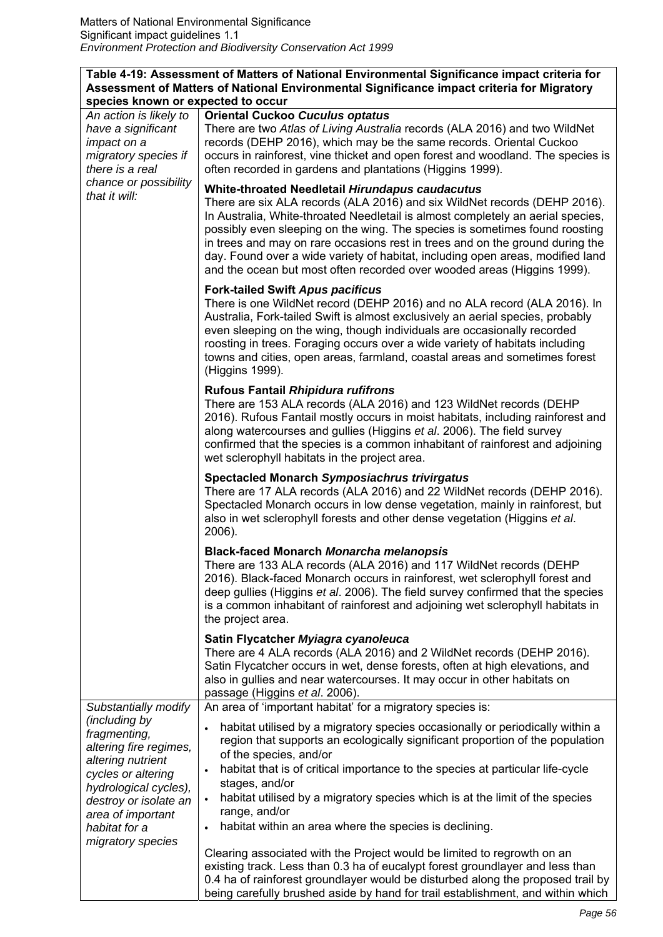#### **Table 4-19: Assessment of Matters of National Environmental Significance impact criteria for Assessment of Matters of National Environmental Significance impact criteria for Migratory species known or expected to occur**  *An action is likely to*  **Oriental Cuckoo** *Cuculus optatus*

| An action is likely to<br>have a significant<br>impact on a<br>migratory species if<br>there is a real<br>chance or possibility<br>that it will: | <b>Oriental Cuckoo Cuculus optatus</b><br>There are two Atlas of Living Australia records (ALA 2016) and two WildNet<br>records (DEHP 2016), which may be the same records. Oriental Cuckoo<br>occurs in rainforest, vine thicket and open forest and woodland. The species is<br>often recorded in gardens and plantations (Higgins 1999).<br>White-throated Needletail Hirundapus caudacutus<br>There are six ALA records (ALA 2016) and six WildNet records (DEHP 2016).<br>In Australia, White-throated Needletail is almost completely an aerial species,<br>possibly even sleeping on the wing. The species is sometimes found roosting |
|--------------------------------------------------------------------------------------------------------------------------------------------------|-----------------------------------------------------------------------------------------------------------------------------------------------------------------------------------------------------------------------------------------------------------------------------------------------------------------------------------------------------------------------------------------------------------------------------------------------------------------------------------------------------------------------------------------------------------------------------------------------------------------------------------------------|
|                                                                                                                                                  | in trees and may on rare occasions rest in trees and on the ground during the<br>day. Found over a wide variety of habitat, including open areas, modified land<br>and the ocean but most often recorded over wooded areas (Higgins 1999).                                                                                                                                                                                                                                                                                                                                                                                                    |
|                                                                                                                                                  | <b>Fork-tailed Swift Apus pacificus</b><br>There is one WildNet record (DEHP 2016) and no ALA record (ALA 2016). In<br>Australia, Fork-tailed Swift is almost exclusively an aerial species, probably<br>even sleeping on the wing, though individuals are occasionally recorded<br>roosting in trees. Foraging occurs over a wide variety of habitats including<br>towns and cities, open areas, farmland, coastal areas and sometimes forest<br>(Higgins 1999).                                                                                                                                                                             |
|                                                                                                                                                  | <b>Rufous Fantail Rhipidura rufifrons</b><br>There are 153 ALA records (ALA 2016) and 123 WildNet records (DEHP<br>2016). Rufous Fantail mostly occurs in moist habitats, including rainforest and<br>along watercourses and gullies (Higgins et al. 2006). The field survey<br>confirmed that the species is a common inhabitant of rainforest and adjoining<br>wet sclerophyll habitats in the project area.                                                                                                                                                                                                                                |
|                                                                                                                                                  | <b>Spectacled Monarch Symposiachrus trivirgatus</b><br>There are 17 ALA records (ALA 2016) and 22 WildNet records (DEHP 2016).<br>Spectacled Monarch occurs in low dense vegetation, mainly in rainforest, but<br>also in wet sclerophyll forests and other dense vegetation (Higgins et al.<br>2006).                                                                                                                                                                                                                                                                                                                                        |
|                                                                                                                                                  | <b>Black-faced Monarch Monarcha melanopsis</b><br>There are 133 ALA records (ALA 2016) and 117 WildNet records (DEHP<br>2016). Black-faced Monarch occurs in rainforest, wet sclerophyll forest and<br>deep gullies (Higgins et al. 2006). The field survey confirmed that the species<br>is a common inhabitant of rainforest and adjoining wet sclerophyll habitats in<br>the project area.                                                                                                                                                                                                                                                 |
|                                                                                                                                                  | Satin Flycatcher Myiagra cyanoleuca<br>There are 4 ALA records (ALA 2016) and 2 WildNet records (DEHP 2016).<br>Satin Flycatcher occurs in wet, dense forests, often at high elevations, and<br>also in gullies and near watercourses. It may occur in other habitats on<br>passage (Higgins et al. 2006).                                                                                                                                                                                                                                                                                                                                    |
| Substantially modify<br>(including by<br>fragmenting,<br>altering fire regimes,<br>altering nutrient<br>cycles or altering                       | An area of 'important habitat' for a migratory species is:<br>habitat utilised by a migratory species occasionally or periodically within a<br>$\bullet$<br>region that supports an ecologically significant proportion of the population<br>of the species, and/or<br>habitat that is of critical importance to the species at particular life-cycle<br>$\bullet$                                                                                                                                                                                                                                                                            |
| hydrological cycles),<br>destroy or isolate an<br>area of important<br>habitat for a                                                             | stages, and/or<br>habitat utilised by a migratory species which is at the limit of the species<br>range, and/or<br>habitat within an area where the species is declining.                                                                                                                                                                                                                                                                                                                                                                                                                                                                     |
| migratory species                                                                                                                                | Clearing associated with the Project would be limited to regrowth on an<br>existing track. Less than 0.3 ha of eucalypt forest groundlayer and less than<br>0.4 ha of rainforest groundlayer would be disturbed along the proposed trail by<br>being carefully brushed aside by hand for trail establishment, and within which                                                                                                                                                                                                                                                                                                                |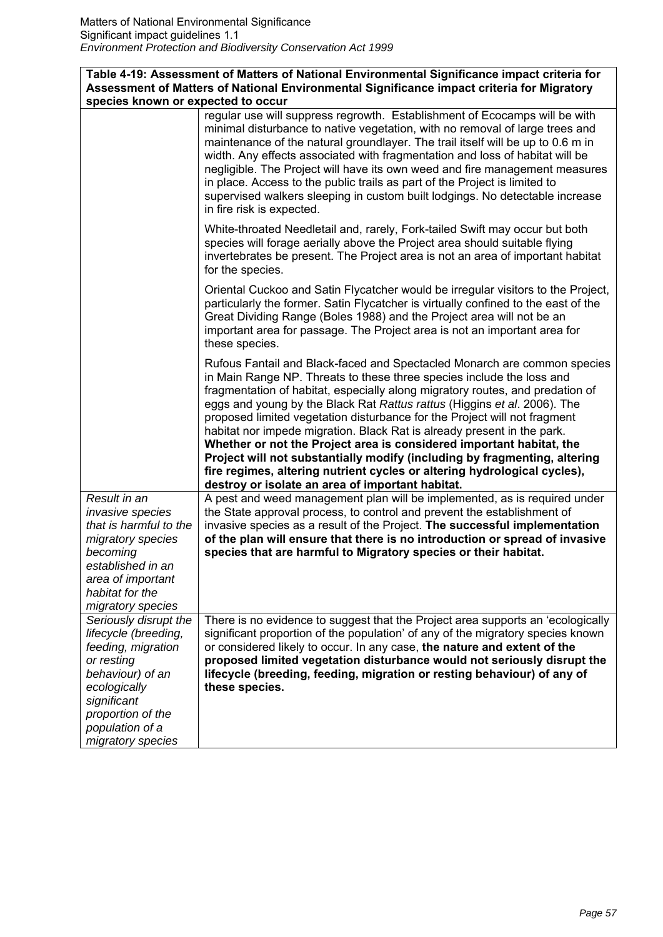| Table 4-19: Assessment of Matters of National Environmental Significance impact criteria for<br>Assessment of Matters of National Environmental Significance impact criteria for Migratory        |                                                                                                                                                                                                                                                                                                                                                                                                                                                                                                                                                                                                                                                                                                                                                             |
|---------------------------------------------------------------------------------------------------------------------------------------------------------------------------------------------------|-------------------------------------------------------------------------------------------------------------------------------------------------------------------------------------------------------------------------------------------------------------------------------------------------------------------------------------------------------------------------------------------------------------------------------------------------------------------------------------------------------------------------------------------------------------------------------------------------------------------------------------------------------------------------------------------------------------------------------------------------------------|
| species known or expected to occur                                                                                                                                                                |                                                                                                                                                                                                                                                                                                                                                                                                                                                                                                                                                                                                                                                                                                                                                             |
|                                                                                                                                                                                                   | regular use will suppress regrowth. Establishment of Ecocamps will be with<br>minimal disturbance to native vegetation, with no removal of large trees and<br>maintenance of the natural groundlayer. The trail itself will be up to 0.6 m in<br>width. Any effects associated with fragmentation and loss of habitat will be<br>negligible. The Project will have its own weed and fire management measures<br>in place. Access to the public trails as part of the Project is limited to<br>supervised walkers sleeping in custom built lodgings. No detectable increase<br>in fire risk is expected.                                                                                                                                                     |
|                                                                                                                                                                                                   | White-throated Needletail and, rarely, Fork-tailed Swift may occur but both<br>species will forage aerially above the Project area should suitable flying<br>invertebrates be present. The Project area is not an area of important habitat<br>for the species.                                                                                                                                                                                                                                                                                                                                                                                                                                                                                             |
|                                                                                                                                                                                                   | Oriental Cuckoo and Satin Flycatcher would be irregular visitors to the Project,<br>particularly the former. Satin Flycatcher is virtually confined to the east of the<br>Great Dividing Range (Boles 1988) and the Project area will not be an<br>important area for passage. The Project area is not an important area for<br>these species.                                                                                                                                                                                                                                                                                                                                                                                                              |
|                                                                                                                                                                                                   | Rufous Fantail and Black-faced and Spectacled Monarch are common species<br>in Main Range NP. Threats to these three species include the loss and<br>fragmentation of habitat, especially along migratory routes, and predation of<br>eggs and young by the Black Rat Rattus rattus (Higgins et al. 2006). The<br>proposed limited vegetation disturbance for the Project will not fragment<br>habitat nor impede migration. Black Rat is already present in the park.<br>Whether or not the Project area is considered important habitat, the<br>Project will not substantially modify (including by fragmenting, altering<br>fire regimes, altering nutrient cycles or altering hydrological cycles),<br>destroy or isolate an area of important habitat. |
| Result in an<br>invasive species<br>that is harmful to the<br>migratory species<br>becoming<br>established in an<br>area of important<br>habitat for the<br>migratory species                     | A pest and weed management plan will be implemented, as is required under<br>the State approval process, to control and prevent the establishment of<br>invasive species as a result of the Project. The successful implementation<br>of the plan will ensure that there is no introduction or spread of invasive<br>species that are harmful to Migratory species or their habitat.                                                                                                                                                                                                                                                                                                                                                                        |
| Seriously disrupt the<br>lifecycle (breeding,<br>feeding, migration<br>or resting<br>behaviour) of an<br>ecologically<br>significant<br>proportion of the<br>population of a<br>migratory species | There is no evidence to suggest that the Project area supports an 'ecologically<br>significant proportion of the population' of any of the migratory species known<br>or considered likely to occur. In any case, the nature and extent of the<br>proposed limited vegetation disturbance would not seriously disrupt the<br>lifecycle (breeding, feeding, migration or resting behaviour) of any of<br>these species.                                                                                                                                                                                                                                                                                                                                      |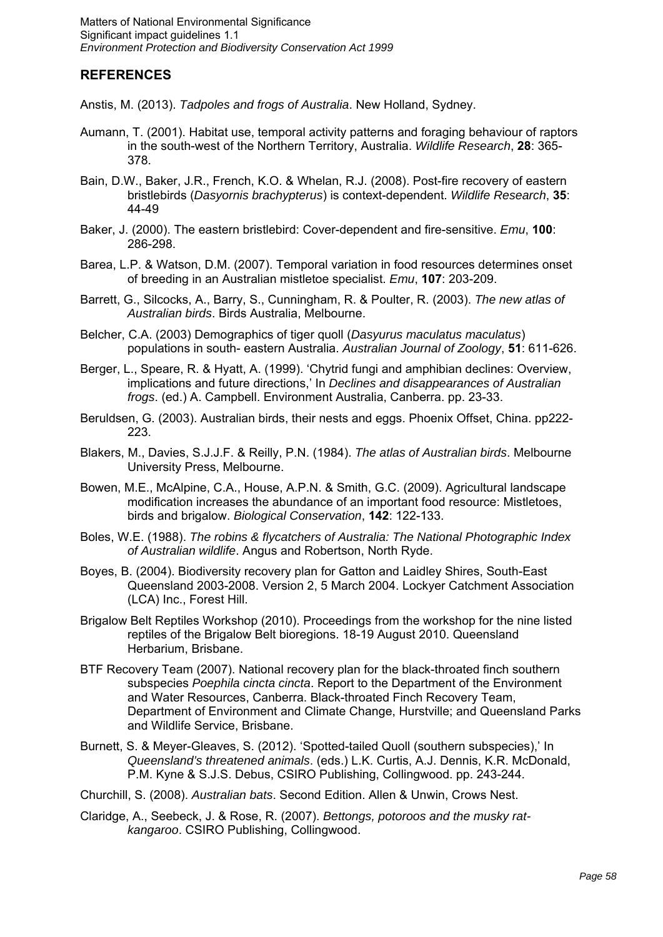# **REFERENCES**

Anstis, M. (2013). *Tadpoles and frogs of Australia*. New Holland, Sydney.

- Aumann, T. (2001). Habitat use, temporal activity patterns and foraging behaviour of raptors in the south-west of the Northern Territory, Australia. *Wildlife Research*, **28**: 365- 378.
- Bain, D.W., Baker, J.R., French, K.O. & Whelan, R.J. (2008). Post-fire recovery of eastern bristlebirds (*Dasyornis brachypterus*) is context-dependent. *Wildlife Research*, **35**: 44-49
- Baker, J. (2000). The eastern bristlebird: Cover-dependent and fire-sensitive. *Emu*, **100**: 286-298.
- Barea, L.P. & Watson, D.M. (2007). Temporal variation in food resources determines onset of breeding in an Australian mistletoe specialist. *Emu*, **107**: 203-209.
- Barrett, G., Silcocks, A., Barry, S., Cunningham, R. & Poulter, R. (2003). *The new atlas of Australian birds*. Birds Australia, Melbourne.
- Belcher, C.A. (2003) Demographics of tiger quoll (*Dasyurus maculatus maculatus*) populations in south- eastern Australia. *Australian Journal of Zoology*, **51**: 611-626.
- Berger, L., Speare, R. & Hyatt, A. (1999). 'Chytrid fungi and amphibian declines: Overview, implications and future directions,' In *Declines and disappearances of Australian frogs*. (ed.) A. Campbell. Environment Australia, Canberra. pp. 23-33.
- Beruldsen, G. (2003). Australian birds, their nests and eggs. Phoenix Offset, China. pp222- 223.
- Blakers, M., Davies, S.J.J.F. & Reilly, P.N. (1984). *The atlas of Australian birds*. Melbourne University Press, Melbourne.
- Bowen, M.E., McAlpine, C.A., House, A.P.N. & Smith, G.C. (2009). Agricultural landscape modification increases the abundance of an important food resource: Mistletoes, birds and brigalow. *Biological Conservation*, **142**: 122-133.
- Boles, W.E. (1988). *The robins & flycatchers of Australia: The National Photographic Index of Australian wildlife*. Angus and Robertson, North Ryde.
- Boyes, B. (2004). Biodiversity recovery plan for Gatton and Laidley Shires, South-East Queensland 2003-2008. Version 2, 5 March 2004. Lockyer Catchment Association (LCA) Inc., Forest Hill.
- Brigalow Belt Reptiles Workshop (2010). Proceedings from the workshop for the nine listed reptiles of the Brigalow Belt bioregions. 18-19 August 2010. Queensland Herbarium, Brisbane.
- BTF Recovery Team (2007). National recovery plan for the black-throated finch southern subspecies *Poephila cincta cincta*. Report to the Department of the Environment and Water Resources, Canberra. Black-throated Finch Recovery Team, Department of Environment and Climate Change, Hurstville; and Queensland Parks and Wildlife Service, Brisbane.
- Burnett, S. & Meyer-Gleaves, S. (2012). 'Spotted-tailed Quoll (southern subspecies),' In *Queensland's threatened animals*. (eds.) L.K. Curtis, A.J. Dennis, K.R. McDonald, P.M. Kyne & S.J.S. Debus, CSIRO Publishing, Collingwood. pp. 243-244.
- Churchill, S. (2008). *Australian bats*. Second Edition. Allen & Unwin, Crows Nest.
- Claridge, A., Seebeck, J. & Rose, R. (2007). *Bettongs, potoroos and the musky ratkangaroo*. CSIRO Publishing, Collingwood.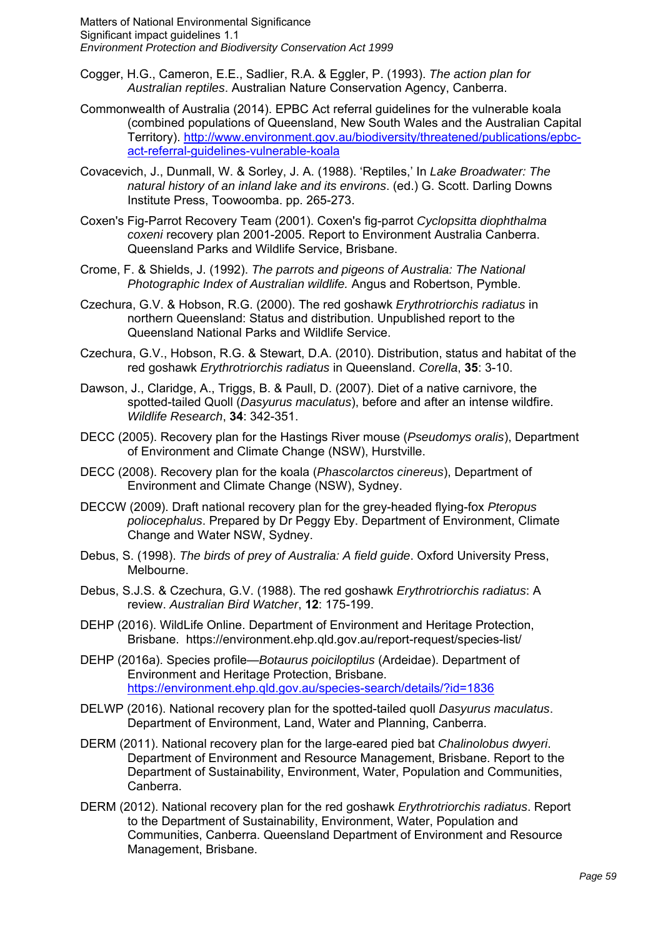- Cogger, H.G., Cameron, E.E., Sadlier, R.A. & Eggler, P. (1993). *The action plan for Australian reptiles*. Australian Nature Conservation Agency, Canberra.
- Commonwealth of Australia (2014). EPBC Act referral guidelines for the vulnerable koala (combined populations of Queensland, New South Wales and the Australian Capital Territory). http://www.environment.gov.au/biodiversity/threatened/publications/epbcact-referral-guidelines-vulnerable-koala
- Covacevich, J., Dunmall, W. & Sorley, J. A. (1988). 'Reptiles,' In *Lake Broadwater: The natural history of an inland lake and its environs*. (ed.) G. Scott. Darling Downs Institute Press, Toowoomba. pp. 265-273.
- Coxen's Fig-Parrot Recovery Team (2001). Coxen's fig-parrot *Cyclopsitta diophthalma coxeni* recovery plan 2001-2005. Report to Environment Australia Canberra. Queensland Parks and Wildlife Service, Brisbane.
- Crome, F. & Shields, J. (1992). *The parrots and pigeons of Australia: The National Photographic Index of Australian wildlife.* Angus and Robertson, Pymble.
- Czechura, G.V. & Hobson, R.G. (2000). The red goshawk *Erythrotriorchis radiatus* in northern Queensland: Status and distribution. Unpublished report to the Queensland National Parks and Wildlife Service.
- Czechura, G.V., Hobson, R.G. & Stewart, D.A. (2010). Distribution, status and habitat of the red goshawk *Erythrotriorchis radiatus* in Queensland. *Corella*, **35**: 3-10.
- Dawson, J., Claridge, A., Triggs, B. & Paull, D. (2007). Diet of a native carnivore, the spotted-tailed Quoll (*Dasyurus maculatus*), before and after an intense wildfire. *Wildlife Research*, **34**: 342-351.
- DECC (2005). Recovery plan for the Hastings River mouse (*Pseudomys oralis*), Department of Environment and Climate Change (NSW), Hurstville.
- DECC (2008). Recovery plan for the koala (*Phascolarctos cinereus*), Department of Environment and Climate Change (NSW), Sydney.
- DECCW (2009). Draft national recovery plan for the grey-headed flying-fox *Pteropus poliocephalus*. Prepared by Dr Peggy Eby. Department of Environment, Climate Change and Water NSW, Sydney.
- Debus, S. (1998). *The birds of prey of Australia: A field guide*. Oxford University Press, Melbourne.
- Debus, S.J.S. & Czechura, G.V. (1988). The red goshawk *Erythrotriorchis radiatus*: A review. *Australian Bird Watcher*, **12**: 175-199.
- DEHP (2016). WildLife Online. Department of Environment and Heritage Protection, Brisbane. https://environment.ehp.qld.gov.au/report-request/species-list/
- DEHP (2016a). Species profile—*Botaurus poiciloptilus* (Ardeidae). Department of Environment and Heritage Protection, Brisbane. https://environment.ehp.qld.gov.au/species-search/details/?id=1836
- DELWP (2016). National recovery plan for the spotted-tailed quoll *Dasyurus maculatus*. Department of Environment, Land, Water and Planning, Canberra.
- DERM (2011). National recovery plan for the large-eared pied bat *Chalinolobus dwyeri*. Department of Environment and Resource Management, Brisbane. Report to the Department of Sustainability, Environment, Water, Population and Communities, Canberra.
- DERM (2012). National recovery plan for the red goshawk *Erythrotriorchis radiatus*. Report to the Department of Sustainability, Environment, Water, Population and Communities, Canberra. Queensland Department of Environment and Resource Management, Brisbane.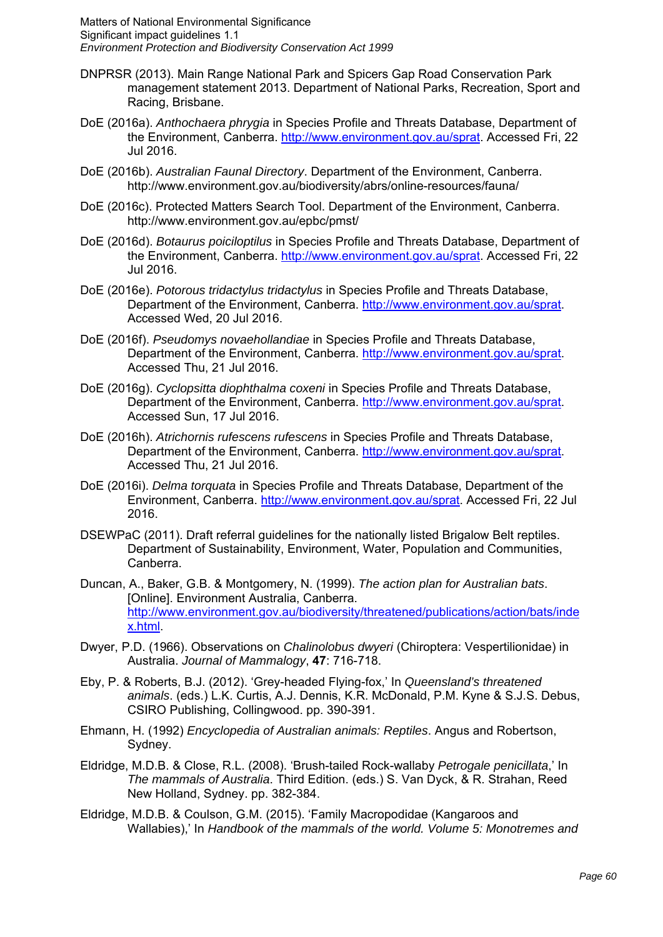- DNPRSR (2013). Main Range National Park and Spicers Gap Road Conservation Park management statement 2013. Department of National Parks, Recreation, Sport and Racing, Brisbane.
- DoE (2016a). *Anthochaera phrygia* in Species Profile and Threats Database, Department of the Environment, Canberra. http://www.environment.gov.au/sprat. Accessed Fri, 22 Jul 2016.
- DoE (2016b). *Australian Faunal Directory*. Department of the Environment, Canberra. http://www.environment.gov.au/biodiversity/abrs/online-resources/fauna/
- DoE (2016c). Protected Matters Search Tool. Department of the Environment, Canberra. http://www.environment.gov.au/epbc/pmst/
- DoE (2016d). *Botaurus poiciloptilus* in Species Profile and Threats Database, Department of the Environment, Canberra. http://www.environment.gov.au/sprat. Accessed Fri, 22 Jul 2016.
- DoE (2016e). *Potorous tridactylus tridactylus* in Species Profile and Threats Database, Department of the Environment, Canberra. http://www.environment.gov.au/sprat. Accessed Wed, 20 Jul 2016.
- DoE (2016f). *Pseudomys novaehollandiae* in Species Profile and Threats Database, Department of the Environment, Canberra. http://www.environment.gov.au/sprat. Accessed Thu, 21 Jul 2016.
- DoE (2016g). *Cyclopsitta diophthalma coxeni* in Species Profile and Threats Database, Department of the Environment, Canberra. http://www.environment.gov.au/sprat. Accessed Sun, 17 Jul 2016.
- DoE (2016h). *Atrichornis rufescens rufescens* in Species Profile and Threats Database, Department of the Environment, Canberra. http://www.environment.gov.au/sprat. Accessed Thu, 21 Jul 2016.
- DoE (2016i). *Delma torquata* in Species Profile and Threats Database, Department of the Environment, Canberra. http://www.environment.gov.au/sprat. Accessed Fri, 22 Jul 2016.
- DSEWPaC (2011). Draft referral guidelines for the nationally listed Brigalow Belt reptiles. Department of Sustainability, Environment, Water, Population and Communities, Canberra.
- Duncan, A., Baker, G.B. & Montgomery, N. (1999). *The action plan for Australian bats*. [Online]. Environment Australia, Canberra. http://www.environment.gov.au/biodiversity/threatened/publications/action/bats/inde x.html.
- Dwyer, P.D. (1966). Observations on *Chalinolobus dwyeri* (Chiroptera: Vespertilionidae) in Australia. *Journal of Mammalogy*, **47**: 716-718.
- Eby, P. & Roberts, B.J. (2012). 'Grey-headed Flying-fox,' In *Queensland's threatened animals*. (eds.) L.K. Curtis, A.J. Dennis, K.R. McDonald, P.M. Kyne & S.J.S. Debus, CSIRO Publishing, Collingwood. pp. 390-391.
- Ehmann, H. (1992) *Encyclopedia of Australian animals: Reptiles*. Angus and Robertson, Sydney.
- Eldridge, M.D.B. & Close, R.L. (2008). 'Brush-tailed Rock-wallaby *Petrogale penicillata*,' In *The mammals of Australia*. Third Edition. (eds.) S. Van Dyck, & R. Strahan, Reed New Holland, Sydney. pp. 382-384.
- Eldridge, M.D.B. & Coulson, G.M. (2015). 'Family Macropodidae (Kangaroos and Wallabies),' In *Handbook of the mammals of the world. Volume 5: Monotremes and*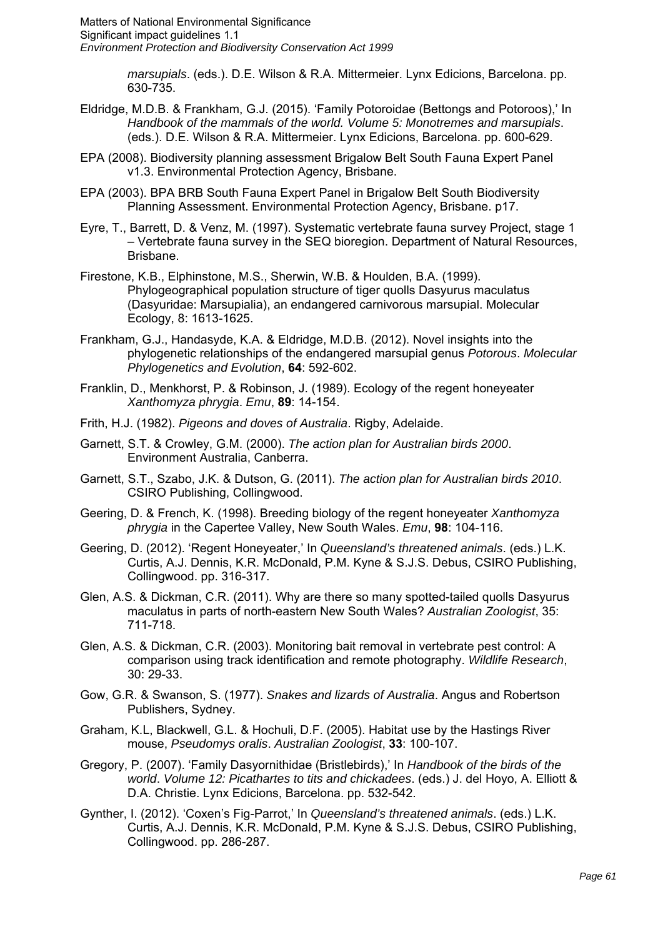> *marsupials*. (eds.). D.E. Wilson & R.A. Mittermeier. Lynx Edicions, Barcelona. pp. 630-735.

- Eldridge, M.D.B. & Frankham, G.J. (2015). 'Family Potoroidae (Bettongs and Potoroos),' In *Handbook of the mammals of the world. Volume 5: Monotremes and marsupials*. (eds.). D.E. Wilson & R.A. Mittermeier. Lynx Edicions, Barcelona. pp. 600-629.
- EPA (2008). Biodiversity planning assessment Brigalow Belt South Fauna Expert Panel v1.3. Environmental Protection Agency, Brisbane.
- EPA (2003). BPA BRB South Fauna Expert Panel in Brigalow Belt South Biodiversity Planning Assessment. Environmental Protection Agency, Brisbane. p17.
- Eyre, T., Barrett, D. & Venz, M. (1997). Systematic vertebrate fauna survey Project, stage 1 – Vertebrate fauna survey in the SEQ bioregion. Department of Natural Resources, Brisbane.
- Firestone, K.B., Elphinstone, M.S., Sherwin, W.B. & Houlden, B.A. (1999). Phylogeographical population structure of tiger quolls Dasyurus maculatus (Dasyuridae: Marsupialia), an endangered carnivorous marsupial. Molecular Ecology, 8: 1613-1625.
- Frankham, G.J., Handasyde, K.A. & Eldridge, M.D.B. (2012). Novel insights into the phylogenetic relationships of the endangered marsupial genus *Potorous*. *Molecular Phylogenetics and Evolution*, **64**: 592-602.
- Franklin, D., Menkhorst, P. & Robinson, J. (1989). Ecology of the regent honeyeater *Xanthomyza phrygia*. *Emu*, **89**: 14-154.
- Frith, H.J. (1982). *Pigeons and doves of Australia*. Rigby, Adelaide.
- Garnett, S.T. & Crowley, G.M. (2000). *The action plan for Australian birds 2000*. Environment Australia, Canberra.
- Garnett, S.T., Szabo, J.K. & Dutson, G. (2011). *The action plan for Australian birds 2010*. CSIRO Publishing, Collingwood.
- Geering, D. & French, K. (1998). Breeding biology of the regent honeyeater *Xanthomyza phrygia* in the Capertee Valley, New South Wales. *Emu*, **98**: 104-116.
- Geering, D. (2012). 'Regent Honeyeater,' In *Queensland's threatened animals*. (eds.) L.K. Curtis, A.J. Dennis, K.R. McDonald, P.M. Kyne & S.J.S. Debus, CSIRO Publishing, Collingwood. pp. 316-317.
- Glen, A.S. & Dickman, C.R. (2011). Why are there so many spotted-tailed quolls Dasyurus maculatus in parts of north-eastern New South Wales? *Australian Zoologist*, 35: 711-718.
- Glen, A.S. & Dickman, C.R. (2003). Monitoring bait removal in vertebrate pest control: A comparison using track identification and remote photography. *Wildlife Research*, 30: 29-33.
- Gow, G.R. & Swanson, S. (1977). *Snakes and lizards of Australia*. Angus and Robertson Publishers, Sydney.
- Graham, K.L, Blackwell, G.L. & Hochuli, D.F. (2005). Habitat use by the Hastings River mouse, *Pseudomys oralis*. *Australian Zoologist*, **33**: 100-107.
- Gregory, P. (2007). 'Family Dasyornithidae (Bristlebirds),' In *Handbook of the birds of the world*. *Volume 12: Picathartes to tits and chickadees*. (eds.) J. del Hoyo, A. Elliott & D.A. Christie. Lynx Edicions, Barcelona. pp. 532-542.
- Gynther, I. (2012). 'Coxen's Fig-Parrot,' In *Queensland's threatened animals*. (eds.) L.K. Curtis, A.J. Dennis, K.R. McDonald, P.M. Kyne & S.J.S. Debus, CSIRO Publishing, Collingwood. pp. 286-287.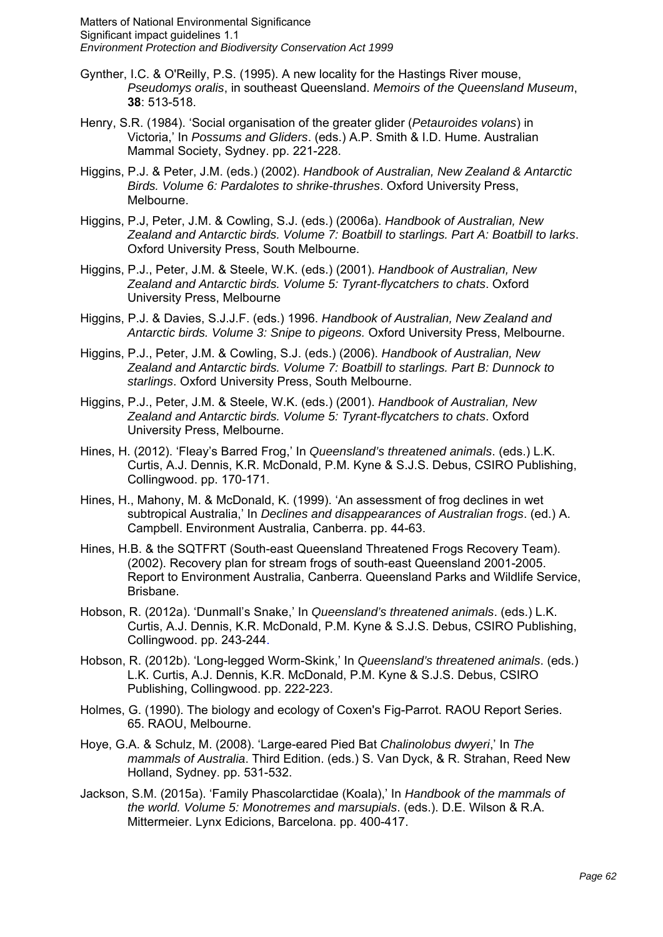- Gynther, I.C. & O'Reilly, P.S. (1995). A new locality for the Hastings River mouse, *Pseudomys oralis*, in southeast Queensland. *Memoirs of the Queensland Museum*, **38**: 513-518.
- Henry, S.R. (1984). 'Social organisation of the greater glider (*Petauroides volans*) in Victoria,' In *Possums and Gliders*. (eds.) A.P. Smith & I.D. Hume. Australian Mammal Society, Sydney. pp. 221-228.
- Higgins, P.J. & Peter, J.M. (eds.) (2002). *Handbook of Australian, New Zealand & Antarctic Birds. Volume 6: Pardalotes to shrike-thrushes*. Oxford University Press, Melbourne.
- Higgins, P.J, Peter, J.M. & Cowling, S.J. (eds.) (2006a). *Handbook of Australian, New Zealand and Antarctic birds. Volume 7: Boatbill to starlings. Part A: Boatbill to larks*. Oxford University Press, South Melbourne.
- Higgins, P.J., Peter, J.M. & Steele, W.K. (eds.) (2001). *Handbook of Australian, New Zealand and Antarctic birds. Volume 5: Tyrant-flycatchers to chats*. Oxford University Press, Melbourne
- Higgins, P.J. & Davies, S.J.J.F. (eds.) 1996. *Handbook of Australian, New Zealand and Antarctic birds. Volume 3: Snipe to pigeons.* Oxford University Press, Melbourne.
- Higgins, P.J., Peter, J.M. & Cowling, S.J. (eds.) (2006). *Handbook of Australian, New Zealand and Antarctic birds. Volume 7: Boatbill to starlings. Part B: Dunnock to starlings*. Oxford University Press, South Melbourne.
- Higgins, P.J., Peter, J.M. & Steele, W.K. (eds.) (2001). *Handbook of Australian, New Zealand and Antarctic birds. Volume 5: Tyrant-flycatchers to chats*. Oxford University Press, Melbourne.
- Hines, H. (2012). 'Fleay's Barred Frog,' In *Queensland's threatened animals*. (eds.) L.K. Curtis, A.J. Dennis, K.R. McDonald, P.M. Kyne & S.J.S. Debus, CSIRO Publishing, Collingwood. pp. 170-171.
- Hines, H., Mahony, M. & McDonald, K. (1999). 'An assessment of frog declines in wet subtropical Australia,' In *Declines and disappearances of Australian frogs*. (ed.) A. Campbell. Environment Australia, Canberra. pp. 44-63.
- Hines, H.B. & the SQTFRT (South-east Queensland Threatened Frogs Recovery Team). (2002). Recovery plan for stream frogs of south-east Queensland 2001-2005. Report to Environment Australia, Canberra. Queensland Parks and Wildlife Service, Brisbane.
- Hobson, R. (2012a). 'Dunmall's Snake,' In *Queensland's threatened animals*. (eds.) L.K. Curtis, A.J. Dennis, K.R. McDonald, P.M. Kyne & S.J.S. Debus, CSIRO Publishing, Collingwood. pp. 243-244.
- Hobson, R. (2012b). 'Long-legged Worm-Skink,' In *Queensland's threatened animals*. (eds.) L.K. Curtis, A.J. Dennis, K.R. McDonald, P.M. Kyne & S.J.S. Debus, CSIRO Publishing, Collingwood. pp. 222-223.
- Holmes, G. (1990). The biology and ecology of Coxen's Fig-Parrot. RAOU Report Series. 65. RAOU, Melbourne.
- Hoye, G.A. & Schulz, M. (2008). 'Large-eared Pied Bat *Chalinolobus dwyeri*,' In *The mammals of Australia*. Third Edition. (eds.) S. Van Dyck, & R. Strahan, Reed New Holland, Sydney. pp. 531-532.
- Jackson, S.M. (2015a). 'Family Phascolarctidae (Koala),' In *Handbook of the mammals of the world. Volume 5: Monotremes and marsupials*. (eds.). D.E. Wilson & R.A. Mittermeier. Lynx Edicions, Barcelona. pp. 400-417.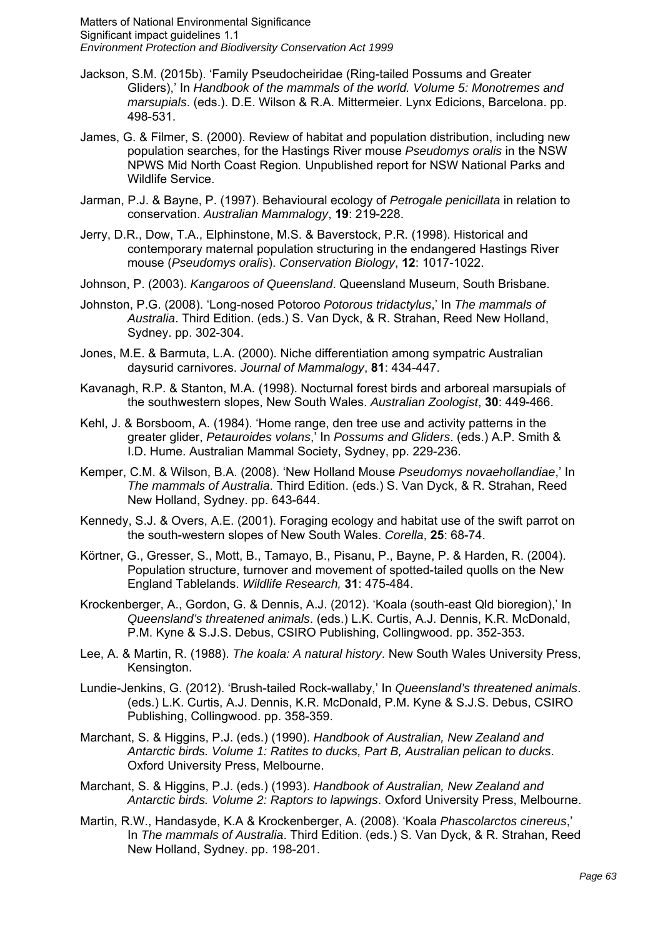- Jackson, S.M. (2015b). 'Family Pseudocheiridae (Ring-tailed Possums and Greater Gliders),' In *Handbook of the mammals of the world. Volume 5: Monotremes and marsupials*. (eds.). D.E. Wilson & R.A. Mittermeier. Lynx Edicions, Barcelona. pp. 498-531.
- James, G. & Filmer, S. (2000). Review of habitat and population distribution, including new population searches, for the Hastings River mouse *Pseudomys oralis* in the NSW NPWS Mid North Coast Region*.* Unpublished report for NSW National Parks and Wildlife Service.
- Jarman, P.J. & Bayne, P. (1997). Behavioural ecology of *Petrogale penicillata* in relation to conservation. *Australian Mammalogy*, **19**: 219-228.
- Jerry, D.R., Dow, T.A., Elphinstone, M.S. & Baverstock, P.R. (1998). Historical and contemporary maternal population structuring in the endangered Hastings River mouse (*Pseudomys oralis*). *Conservation Biology*, **12**: 1017-1022.
- Johnson, P. (2003). *Kangaroos of Queensland*. Queensland Museum, South Brisbane.
- Johnston, P.G. (2008). 'Long-nosed Potoroo *Potorous tridactylus*,' In *The mammals of Australia*. Third Edition. (eds.) S. Van Dyck, & R. Strahan, Reed New Holland, Sydney. pp. 302-304.
- Jones, M.E. & Barmuta, L.A. (2000). Niche differentiation among sympatric Australian daysurid carnivores. *Journal of Mammalogy*, **81**: 434-447.
- Kavanagh, R.P. & Stanton, M.A. (1998). Nocturnal forest birds and arboreal marsupials of the southwestern slopes, New South Wales. *Australian Zoologist*, **30**: 449-466.
- Kehl, J. & Borsboom, A. (1984). 'Home range, den tree use and activity patterns in the greater glider, *Petauroides volans*,' In *Possums and Gliders*. (eds.) A.P. Smith & I.D. Hume. Australian Mammal Society, Sydney, pp. 229-236.
- Kemper, C.M. & Wilson, B.A. (2008). 'New Holland Mouse *Pseudomys novaehollandiae*,' In *The mammals of Australia*. Third Edition. (eds.) S. Van Dyck, & R. Strahan, Reed New Holland, Sydney. pp. 643-644.
- Kennedy, S.J. & Overs, A.E. (2001). Foraging ecology and habitat use of the swift parrot on the south-western slopes of New South Wales. *Corella*, **25**: 68-74.
- Körtner, G., Gresser, S., Mott, B., Tamayo, B., Pisanu, P., Bayne, P. & Harden, R. (2004). Population structure, turnover and movement of spotted-tailed quolls on the New England Tablelands. *Wildlife Research,* **31**: 475-484.
- Krockenberger, A., Gordon, G. & Dennis, A.J. (2012). 'Koala (south-east Qld bioregion),' In *Queensland's threatened animals*. (eds.) L.K. Curtis, A.J. Dennis, K.R. McDonald, P.M. Kyne & S.J.S. Debus, CSIRO Publishing, Collingwood. pp. 352-353.
- Lee, A. & Martin, R. (1988). *The koala: A natural history*. New South Wales University Press, Kensington.
- Lundie-Jenkins, G. (2012). 'Brush-tailed Rock-wallaby,' In *Queensland's threatened animals*. (eds.) L.K. Curtis, A.J. Dennis, K.R. McDonald, P.M. Kyne & S.J.S. Debus, CSIRO Publishing, Collingwood. pp. 358-359.
- Marchant, S. & Higgins, P.J. (eds.) (1990). *Handbook of Australian, New Zealand and Antarctic birds. Volume 1: Ratites to ducks, Part B, Australian pelican to ducks*. Oxford University Press, Melbourne.
- Marchant, S. & Higgins, P.J. (eds.) (1993). *Handbook of Australian, New Zealand and Antarctic birds. Volume 2: Raptors to lapwings*. Oxford University Press, Melbourne.
- Martin, R.W., Handasyde, K.A & Krockenberger, A. (2008). 'Koala *Phascolarctos cinereus*,' In *The mammals of Australia*. Third Edition. (eds.) S. Van Dyck, & R. Strahan, Reed New Holland, Sydney. pp. 198-201.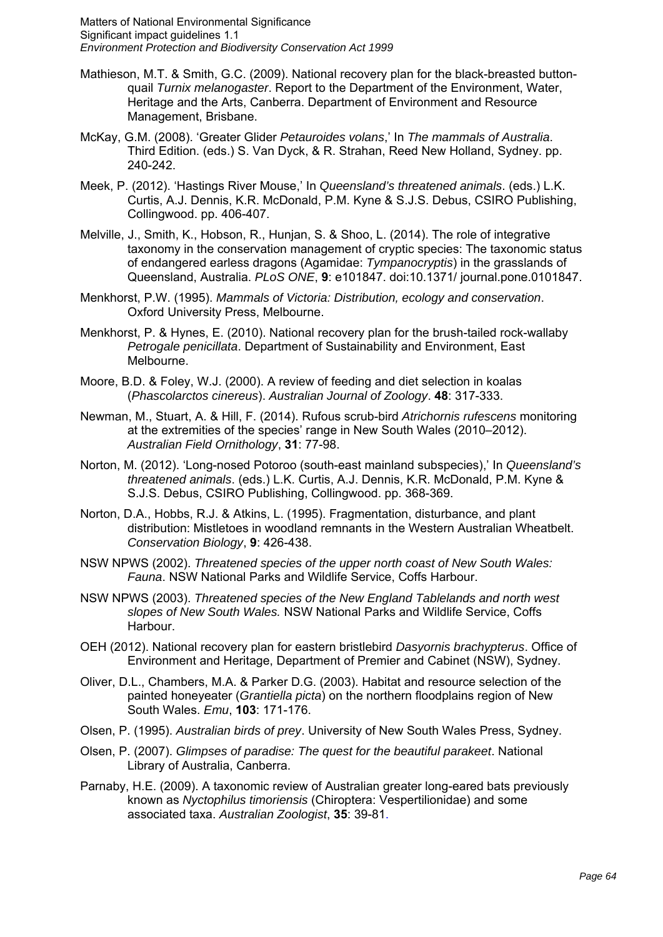- Mathieson, M.T. & Smith, G.C. (2009). National recovery plan for the black-breasted buttonquail *Turnix melanogaster*. Report to the Department of the Environment, Water, Heritage and the Arts, Canberra. Department of Environment and Resource Management, Brisbane.
- McKay, G.M. (2008). 'Greater Glider *Petauroides volans*,' In *The mammals of Australia*. Third Edition. (eds.) S. Van Dyck, & R. Strahan, Reed New Holland, Sydney. pp. 240-242.
- Meek, P. (2012). 'Hastings River Mouse,' In *Queensland's threatened animals*. (eds.) L.K. Curtis, A.J. Dennis, K.R. McDonald, P.M. Kyne & S.J.S. Debus, CSIRO Publishing, Collingwood. pp. 406-407.
- Melville, J., Smith, K., Hobson, R., Hunjan, S. & Shoo, L. (2014). The role of integrative taxonomy in the conservation management of cryptic species: The taxonomic status of endangered earless dragons (Agamidae: *Tympanocryptis*) in the grasslands of Queensland, Australia. *PLoS ONE*, **9**: e101847. doi:10.1371/ journal.pone.0101847.
- Menkhorst, P.W. (1995). *Mammals of Victoria: Distribution, ecology and conservation*. Oxford University Press, Melbourne.
- Menkhorst, P. & Hynes, E. (2010). National recovery plan for the brush-tailed rock-wallaby *Petrogale penicillata*. Department of Sustainability and Environment, East Melbourne.
- Moore, B.D. & Foley, W.J. (2000). A review of feeding and diet selection in koalas (*Phascolarctos cinereus*). *Australian Journal of Zoology*. **48**: 317-333.
- Newman, M., Stuart, A. & Hill, F. (2014). Rufous scrub-bird *Atrichornis rufescens* monitoring at the extremities of the species' range in New South Wales (2010–2012). *Australian Field Ornithology*, **31**: 77-98.
- Norton, M. (2012). 'Long-nosed Potoroo (south-east mainland subspecies),' In *Queensland's threatened animals*. (eds.) L.K. Curtis, A.J. Dennis, K.R. McDonald, P.M. Kyne & S.J.S. Debus, CSIRO Publishing, Collingwood. pp. 368-369.
- Norton, D.A., Hobbs, R.J. & Atkins, L. (1995). Fragmentation, disturbance, and plant distribution: Mistletoes in woodland remnants in the Western Australian Wheatbelt. *Conservation Biology*, **9**: 426-438.
- NSW NPWS (2002). *Threatened species of the upper north coast of New South Wales: Fauna*. NSW National Parks and Wildlife Service, Coffs Harbour.
- NSW NPWS (2003). *Threatened species of the New England Tablelands and north west slopes of New South Wales.* NSW National Parks and Wildlife Service, Coffs Harbour.
- OEH (2012). National recovery plan for eastern bristlebird *Dasyornis brachypterus*. Office of Environment and Heritage, Department of Premier and Cabinet (NSW), Sydney.
- Oliver, D.L., Chambers, M.A. & Parker D.G. (2003). Habitat and resource selection of the painted honeyeater (*Grantiella picta*) on the northern floodplains region of New South Wales. *Emu*, **103**: 171-176.
- Olsen, P. (1995). *Australian birds of prey*. University of New South Wales Press, Sydney.
- Olsen, P. (2007). *Glimpses of paradise: The quest for the beautiful parakeet*. National Library of Australia, Canberra.
- Parnaby, H.E. (2009). A taxonomic review of Australian greater long-eared bats previously known as *Nyctophilus timoriensis* (Chiroptera: Vespertilionidae) and some associated taxa. *Australian Zoologist*, **35**: 39-81.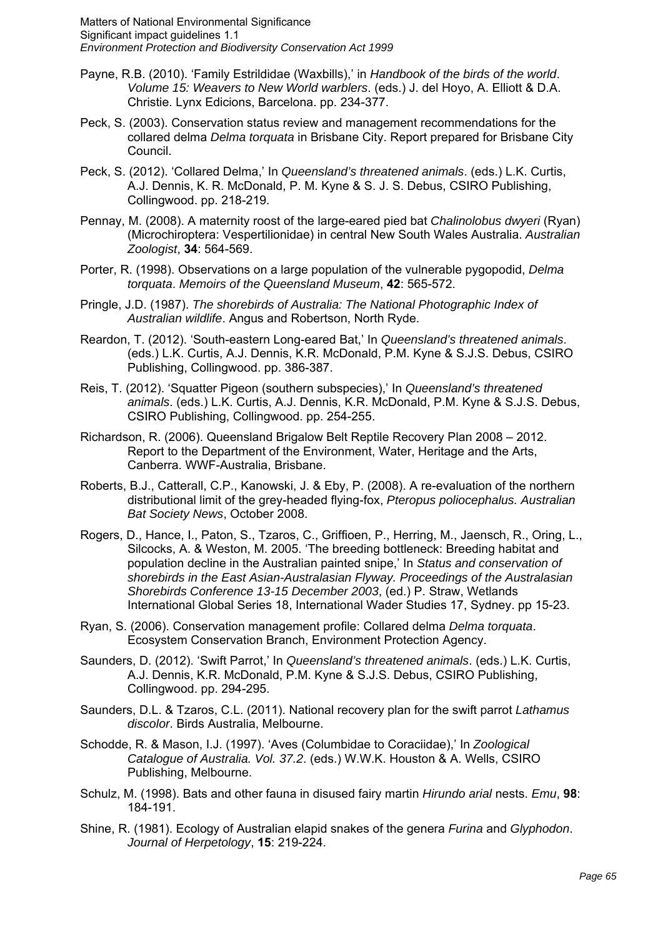- Payne, R.B. (2010). 'Family Estrildidae (Waxbills),' in *Handbook of the birds of the world*. *Volume 15: Weavers to New World warblers*. (eds.) J. del Hoyo, A. Elliott & D.A. Christie. Lynx Edicions, Barcelona. pp. 234-377.
- Peck, S. (2003). Conservation status review and management recommendations for the collared delma *Delma torquata* in Brisbane City. Report prepared for Brisbane City Council.
- Peck, S. (2012). 'Collared Delma,' In *Queensland's threatened animals*. (eds.) L.K. Curtis, A.J. Dennis, K. R. McDonald, P. M. Kyne & S. J. S. Debus, CSIRO Publishing, Collingwood. pp. 218-219.
- Pennay, M. (2008). A maternity roost of the large-eared pied bat *Chalinolobus dwyeri* (Ryan) (Microchiroptera: Vespertilionidae) in central New South Wales Australia. *Australian Zoologist*, **34**: 564-569.
- Porter, R. (1998). Observations on a large population of the vulnerable pygopodid, *Delma torquata*. *Memoirs of the Queensland Museum*, **42**: 565-572.
- Pringle, J.D. (1987). *The shorebirds of Australia: The National Photographic Index of Australian wildlife*. Angus and Robertson, North Ryde.
- Reardon, T. (2012). 'South-eastern Long-eared Bat,' In *Queensland's threatened animals*. (eds.) L.K. Curtis, A.J. Dennis, K.R. McDonald, P.M. Kyne & S.J.S. Debus, CSIRO Publishing, Collingwood. pp. 386-387.
- Reis, T. (2012). 'Squatter Pigeon (southern subspecies),' In *Queensland's threatened animals*. (eds.) L.K. Curtis, A.J. Dennis, K.R. McDonald, P.M. Kyne & S.J.S. Debus, CSIRO Publishing, Collingwood. pp. 254-255.
- Richardson, R. (2006). Queensland Brigalow Belt Reptile Recovery Plan 2008 2012. Report to the Department of the Environment, Water, Heritage and the Arts, Canberra. WWF-Australia, Brisbane.
- Roberts, B.J., Catterall, C.P., Kanowski, J. & Eby, P. (2008). A re-evaluation of the northern distributional limit of the grey-headed flying-fox, *Pteropus poliocephalus. Australian Bat Society News*, October 2008.
- Rogers, D., Hance, I., Paton, S., Tzaros, C., Griffioen, P., Herring, M., Jaensch, R., Oring, L., Silcocks, A. & Weston, M. 2005. 'The breeding bottleneck: Breeding habitat and population decline in the Australian painted snipe,' In *Status and conservation of shorebirds in the East Asian-Australasian Flyway. Proceedings of the Australasian Shorebirds Conference 13-15 December 2003*, (ed.) P. Straw, Wetlands International Global Series 18, International Wader Studies 17, Sydney. pp 15-23.
- Ryan, S. (2006). Conservation management profile: Collared delma *Delma torquata*. Ecosystem Conservation Branch, Environment Protection Agency.
- Saunders, D. (2012). 'Swift Parrot,' In *Queensland's threatened animals*. (eds.) L.K. Curtis, A.J. Dennis, K.R. McDonald, P.M. Kyne & S.J.S. Debus, CSIRO Publishing, Collingwood. pp. 294-295.
- Saunders, D.L. & Tzaros, C.L. (2011). National recovery plan for the swift parrot *Lathamus discolor*. Birds Australia, Melbourne.
- Schodde, R. & Mason, I.J. (1997). 'Aves (Columbidae to Coraciidae),' In *Zoological Catalogue of Australia. Vol. 37.2*. (eds.) W.W.K. Houston & A. Wells, CSIRO Publishing, Melbourne.
- Schulz, M. (1998). Bats and other fauna in disused fairy martin *Hirundo arial* nests. *Emu*, **98**: 184-191.
- Shine, R. (1981). Ecology of Australian elapid snakes of the genera *Furina* and *Glyphodon*. *Journal of Herpetology*, **15**: 219-224.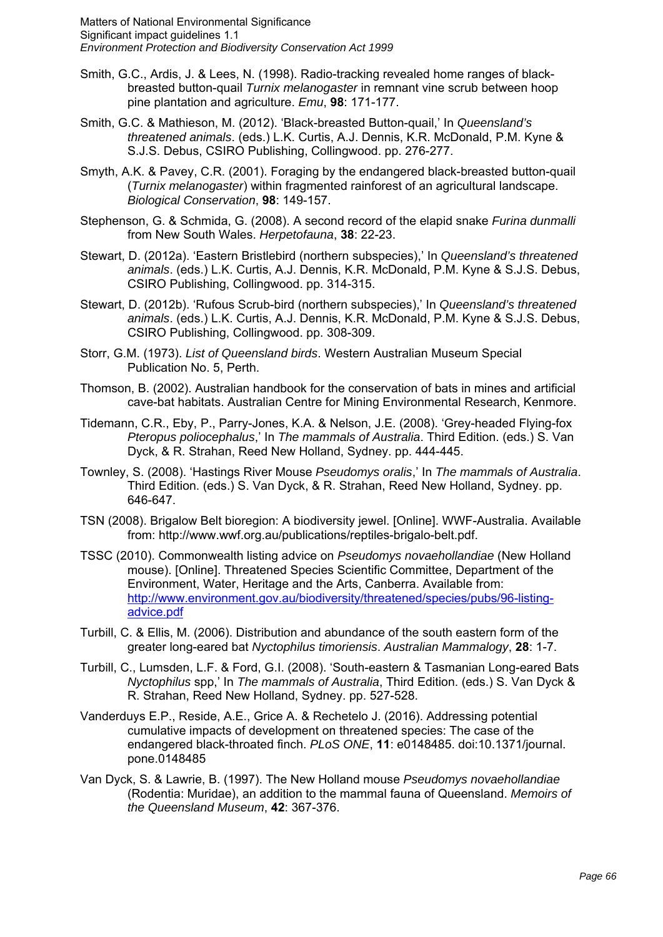- Smith, G.C., Ardis, J. & Lees, N. (1998). Radio-tracking revealed home ranges of blackbreasted button-quail *Turnix melanogaster* in remnant vine scrub between hoop pine plantation and agriculture. *Emu*, **98**: 171-177.
- Smith, G.C. & Mathieson, M. (2012). 'Black-breasted Button-quail,' In *Queensland's threatened animals*. (eds.) L.K. Curtis, A.J. Dennis, K.R. McDonald, P.M. Kyne & S.J.S. Debus, CSIRO Publishing, Collingwood. pp. 276-277.
- Smyth, A.K. & Pavey, C.R. (2001). Foraging by the endangered black-breasted button-quail (*Turnix melanogaster*) within fragmented rainforest of an agricultural landscape. *Biological Conservation*, **98**: 149-157.
- Stephenson, G. & Schmida, G. (2008). A second record of the elapid snake *Furina dunmalli* from New South Wales. *Herpetofauna*, **38**: 22-23.
- Stewart, D. (2012a). 'Eastern Bristlebird (northern subspecies),' In *Queensland's threatened animals*. (eds.) L.K. Curtis, A.J. Dennis, K.R. McDonald, P.M. Kyne & S.J.S. Debus, CSIRO Publishing, Collingwood. pp. 314-315.
- Stewart, D. (2012b). 'Rufous Scrub-bird (northern subspecies),' In *Queensland's threatened animals*. (eds.) L.K. Curtis, A.J. Dennis, K.R. McDonald, P.M. Kyne & S.J.S. Debus, CSIRO Publishing, Collingwood. pp. 308-309.
- Storr, G.M. (1973). *List of Queensland birds*. Western Australian Museum Special Publication No. 5, Perth.
- Thomson, B. (2002). Australian handbook for the conservation of bats in mines and artificial cave-bat habitats. Australian Centre for Mining Environmental Research, Kenmore.
- Tidemann, C.R., Eby, P., Parry-Jones, K.A. & Nelson, J.E. (2008). 'Grey-headed Flying-fox *Pteropus poliocephalus*,' In *The mammals of Australia*. Third Edition. (eds.) S. Van Dyck, & R. Strahan, Reed New Holland, Sydney. pp. 444-445.
- Townley, S. (2008). 'Hastings River Mouse *Pseudomys oralis*,' In *The mammals of Australia*. Third Edition. (eds.) S. Van Dyck, & R. Strahan, Reed New Holland, Sydney. pp. 646-647.
- TSN (2008). Brigalow Belt bioregion: A biodiversity jewel. [Online]. WWF-Australia. Available from: http://www.wwf.org.au/publications/reptiles-brigalo-belt.pdf.
- TSSC (2010). Commonwealth listing advice on *Pseudomys novaehollandiae* (New Holland mouse). [Online]. Threatened Species Scientific Committee, Department of the Environment, Water, Heritage and the Arts, Canberra. Available from: http://www.environment.gov.au/biodiversity/threatened/species/pubs/96-listingadvice.pdf
- Turbill, C. & Ellis, M. (2006). Distribution and abundance of the south eastern form of the greater long-eared bat *Nyctophilus timoriensis*. *Australian Mammalogy*, **28**: 1-7.
- Turbill, C., Lumsden, L.F. & Ford, G.I. (2008). 'South-eastern & Tasmanian Long-eared Bats *Nyctophilus* spp,' In *The mammals of Australia*, Third Edition. (eds.) S. Van Dyck & R. Strahan, Reed New Holland, Sydney. pp. 527-528.
- Vanderduys E.P., Reside, A.E., Grice A. & Rechetelo J. (2016). Addressing potential cumulative impacts of development on threatened species: The case of the endangered black-throated finch. *PLoS ONE*, **11**: e0148485. doi:10.1371/journal. pone.0148485
- Van Dyck, S. & Lawrie, B. (1997). The New Holland mouse *Pseudomys novaehollandiae* (Rodentia: Muridae), an addition to the mammal fauna of Queensland. *Memoirs of the Queensland Museum*, **42**: 367-376.